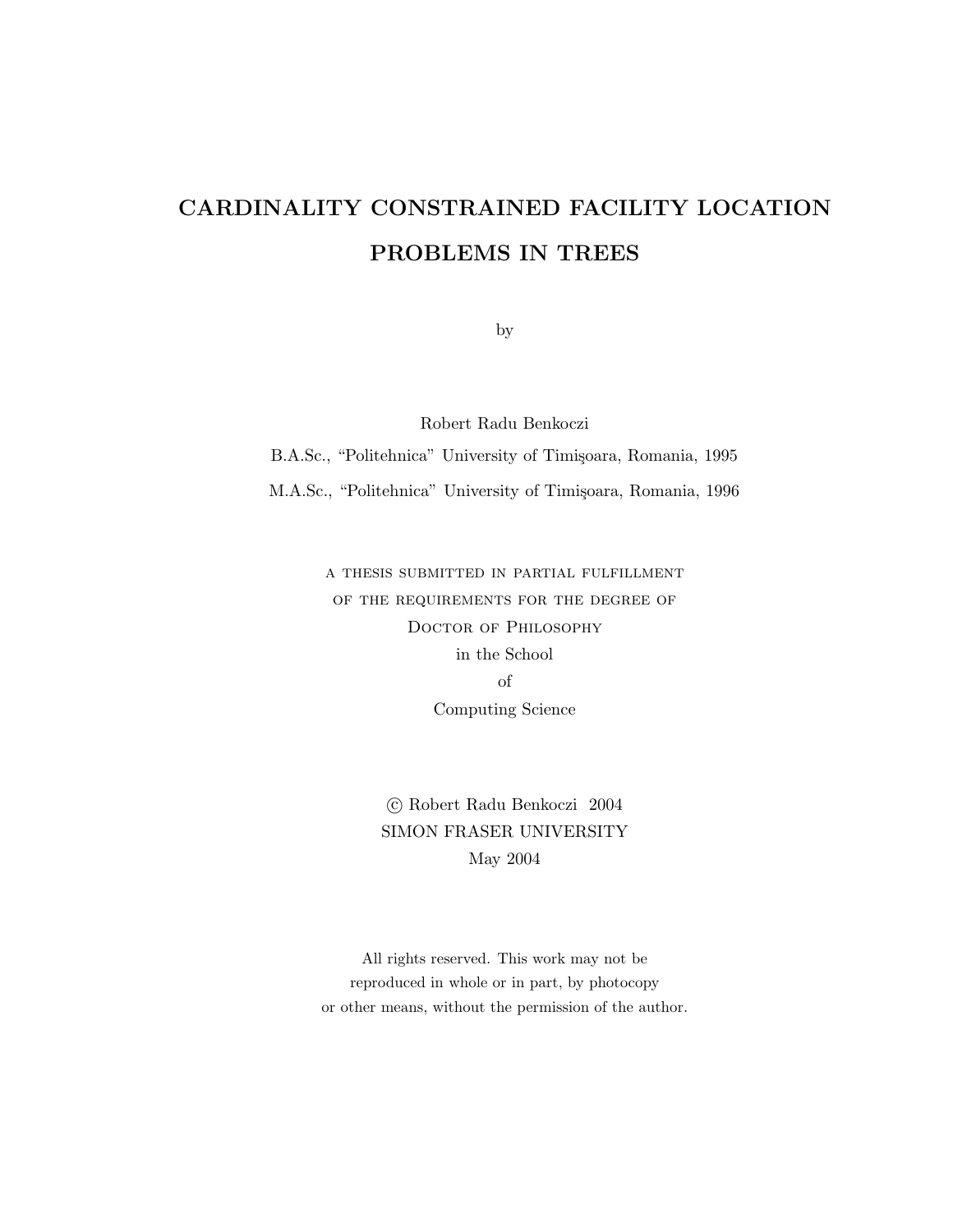## CARDINALITY CONSTRAINED FACILITY LOCATION PROBLEMS IN TREES

by

Robert Radu Benkoczi

B.A.Sc., "Politehnica" University of Timișoara, Romania, 1995

M.A.Sc., "Politehnica" University of Timișoara, Romania, 1996

a thesis submitted in partial fulfillment of the requirements for the degree of Doctor of Philosophy in the School of Computing Science

> c Robert Radu Benkoczi 2004 SIMON FRASER UNIVERSITY May 2004

All rights reserved. This work may not be reproduced in whole or in part, by photocopy or other means, without the permission of the author.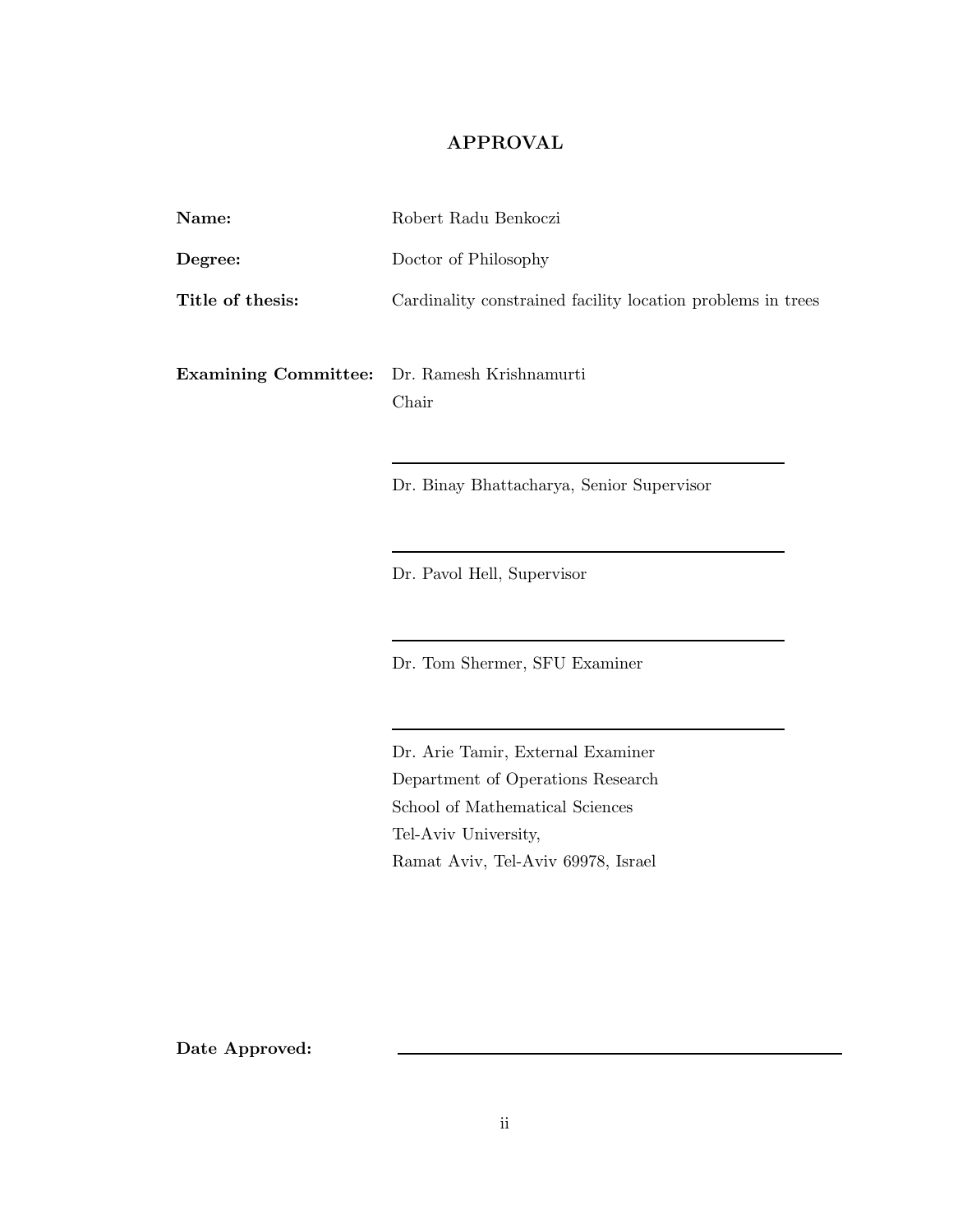#### APPROVAL

| Name:                                               | Robert Radu Benkoczi                                        |  |
|-----------------------------------------------------|-------------------------------------------------------------|--|
| Degree:                                             | Doctor of Philosophy                                        |  |
| Title of thesis:                                    | Cardinality constrained facility location problems in trees |  |
| <b>Examining Committee:</b> Dr. Ramesh Krishnamurti | Chair                                                       |  |
|                                                     | Dr. Binay Bhattacharya, Senior Supervisor                   |  |

Dr. Pavol Hell, Supervisor

Dr. Tom Shermer, SFU Examiner

Dr. Arie Tamir, External Examiner Department of Operations Research School of Mathematical Sciences Tel-Aviv University, Ramat Aviv, Tel-Aviv 69978, Israel

Date Approved: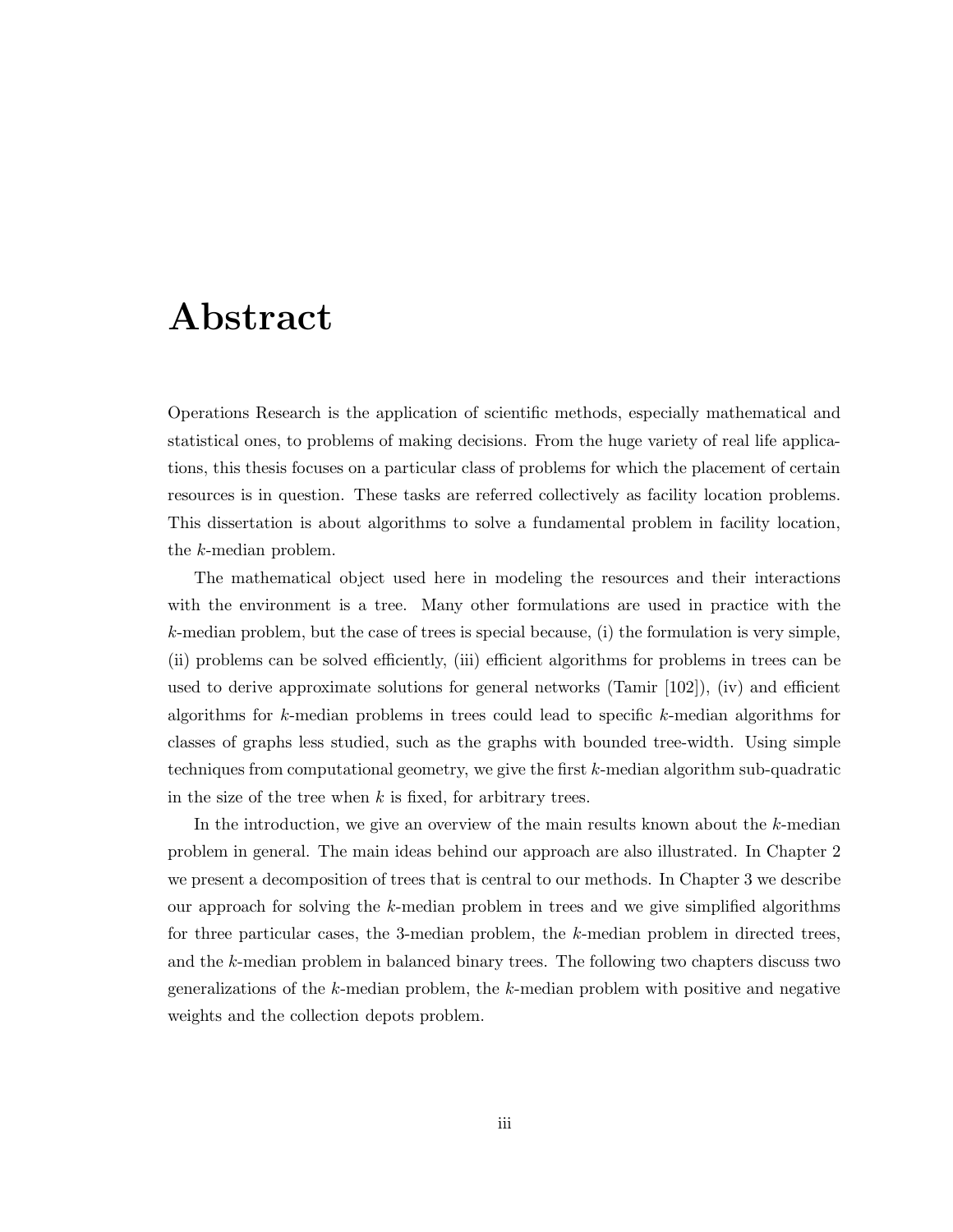## Abstract

Operations Research is the application of scientific methods, especially mathematical and statistical ones, to problems of making decisions. From the huge variety of real life applications, this thesis focuses on a particular class of problems for which the placement of certain resources is in question. These tasks are referred collectively as facility location problems. This dissertation is about algorithms to solve a fundamental problem in facility location, the k-median problem.

The mathematical object used here in modeling the resources and their interactions with the environment is a tree. Many other formulations are used in practice with the  $k$ -median problem, but the case of trees is special because, (i) the formulation is very simple, (ii) problems can be solved efficiently, (iii) efficient algorithms for problems in trees can be used to derive approximate solutions for general networks (Tamir [102]), (iv) and efficient algorithms for k-median problems in trees could lead to specific k-median algorithms for classes of graphs less studied, such as the graphs with bounded tree-width. Using simple techniques from computational geometry, we give the first k-median algorithm sub-quadratic in the size of the tree when  $k$  is fixed, for arbitrary trees.

In the introduction, we give an overview of the main results known about the k-median problem in general. The main ideas behind our approach are also illustrated. In Chapter 2 we present a decomposition of trees that is central to our methods. In Chapter 3 we describe our approach for solving the k-median problem in trees and we give simplified algorithms for three particular cases, the 3-median problem, the k-median problem in directed trees, and the k-median problem in balanced binary trees. The following two chapters discuss two generalizations of the  $k$ -median problem, the  $k$ -median problem with positive and negative weights and the collection depots problem.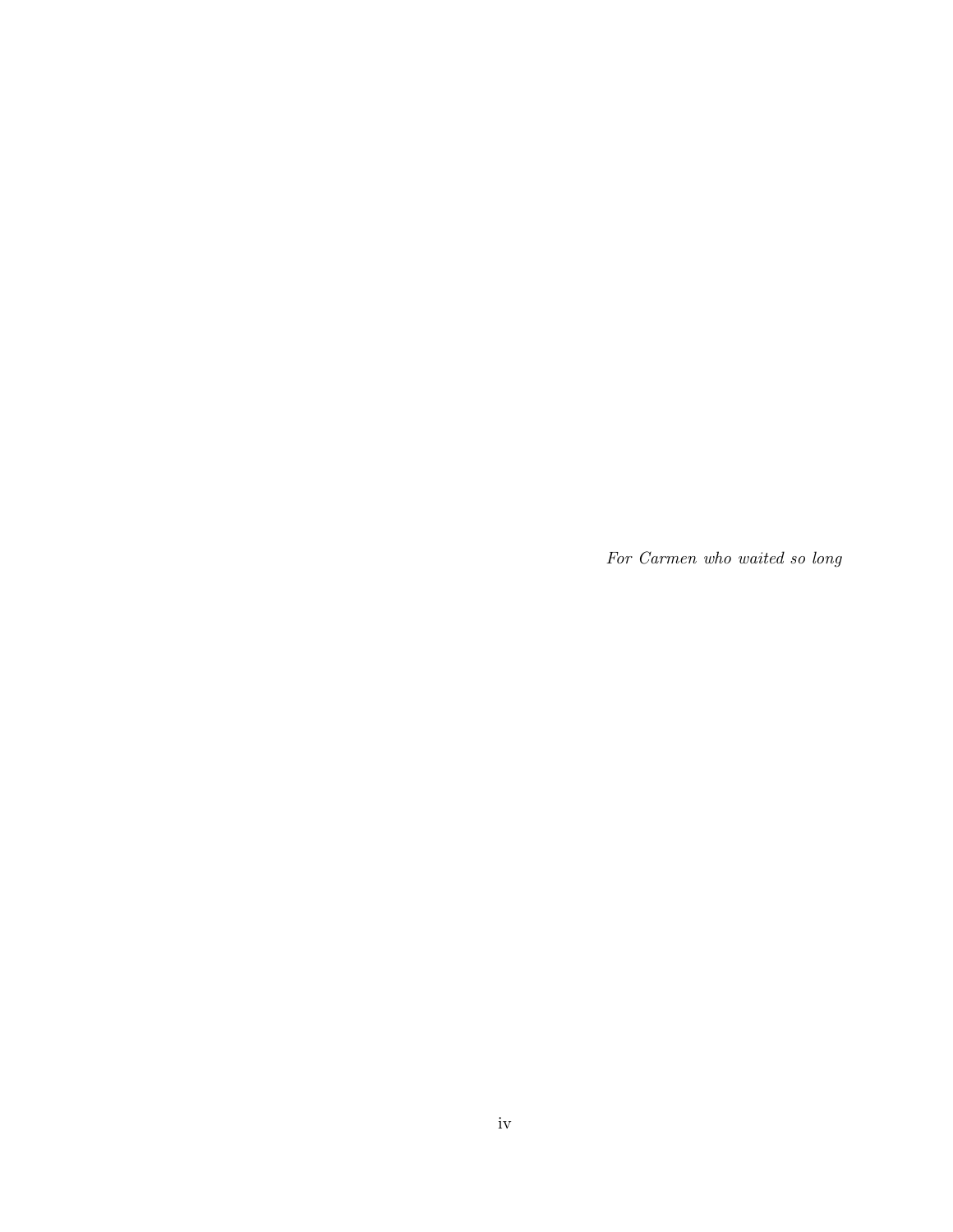For Carmen who waited so long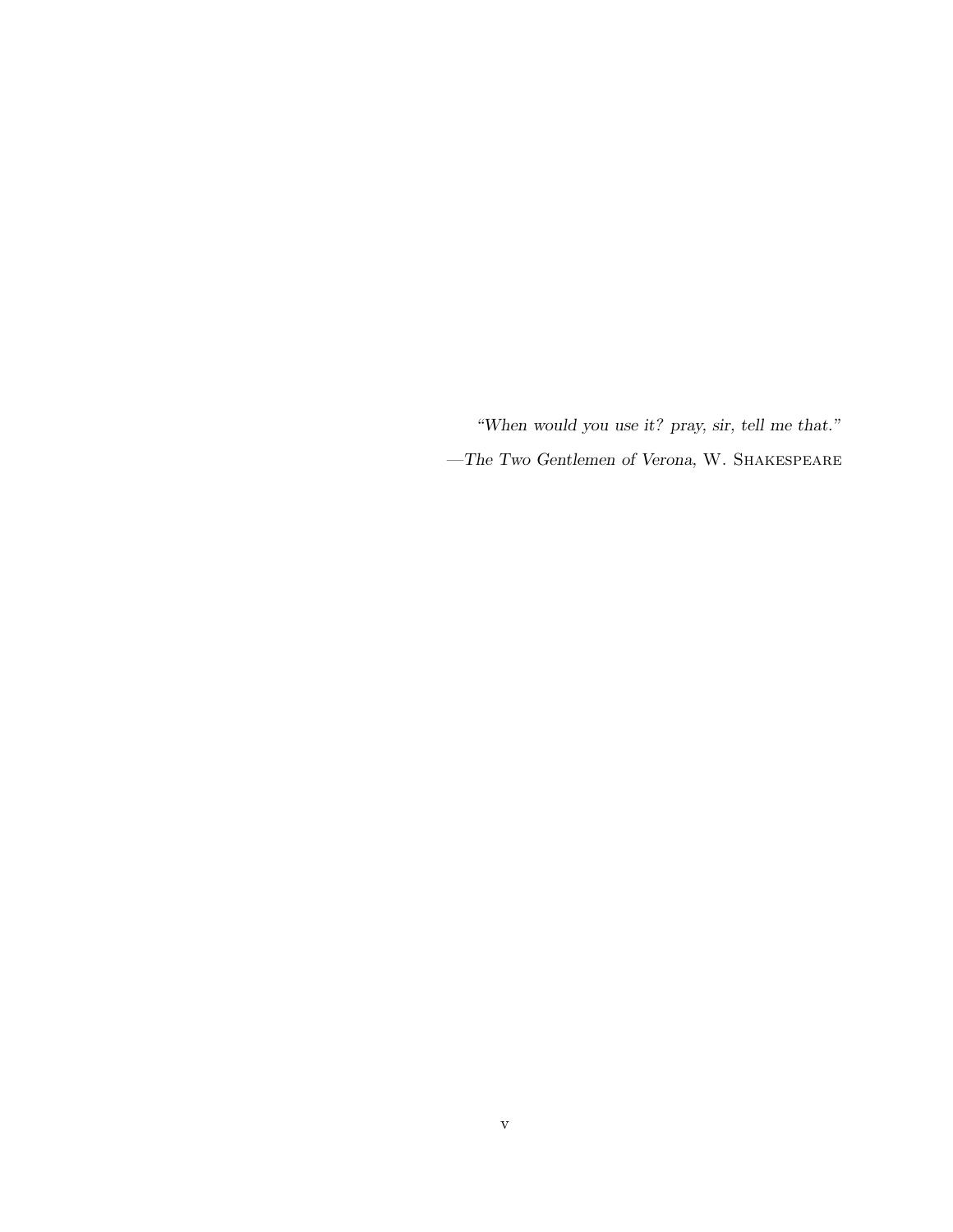"When would you use it? pray, sir, tell me that."  $-$  The Two Gentlemen of Verona, W. SHAKESPEARE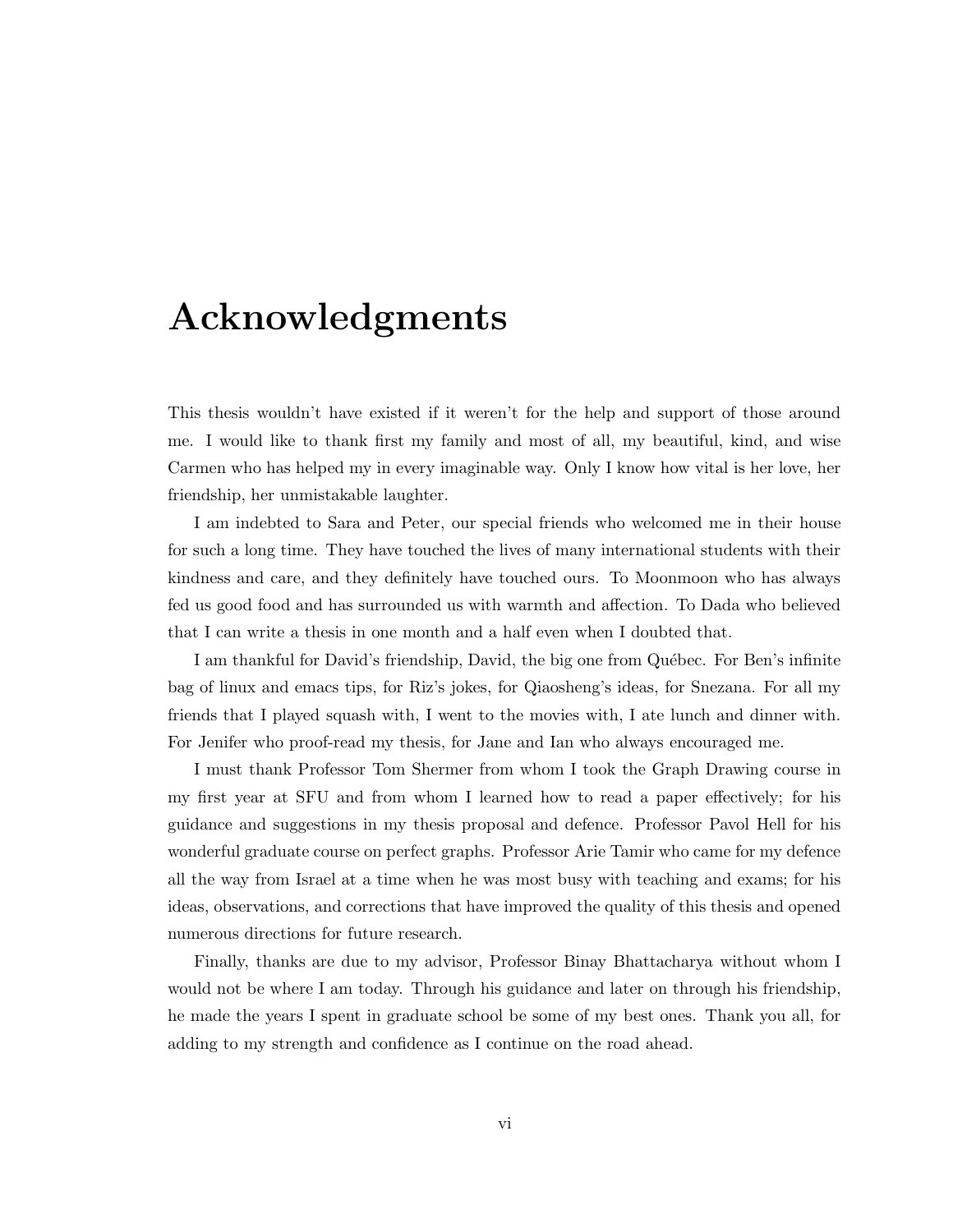## Acknowledgments

This thesis wouldn't have existed if it weren't for the help and support of those around me. I would like to thank first my family and most of all, my beautiful, kind, and wise Carmen who has helped my in every imaginable way. Only I know how vital is her love, her friendship, her unmistakable laughter.

I am indebted to Sara and Peter, our special friends who welcomed me in their house for such a long time. They have touched the lives of many international students with their kindness and care, and they definitely have touched ours. To Moonmoon who has always fed us good food and has surrounded us with warmth and affection. To Dada who believed that I can write a thesis in one month and a half even when I doubted that.

I am thankful for David's friendship, David, the big one from Québec. For Ben's infinite bag of linux and emacs tips, for Riz's jokes, for Qiaosheng's ideas, for Snezana. For all my friends that I played squash with, I went to the movies with, I ate lunch and dinner with. For Jenifer who proof-read my thesis, for Jane and Ian who always encouraged me.

I must thank Professor Tom Shermer from whom I took the Graph Drawing course in my first year at SFU and from whom I learned how to read a paper effectively; for his guidance and suggestions in my thesis proposal and defence. Professor Pavol Hell for his wonderful graduate course on perfect graphs. Professor Arie Tamir who came for my defence all the way from Israel at a time when he was most busy with teaching and exams; for his ideas, observations, and corrections that have improved the quality of this thesis and opened numerous directions for future research.

Finally, thanks are due to my advisor, Professor Binay Bhattacharya without whom I would not be where I am today. Through his guidance and later on through his friendship, he made the years I spent in graduate school be some of my best ones. Thank you all, for adding to my strength and confidence as I continue on the road ahead.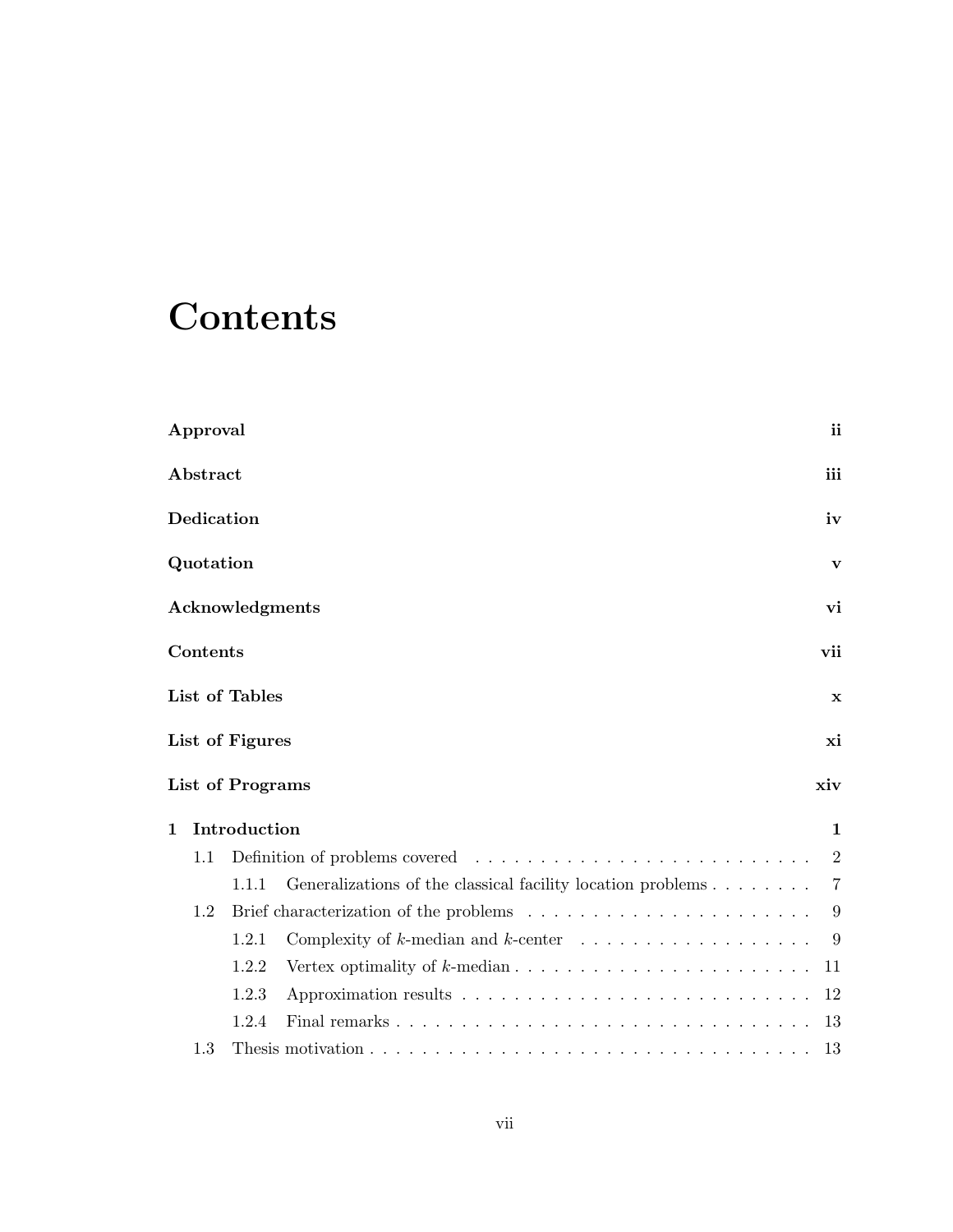## **Contents**

|             | Approval   |                                                                                                | ii             |
|-------------|------------|------------------------------------------------------------------------------------------------|----------------|
|             | Abstract   |                                                                                                | iii            |
|             | Dedication |                                                                                                | iv             |
|             | Quotation  |                                                                                                | V              |
|             |            | Acknowledgments                                                                                | vi             |
|             | Contents   |                                                                                                | vii            |
|             |            | List of Tables                                                                                 | $\mathbf x$    |
|             |            | List of Figures                                                                                | xi             |
|             |            | <b>List of Programs</b>                                                                        | xiv            |
| $\mathbf 1$ |            | Introduction                                                                                   | 1              |
|             | 1.1        |                                                                                                | 2              |
|             |            | Generalizations of the classical facility location problems<br>1.1.1                           | $\overline{7}$ |
|             | 1.2        |                                                                                                | 9              |
|             |            | Complexity of $k$ -median and $k$ -center $\ldots \ldots \ldots \ldots \ldots \ldots$<br>1.2.1 | 9              |
|             |            | 1.2.2                                                                                          | 11             |
|             |            | 1.2.3                                                                                          | 12             |
|             |            | 1.2.4                                                                                          | 13             |
|             | 1.3        |                                                                                                | 13             |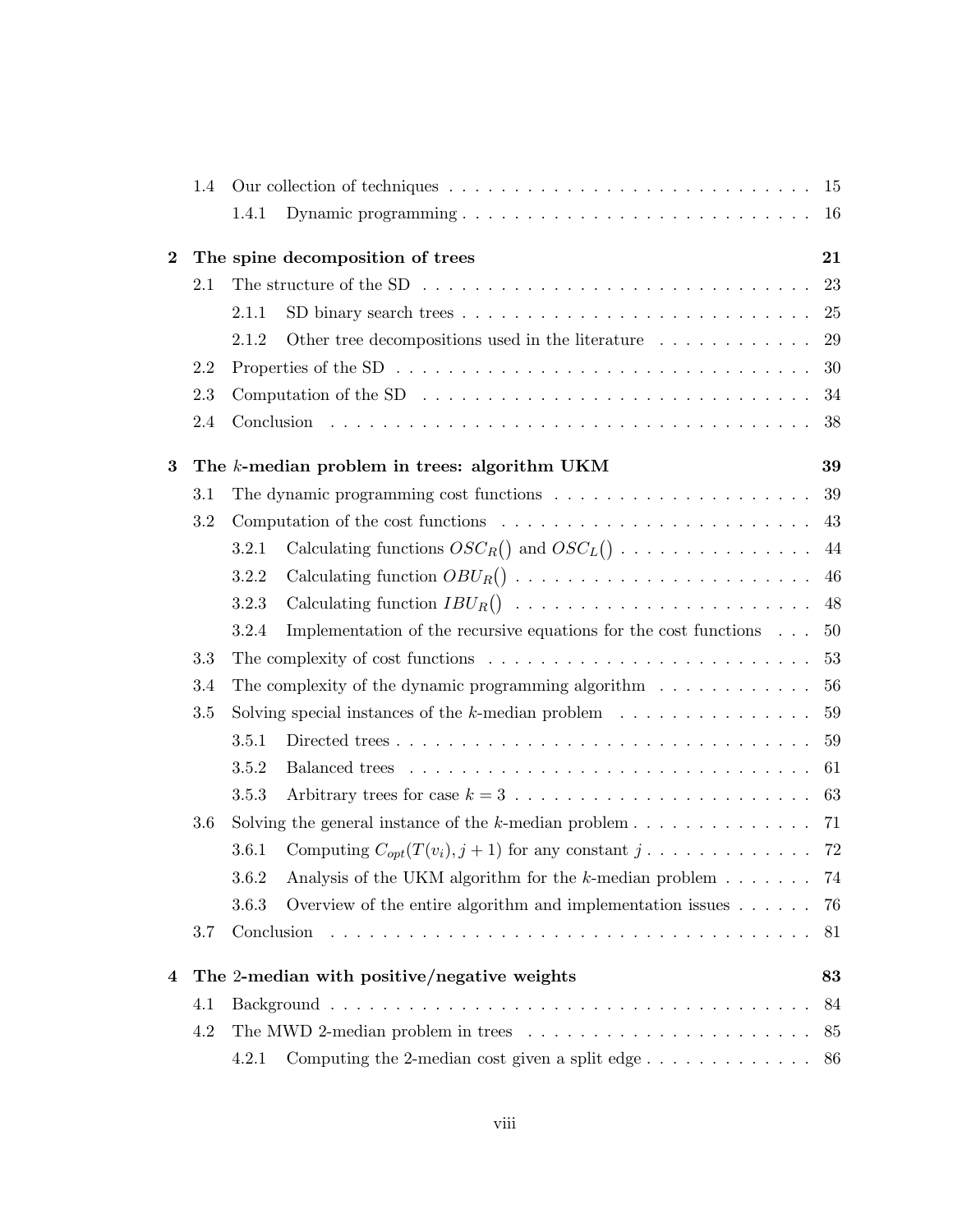|          | 1.4 |       |                                                                                                                                   |     |
|----------|-----|-------|-----------------------------------------------------------------------------------------------------------------------------------|-----|
|          |     | 1.4.1 |                                                                                                                                   |     |
| $\bf{2}$ |     |       | The spine decomposition of trees                                                                                                  | 21  |
|          | 2.1 |       | The structure of the SD $\ldots \ldots \ldots \ldots \ldots \ldots \ldots \ldots \ldots \ldots \ldots 23$                         |     |
|          |     | 2.1.1 |                                                                                                                                   | 25  |
|          |     | 2.1.2 | Other tree decompositions used in the literature $\ldots \ldots \ldots \ldots$                                                    | 29  |
|          | 2.2 |       | Properties of the SD $\ldots \ldots \ldots \ldots \ldots \ldots \ldots \ldots \ldots \ldots \ldots$                               | 30  |
|          | 2.3 |       | Computation of the SD $\ldots \ldots \ldots \ldots \ldots \ldots \ldots \ldots \ldots \ldots$                                     | 34  |
|          | 2.4 |       |                                                                                                                                   | 38  |
| 3        |     |       | The k-median problem in trees: algorithm UKM                                                                                      | 39  |
|          | 3.1 |       | The dynamic programming cost functions $\ldots \ldots \ldots \ldots \ldots \ldots \ldots 39$                                      |     |
|          | 3.2 |       | Computation of the cost functions $\ldots \ldots \ldots \ldots \ldots \ldots \ldots$                                              |     |
|          |     | 3.2.1 | Calculating functions $OSC_R()$ and $OSC_L() \cdot \cdot \cdot \cdot \cdot \cdot \cdot \cdot \cdot \cdot \cdot \cdot \cdot \cdot$ | 44  |
|          |     | 3.2.2 | Calculating function $OBU_R() \ldots \ldots \ldots \ldots \ldots \ldots \ldots \ldots$                                            | 46  |
|          |     | 3.2.3 |                                                                                                                                   |     |
|          |     | 3.2.4 | Implementation of the recursive equations for the cost functions                                                                  | 50  |
|          | 3.3 |       |                                                                                                                                   | 53  |
|          | 3.4 |       | The complexity of the dynamic programming algorithm $\ldots \ldots \ldots \ldots$                                                 | 56  |
|          | 3.5 |       | Solving special instances of the $k$ -median problem $\ldots \ldots \ldots \ldots \ldots$                                         | 59  |
|          |     | 3.5.1 | Directed trees                                                                                                                    | 59  |
|          |     | 3.5.2 |                                                                                                                                   | 61  |
|          |     | 3.5.3 | Arbitrary trees for case $k = 3, \ldots, \ldots, \ldots, \ldots, \ldots, \ldots, \ldots, 63$                                      |     |
|          | 3.6 |       | Solving the general instance of the $k$ -median problem 71                                                                        |     |
|          |     | 3.6.1 | Computing $C_{opt}(T(v_i), j+1)$ for any constant $j \dots \dots \dots \dots \dots$ 72                                            |     |
|          |     | 3.6.2 | Analysis of the UKM algorithm for the $k$ -median problem $\dots \dots$ 74                                                        |     |
|          |     | 3.6.3 | Overview of the entire algorithm and implementation issues $\dots \dots$                                                          | -76 |
|          | 3.7 |       |                                                                                                                                   | 81  |
| 4        |     |       | The 2-median with positive/negative weights                                                                                       | 83  |
|          | 4.1 |       |                                                                                                                                   | 84  |
|          | 4.2 |       | The MWD 2-median problem in trees $\dots \dots \dots \dots \dots \dots \dots \dots$                                               | 85  |
|          |     | 4.2.1 |                                                                                                                                   | 86  |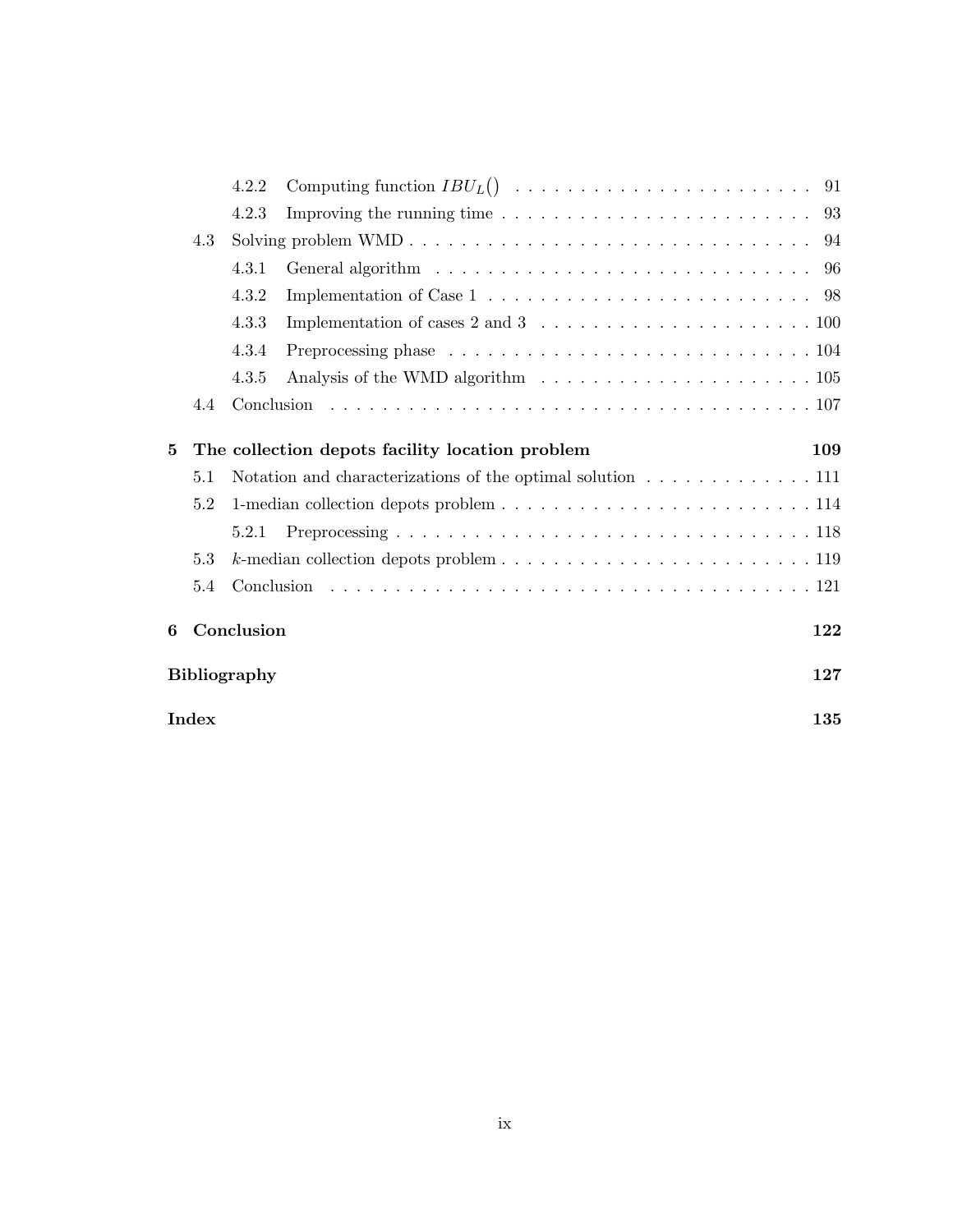|   |       | 4.2.2               |                                                                                                     |     |
|---|-------|---------------------|-----------------------------------------------------------------------------------------------------|-----|
|   |       | 4.2.3               | Improving the running time $\ldots \ldots \ldots \ldots \ldots \ldots \ldots \ldots \ldots$ 93      |     |
|   | 4.3   |                     |                                                                                                     |     |
|   |       | 4.3.1               |                                                                                                     |     |
|   |       | 4.3.2               | Implementation of Case $1 \ldots \ldots \ldots \ldots \ldots \ldots \ldots \ldots \ldots \ldots$ 98 |     |
|   |       | 4.3.3               |                                                                                                     |     |
|   |       | 4.3.4               | Preprocessing phase $\ldots \ldots \ldots \ldots \ldots \ldots \ldots \ldots \ldots 104$            |     |
|   |       | 4.3.5               |                                                                                                     |     |
|   | 4.4   |                     |                                                                                                     |     |
| 5 |       |                     | The collection depots facility location problem                                                     | 109 |
|   | 5.1   |                     | Notation and characterizations of the optimal solution 111                                          |     |
|   | 5.2   |                     |                                                                                                     |     |
|   |       | 5.2.1               |                                                                                                     |     |
|   | 5.3   |                     | $k$ -median collection depots problem $\ldots \ldots \ldots \ldots \ldots \ldots \ldots \ldots 119$ |     |
|   | 5.4   |                     |                                                                                                     |     |
| 6 |       | Conclusion          |                                                                                                     | 122 |
|   |       | <b>Bibliography</b> |                                                                                                     | 127 |
|   | Index |                     |                                                                                                     | 135 |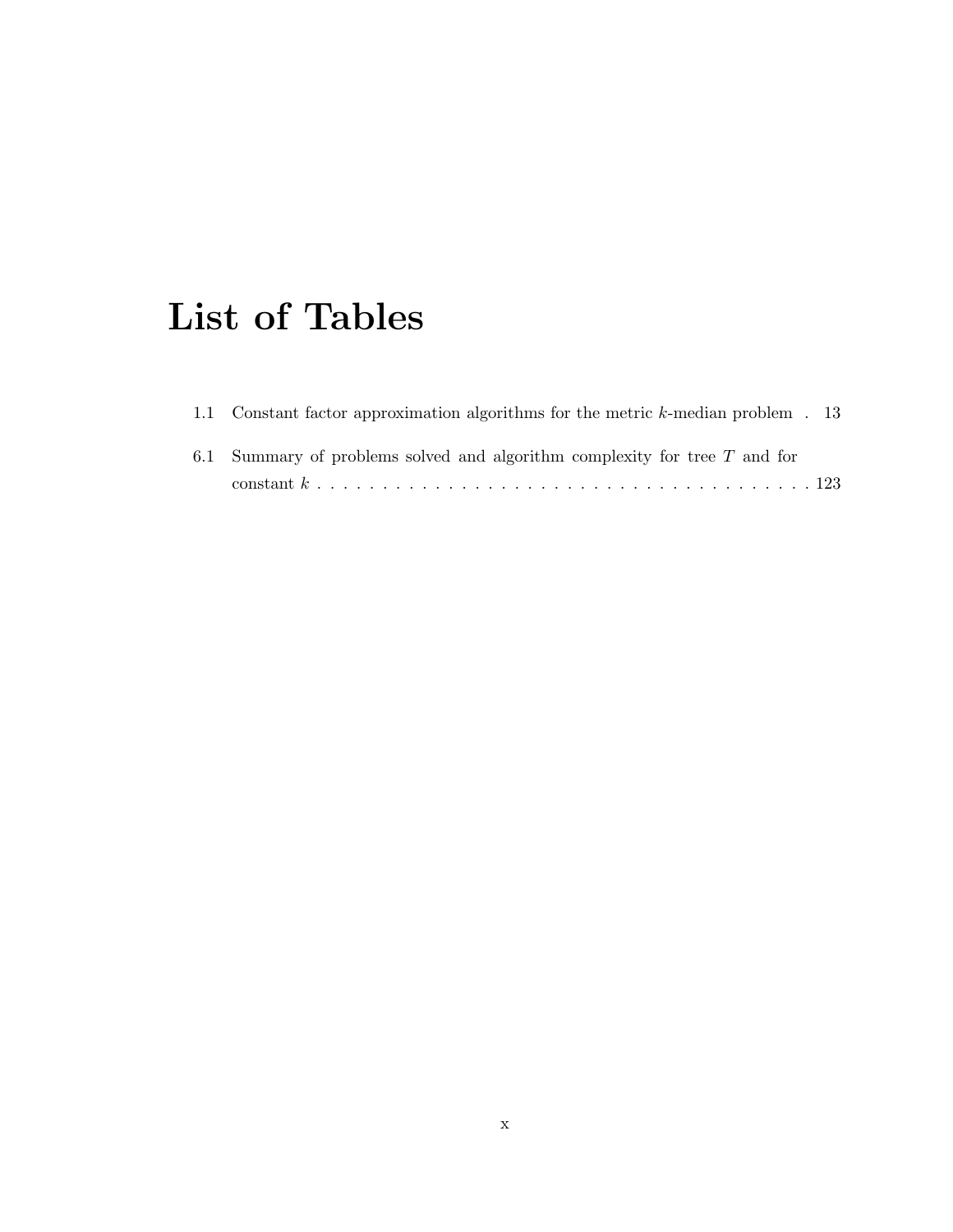## List of Tables

| 1.1 Constant factor approximation algorithms for the metric k-median problem . 13 |  |
|-----------------------------------------------------------------------------------|--|
| 6.1 Summary of problems solved and algorithm complexity for tree $T$ and for      |  |
|                                                                                   |  |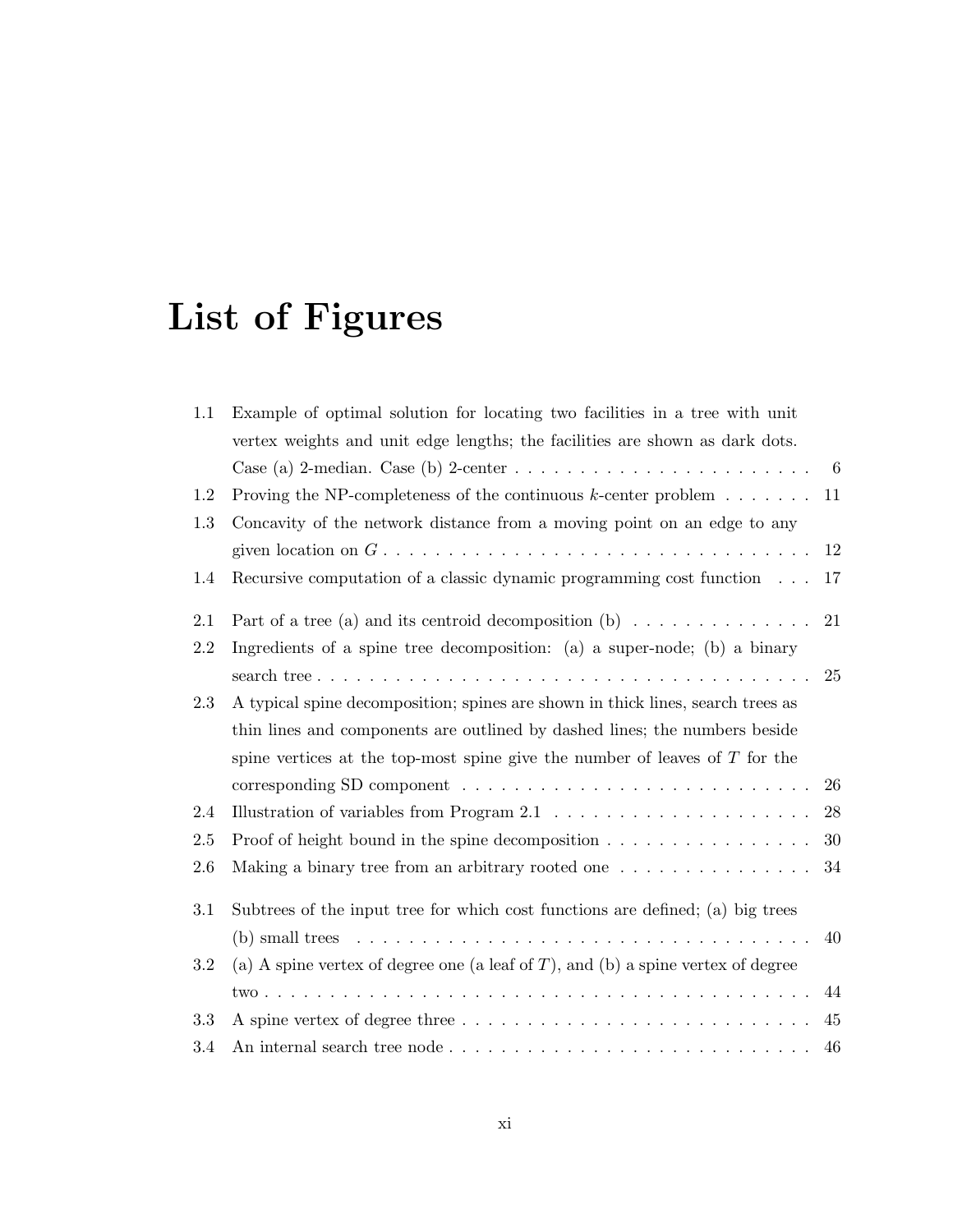# List of Figures

| 1.1 | Example of optimal solution for locating two facilities in a tree with unit                    |    |
|-----|------------------------------------------------------------------------------------------------|----|
|     | vertex weights and unit edge lengths; the facilities are shown as dark dots.                   |    |
|     | Case (a) 2-median. Case (b) 2-center $\ldots \ldots \ldots \ldots \ldots \ldots \ldots \ldots$ | 6  |
| 1.2 | Proving the NP-completeness of the continuous $k$ -center problem $\dots \dots$                | 11 |
| 1.3 | Concavity of the network distance from a moving point on an edge to any                        |    |
|     |                                                                                                | 12 |
| 1.4 | Recursive computation of a classic dynamic programming cost function                           | 17 |
| 2.1 | Part of a tree (a) and its centroid decomposition (b) $\dots \dots \dots \dots$                | 21 |
| 2.2 | Ingredients of a spine tree decomposition: (a) a super-node; (b) a binary                      |    |
|     |                                                                                                | 25 |
| 2.3 | A typical spine decomposition; spines are shown in thick lines, search trees as                |    |
|     | thin lines and components are outlined by dashed lines; the numbers beside                     |    |
|     | spine vertices at the top-most spine give the number of leaves of $T$ for the                  |    |
|     |                                                                                                | 26 |
| 2.4 | Illustration of variables from Program $2.1 \ldots \ldots \ldots \ldots \ldots \ldots$         | 28 |
| 2.5 | Proof of height bound in the spine decomposition $\ldots \ldots \ldots \ldots \ldots$          | 30 |
| 2.6 | Making a binary tree from an arbitrary rooted one                                              | 34 |
| 3.1 | Subtrees of the input tree for which cost functions are defined; (a) big trees                 |    |
|     |                                                                                                | 40 |
| 3.2 | (a) A spine vertex of degree one (a leaf of $T$ ), and (b) a spine vertex of degree            |    |
|     |                                                                                                | 44 |
| 3.3 |                                                                                                | 45 |
| 3.4 |                                                                                                | 46 |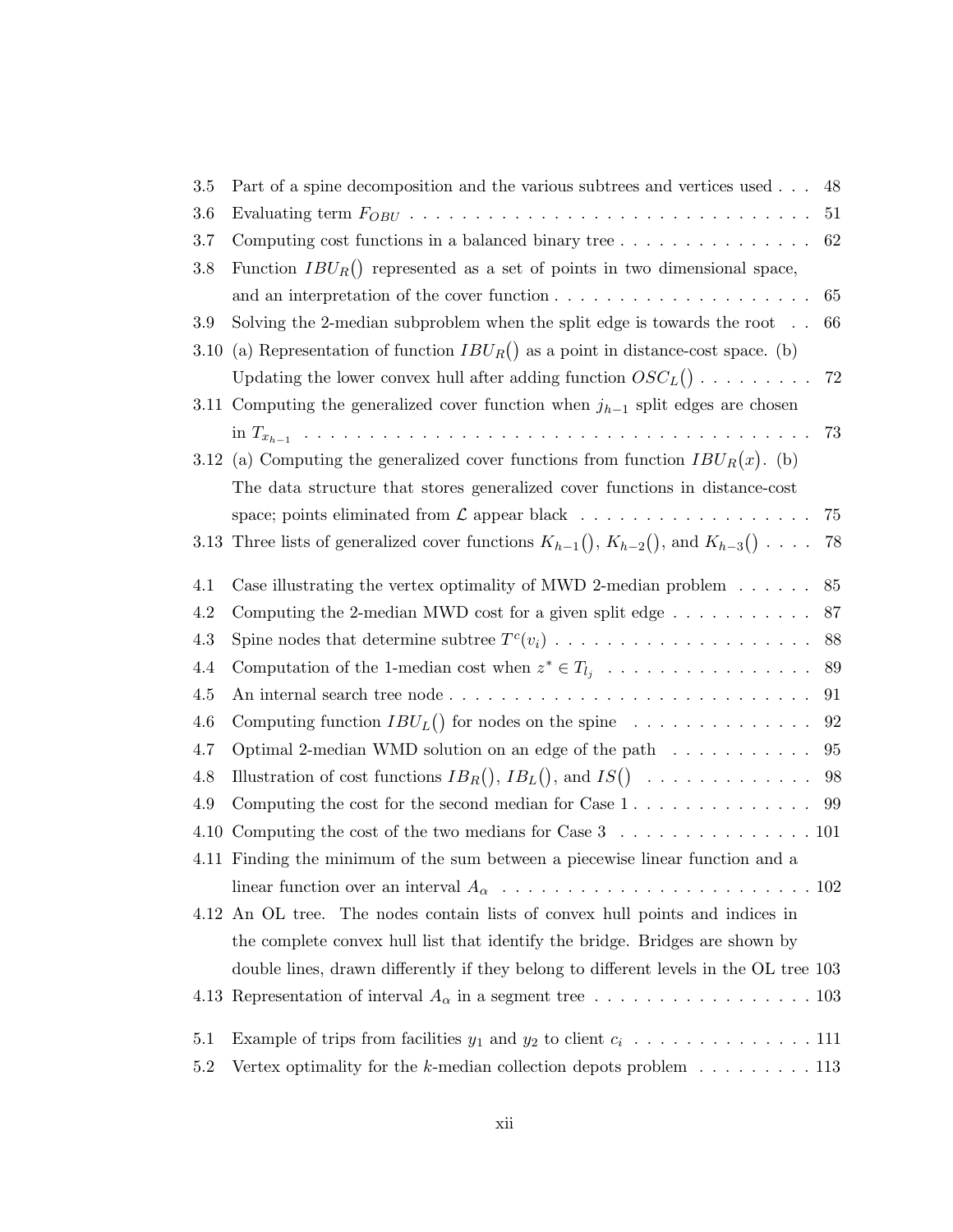| 3.5     | Part of a spine decomposition and the various subtrees and vertices used                                 | 48 |
|---------|----------------------------------------------------------------------------------------------------------|----|
| 3.6     |                                                                                                          | 51 |
| 3.7     | 62                                                                                                       |    |
| 3.8     | Function $IBU_R()$ represented as a set of points in two dimensional space,                              |    |
|         |                                                                                                          | 65 |
| 3.9     | Solving the 2-median subproblem when the split edge is towards the root $\ldots$                         | 66 |
| 3.10    | (a) Representation of function $IBU_R()$ as a point in distance-cost space. (b)                          |    |
|         | Updating the lower convex hull after adding function $OSC_L() \cdot \cdot \cdot \cdot \cdot \cdot \cdot$ | 72 |
|         | 3.11 Computing the generalized cover function when $j_{h-1}$ split edges are chosen                      |    |
|         |                                                                                                          | 73 |
|         | 3.12 (a) Computing the generalized cover functions from function $IBU_R(x)$ . (b)                        |    |
|         | The data structure that stores generalized cover functions in distance-cost                              |    |
|         |                                                                                                          | 75 |
|         | 3.13 Three lists of generalized cover functions $K_{h-1}($ , $K_{h-2}()$ , and $K_{h-3}($ ) $\ldots$ .   | 78 |
| 4.1     | Case illustrating the vertex optimality of MWD 2-median problem $\dots \dots$                            | 85 |
| $4.2\,$ | Computing the 2-median MWD cost for a given split edge $\dots \dots \dots$                               | 87 |
| $4.3\,$ |                                                                                                          | 88 |
| 4.4     | Computation of the 1-median cost when $z^* \in T_{l_j} \ldots \ldots \ldots \ldots \ldots$               | 89 |
| 4.5     |                                                                                                          | 91 |
| 4.6     | Computing function $IBU_L()$ for nodes on the spine $\ldots \ldots \ldots \ldots$                        | 92 |
| 4.7     | Optimal 2-median WMD solution on an edge of the path $\dots \dots \dots$                                 | 95 |
| 4.8     | Illustration of cost functions $IB_R()$ , $IB_L()$ , and $IS() \dots \dots \dots \dots$                  | 98 |
| 4.9     | Computing the cost for the second median for Case $1, \ldots, \ldots, \ldots, \ldots$                    | 99 |
| 4.10    | Computing the cost of the two medians for Case $3 \ldots \ldots \ldots \ldots \ldots 101$                |    |
|         | 4.11 Finding the minimum of the sum between a piecewise linear function and a                            |    |
|         |                                                                                                          |    |
|         | 4.12 An OL tree. The nodes contain lists of convex hull points and indices in                            |    |
|         | the complete convex hull list that identify the bridge. Bridges are shown by                             |    |
|         | double lines, drawn differently if they belong to different levels in the OL tree 103                    |    |
|         |                                                                                                          |    |
| 5.1     |                                                                                                          |    |
| $5.2\,$ | Vertex optimality for the k-median collection depots problem $\dots \dots \dots \dots$ 113               |    |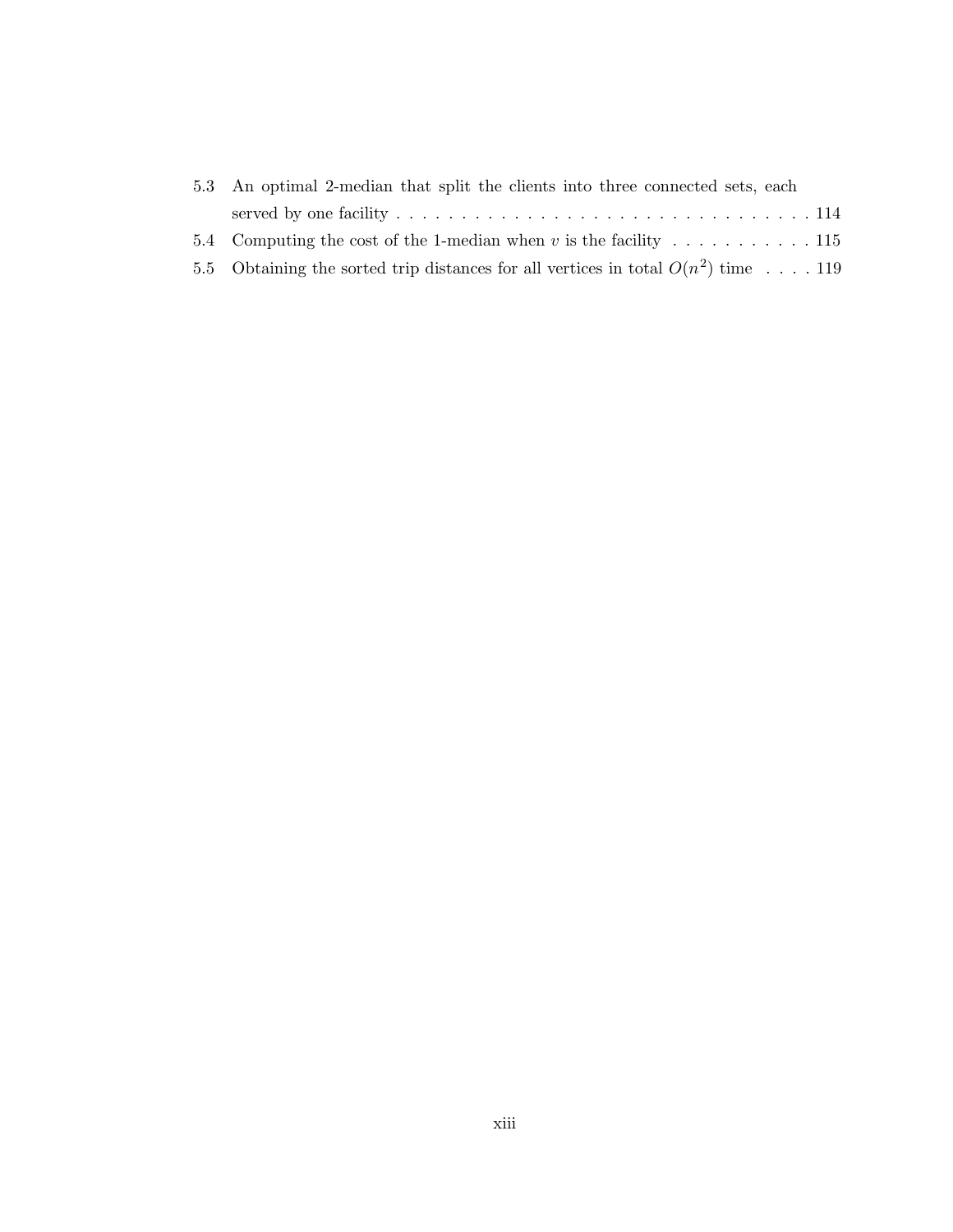| 5.3 An optimal 2-median that split the clients into three connected sets, each |                                                                                     |  |
|--------------------------------------------------------------------------------|-------------------------------------------------------------------------------------|--|
|                                                                                |                                                                                     |  |
|                                                                                | 5.4 Computing the cost of the 1-median when v is the facility  115                  |  |
|                                                                                | 5.5 Obtaining the sorted trip distances for all vertices in total $O(n^2)$ time 119 |  |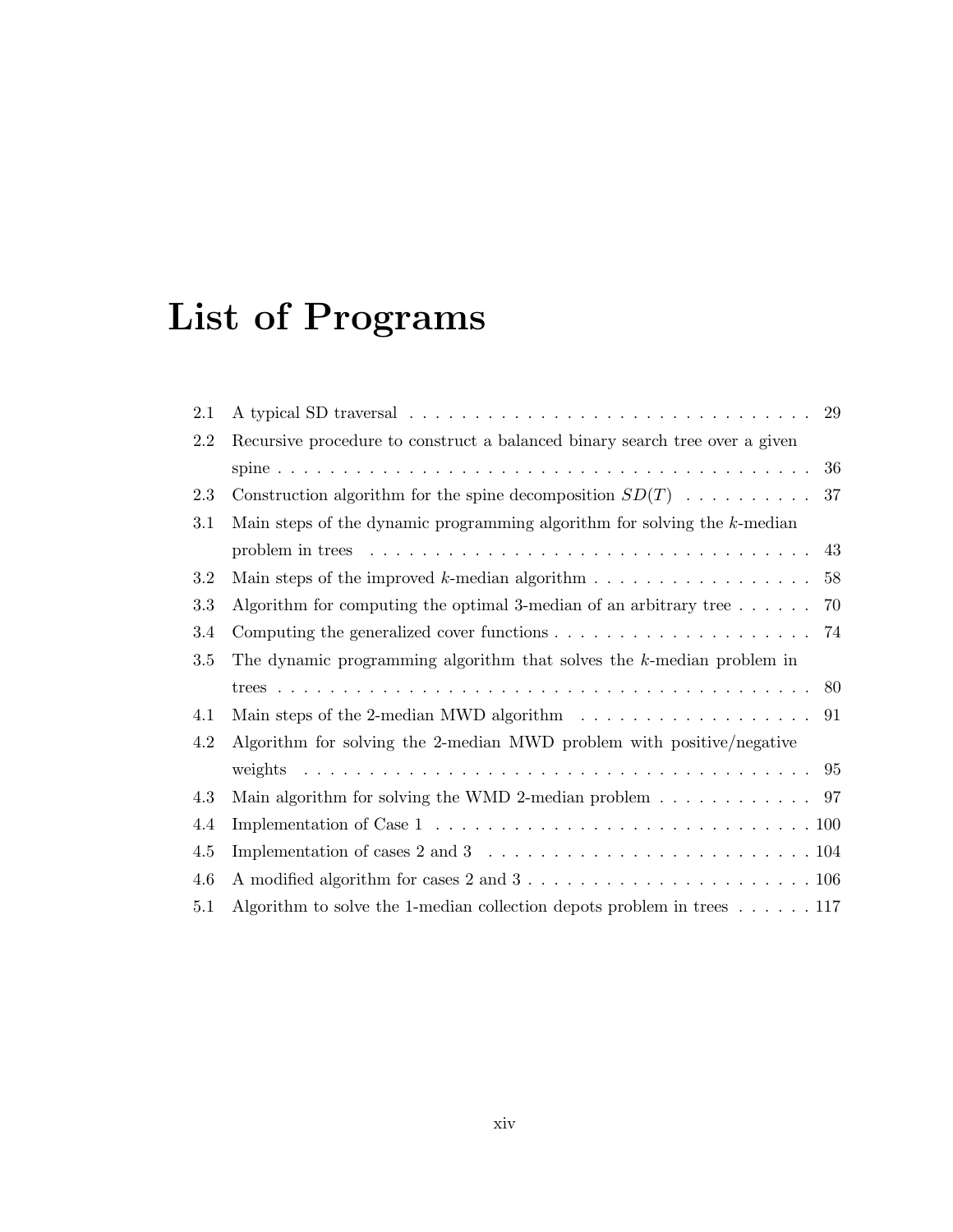# List of Programs

| 2.1 | 29                                                                                                            |
|-----|---------------------------------------------------------------------------------------------------------------|
| 2.2 | Recursive procedure to construct a balanced binary search tree over a given                                   |
|     | 36                                                                                                            |
| 2.3 | Construction algorithm for the spine decomposition $SD(T)$<br>37                                              |
| 3.1 | Main steps of the dynamic programming algorithm for solving the $k$ -median                                   |
|     | problem in trees $\ldots \ldots \ldots \ldots \ldots \ldots \ldots \ldots \ldots \ldots \ldots \ldots$<br>43  |
| 3.2 | Main steps of the improved k-median algorithm $\dots \dots \dots \dots \dots \dots$<br>58                     |
| 3.3 | Algorithm for computing the optimal 3-median of an arbitrary tree $\dots$<br>70                               |
| 3.4 | 74                                                                                                            |
| 3.5 | The dynamic programming algorithm that solves the $k$ -median problem in                                      |
|     | -80                                                                                                           |
| 4.1 | Main steps of the 2-median MWD algorithm $\dots \dots \dots \dots \dots \dots \dots \dots$                    |
| 4.2 | Algorithm for solving the 2-median MWD problem with positive/negative                                         |
|     |                                                                                                               |
| 4.3 | Main algorithm for solving the WMD 2-median problem $\ldots \ldots \ldots \ldots$ 97                          |
| 4.4 | Implementation of Case $1 \ldots \ldots \ldots \ldots \ldots \ldots \ldots \ldots \ldots \ldots \ldots 100$   |
| 4.5 | Implementation of cases 2 and 3 $\ldots \ldots \ldots \ldots \ldots \ldots \ldots \ldots \ldots 104$          |
| 4.6 | A modified algorithm for cases $2$ and $3 \ldots \ldots \ldots \ldots \ldots \ldots \ldots \ldots \ldots 106$ |
| 5.1 | Algorithm to solve the 1-median collection depots problem in trees $\dots \dots 117$                          |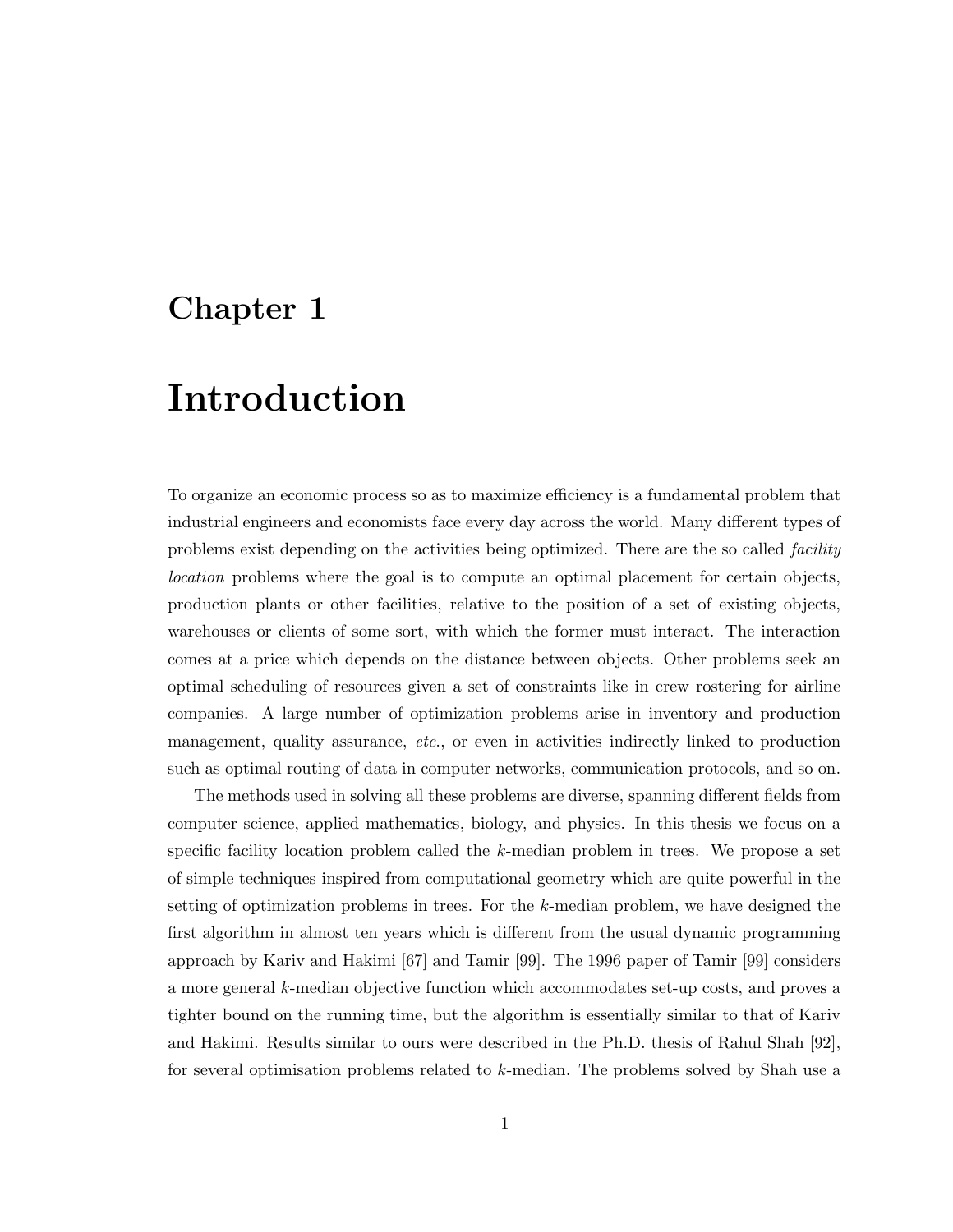### Chapter 1

## Introduction

To organize an economic process so as to maximize efficiency is a fundamental problem that industrial engineers and economists face every day across the world. Many different types of problems exist depending on the activities being optimized. There are the so called *facility* location problems where the goal is to compute an optimal placement for certain objects, production plants or other facilities, relative to the position of a set of existing objects, warehouses or clients of some sort, with which the former must interact. The interaction comes at a price which depends on the distance between objects. Other problems seek an optimal scheduling of resources given a set of constraints like in crew rostering for airline companies. A large number of optimization problems arise in inventory and production management, quality assurance, etc., or even in activities indirectly linked to production such as optimal routing of data in computer networks, communication protocols, and so on.

The methods used in solving all these problems are diverse, spanning different fields from computer science, applied mathematics, biology, and physics. In this thesis we focus on a specific facility location problem called the k-median problem in trees. We propose a set of simple techniques inspired from computational geometry which are quite powerful in the setting of optimization problems in trees. For the  $k$ -median problem, we have designed the first algorithm in almost ten years which is different from the usual dynamic programming approach by Kariv and Hakimi [67] and Tamir [99]. The 1996 paper of Tamir [99] considers a more general k-median objective function which accommodates set-up costs, and proves a tighter bound on the running time, but the algorithm is essentially similar to that of Kariv and Hakimi. Results similar to ours were described in the Ph.D. thesis of Rahul Shah [92], for several optimisation problems related to k-median. The problems solved by Shah use a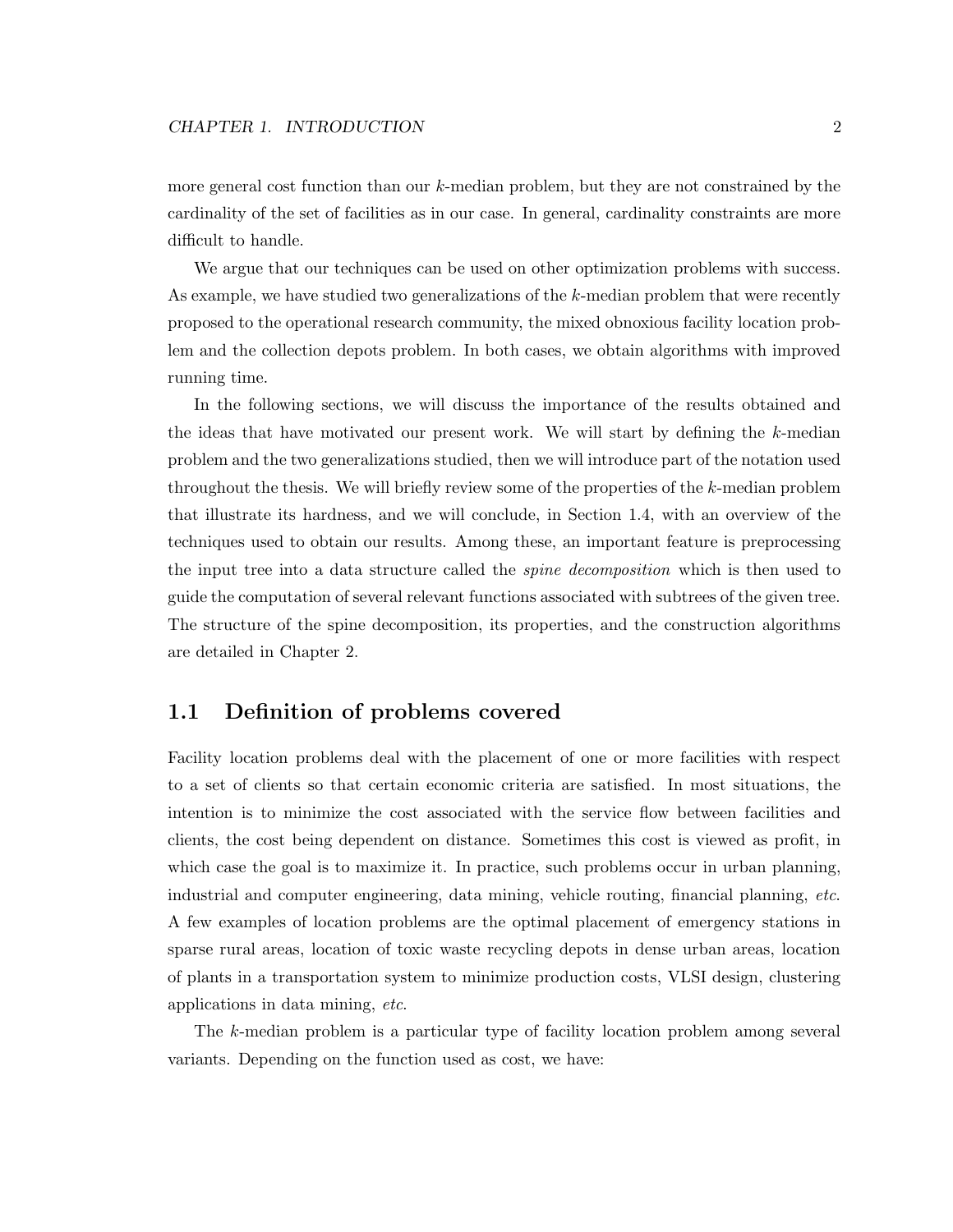more general cost function than our k-median problem, but they are not constrained by the cardinality of the set of facilities as in our case. In general, cardinality constraints are more difficult to handle.

We argue that our techniques can be used on other optimization problems with success. As example, we have studied two generalizations of the k-median problem that were recently proposed to the operational research community, the mixed obnoxious facility location problem and the collection depots problem. In both cases, we obtain algorithms with improved running time.

In the following sections, we will discuss the importance of the results obtained and the ideas that have motivated our present work. We will start by defining the k-median problem and the two generalizations studied, then we will introduce part of the notation used throughout the thesis. We will briefly review some of the properties of the k-median problem that illustrate its hardness, and we will conclude, in Section 1.4, with an overview of the techniques used to obtain our results. Among these, an important feature is preprocessing the input tree into a data structure called the *spine decomposition* which is then used to guide the computation of several relevant functions associated with subtrees of the given tree. The structure of the spine decomposition, its properties, and the construction algorithms are detailed in Chapter 2.

#### 1.1 Definition of problems covered

Facility location problems deal with the placement of one or more facilities with respect to a set of clients so that certain economic criteria are satisfied. In most situations, the intention is to minimize the cost associated with the service flow between facilities and clients, the cost being dependent on distance. Sometimes this cost is viewed as profit, in which case the goal is to maximize it. In practice, such problems occur in urban planning, industrial and computer engineering, data mining, vehicle routing, financial planning, etc. A few examples of location problems are the optimal placement of emergency stations in sparse rural areas, location of toxic waste recycling depots in dense urban areas, location of plants in a transportation system to minimize production costs, VLSI design, clustering applications in data mining, etc.

The k-median problem is a particular type of facility location problem among several variants. Depending on the function used as cost, we have: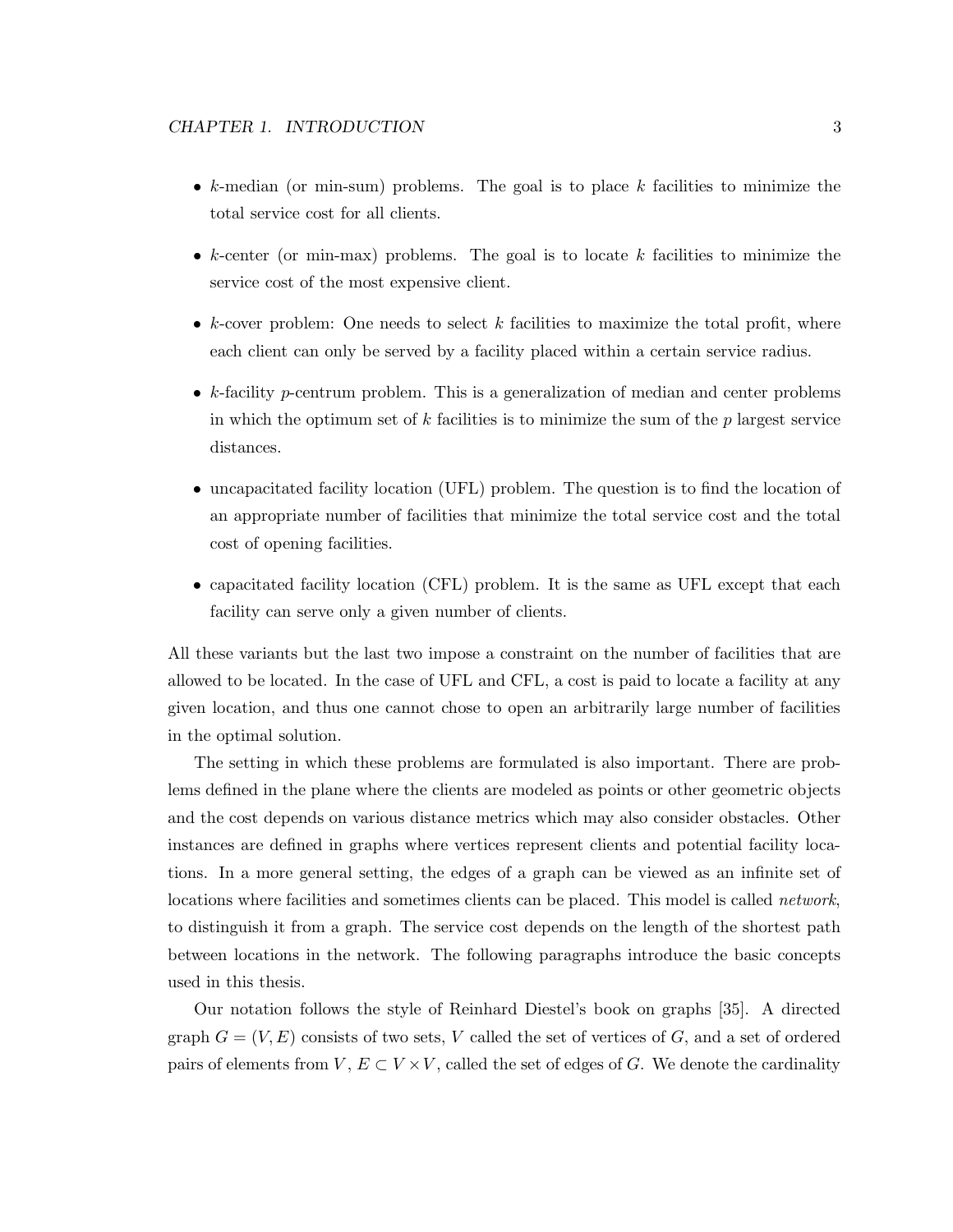- $k$ -median (or min-sum) problems. The goal is to place  $k$  facilities to minimize the total service cost for all clients.
- $k$ -center (or min-max) problems. The goal is to locate  $k$  facilities to minimize the service cost of the most expensive client.
- $k$ -cover problem: One needs to select  $k$  facilities to maximize the total profit, where each client can only be served by a facility placed within a certain service radius.
- $k$ -facility p-centrum problem. This is a generalization of median and center problems in which the optimum set of  $k$  facilities is to minimize the sum of the  $p$  largest service distances.
- uncapacitated facility location (UFL) problem. The question is to find the location of an appropriate number of facilities that minimize the total service cost and the total cost of opening facilities.
- capacitated facility location (CFL) problem. It is the same as UFL except that each facility can serve only a given number of clients.

All these variants but the last two impose a constraint on the number of facilities that are allowed to be located. In the case of UFL and CFL, a cost is paid to locate a facility at any given location, and thus one cannot chose to open an arbitrarily large number of facilities in the optimal solution.

The setting in which these problems are formulated is also important. There are problems defined in the plane where the clients are modeled as points or other geometric objects and the cost depends on various distance metrics which may also consider obstacles. Other instances are defined in graphs where vertices represent clients and potential facility locations. In a more general setting, the edges of a graph can be viewed as an infinite set of locations where facilities and sometimes clients can be placed. This model is called *network*, to distinguish it from a graph. The service cost depends on the length of the shortest path between locations in the network. The following paragraphs introduce the basic concepts used in this thesis.

Our notation follows the style of Reinhard Diestel's book on graphs [35]. A directed graph  $G = (V, E)$  consists of two sets, V called the set of vertices of G, and a set of ordered pairs of elements from  $V, E \subset V \times V$ , called the set of edges of G. We denote the cardinality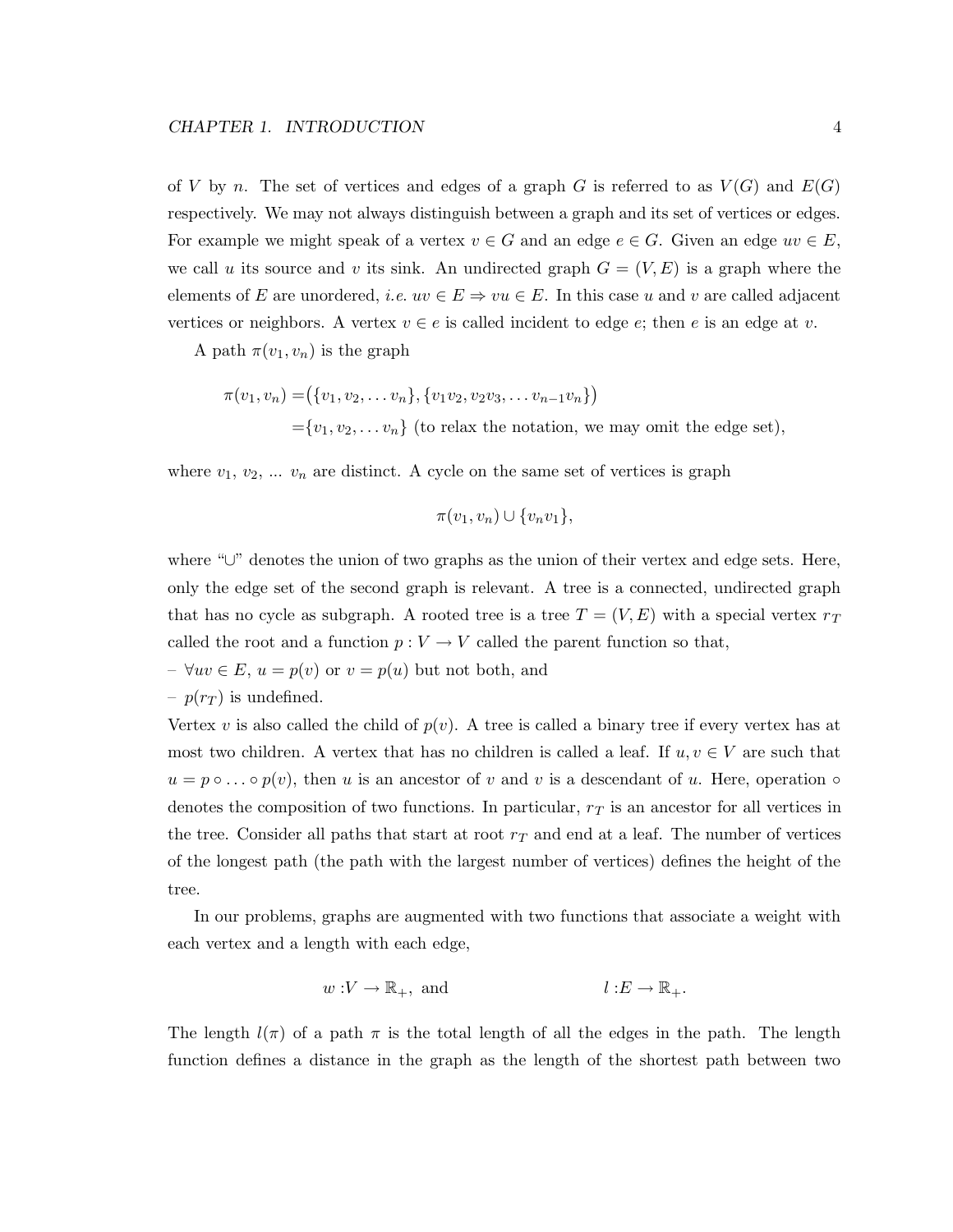of V by n. The set of vertices and edges of a graph G is referred to as  $V(G)$  and  $E(G)$ respectively. We may not always distinguish between a graph and its set of vertices or edges. For example we might speak of a vertex  $v \in G$  and an edge  $e \in G$ . Given an edge  $uv \in E$ , we call u its source and v its sink. An undirected graph  $G = (V, E)$  is a graph where the elements of E are unordered, *i.e.*  $uv \in E \Rightarrow vu \in E$ . In this case u and v are called adjacent vertices or neighbors. A vertex  $v \in e$  is called incident to edge  $e$ ; then e is an edge at v.

A path  $\pi(v_1, v_n)$  is the graph

$$
\pi(v_1, v_n) = (\{v_1, v_2, \dots v_n\}, \{v_1v_2, v_2v_3, \dots v_{n-1}v_n\})
$$
  
= {v<sub>1</sub>, v<sub>2</sub>, ..., v<sub>n</sub>} (to relax the notation, we may omit the edge set),

where  $v_1, v_2, \ldots v_n$  are distinct. A cycle on the same set of vertices is graph

$$
\pi(v_1,v_n)\cup\{v_nv_1\},\
$$

where "∪" denotes the union of two graphs as the union of their vertex and edge sets. Here, only the edge set of the second graph is relevant. A tree is a connected, undirected graph that has no cycle as subgraph. A rooted tree is a tree  $T = (V, E)$  with a special vertex  $r<sub>T</sub>$ called the root and a function  $p: V \to V$  called the parent function so that,

 $- \forall uv \in E, u = p(v)$  or  $v = p(u)$  but not both, and

–  $p(r_T)$  is undefined.

Vertex v is also called the child of  $p(v)$ . A tree is called a binary tree if every vertex has at most two children. A vertex that has no children is called a leaf. If  $u, v \in V$  are such that  $u = p \circ \dots \circ p(v)$ , then u is an ancestor of v and v is a descendant of u. Here, operation  $\circ$ denotes the composition of two functions. In particular,  $r<sub>T</sub>$  is an ancestor for all vertices in the tree. Consider all paths that start at root  $r<sub>T</sub>$  and end at a leaf. The number of vertices of the longest path (the path with the largest number of vertices) defines the height of the tree.

In our problems, graphs are augmented with two functions that associate a weight with each vertex and a length with each edge,

$$
w:V \to \mathbb{R}_+
$$
, and  $l: E \to \mathbb{R}_+$ .

The length  $l(\pi)$  of a path  $\pi$  is the total length of all the edges in the path. The length function defines a distance in the graph as the length of the shortest path between two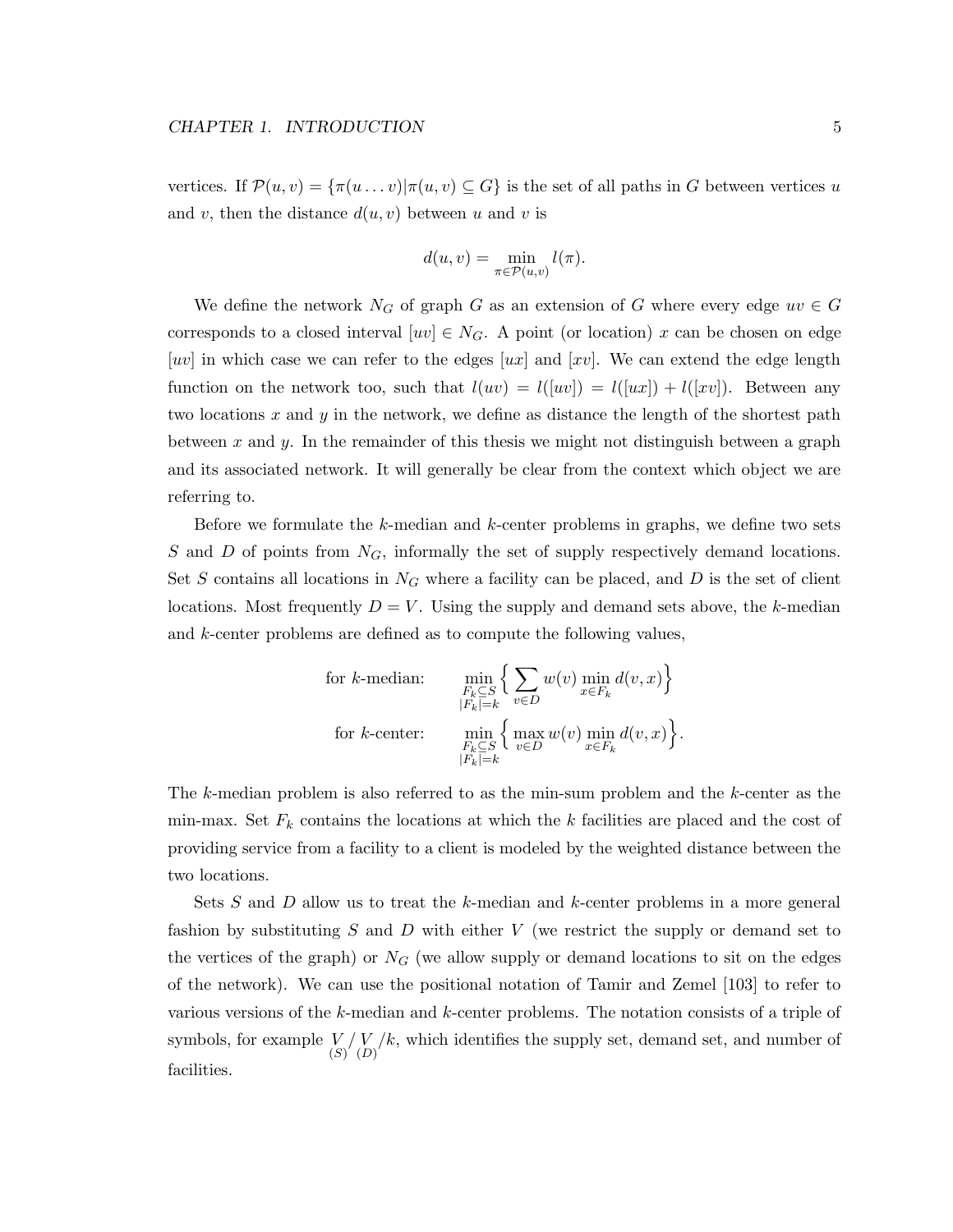vertices. If  $\mathcal{P}(u, v) = {\pi(u \dots v) | \pi(u, v) \subseteq G}$  is the set of all paths in G between vertices u and v, then the distance  $d(u, v)$  between u and v is

$$
d(u, v) = \min_{\pi \in \mathcal{P}(u, v)} l(\pi).
$$

We define the network  $N_G$  of graph G as an extension of G where every edge  $uv \in G$ corresponds to a closed interval  $[w] \in N_G$ . A point (or location) x can be chosen on edge [uv] in which case we can refer to the edges [ux] and [xv]. We can extend the edge length function on the network too, such that  $l(uv) = l([uv]) = l([ux]) + l([xv])$ . Between any two locations x and y in the network, we define as distance the length of the shortest path between x and y. In the remainder of this thesis we might not distinguish between a graph and its associated network. It will generally be clear from the context which object we are referring to.

Before we formulate the k-median and k-center problems in graphs, we define two sets S and D of points from  $N_G$ , informally the set of supply respectively demand locations. Set S contains all locations in  $N_G$  where a facility can be placed, and D is the set of client locations. Most frequently  $D = V$ . Using the supply and demand sets above, the k-median and k-center problems are defined as to compute the following values,

for *k*-median: 
$$
\min_{\substack{F_k \subseteq S \\ |F_k| = k}} \left\{ \sum_{v \in D} w(v) \min_{x \in F_k} d(v, x) \right\}
$$
  
for *k*-center: 
$$
\min_{\substack{F_k \subseteq S \\ |F_k| = k}} \left\{ \max_{v \in D} w(v) \min_{x \in F_k} d(v, x) \right\}.
$$

The k-median problem is also referred to as the min-sum problem and the k-center as the min-max. Set  $F_k$  contains the locations at which the k facilities are placed and the cost of providing service from a facility to a client is modeled by the weighted distance between the two locations.

Sets S and D allow us to treat the k-median and k-center problems in a more general fashion by substituting  $S$  and  $D$  with either  $V$  (we restrict the supply or demand set to the vertices of the graph) or  $N_G$  (we allow supply or demand locations to sit on the edges of the network). We can use the positional notation of Tamir and Zemel [103] to refer to various versions of the k-median and k-center problems. The notation consists of a triple of symbols, for example  $\binom{V}{S} \binom{V}{D} k$ , which identifies the supply set, demand set, and number of facilities.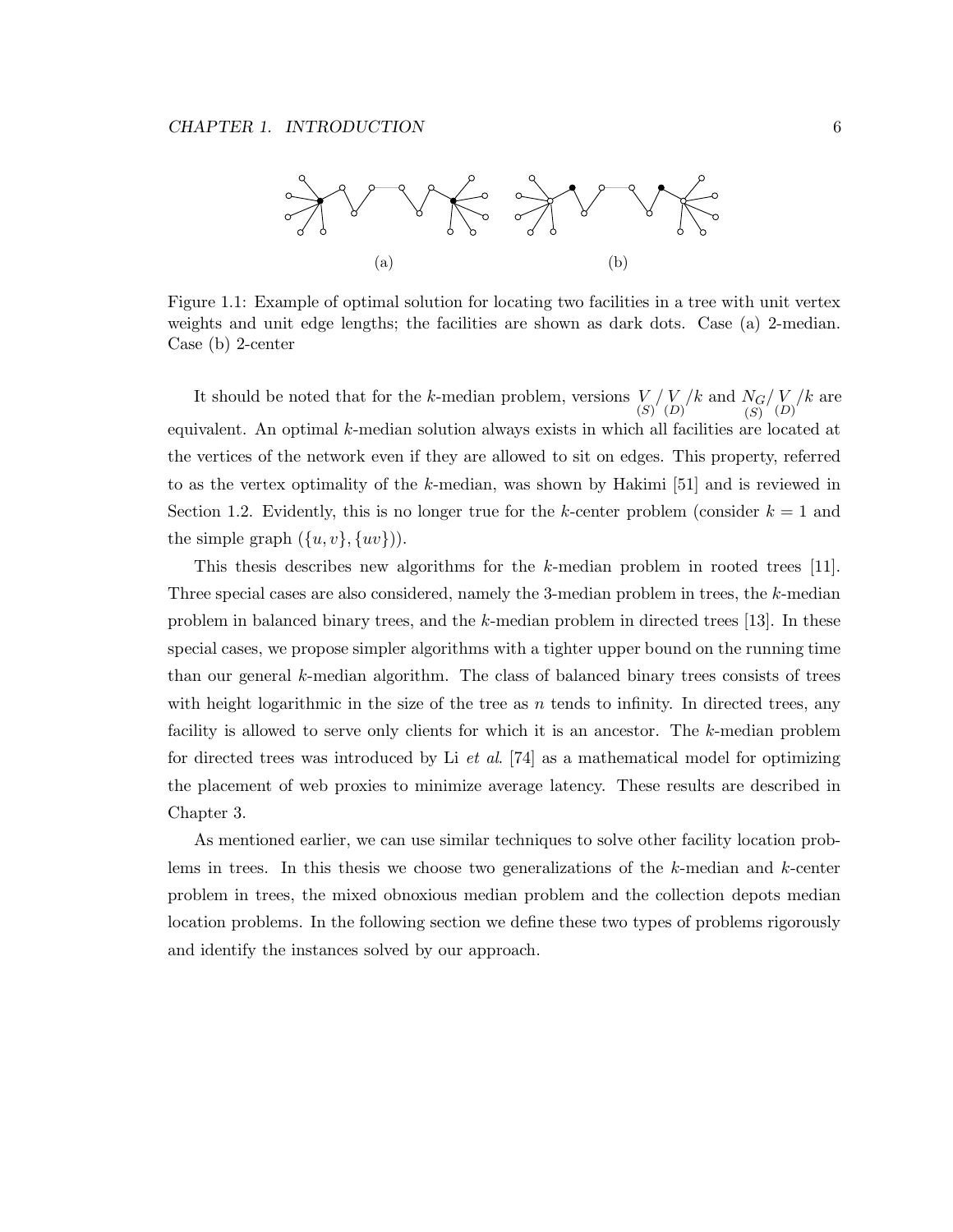

Figure 1.1: Example of optimal solution for locating two facilities in a tree with unit vertex weights and unit edge lengths; the facilities are shown as dark dots. Case (a) 2-median. Case (b) 2-center

It should be noted that for the k-median problem, versions  $\binom{V}{S} \binom{V}{D} k$  and  $N_G$  $(S)$  $/\binom{V}{D}$  are equivalent. An optimal k-median solution always exists in which all facilities are located at the vertices of the network even if they are allowed to sit on edges. This property, referred to as the vertex optimality of the k-median, was shown by Hakimi [51] and is reviewed in Section 1.2. Evidently, this is no longer true for the k-center problem (consider  $k = 1$  and the simple graph  $({u, v}, {w})$ .

This thesis describes new algorithms for the k-median problem in rooted trees [11]. Three special cases are also considered, namely the 3-median problem in trees, the k-median problem in balanced binary trees, and the k-median problem in directed trees [13]. In these special cases, we propose simpler algorithms with a tighter upper bound on the running time than our general  $k$ -median algorithm. The class of balanced binary trees consists of trees with height logarithmic in the size of the tree as n tends to infinity. In directed trees, any facility is allowed to serve only clients for which it is an ancestor. The k-median problem for directed trees was introduced by Li *et al.* [74] as a mathematical model for optimizing the placement of web proxies to minimize average latency. These results are described in Chapter 3.

As mentioned earlier, we can use similar techniques to solve other facility location problems in trees. In this thesis we choose two generalizations of the  $k$ -median and  $k$ -center problem in trees, the mixed obnoxious median problem and the collection depots median location problems. In the following section we define these two types of problems rigorously and identify the instances solved by our approach.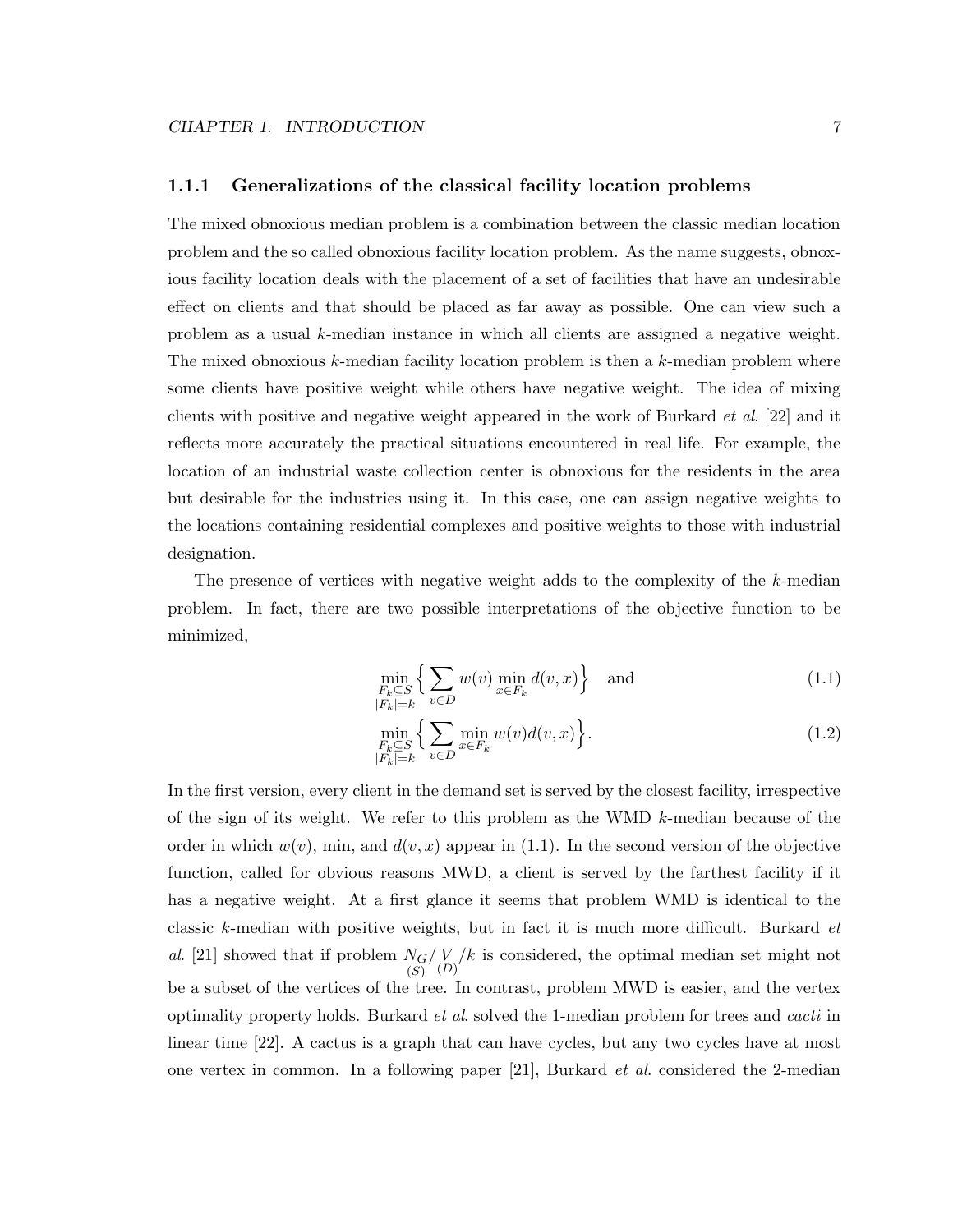#### 1.1.1 Generalizations of the classical facility location problems

The mixed obnoxious median problem is a combination between the classic median location problem and the so called obnoxious facility location problem. As the name suggests, obnoxious facility location deals with the placement of a set of facilities that have an undesirable effect on clients and that should be placed as far away as possible. One can view such a problem as a usual k-median instance in which all clients are assigned a negative weight. The mixed obnoxious k-median facility location problem is then a k-median problem where some clients have positive weight while others have negative weight. The idea of mixing clients with positive and negative weight appeared in the work of Burkard et al. [22] and it reflects more accurately the practical situations encountered in real life. For example, the location of an industrial waste collection center is obnoxious for the residents in the area but desirable for the industries using it. In this case, one can assign negative weights to the locations containing residential complexes and positive weights to those with industrial designation.

The presence of vertices with negative weight adds to the complexity of the k-median problem. In fact, there are two possible interpretations of the objective function to be minimized,

$$
\min_{\substack{F_k \subseteq S \\ |F_k| = k}} \left\{ \sum_{v \in D} w(v) \min_{x \in F_k} d(v, x) \right\} \text{ and } (1.1)
$$

$$
\min_{\substack{F_k \subseteq S \\ |F_k| = k}} \left\{ \sum_{v \in D} \min_{x \in F_k} w(v) d(v, x) \right\}.
$$
\n(1.2)

In the first version, every client in the demand set is served by the closest facility, irrespective of the sign of its weight. We refer to this problem as the WMD  $k$ -median because of the order in which  $w(v)$ , min, and  $d(v, x)$  appear in (1.1). In the second version of the objective function, called for obvious reasons MWD, a client is served by the farthest facility if it has a negative weight. At a first glance it seems that problem WMD is identical to the classic k-median with positive weights, but in fact it is much more difficult. Burkard et al. [21] showed that if problem  $N_G$ (S)  $\binom{V}{D}$  is considered, the optimal median set might not be a subset of the vertices of the tree. In contrast, problem MWD is easier, and the vertex optimality property holds. Burkard et al. solved the 1-median problem for trees and cacti in linear time [22]. A cactus is a graph that can have cycles, but any two cycles have at most one vertex in common. In a following paper  $[21]$ , Burkard *et al.* considered the 2-median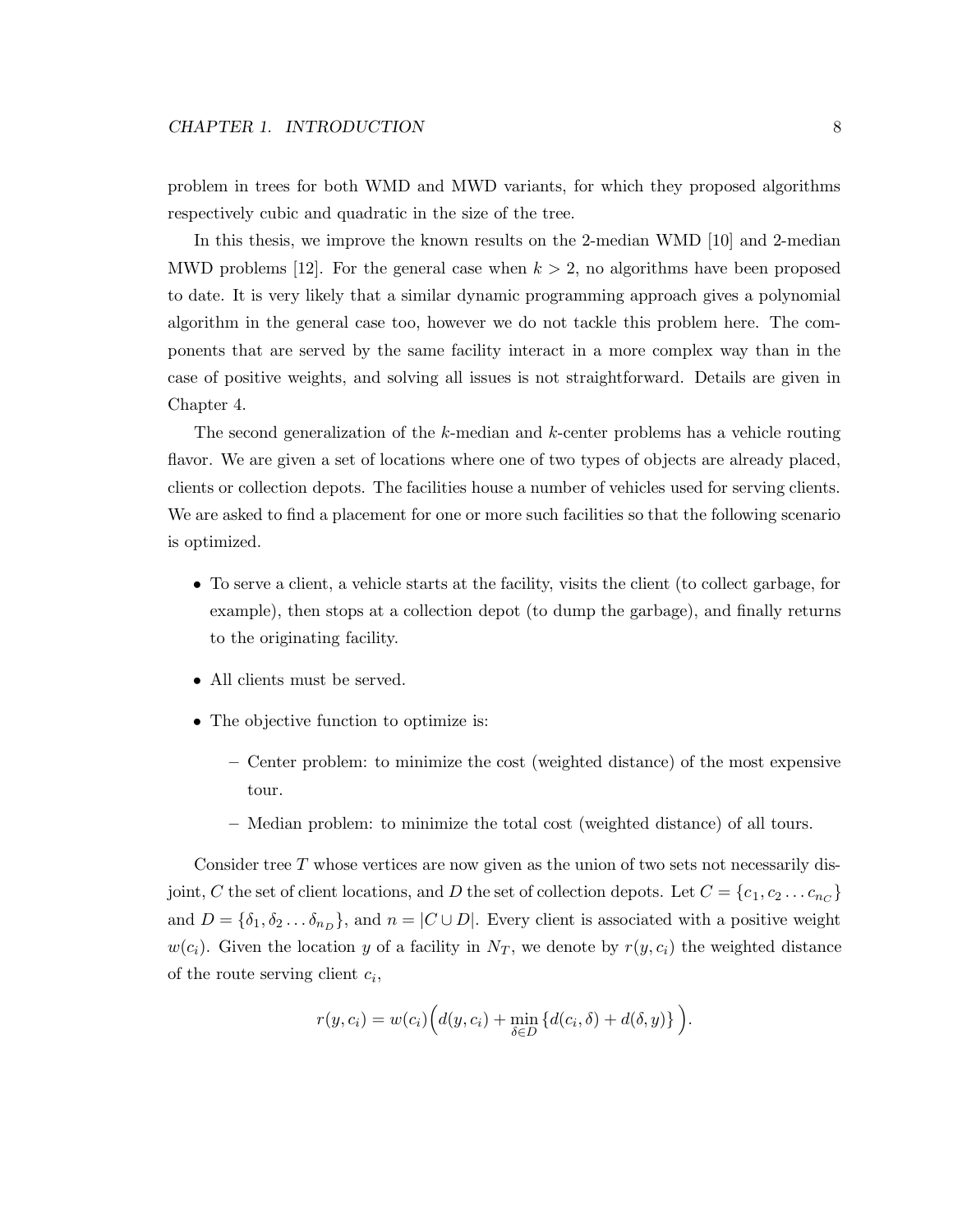problem in trees for both WMD and MWD variants, for which they proposed algorithms respectively cubic and quadratic in the size of the tree.

In this thesis, we improve the known results on the 2-median WMD [10] and 2-median MWD problems [12]. For the general case when  $k > 2$ , no algorithms have been proposed to date. It is very likely that a similar dynamic programming approach gives a polynomial algorithm in the general case too, however we do not tackle this problem here. The components that are served by the same facility interact in a more complex way than in the case of positive weights, and solving all issues is not straightforward. Details are given in Chapter 4.

The second generalization of the k-median and k-center problems has a vehicle routing flavor. We are given a set of locations where one of two types of objects are already placed, clients or collection depots. The facilities house a number of vehicles used for serving clients. We are asked to find a placement for one or more such facilities so that the following scenario is optimized.

- To serve a client, a vehicle starts at the facility, visits the client (to collect garbage, for example), then stops at a collection depot (to dump the garbage), and finally returns to the originating facility.
- All clients must be served.
- The objective function to optimize is:
	- Center problem: to minimize the cost (weighted distance) of the most expensive tour.
	- Median problem: to minimize the total cost (weighted distance) of all tours.

Consider tree  $T$  whose vertices are now given as the union of two sets not necessarily disjoint, C the set of client locations, and D the set of collection depots. Let  $C = \{c_1, c_2 \dots c_{n_C}\}$ and  $D = {\delta_1, \delta_2 \dots \delta_{n_D}}$ , and  $n = |C \cup D|$ . Every client is associated with a positive weight  $w(c_i)$ . Given the location y of a facility in  $N_T$ , we denote by  $r(y, c_i)$  the weighted distance of the route serving client  $c_i$ ,

$$
r(y, c_i) = w(c_i) \Big( d(y, c_i) + \min_{\delta \in D} \{ d(c_i, \delta) + d(\delta, y) \} \Big).
$$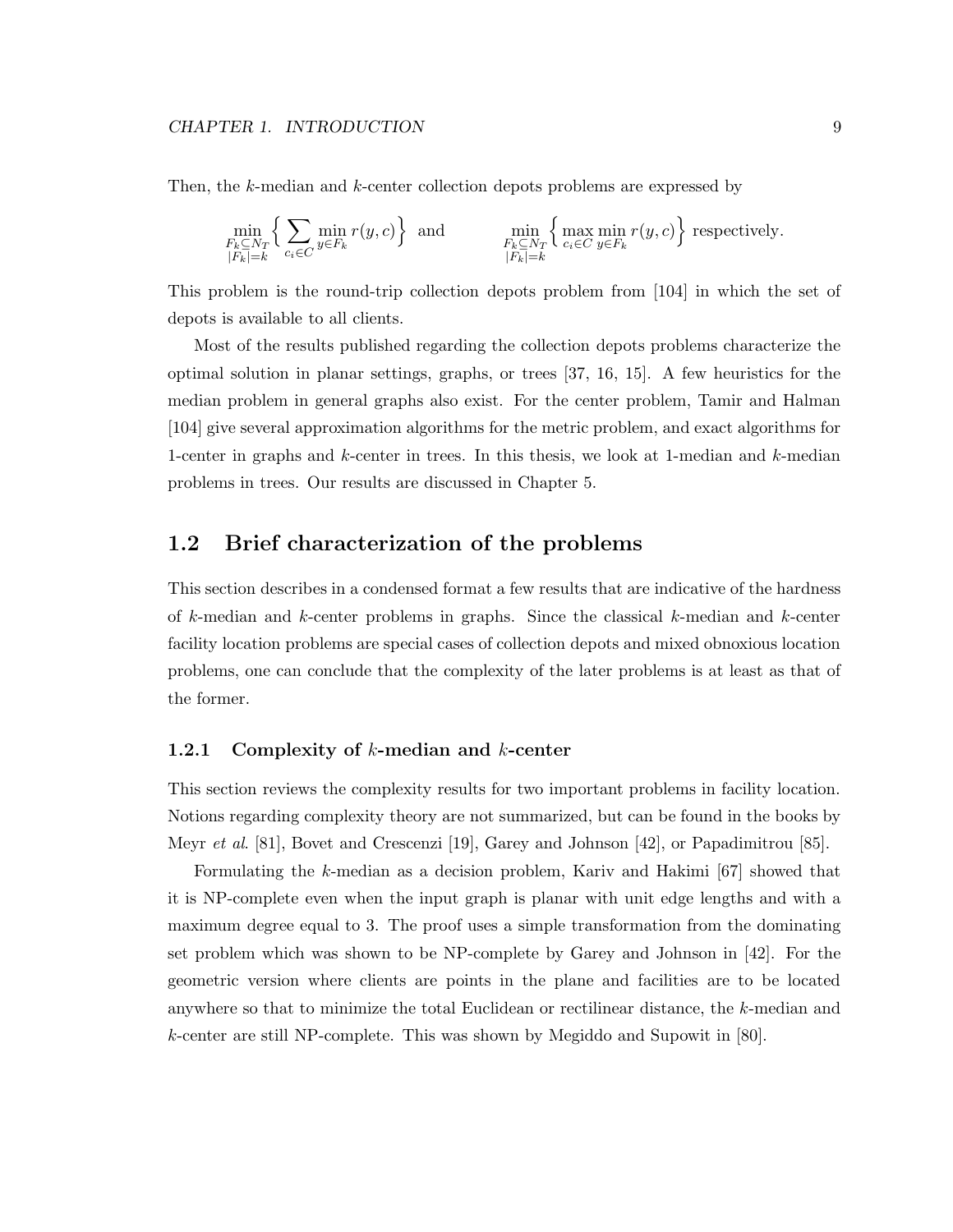Then, the k-median and k-center collection depots problems are expressed by

$$
\min_{\substack{F_k \subseteq N_T \\ |F_k| = k}} \left\{ \sum_{c_i \in C} \min_{y \in F_k} r(y, c) \right\} \text{ and } \min_{\substack{F_k \subseteq N_T \\ |F_k| = k}} \left\{ \max_{c_i \in C} \min_{y \in F_k} r(y, c) \right\} \text{ respectively.}
$$

This problem is the round-trip collection depots problem from [104] in which the set of depots is available to all clients.

Most of the results published regarding the collection depots problems characterize the optimal solution in planar settings, graphs, or trees [37, 16, 15]. A few heuristics for the median problem in general graphs also exist. For the center problem, Tamir and Halman [104] give several approximation algorithms for the metric problem, and exact algorithms for 1-center in graphs and k-center in trees. In this thesis, we look at 1-median and k-median problems in trees. Our results are discussed in Chapter 5.

#### 1.2 Brief characterization of the problems

This section describes in a condensed format a few results that are indicative of the hardness of  $k$ -median and  $k$ -center problems in graphs. Since the classical  $k$ -median and  $k$ -center facility location problems are special cases of collection depots and mixed obnoxious location problems, one can conclude that the complexity of the later problems is at least as that of the former.

#### 1.2.1 Complexity of k-median and k-center

This section reviews the complexity results for two important problems in facility location. Notions regarding complexity theory are not summarized, but can be found in the books by Meyr et al. [81], Bovet and Crescenzi [19], Garey and Johnson [42], or Papadimitrou [85].

Formulating the k-median as a decision problem, Kariv and Hakimi [67] showed that it is NP-complete even when the input graph is planar with unit edge lengths and with a maximum degree equal to 3. The proof uses a simple transformation from the dominating set problem which was shown to be NP-complete by Garey and Johnson in [42]. For the geometric version where clients are points in the plane and facilities are to be located anywhere so that to minimize the total Euclidean or rectilinear distance, the k-median and k-center are still NP-complete. This was shown by Megiddo and Supowit in [80].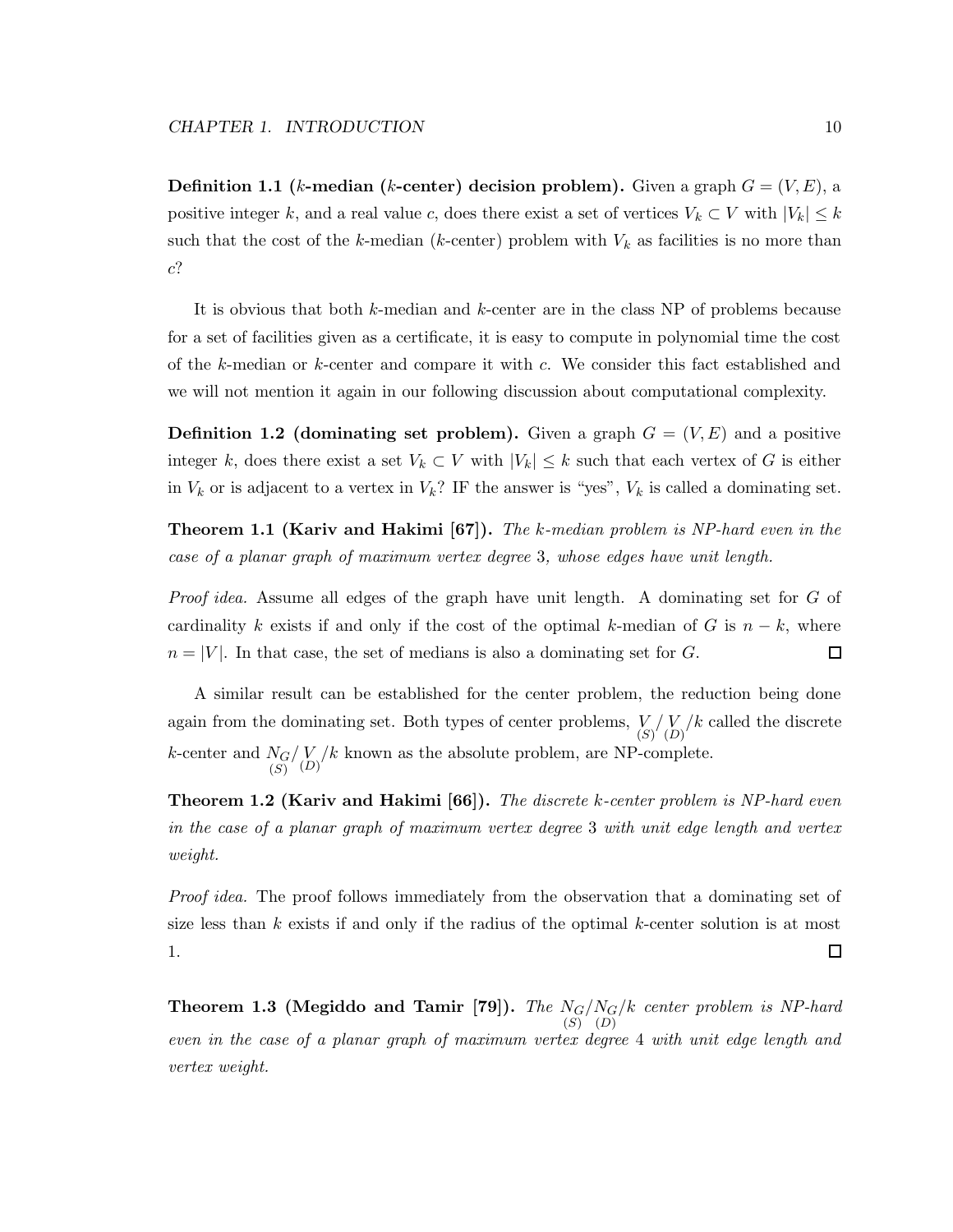**Definition 1.1** (k-median (k-center) decision problem). Given a graph  $G = (V, E)$ , a positive integer k, and a real value c, does there exist a set of vertices  $V_k \subset V$  with  $|V_k| \leq k$ such that the cost of the k-median (k-center) problem with  $V_k$  as facilities is no more than c?

It is obvious that both k-median and k-center are in the class NP of problems because for a set of facilities given as a certificate, it is easy to compute in polynomial time the cost of the k-median or k-center and compare it with c. We consider this fact established and we will not mention it again in our following discussion about computational complexity.

**Definition 1.2 (dominating set problem).** Given a graph  $G = (V, E)$  and a positive integer k, does there exist a set  $V_k \subset V$  with  $|V_k| \leq k$  such that each vertex of G is either in  $V_k$  or is adjacent to a vertex in  $V_k$ ? IF the answer is "yes",  $V_k$  is called a dominating set.

**Theorem 1.1 (Kariv and Hakimi [67]).** The k-median problem is NP-hard even in the case of a planar graph of maximum vertex degree 3, whose edges have unit length.

Proof idea. Assume all edges of the graph have unit length. A dominating set for G of cardinality k exists if and only if the cost of the optimal k-median of G is  $n - k$ , where  $n = |V|$ . In that case, the set of medians is also a dominating set for G. 口

A similar result can be established for the center problem, the reduction being done again from the dominating set. Both types of center problems,  $\binom{V}{S} \binom{V}{D}$  called the discrete  $k$ -center and  $N_G$ (S)  $\binom{V}{D}$  k known as the absolute problem, are NP-complete.

**Theorem 1.2 (Kariv and Hakimi [66]).** The discrete k-center problem is NP-hard even in the case of a planar graph of maximum vertex degree 3 with unit edge length and vertex weight.

Proof idea. The proof follows immediately from the observation that a dominating set of size less than  $k$  exists if and only if the radius of the optimal  $k$ -center solution is at most 1.  $\Box$ 

Theorem 1.3 (Megiddo and Tamir [79]). The  $N_{G}$  $(S)$  $/N_G$  $(D)$ /k center problem is NP-hard even in the case of a planar graph of maximum vertex degree 4 with unit edge length and vertex weight.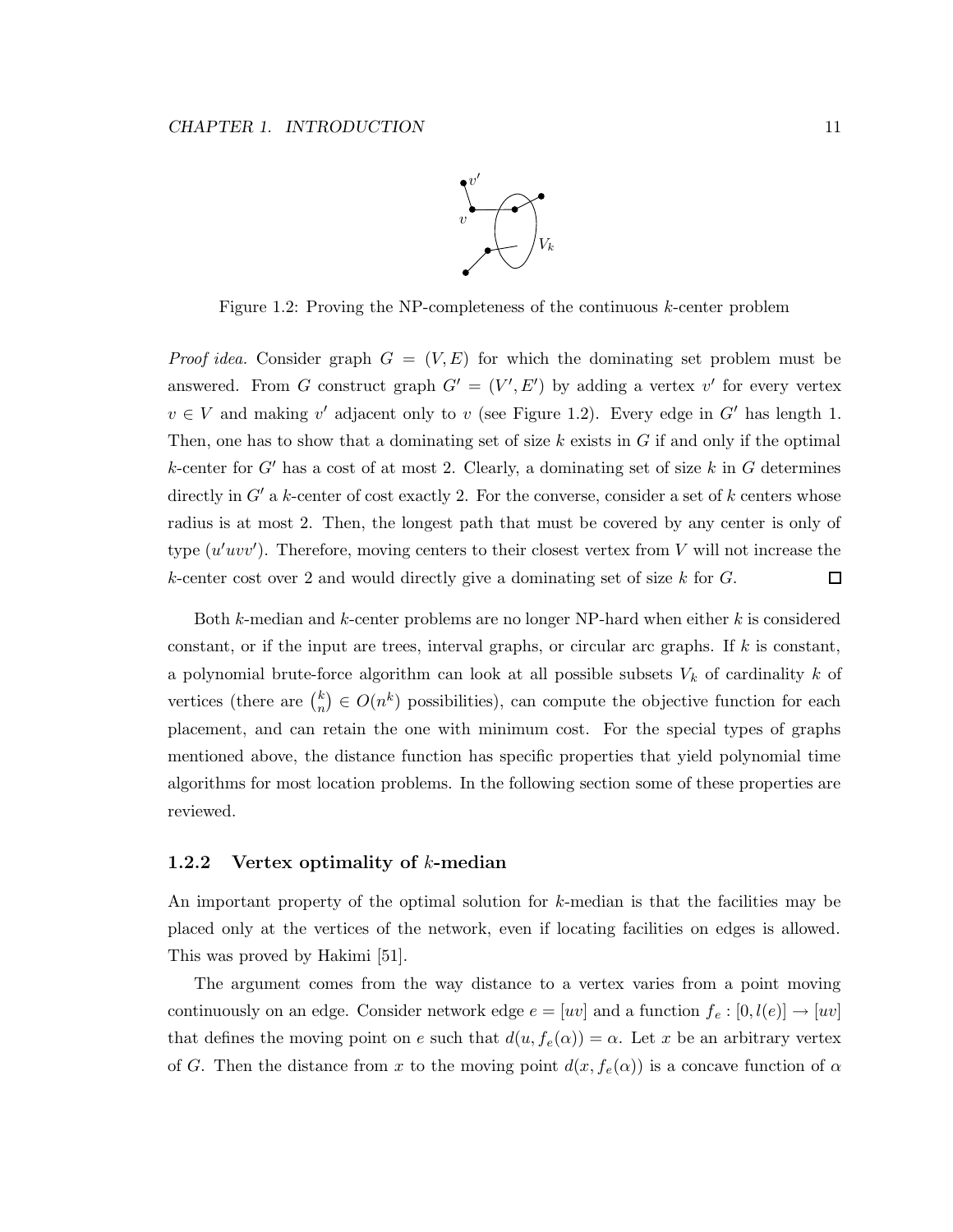

Figure 1.2: Proving the NP-completeness of the continuous k-center problem

*Proof idea.* Consider graph  $G = (V, E)$  for which the dominating set problem must be answered. From G construct graph  $G' = (V', E')$  by adding a vertex v' for every vertex  $v \in V$  and making v' adjacent only to v (see Figure 1.2). Every edge in G' has length 1. Then, one has to show that a dominating set of size  $k$  exists in  $G$  if and only if the optimal k-center for  $G'$  has a cost of at most 2. Clearly, a dominating set of size k in G determines directly in  $G'$  a k-center of cost exactly 2. For the converse, consider a set of  $k$  centers whose radius is at most 2. Then, the longest path that must be covered by any center is only of type  $(u'uvv')$ . Therefore, moving centers to their closest vertex from V will not increase the k-center cost over 2 and would directly give a dominating set of size  $k$  for  $G$ . □

Both k-median and k-center problems are no longer NP-hard when either k is considered constant, or if the input are trees, interval graphs, or circular arc graphs. If  $k$  is constant, a polynomial brute-force algorithm can look at all possible subsets  $V_k$  of cardinality k of vertices (there are  $\binom{k}{n}$  $\binom{k}{n} \in O(n^k)$  possibilities), can compute the objective function for each placement, and can retain the one with minimum cost. For the special types of graphs mentioned above, the distance function has specific properties that yield polynomial time algorithms for most location problems. In the following section some of these properties are reviewed.

#### 1.2.2 Vertex optimality of  $k$ -median

An important property of the optimal solution for k-median is that the facilities may be placed only at the vertices of the network, even if locating facilities on edges is allowed. This was proved by Hakimi [51].

The argument comes from the way distance to a vertex varies from a point moving continuously on an edge. Consider network edge  $e = [uv]$  and a function  $f_e : [0, l(e)] \rightarrow [uv]$ that defines the moving point on e such that  $d(u, f_e(\alpha)) = \alpha$ . Let x be an arbitrary vertex of G. Then the distance from x to the moving point  $d(x, f_e(\alpha))$  is a concave function of  $\alpha$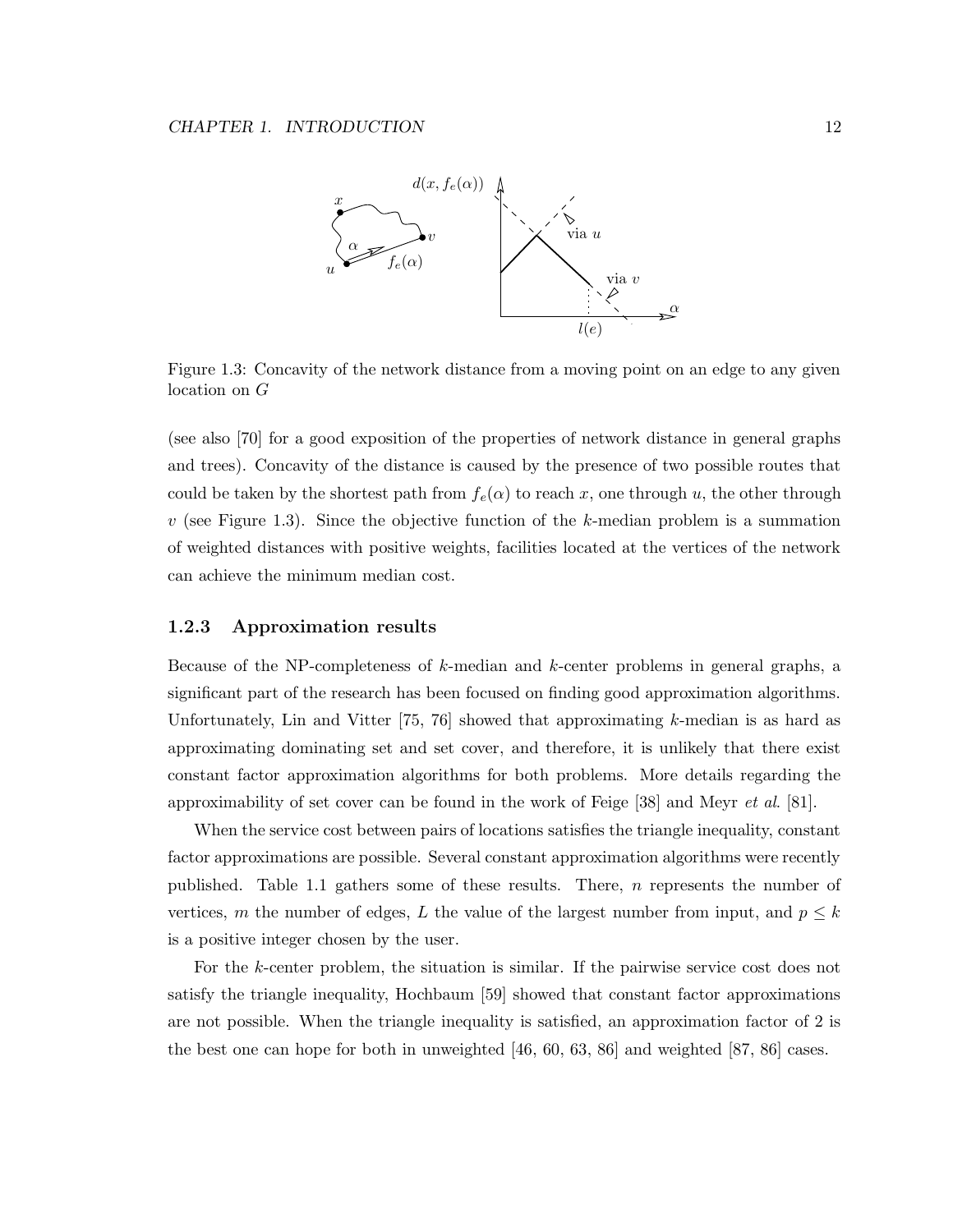

Figure 1.3: Concavity of the network distance from a moving point on an edge to any given location on G

(see also [70] for a good exposition of the properties of network distance in general graphs and trees). Concavity of the distance is caused by the presence of two possible routes that could be taken by the shortest path from  $f_e(\alpha)$  to reach x, one through u, the other through  $v$  (see Figure 1.3). Since the objective function of the k-median problem is a summation of weighted distances with positive weights, facilities located at the vertices of the network can achieve the minimum median cost.

#### 1.2.3 Approximation results

Because of the NP-completeness of k-median and k-center problems in general graphs, a significant part of the research has been focused on finding good approximation algorithms. Unfortunately, Lin and Vitter  $[75, 76]$  showed that approximating k-median is as hard as approximating dominating set and set cover, and therefore, it is unlikely that there exist constant factor approximation algorithms for both problems. More details regarding the approximability of set cover can be found in the work of Feige [38] and Meyr *et al.* [81].

When the service cost between pairs of locations satisfies the triangle inequality, constant factor approximations are possible. Several constant approximation algorithms were recently published. Table 1.1 gathers some of these results. There,  $n$  represents the number of vertices, m the number of edges, L the value of the largest number from input, and  $p \leq k$ is a positive integer chosen by the user.

For the k-center problem, the situation is similar. If the pairwise service cost does not satisfy the triangle inequality, Hochbaum [59] showed that constant factor approximations are not possible. When the triangle inequality is satisfied, an approximation factor of 2 is the best one can hope for both in unweighted [46, 60, 63, 86] and weighted [87, 86] cases.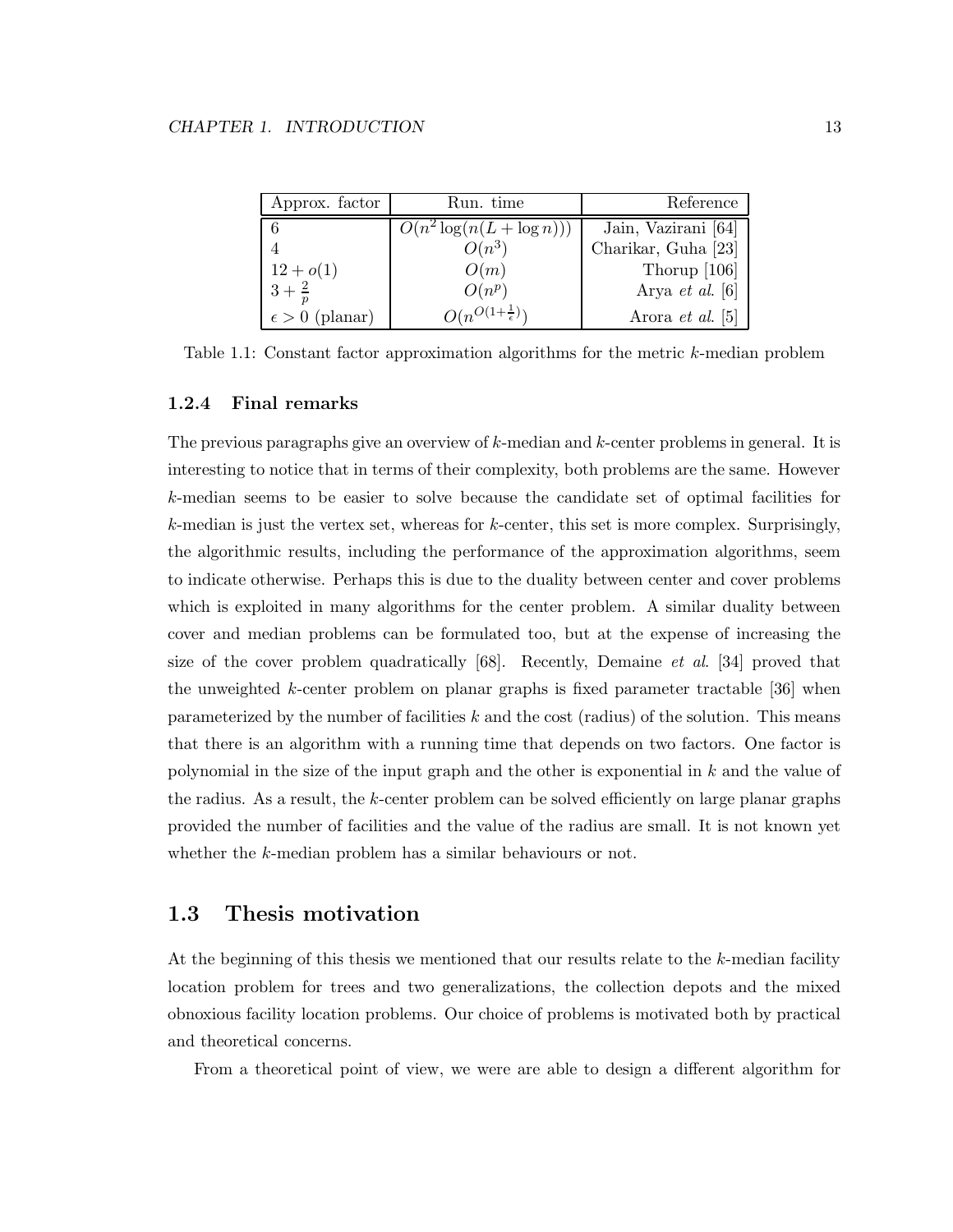| Approx. factor          | Run. time                        | Reference               |
|-------------------------|----------------------------------|-------------------------|
|                         | $O(n^2 \log(n(L + \log n)))$     | Jain, Vazirani [64]     |
|                         | $O(n^3)$                         | Charikar, Guha [23]     |
| $12 + o(1)$             | O(m)                             | Thorup $[106]$          |
| $3 + \frac{2}{n}$       | $O(n^p)$                         | Arya et al. $[6]$       |
| $\epsilon > 0$ (planar) | $O(n^{O(1+\frac{1}{\epsilon})})$ | Arora <i>et al.</i> [5] |

Table 1.1: Constant factor approximation algorithms for the metric k-median problem

#### 1.2.4 Final remarks

The previous paragraphs give an overview of  $k$ -median and  $k$ -center problems in general. It is interesting to notice that in terms of their complexity, both problems are the same. However k-median seems to be easier to solve because the candidate set of optimal facilities for  $k$ -median is just the vertex set, whereas for  $k$ -center, this set is more complex. Surprisingly, the algorithmic results, including the performance of the approximation algorithms, seem to indicate otherwise. Perhaps this is due to the duality between center and cover problems which is exploited in many algorithms for the center problem. A similar duality between cover and median problems can be formulated too, but at the expense of increasing the size of the cover problem quadratically [68]. Recently, Demaine et al. [34] proved that the unweighted k-center problem on planar graphs is fixed parameter tractable [36] when parameterized by the number of facilities  $k$  and the cost (radius) of the solution. This means that there is an algorithm with a running time that depends on two factors. One factor is polynomial in the size of the input graph and the other is exponential in k and the value of the radius. As a result, the k-center problem can be solved efficiently on large planar graphs provided the number of facilities and the value of the radius are small. It is not known yet whether the k-median problem has a similar behaviours or not.

#### 1.3 Thesis motivation

At the beginning of this thesis we mentioned that our results relate to the k-median facility location problem for trees and two generalizations, the collection depots and the mixed obnoxious facility location problems. Our choice of problems is motivated both by practical and theoretical concerns.

From a theoretical point of view, we were are able to design a different algorithm for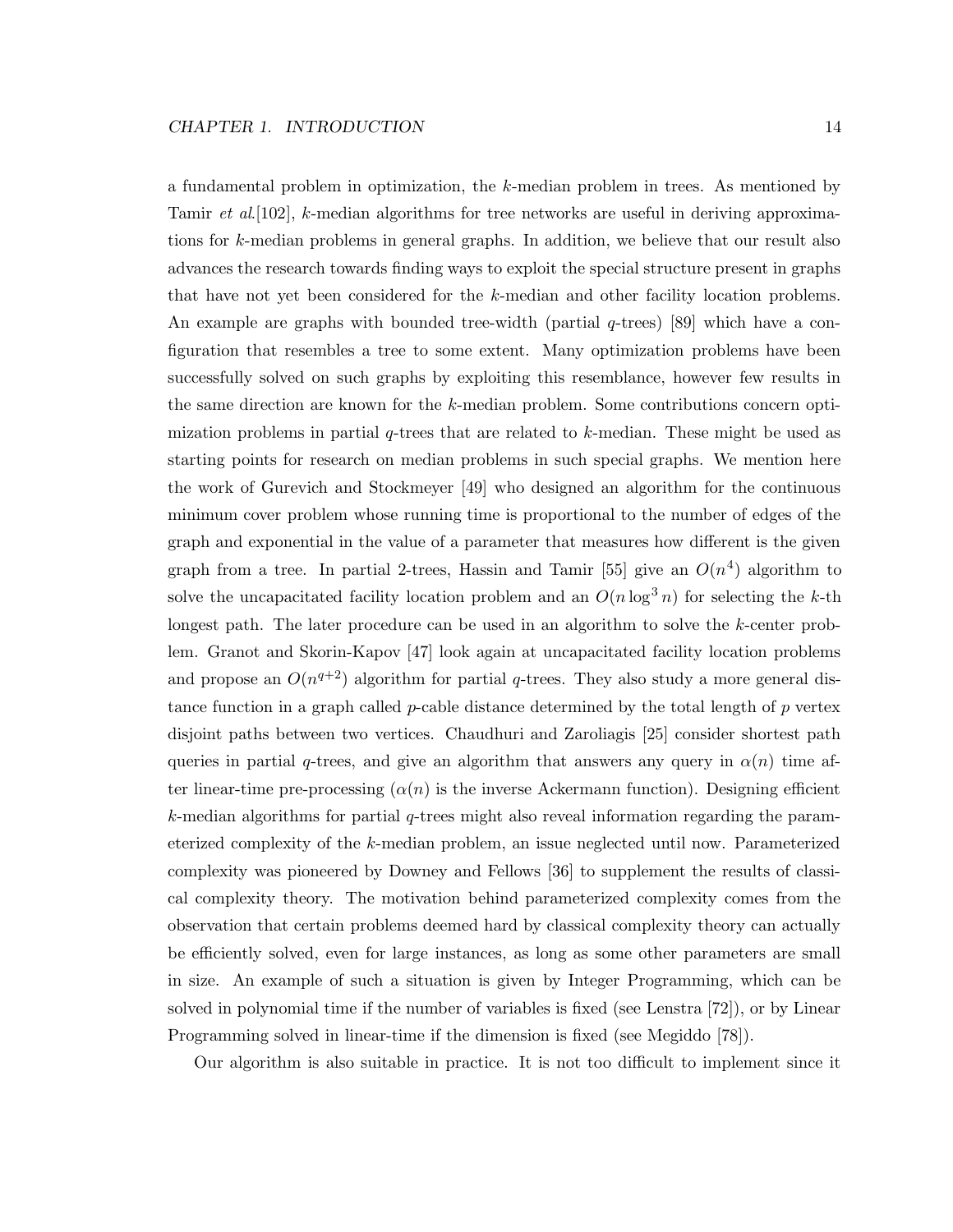a fundamental problem in optimization, the k-median problem in trees. As mentioned by Tamir et al. [102], k-median algorithms for tree networks are useful in deriving approximations for k-median problems in general graphs. In addition, we believe that our result also advances the research towards finding ways to exploit the special structure present in graphs that have not yet been considered for the k-median and other facility location problems. An example are graphs with bounded tree-width (partial  $q$ -trees) [89] which have a configuration that resembles a tree to some extent. Many optimization problems have been successfully solved on such graphs by exploiting this resemblance, however few results in the same direction are known for the k-median problem. Some contributions concern optimization problems in partial  $q$ -trees that are related to  $k$ -median. These might be used as starting points for research on median problems in such special graphs. We mention here the work of Gurevich and Stockmeyer [49] who designed an algorithm for the continuous minimum cover problem whose running time is proportional to the number of edges of the graph and exponential in the value of a parameter that measures how different is the given graph from a tree. In partial 2-trees, Hassin and Tamir [55] give an  $O(n^4)$  algorithm to solve the uncapacitated facility location problem and an  $O(n \log^3 n)$  for selecting the k-th longest path. The later procedure can be used in an algorithm to solve the k-center problem. Granot and Skorin-Kapov [47] look again at uncapacitated facility location problems and propose an  $O(n^{q+2})$  algorithm for partial q-trees. They also study a more general distance function in a graph called *p*-cable distance determined by the total length of  $p$  vertex disjoint paths between two vertices. Chaudhuri and Zaroliagis [25] consider shortest path queries in partial q-trees, and give an algorithm that answers any query in  $\alpha(n)$  time after linear-time pre-processing  $(\alpha(n))$  is the inverse Ackermann function). Designing efficient  $k$ -median algorithms for partial q-trees might also reveal information regarding the parameterized complexity of the k-median problem, an issue neglected until now. Parameterized complexity was pioneered by Downey and Fellows [36] to supplement the results of classical complexity theory. The motivation behind parameterized complexity comes from the observation that certain problems deemed hard by classical complexity theory can actually be efficiently solved, even for large instances, as long as some other parameters are small in size. An example of such a situation is given by Integer Programming, which can be solved in polynomial time if the number of variables is fixed (see Lenstra [72]), or by Linear Programming solved in linear-time if the dimension is fixed (see Megiddo [78]).

Our algorithm is also suitable in practice. It is not too difficult to implement since it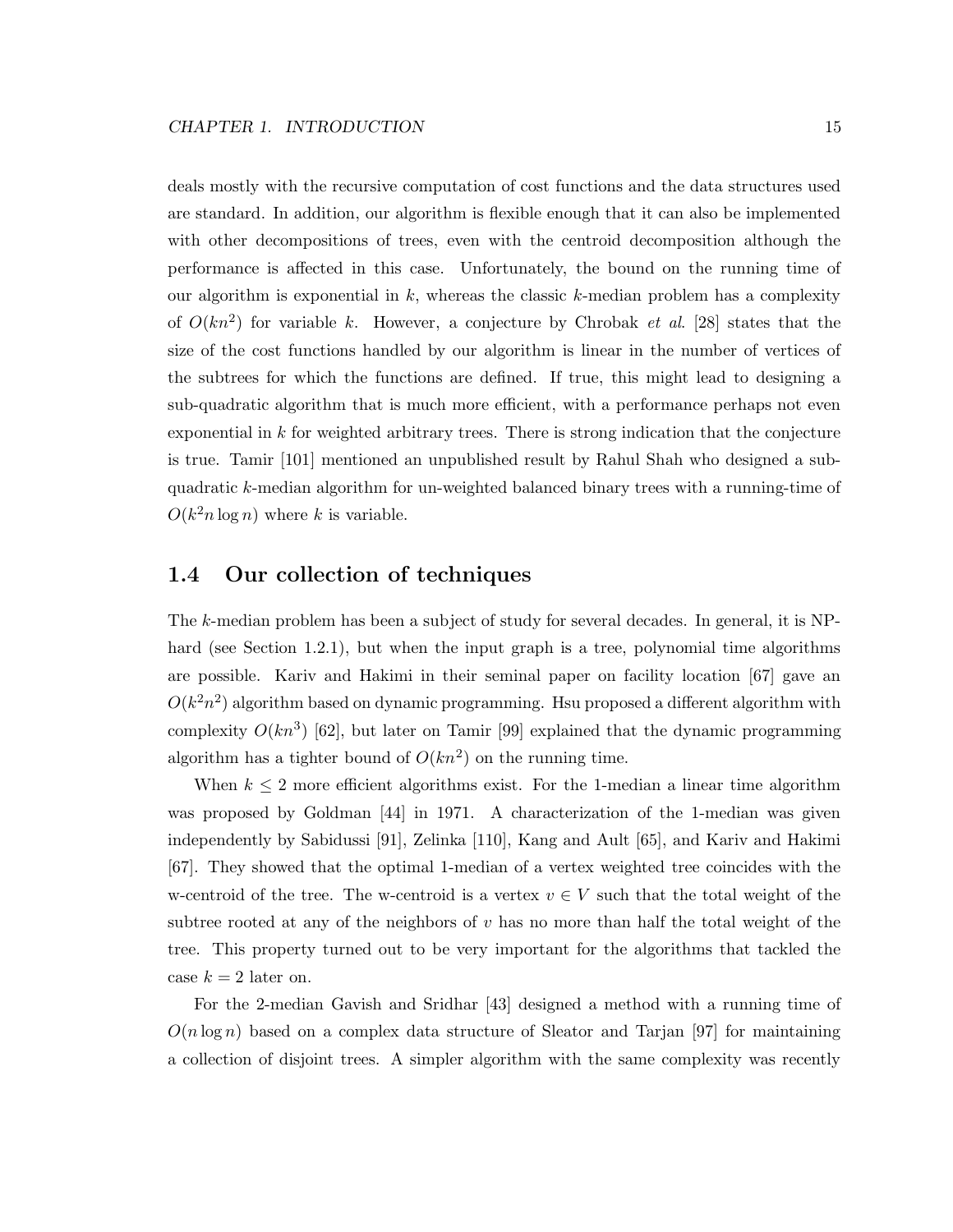deals mostly with the recursive computation of cost functions and the data structures used are standard. In addition, our algorithm is flexible enough that it can also be implemented with other decompositions of trees, even with the centroid decomposition although the performance is affected in this case. Unfortunately, the bound on the running time of our algorithm is exponential in  $k$ , whereas the classic  $k$ -median problem has a complexity of  $O(kn^2)$  for variable k. However, a conjecture by Chrobak et al. [28] states that the size of the cost functions handled by our algorithm is linear in the number of vertices of the subtrees for which the functions are defined. If true, this might lead to designing a sub-quadratic algorithm that is much more efficient, with a performance perhaps not even exponential in  $k$  for weighted arbitrary trees. There is strong indication that the conjecture is true. Tamir [101] mentioned an unpublished result by Rahul Shah who designed a subquadratic k-median algorithm for un-weighted balanced binary trees with a running-time of  $O(k^2 n \log n)$  where k is variable.

#### 1.4 Our collection of techniques

The k-median problem has been a subject of study for several decades. In general, it is NPhard (see Section 1.2.1), but when the input graph is a tree, polynomial time algorithms are possible. Kariv and Hakimi in their seminal paper on facility location [67] gave an  $O(k^2n^2)$  algorithm based on dynamic programming. Hsu proposed a different algorithm with complexity  $O(kn^3)$  [62], but later on Tamir [99] explained that the dynamic programming algorithm has a tighter bound of  $O(kn^2)$  on the running time.

When  $k \leq 2$  more efficient algorithms exist. For the 1-median a linear time algorithm was proposed by Goldman [44] in 1971. A characterization of the 1-median was given independently by Sabidussi [91], Zelinka [110], Kang and Ault [65], and Kariv and Hakimi [67]. They showed that the optimal 1-median of a vertex weighted tree coincides with the w-centroid of the tree. The w-centroid is a vertex  $v \in V$  such that the total weight of the subtree rooted at any of the neighbors of  $v$  has no more than half the total weight of the tree. This property turned out to be very important for the algorithms that tackled the case  $k = 2$  later on.

For the 2-median Gavish and Sridhar [43] designed a method with a running time of  $O(n \log n)$  based on a complex data structure of Sleator and Tarjan [97] for maintaining a collection of disjoint trees. A simpler algorithm with the same complexity was recently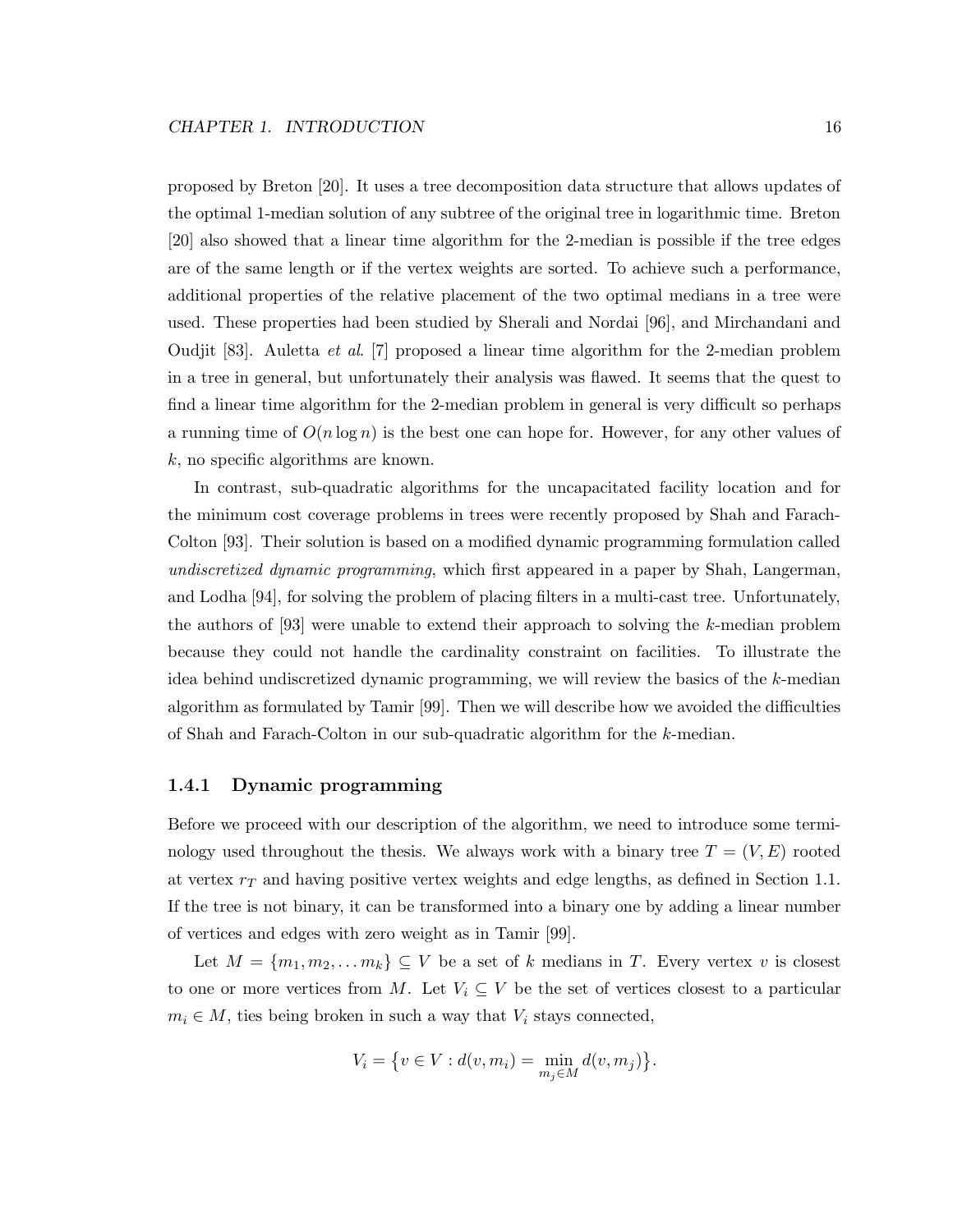proposed by Breton [20]. It uses a tree decomposition data structure that allows updates of the optimal 1-median solution of any subtree of the original tree in logarithmic time. Breton [20] also showed that a linear time algorithm for the 2-median is possible if the tree edges are of the same length or if the vertex weights are sorted. To achieve such a performance, additional properties of the relative placement of the two optimal medians in a tree were used. These properties had been studied by Sherali and Nordai [96], and Mirchandani and Oudjit [83]. Auletta et al. [7] proposed a linear time algorithm for the 2-median problem in a tree in general, but unfortunately their analysis was flawed. It seems that the quest to find a linear time algorithm for the 2-median problem in general is very difficult so perhaps a running time of  $O(n \log n)$  is the best one can hope for. However, for any other values of  $k$ , no specific algorithms are known.

In contrast, sub-quadratic algorithms for the uncapacitated facility location and for the minimum cost coverage problems in trees were recently proposed by Shah and Farach-Colton [93]. Their solution is based on a modified dynamic programming formulation called undiscretized dynamic programming, which first appeared in a paper by Shah, Langerman, and Lodha [94], for solving the problem of placing filters in a multi-cast tree. Unfortunately, the authors of [93] were unable to extend their approach to solving the k-median problem because they could not handle the cardinality constraint on facilities. To illustrate the idea behind undiscretized dynamic programming, we will review the basics of the k-median algorithm as formulated by Tamir [99]. Then we will describe how we avoided the difficulties of Shah and Farach-Colton in our sub-quadratic algorithm for the k-median.

#### 1.4.1 Dynamic programming

Before we proceed with our description of the algorithm, we need to introduce some terminology used throughout the thesis. We always work with a binary tree  $T = (V, E)$  rooted at vertex  $r<sub>T</sub>$  and having positive vertex weights and edge lengths, as defined in Section 1.1. If the tree is not binary, it can be transformed into a binary one by adding a linear number of vertices and edges with zero weight as in Tamir [99].

Let  $M = \{m_1, m_2, \ldots m_k\} \subseteq V$  be a set of k medians in T. Every vertex v is closest to one or more vertices from M. Let  $V_i \subseteq V$  be the set of vertices closest to a particular  $m_i \in M$ , ties being broken in such a way that  $V_i$  stays connected,

$$
V_i = \{ v \in V : d(v, m_i) = \min_{m_j \in M} d(v, m_j) \}.
$$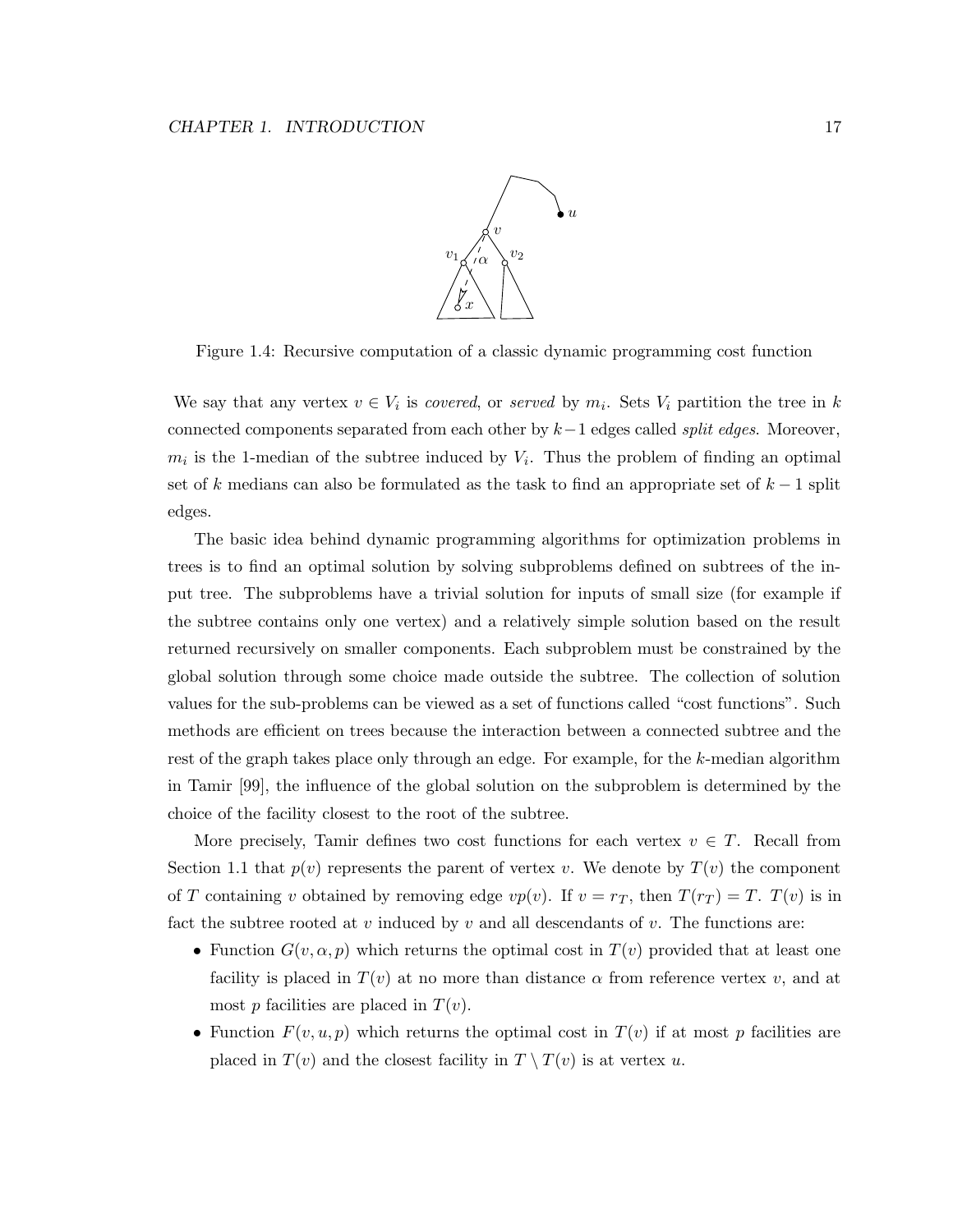

Figure 1.4: Recursive computation of a classic dynamic programming cost function

We say that any vertex  $v \in V_i$  is *covered*, or *served* by  $m_i$ . Sets  $V_i$  partition the tree in k connected components separated from each other by  $k-1$  edges called *split edges*. Moreover,  $m_i$  is the 1-median of the subtree induced by  $V_i$ . Thus the problem of finding an optimal set of k medians can also be formulated as the task to find an appropriate set of  $k-1$  split edges.

The basic idea behind dynamic programming algorithms for optimization problems in trees is to find an optimal solution by solving subproblems defined on subtrees of the input tree. The subproblems have a trivial solution for inputs of small size (for example if the subtree contains only one vertex) and a relatively simple solution based on the result returned recursively on smaller components. Each subproblem must be constrained by the global solution through some choice made outside the subtree. The collection of solution values for the sub-problems can be viewed as a set of functions called "cost functions". Such methods are efficient on trees because the interaction between a connected subtree and the rest of the graph takes place only through an edge. For example, for the k-median algorithm in Tamir [99], the influence of the global solution on the subproblem is determined by the choice of the facility closest to the root of the subtree.

More precisely, Tamir defines two cost functions for each vertex  $v \in T$ . Recall from Section 1.1 that  $p(v)$  represents the parent of vertex v. We denote by  $T(v)$  the component of T containing v obtained by removing edge  $vp(v)$ . If  $v = r_T$ , then  $T(r_T) = T$ .  $T(v)$  is in fact the subtree rooted at v induced by v and all descendants of v. The functions are:

- Function  $G(v, \alpha, p)$  which returns the optimal cost in  $T(v)$  provided that at least one facility is placed in  $T(v)$  at no more than distance  $\alpha$  from reference vertex v, and at most p facilities are placed in  $T(v)$ .
- Function  $F(v, u, p)$  which returns the optimal cost in  $T(v)$  if at most p facilities are placed in  $T(v)$  and the closest facility in  $T \setminus T(v)$  is at vertex u.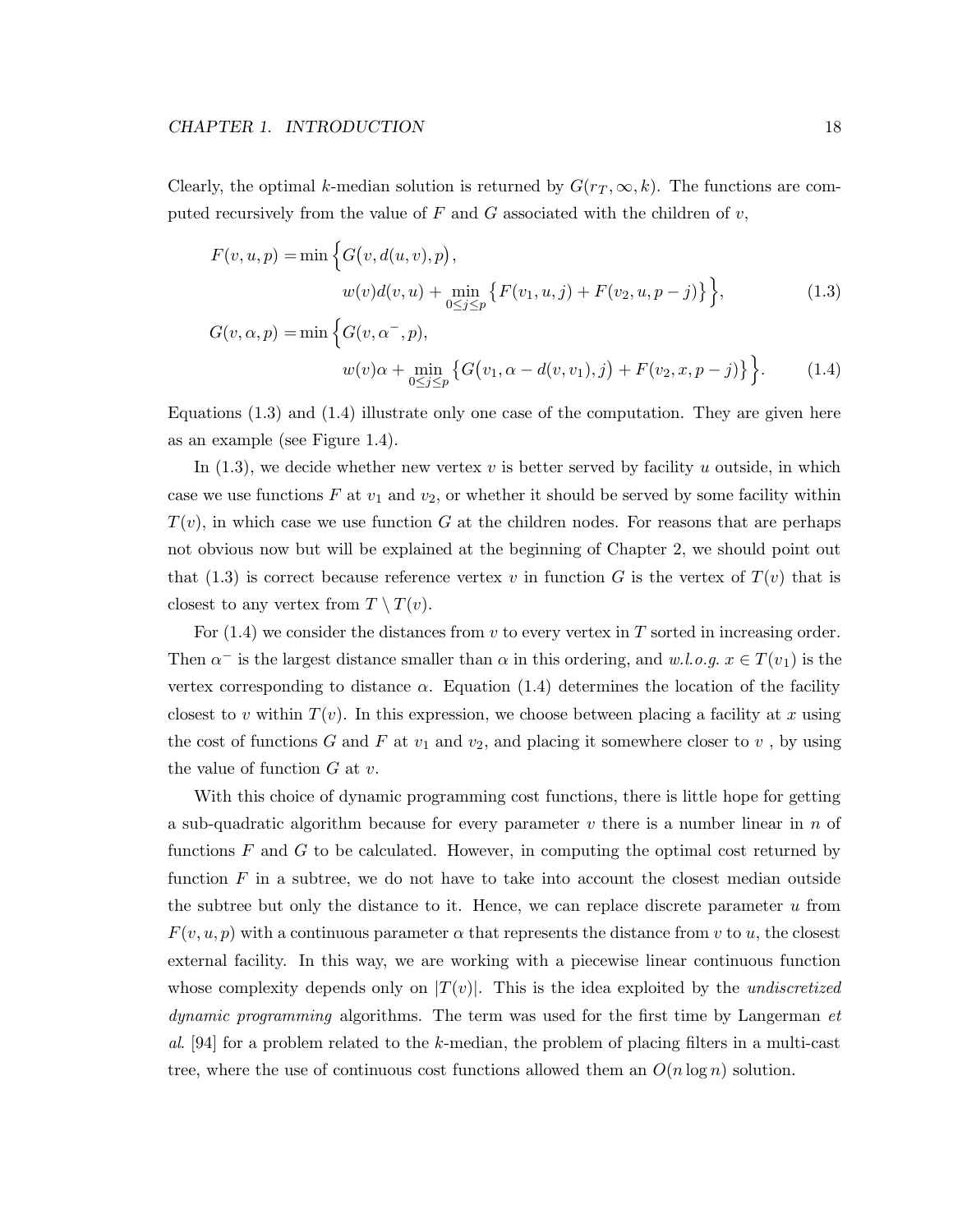Clearly, the optimal k-median solution is returned by  $G(r_T, \infty, k)$ . The functions are computed recursively from the value of  $F$  and  $G$  associated with the children of  $v$ ,

$$
F(v, u, p) = \min \Big\{ G(v, d(u, v), p),
$$
  

$$
w(v)d(v, u) + \min_{0 \le j \le p} \Big\{ F(v_1, u, j) + F(v_2, u, p - j) \Big\} \Big\},
$$
 (1.3)

$$
G(v, \alpha, p) = \min \left\{ G(v, \alpha^-, p), \n w(v)\alpha + \min_{0 \le j \le p} \left\{ G(v_1, \alpha - d(v, v_1), j) + F(v_2, x, p - j) \right\} \right\}.
$$
\n(1.4)

Equations  $(1.3)$  and  $(1.4)$  illustrate only one case of the computation. They are given here as an example (see Figure 1.4).

In  $(1.3)$ , we decide whether new vertex v is better served by facility u outside, in which case we use functions F at  $v_1$  and  $v_2$ , or whether it should be served by some facility within  $T(v)$ , in which case we use function G at the children nodes. For reasons that are perhaps not obvious now but will be explained at the beginning of Chapter 2, we should point out that (1.3) is correct because reference vertex v in function G is the vertex of  $T(v)$  that is closest to any vertex from  $T \setminus T(v)$ .

For  $(1.4)$  we consider the distances from v to every vertex in T sorted in increasing order. Then  $\alpha^-$  is the largest distance smaller than  $\alpha$  in this ordering, and w.l.o.g.  $x \in T(v_1)$  is the vertex corresponding to distance  $\alpha$ . Equation (1.4) determines the location of the facility closest to v within  $T(v)$ . In this expression, we choose between placing a facility at x using the cost of functions G and F at  $v_1$  and  $v_2$ , and placing it somewhere closer to  $v$ , by using the value of function  $G$  at  $v$ .

With this choice of dynamic programming cost functions, there is little hope for getting a sub-quadratic algorithm because for every parameter  $v$  there is a number linear in  $n$  of functions  $F$  and  $G$  to be calculated. However, in computing the optimal cost returned by function  $F$  in a subtree, we do not have to take into account the closest median outside the subtree but only the distance to it. Hence, we can replace discrete parameter  $u$  from  $F(v, u, p)$  with a continuous parameter  $\alpha$  that represents the distance from v to u, the closest external facility. In this way, we are working with a piecewise linear continuous function whose complexity depends only on  $|T(v)|$ . This is the idea exploited by the *undiscretized* dynamic programming algorithms. The term was used for the first time by Langerman et al. [94] for a problem related to the k-median, the problem of placing filters in a multi-cast tree, where the use of continuous cost functions allowed them an  $O(n \log n)$  solution.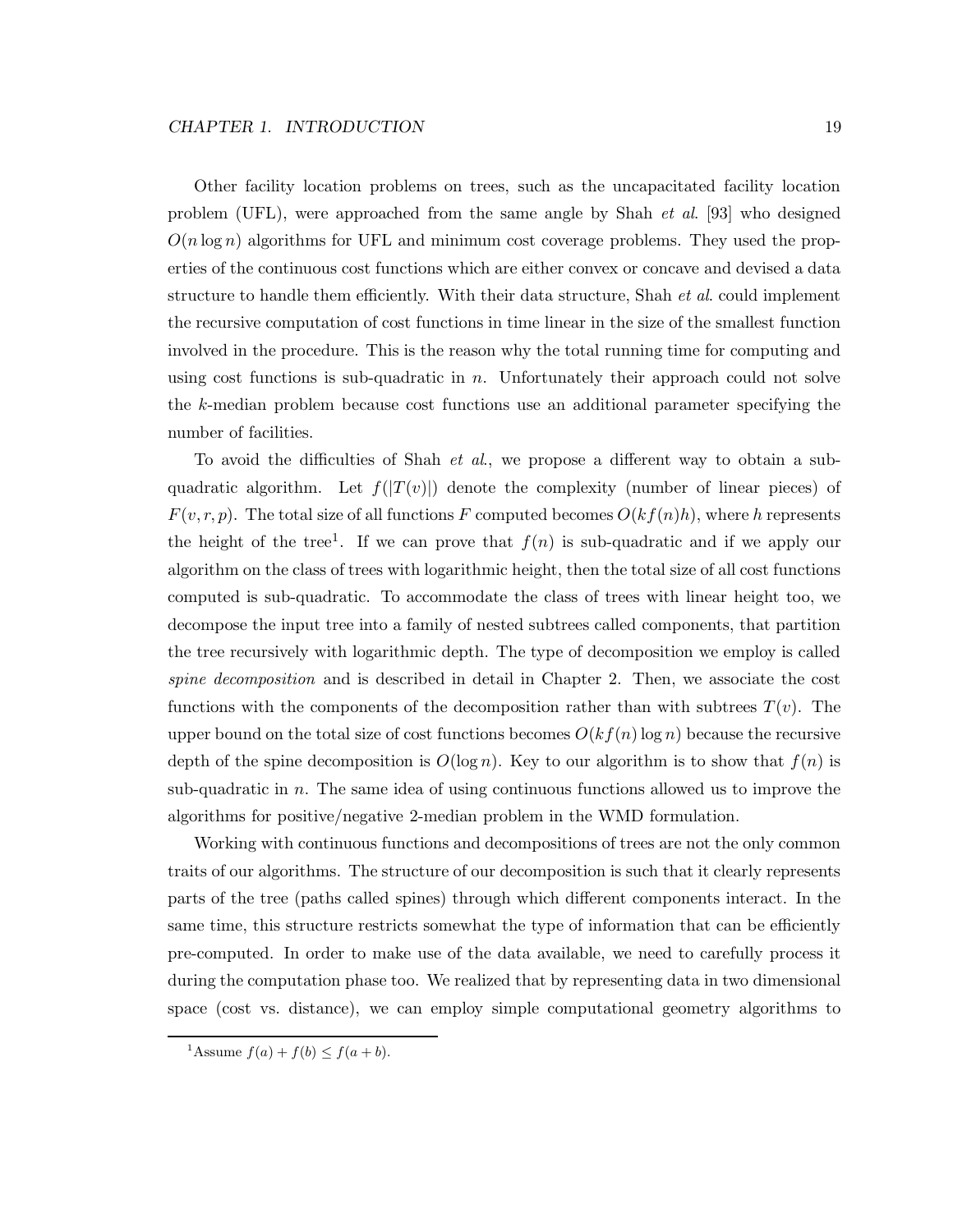Other facility location problems on trees, such as the uncapacitated facility location problem (UFL), were approached from the same angle by Shah et al. [93] who designed  $O(n \log n)$  algorithms for UFL and minimum cost coverage problems. They used the properties of the continuous cost functions which are either convex or concave and devised a data structure to handle them efficiently. With their data structure, Shah et al. could implement the recursive computation of cost functions in time linear in the size of the smallest function involved in the procedure. This is the reason why the total running time for computing and using cost functions is sub-quadratic in  $n$ . Unfortunately their approach could not solve the k-median problem because cost functions use an additional parameter specifying the number of facilities.

To avoid the difficulties of Shah et al., we propose a different way to obtain a subquadratic algorithm. Let  $f(|T(v)|)$  denote the complexity (number of linear pieces) of  $F(v, r, p)$ . The total size of all functions F computed becomes  $O(kf(n)h)$ , where h represents the height of the tree<sup>1</sup>. If we can prove that  $f(n)$  is sub-quadratic and if we apply our algorithm on the class of trees with logarithmic height, then the total size of all cost functions computed is sub-quadratic. To accommodate the class of trees with linear height too, we decompose the input tree into a family of nested subtrees called components, that partition the tree recursively with logarithmic depth. The type of decomposition we employ is called spine decomposition and is described in detail in Chapter 2. Then, we associate the cost functions with the components of the decomposition rather than with subtrees  $T(v)$ . The upper bound on the total size of cost functions becomes  $O(kf(n)\log n)$  because the recursive depth of the spine decomposition is  $O(\log n)$ . Key to our algorithm is to show that  $f(n)$  is sub-quadratic in n. The same idea of using continuous functions allowed us to improve the algorithms for positive/negative 2-median problem in the WMD formulation.

Working with continuous functions and decompositions of trees are not the only common traits of our algorithms. The structure of our decomposition is such that it clearly represents parts of the tree (paths called spines) through which different components interact. In the same time, this structure restricts somewhat the type of information that can be efficiently pre-computed. In order to make use of the data available, we need to carefully process it during the computation phase too. We realized that by representing data in two dimensional space (cost vs. distance), we can employ simple computational geometry algorithms to

<sup>&</sup>lt;sup>1</sup>Assume  $f(a) + f(b) \le f(a + b)$ .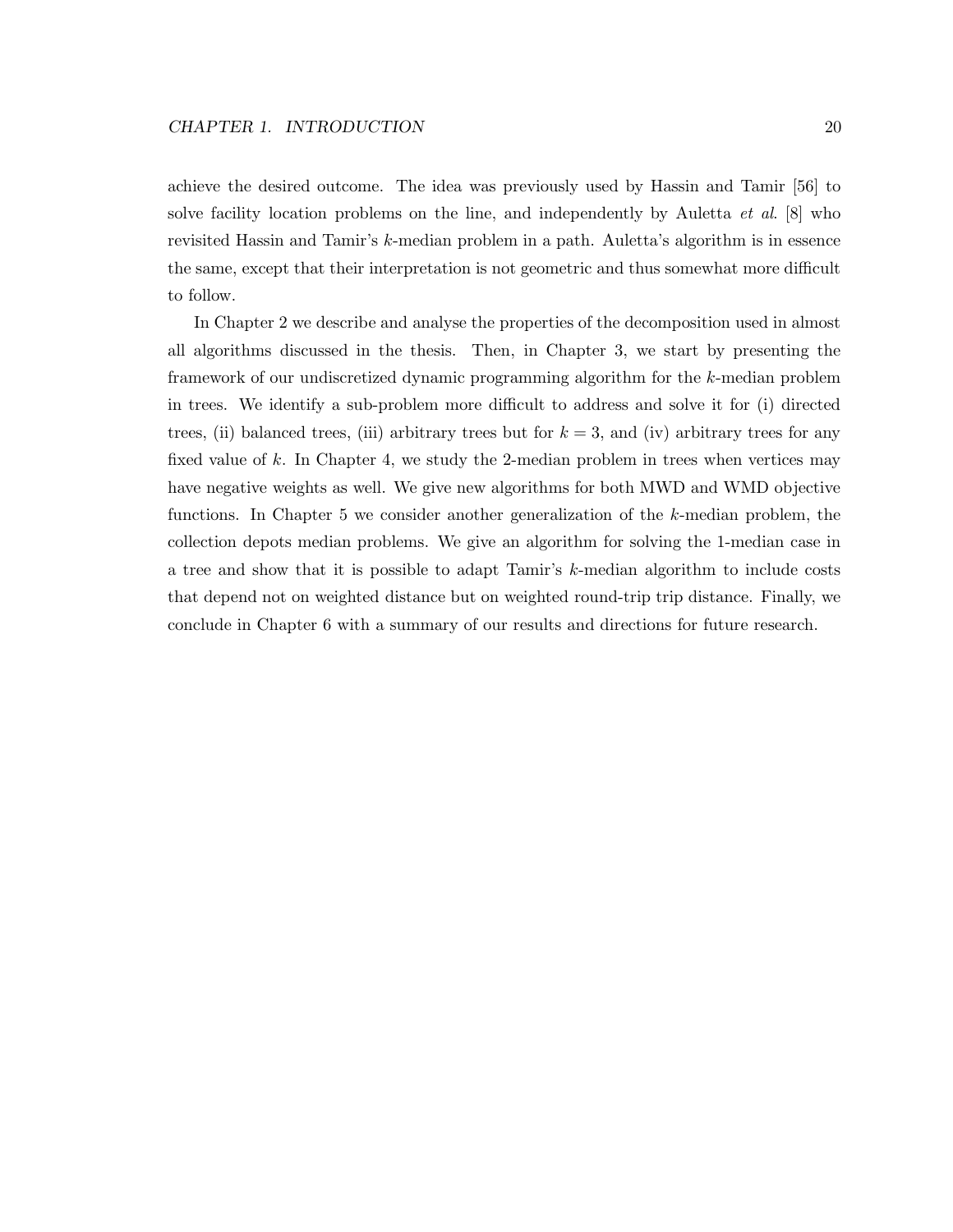achieve the desired outcome. The idea was previously used by Hassin and Tamir [56] to solve facility location problems on the line, and independently by Auletta  $et \ al.$  [8] who revisited Hassin and Tamir's k-median problem in a path. Auletta's algorithm is in essence the same, except that their interpretation is not geometric and thus somewhat more difficult to follow.

In Chapter 2 we describe and analyse the properties of the decomposition used in almost all algorithms discussed in the thesis. Then, in Chapter 3, we start by presenting the framework of our undiscretized dynamic programming algorithm for the k-median problem in trees. We identify a sub-problem more difficult to address and solve it for (i) directed trees, (ii) balanced trees, (iii) arbitrary trees but for  $k = 3$ , and (iv) arbitrary trees for any fixed value of k. In Chapter 4, we study the 2-median problem in trees when vertices may have negative weights as well. We give new algorithms for both MWD and WMD objective functions. In Chapter 5 we consider another generalization of the k-median problem, the collection depots median problems. We give an algorithm for solving the 1-median case in a tree and show that it is possible to adapt Tamir's k-median algorithm to include costs that depend not on weighted distance but on weighted round-trip trip distance. Finally, we conclude in Chapter 6 with a summary of our results and directions for future research.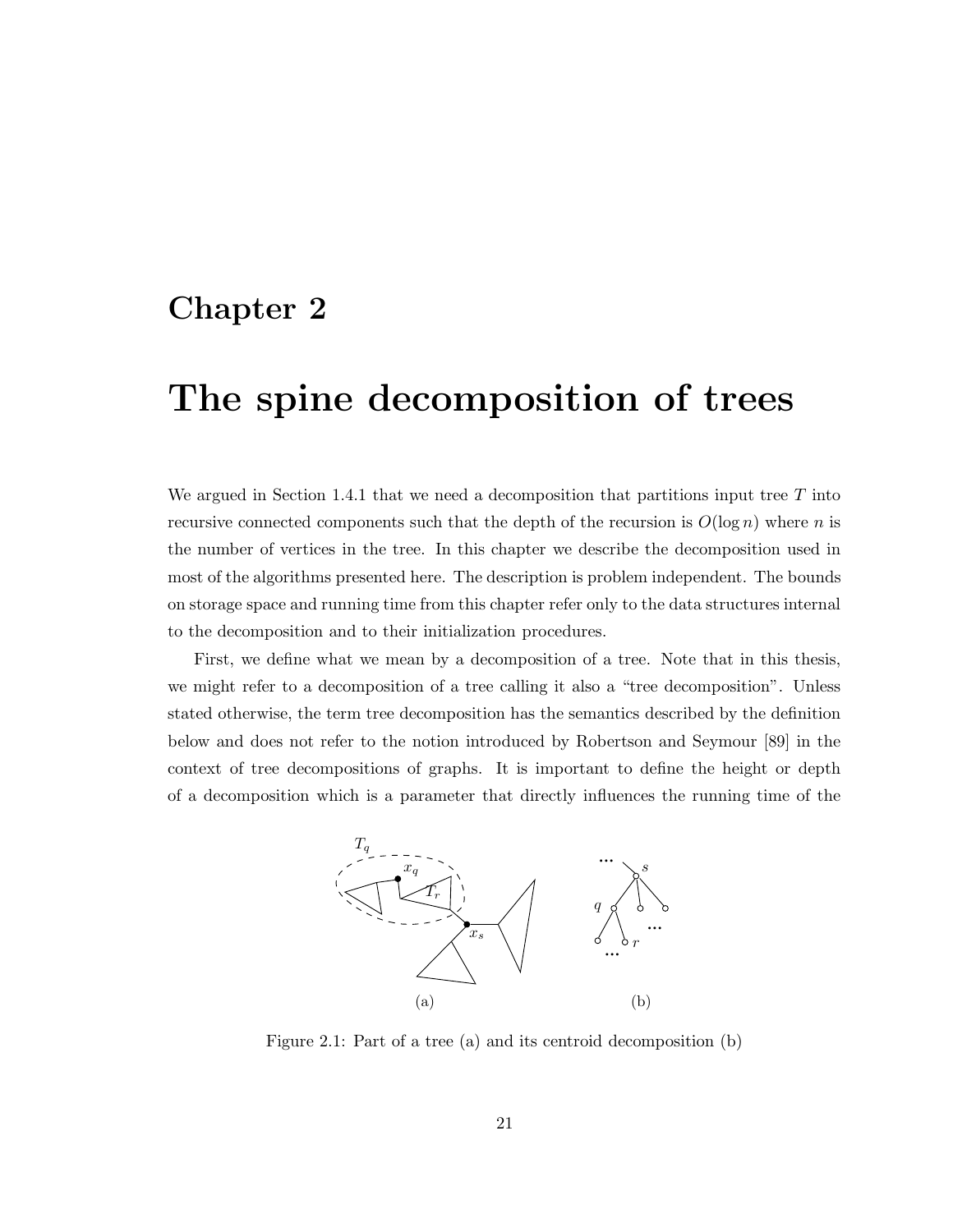### Chapter 2

## The spine decomposition of trees

We argued in Section 1.4.1 that we need a decomposition that partitions input tree  $T$  into recursive connected components such that the depth of the recursion is  $O(\log n)$  where n is the number of vertices in the tree. In this chapter we describe the decomposition used in most of the algorithms presented here. The description is problem independent. The bounds on storage space and running time from this chapter refer only to the data structures internal to the decomposition and to their initialization procedures.

First, we define what we mean by a decomposition of a tree. Note that in this thesis, we might refer to a decomposition of a tree calling it also a "tree decomposition". Unless stated otherwise, the term tree decomposition has the semantics described by the definition below and does not refer to the notion introduced by Robertson and Seymour [89] in the context of tree decompositions of graphs. It is important to define the height or depth of a decomposition which is a parameter that directly influences the running time of the



Figure 2.1: Part of a tree (a) and its centroid decomposition (b)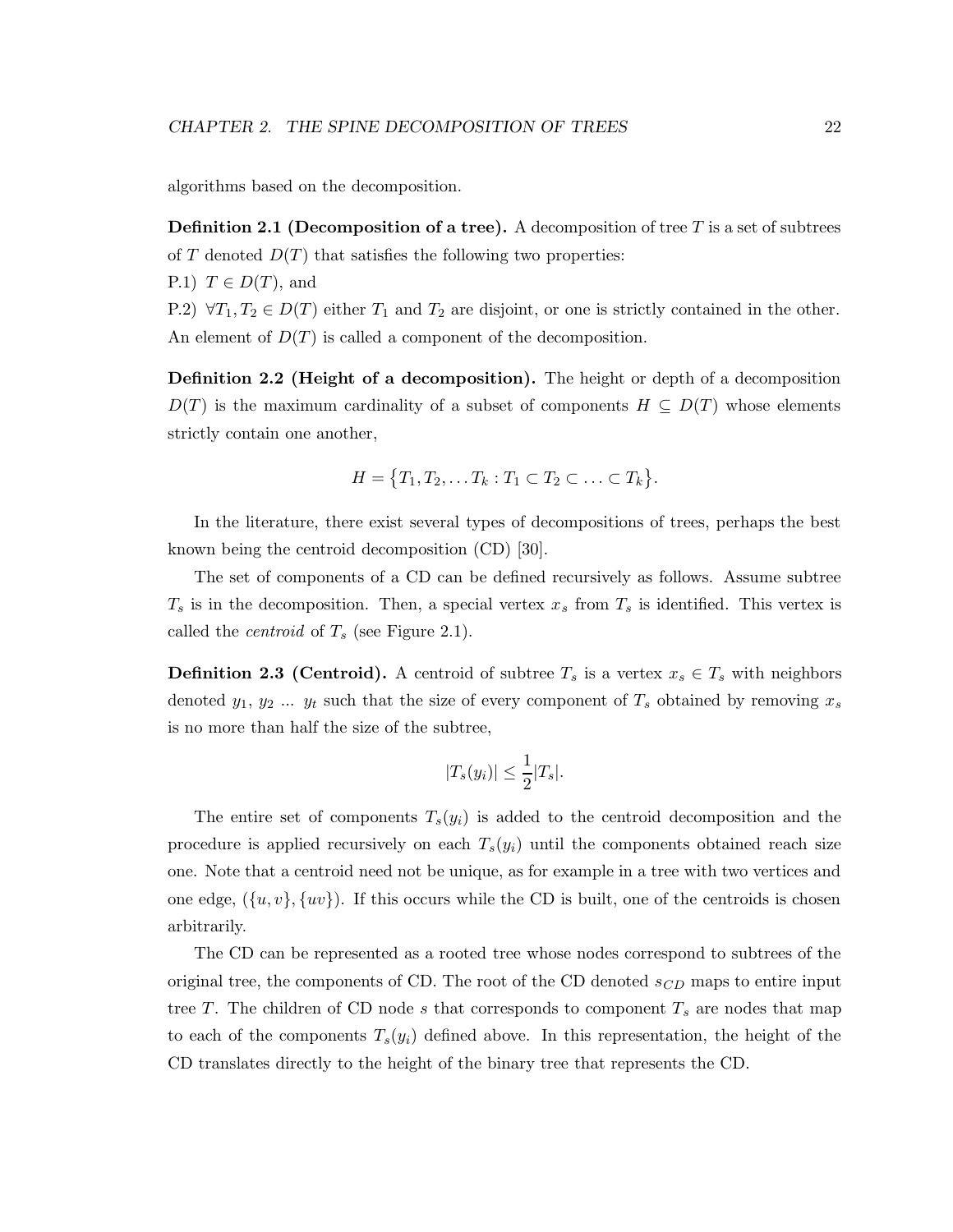algorithms based on the decomposition.

**Definition 2.1 (Decomposition of a tree).** A decomposition of tree T is a set of subtrees of T denoted  $D(T)$  that satisfies the following two properties:

P.1)  $T \in D(T)$ , and

P.2)  $\forall T_1, T_2 \in D(T)$  either  $T_1$  and  $T_2$  are disjoint, or one is strictly contained in the other. An element of  $D(T)$  is called a component of the decomposition.

Definition 2.2 (Height of a decomposition). The height or depth of a decomposition  $D(T)$  is the maximum cardinality of a subset of components  $H \subseteq D(T)$  whose elements strictly contain one another,

$$
H = \{T_1, T_2, \dots T_k : T_1 \subset T_2 \subset \dots \subset T_k\}.
$$

In the literature, there exist several types of decompositions of trees, perhaps the best known being the centroid decomposition (CD) [30].

The set of components of a CD can be defined recursively as follows. Assume subtree  $T_s$  is in the decomposition. Then, a special vertex  $x_s$  from  $T_s$  is identified. This vertex is called the *centroid* of  $T_s$  (see Figure 2.1).

**Definition 2.3 (Centroid).** A centroid of subtree  $T_s$  is a vertex  $x_s \in T_s$  with neighbors denoted  $y_1, y_2, \ldots, y_t$  such that the size of every component of  $T_s$  obtained by removing  $x_s$ is no more than half the size of the subtree,

$$
|T_s(y_i)| \le \frac{1}{2}|T_s|.
$$

The entire set of components  $T_s(y_i)$  is added to the centroid decomposition and the procedure is applied recursively on each  $T_s(y_i)$  until the components obtained reach size one. Note that a centroid need not be unique, as for example in a tree with two vertices and one edge,  $({u, v}, {w})$ . If this occurs while the CD is built, one of the centroids is chosen arbitrarily.

The CD can be represented as a rooted tree whose nodes correspond to subtrees of the original tree, the components of CD. The root of the CD denoted  $s_{CD}$  maps to entire input tree T. The children of CD node s that corresponds to component  $T_s$  are nodes that map to each of the components  $T_s(y_i)$  defined above. In this representation, the height of the CD translates directly to the height of the binary tree that represents the CD.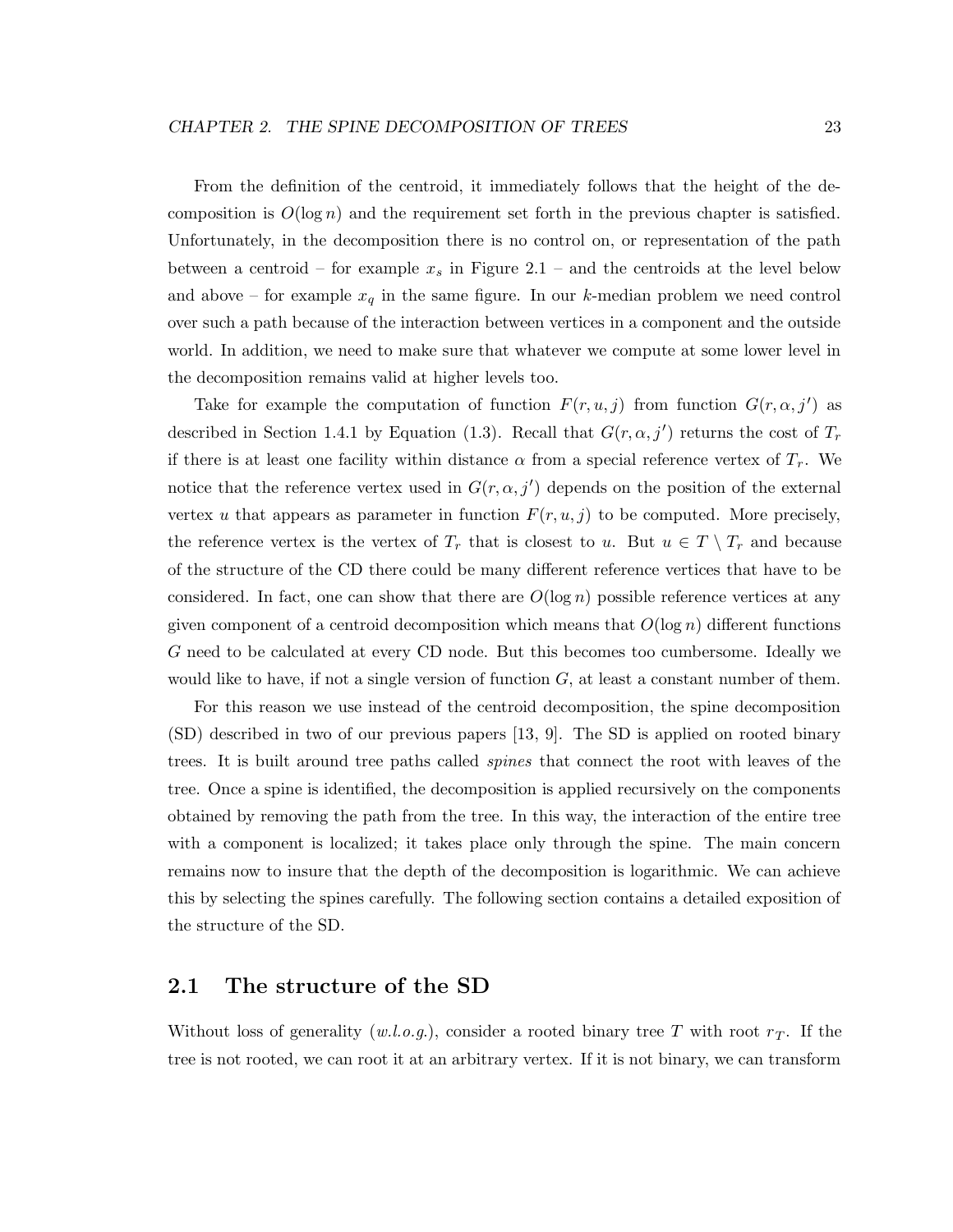From the definition of the centroid, it immediately follows that the height of the decomposition is  $O(\log n)$  and the requirement set forth in the previous chapter is satisfied. Unfortunately, in the decomposition there is no control on, or representation of the path between a centroid – for example  $x_s$  in Figure 2.1 – and the centroids at the level below and above – for example  $x_q$  in the same figure. In our k-median problem we need control over such a path because of the interaction between vertices in a component and the outside world. In addition, we need to make sure that whatever we compute at some lower level in the decomposition remains valid at higher levels too.

Take for example the computation of function  $F(r, u, j)$  from function  $G(r, \alpha, j')$  as described in Section 1.4.1 by Equation (1.3). Recall that  $G(r, \alpha, j')$  returns the cost of  $T_r$ if there is at least one facility within distance  $\alpha$  from a special reference vertex of  $T_r$ . We notice that the reference vertex used in  $G(r, \alpha, j')$  depends on the position of the external vertex u that appears as parameter in function  $F(r, u, j)$  to be computed. More precisely, the reference vertex is the vertex of  $T_r$  that is closest to u. But  $u \in T \setminus T_r$  and because of the structure of the CD there could be many different reference vertices that have to be considered. In fact, one can show that there are  $O(\log n)$  possible reference vertices at any given component of a centroid decomposition which means that  $O(\log n)$  different functions G need to be calculated at every CD node. But this becomes too cumbersome. Ideally we would like to have, if not a single version of function  $G$ , at least a constant number of them.

For this reason we use instead of the centroid decomposition, the spine decomposition (SD) described in two of our previous papers [13, 9]. The SD is applied on rooted binary trees. It is built around tree paths called spines that connect the root with leaves of the tree. Once a spine is identified, the decomposition is applied recursively on the components obtained by removing the path from the tree. In this way, the interaction of the entire tree with a component is localized; it takes place only through the spine. The main concern remains now to insure that the depth of the decomposition is logarithmic. We can achieve this by selecting the spines carefully. The following section contains a detailed exposition of the structure of the SD.

## 2.1 The structure of the SD

Without loss of generality  $(w.l.o.g.)$ , consider a rooted binary tree T with root  $r<sub>T</sub>$ . If the tree is not rooted, we can root it at an arbitrary vertex. If it is not binary, we can transform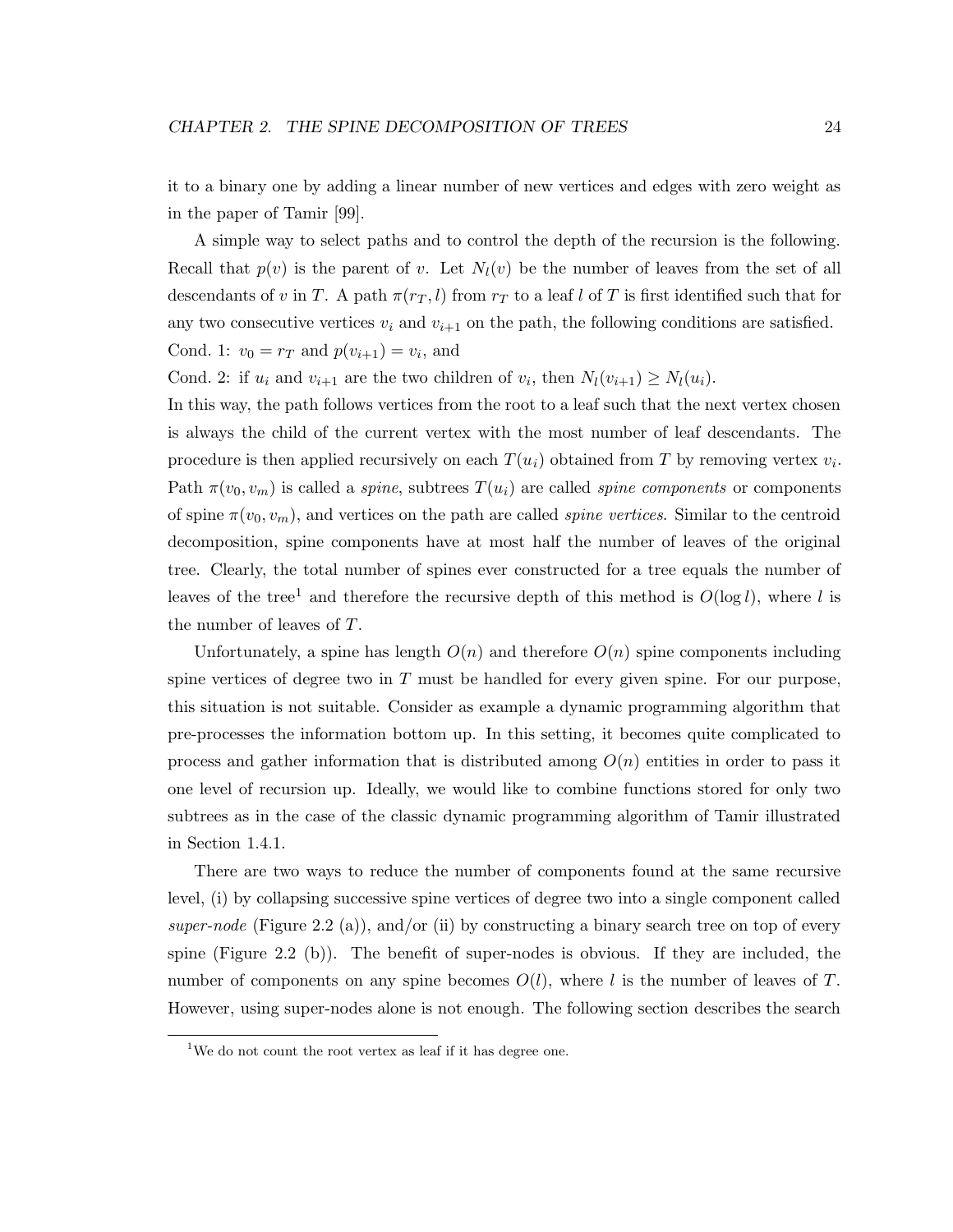it to a binary one by adding a linear number of new vertices and edges with zero weight as in the paper of Tamir [99].

A simple way to select paths and to control the depth of the recursion is the following. Recall that  $p(v)$  is the parent of v. Let  $N_l(v)$  be the number of leaves from the set of all descendants of v in T. A path  $\pi(r_T, l)$  from  $r_T$  to a leaf l of T is first identified such that for any two consecutive vertices  $v_i$  and  $v_{i+1}$  on the path, the following conditions are satisfied. Cond. 1:  $v_0 = r_T$  and  $p(v_{i+1}) = v_i$ , and

Cond. 2: if  $u_i$  and  $v_{i+1}$  are the two children of  $v_i$ , then  $N_l(v_{i+1}) \geq N_l(u_i)$ .

In this way, the path follows vertices from the root to a leaf such that the next vertex chosen is always the child of the current vertex with the most number of leaf descendants. The procedure is then applied recursively on each  $T(u_i)$  obtained from T by removing vertex  $v_i$ . Path  $\pi(v_0, v_m)$  is called a *spine*, subtrees  $T(u_i)$  are called *spine components* or components of spine  $\pi(v_0, v_m)$ , and vertices on the path are called *spine vertices*. Similar to the centroid decomposition, spine components have at most half the number of leaves of the original tree. Clearly, the total number of spines ever constructed for a tree equals the number of leaves of the tree<sup>1</sup> and therefore the recursive depth of this method is  $O(\log l)$ , where l is the number of leaves of T.

Unfortunately, a spine has length  $O(n)$  and therefore  $O(n)$  spine components including spine vertices of degree two in  $T$  must be handled for every given spine. For our purpose, this situation is not suitable. Consider as example a dynamic programming algorithm that pre-processes the information bottom up. In this setting, it becomes quite complicated to process and gather information that is distributed among  $O(n)$  entities in order to pass it one level of recursion up. Ideally, we would like to combine functions stored for only two subtrees as in the case of the classic dynamic programming algorithm of Tamir illustrated in Section 1.4.1.

There are two ways to reduce the number of components found at the same recursive level, (i) by collapsing successive spine vertices of degree two into a single component called super-node (Figure 2.2 (a)), and/or (ii) by constructing a binary search tree on top of every spine (Figure 2.2 (b)). The benefit of super-nodes is obvious. If they are included, the number of components on any spine becomes  $O(l)$ , where l is the number of leaves of T. However, using super-nodes alone is not enough. The following section describes the search

<sup>&</sup>lt;sup>1</sup>We do not count the root vertex as leaf if it has degree one.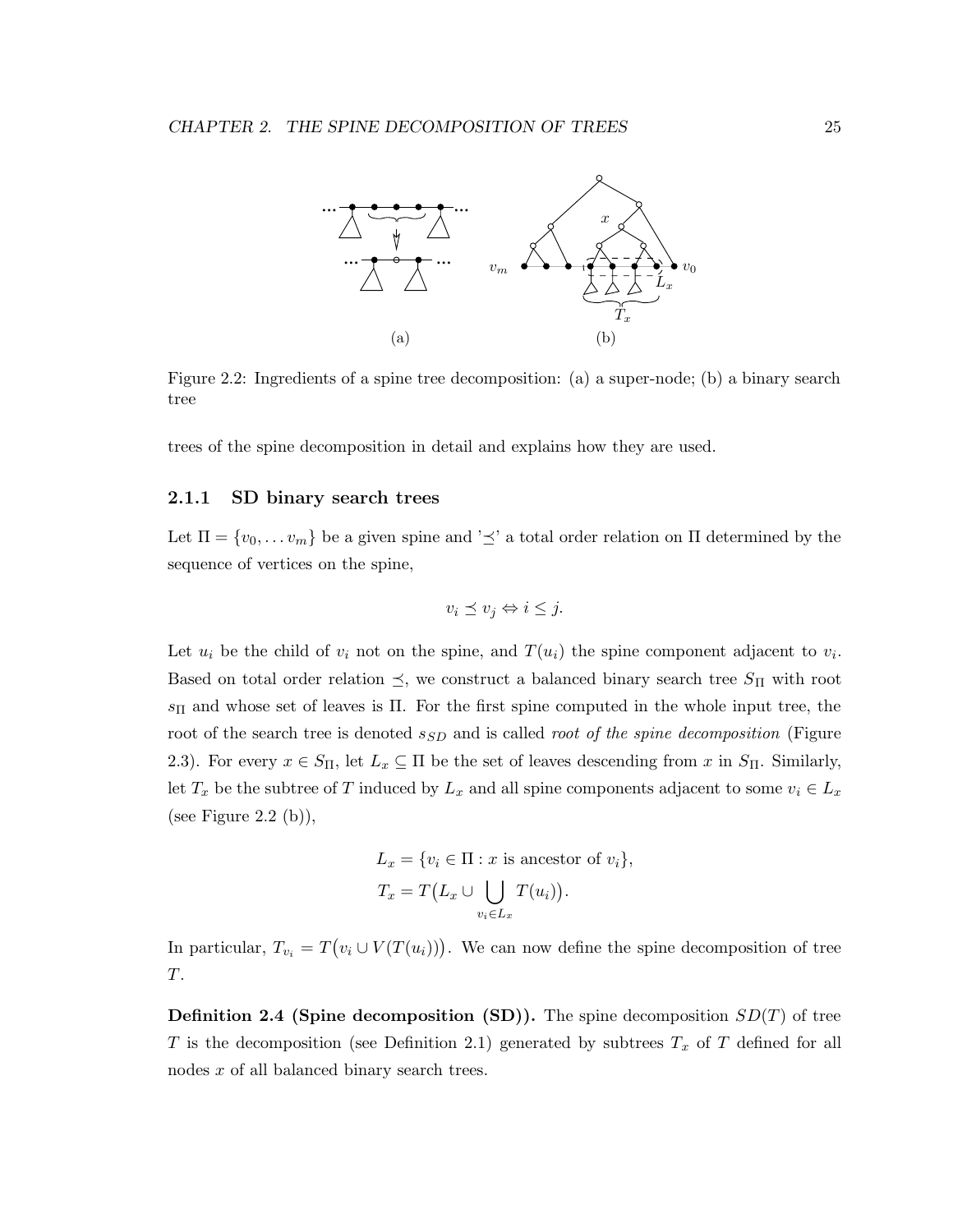

Figure 2.2: Ingredients of a spine tree decomposition: (a) a super-node; (b) a binary search tree

trees of the spine decomposition in detail and explains how they are used.

#### 2.1.1 SD binary search trees

Let  $\Pi = \{v_0, \ldots v_m\}$  be a given spine and ' $\preceq$ ' a total order relation on  $\Pi$  determined by the sequence of vertices on the spine,

$$
v_i \preceq v_j \Leftrightarrow i \leq j.
$$

Let  $u_i$  be the child of  $v_i$  not on the spine, and  $T(u_i)$  the spine component adjacent to  $v_i$ . Based on total order relation  $\preceq$ , we construct a balanced binary search tree  $S_{\Pi}$  with root  $s_{\Pi}$  and whose set of leaves is  $\Pi$ . For the first spine computed in the whole input tree, the root of the search tree is denoted  $s_{SD}$  and is called *root of the spine decomposition* (Figure 2.3). For every  $x \in S_{\Pi}$ , let  $L_x \subseteq \Pi$  be the set of leaves descending from x in  $S_{\Pi}$ . Similarly, let  $T_x$  be the subtree of T induced by  $L_x$  and all spine components adjacent to some  $v_i \in L_x$ (see Figure 2.2 (b)),

$$
L_x = \{v_i \in \Pi : x \text{ is ancestor of } v_i\},\
$$
  

$$
T_x = T(L_x \cup \bigcup_{v_i \in L_x} T(u_i)).
$$

In particular,  $T_{v_i} = T(v_i \cup V(T(u_i)))$ . We can now define the spine decomposition of tree T.

**Definition 2.4 (Spine decomposition (SD)).** The spine decomposition  $SD(T)$  of tree T is the decomposition (see Definition 2.1) generated by subtrees  $T_x$  of T defined for all nodes x of all balanced binary search trees.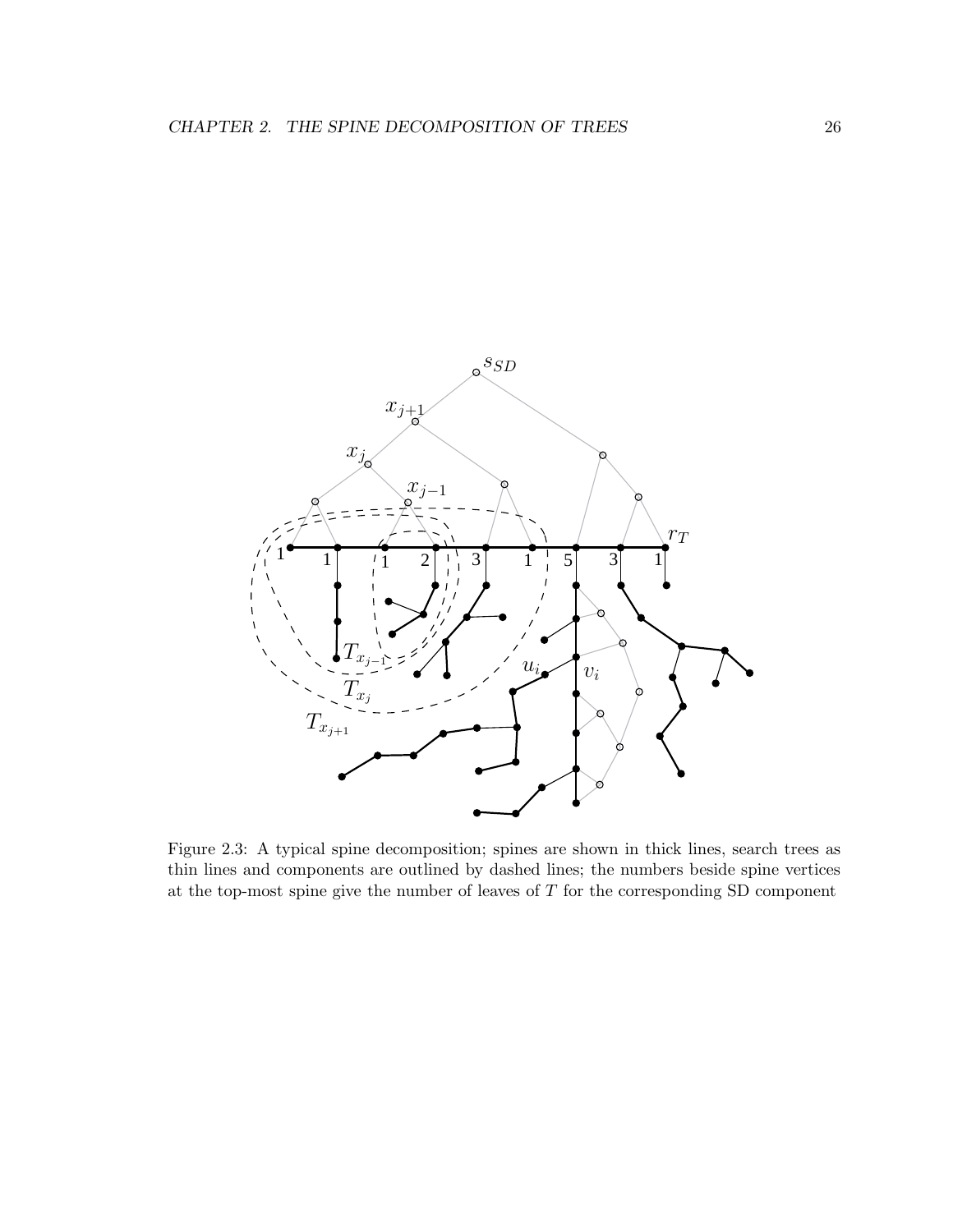

Figure 2.3: A typical spine decomposition; spines are shown in thick lines, search trees as thin lines and components are outlined by dashed lines; the numbers beside spine vertices at the top-most spine give the number of leaves of  $T$  for the corresponding SD component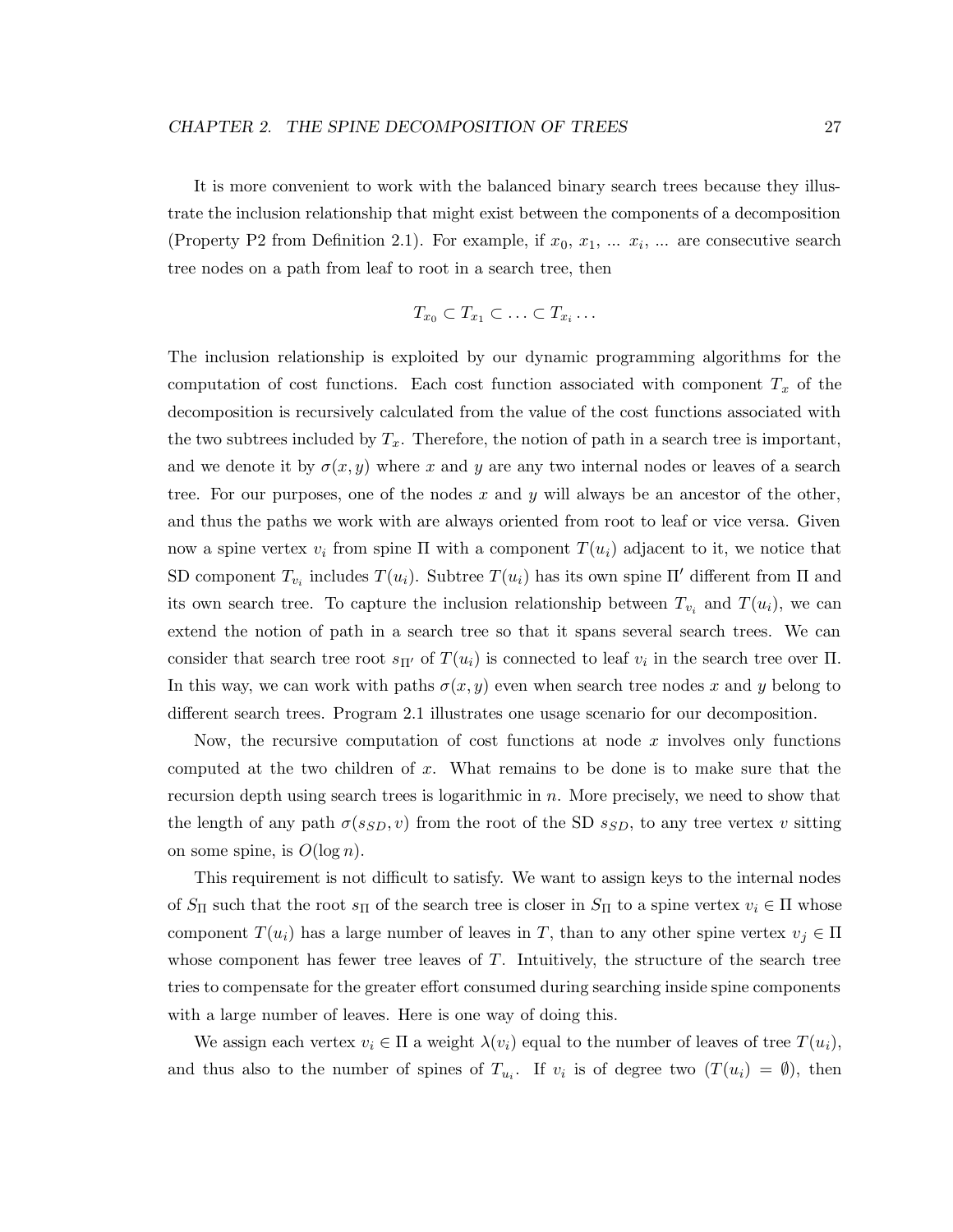It is more convenient to work with the balanced binary search trees because they illustrate the inclusion relationship that might exist between the components of a decomposition (Property P2 from Definition 2.1). For example, if  $x_0, x_1, \ldots, x_i, \ldots$  are consecutive search tree nodes on a path from leaf to root in a search tree, then

$$
T_{x_0} \subset T_{x_1} \subset \ldots \subset T_{x_i} \ldots
$$

The inclusion relationship is exploited by our dynamic programming algorithms for the computation of cost functions. Each cost function associated with component  $T_x$  of the decomposition is recursively calculated from the value of the cost functions associated with the two subtrees included by  $T_x$ . Therefore, the notion of path in a search tree is important, and we denote it by  $\sigma(x, y)$  where x and y are any two internal nodes or leaves of a search tree. For our purposes, one of the nodes x and y will always be an ancestor of the other, and thus the paths we work with are always oriented from root to leaf or vice versa. Given now a spine vertex  $v_i$  from spine  $\Pi$  with a component  $T(u_i)$  adjacent to it, we notice that SD component  $T_{v_i}$  includes  $T(u_i)$ . Subtree  $T(u_i)$  has its own spine  $\Pi'$  different from  $\Pi$  and its own search tree. To capture the inclusion relationship between  $T_{v_i}$  and  $T(u_i)$ , we can extend the notion of path in a search tree so that it spans several search trees. We can consider that search tree root  $s_{\Pi'}$  of  $T(u_i)$  is connected to leaf  $v_i$  in the search tree over  $\Pi$ . In this way, we can work with paths  $\sigma(x, y)$  even when search tree nodes x and y belong to different search trees. Program 2.1 illustrates one usage scenario for our decomposition.

Now, the recursive computation of cost functions at node  $x$  involves only functions computed at the two children of x. What remains to be done is to make sure that the recursion depth using search trees is logarithmic in n. More precisely, we need to show that the length of any path  $\sigma(s_{SD}, v)$  from the root of the SD  $s_{SD}$ , to any tree vertex v sitting on some spine, is  $O(\log n)$ .

This requirement is not difficult to satisfy. We want to assign keys to the internal nodes of  $S_{\Pi}$  such that the root  $s_{\Pi}$  of the search tree is closer in  $S_{\Pi}$  to a spine vertex  $v_i \in \Pi$  whose component  $T(u_i)$  has a large number of leaves in T, than to any other spine vertex  $v_j \in \Pi$ whose component has fewer tree leaves of  $T$ . Intuitively, the structure of the search tree tries to compensate for the greater effort consumed during searching inside spine components with a large number of leaves. Here is one way of doing this.

We assign each vertex  $v_i \in \Pi$  a weight  $\lambda(v_i)$  equal to the number of leaves of tree  $T(u_i)$ , and thus also to the number of spines of  $T_{u_i}$ . If  $v_i$  is of degree two  $(T(u_i) = \emptyset)$ , then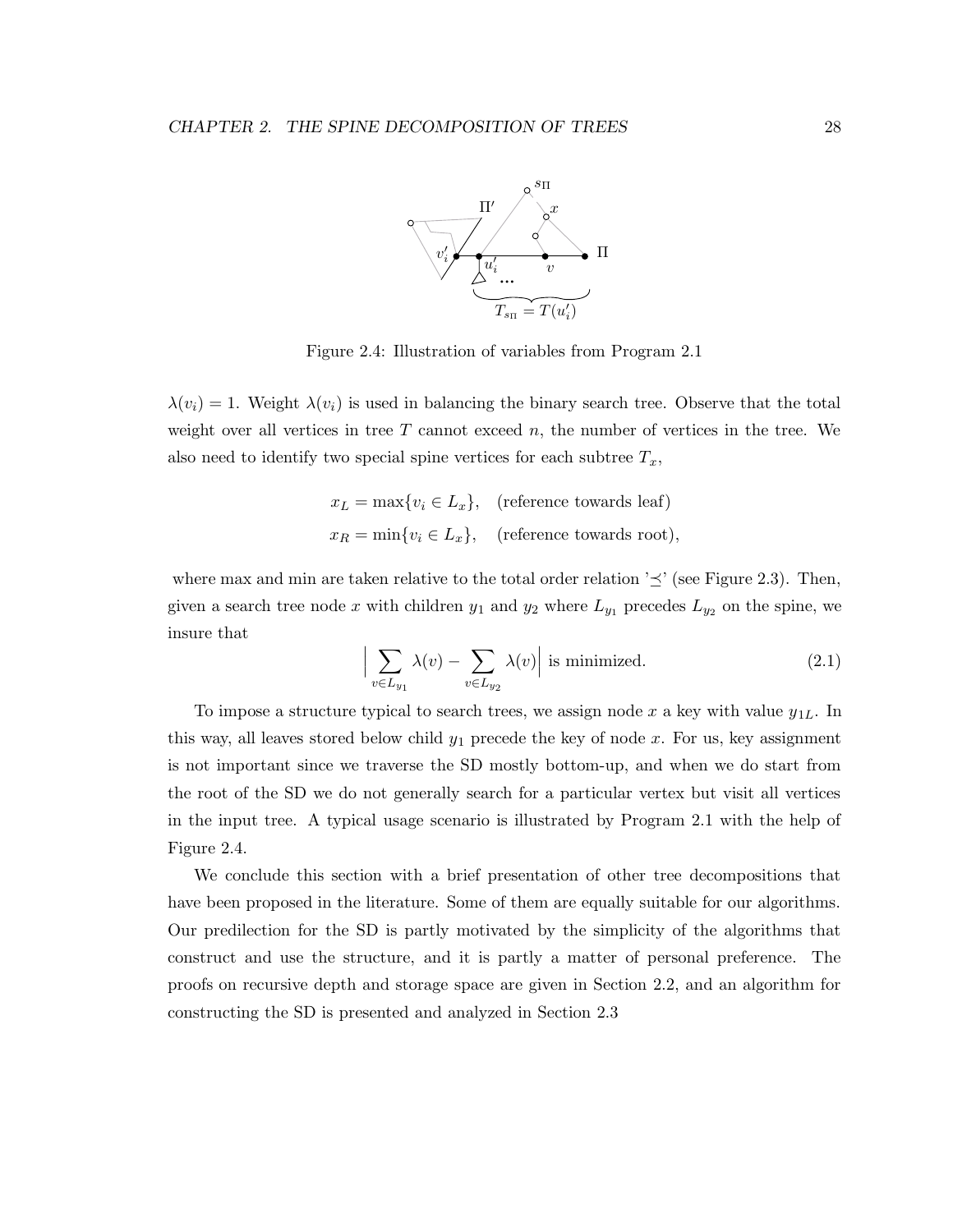

Figure 2.4: Illustration of variables from Program 2.1

 $\lambda(v_i) = 1$ . Weight  $\lambda(v_i)$  is used in balancing the binary search tree. Observe that the total weight over all vertices in tree  $T$  cannot exceed  $n$ , the number of vertices in the tree. We also need to identify two special spine vertices for each subtree  $T_x$ ,

$$
x_L = \max\{v_i \in L_x\}, \quad \text{(reference towards leaf)}
$$
  

$$
x_R = \min\{v_i \in L_x\}, \quad \text{(reference towards root)},
$$

where max and min are taken relative to the total order relation  $\geq'$  (see Figure 2.3). Then, given a search tree node x with children  $y_1$  and  $y_2$  where  $L_{y_1}$  precedes  $L_{y_2}$  on the spine, we insure that

$$
\left| \sum_{v \in L_{y_1}} \lambda(v) - \sum_{v \in L_{y_2}} \lambda(v) \right| \text{ is minimized.} \tag{2.1}
$$

To impose a structure typical to search trees, we assign node x a key with value  $y_{1L}$ . In this way, all leaves stored below child  $y_1$  precede the key of node x. For us, key assignment is not important since we traverse the SD mostly bottom-up, and when we do start from the root of the SD we do not generally search for a particular vertex but visit all vertices in the input tree. A typical usage scenario is illustrated by Program 2.1 with the help of Figure 2.4.

We conclude this section with a brief presentation of other tree decompositions that have been proposed in the literature. Some of them are equally suitable for our algorithms. Our predilection for the SD is partly motivated by the simplicity of the algorithms that construct and use the structure, and it is partly a matter of personal preference. The proofs on recursive depth and storage space are given in Section 2.2, and an algorithm for constructing the SD is presented and analyzed in Section 2.3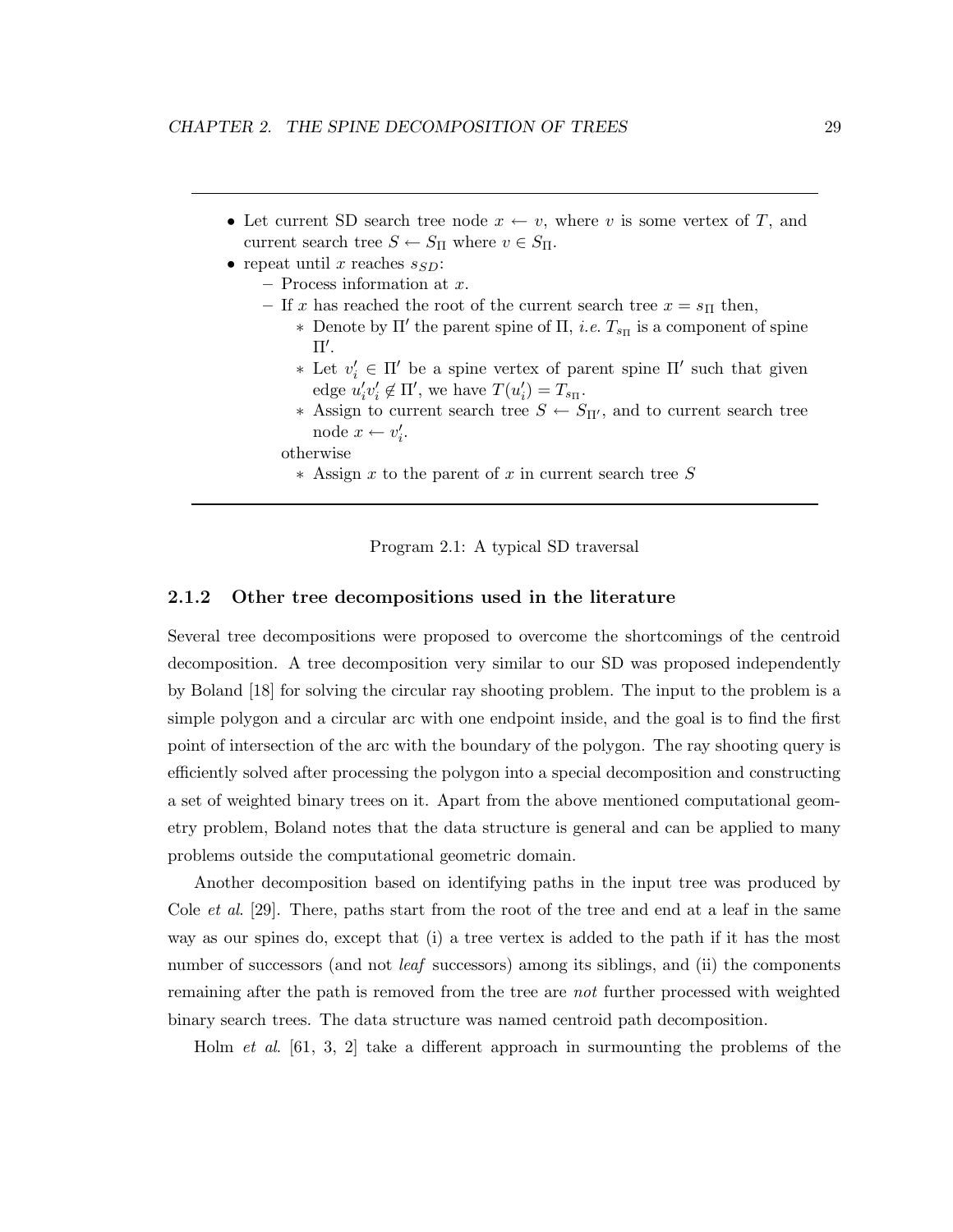- Let current SD search tree node  $x \leftarrow v$ , where v is some vertex of T, and current search tree  $S \leftarrow S_{\Pi}$  where  $v \in S_{\Pi}$ .
- repeat until x reaches  $s_{SD}$ :
	- $-$  Process information at x.
	- If x has reached the root of the current search tree  $x = s_{\Pi}$  then,
		- ∗ Denote by Π' the parent spine of Π, *i.e.*  $T_{s_{\Pi}}$  is a component of spine  $\Pi'.$
		- $\ast$  Let  $v'_i$  ∈ Π' be a spine vertex of parent spine Π' such that given edge  $u'_i v'_i \notin \Pi'$ , we have  $T(u'_i) = T_{s_{\Pi}}$ .
		- $∗$  Assign to current search tree  $S \leftarrow S_{\Pi'}$ , and to current search tree node  $x \leftarrow v'_i$ .
		- otherwise
			- ∗ Assign x to the parent of x in current search tree S



#### 2.1.2 Other tree decompositions used in the literature

Several tree decompositions were proposed to overcome the shortcomings of the centroid decomposition. A tree decomposition very similar to our SD was proposed independently by Boland [18] for solving the circular ray shooting problem. The input to the problem is a simple polygon and a circular arc with one endpoint inside, and the goal is to find the first point of intersection of the arc with the boundary of the polygon. The ray shooting query is efficiently solved after processing the polygon into a special decomposition and constructing a set of weighted binary trees on it. Apart from the above mentioned computational geometry problem, Boland notes that the data structure is general and can be applied to many problems outside the computational geometric domain.

Another decomposition based on identifying paths in the input tree was produced by Cole *et al.* [29]. There, paths start from the root of the tree and end at a leaf in the same way as our spines do, except that (i) a tree vertex is added to the path if it has the most number of successors (and not *leaf* successors) among its siblings, and (ii) the components remaining after the path is removed from the tree are not further processed with weighted binary search trees. The data structure was named centroid path decomposition.

Holm et al. [61, 3, 2] take a different approach in surmounting the problems of the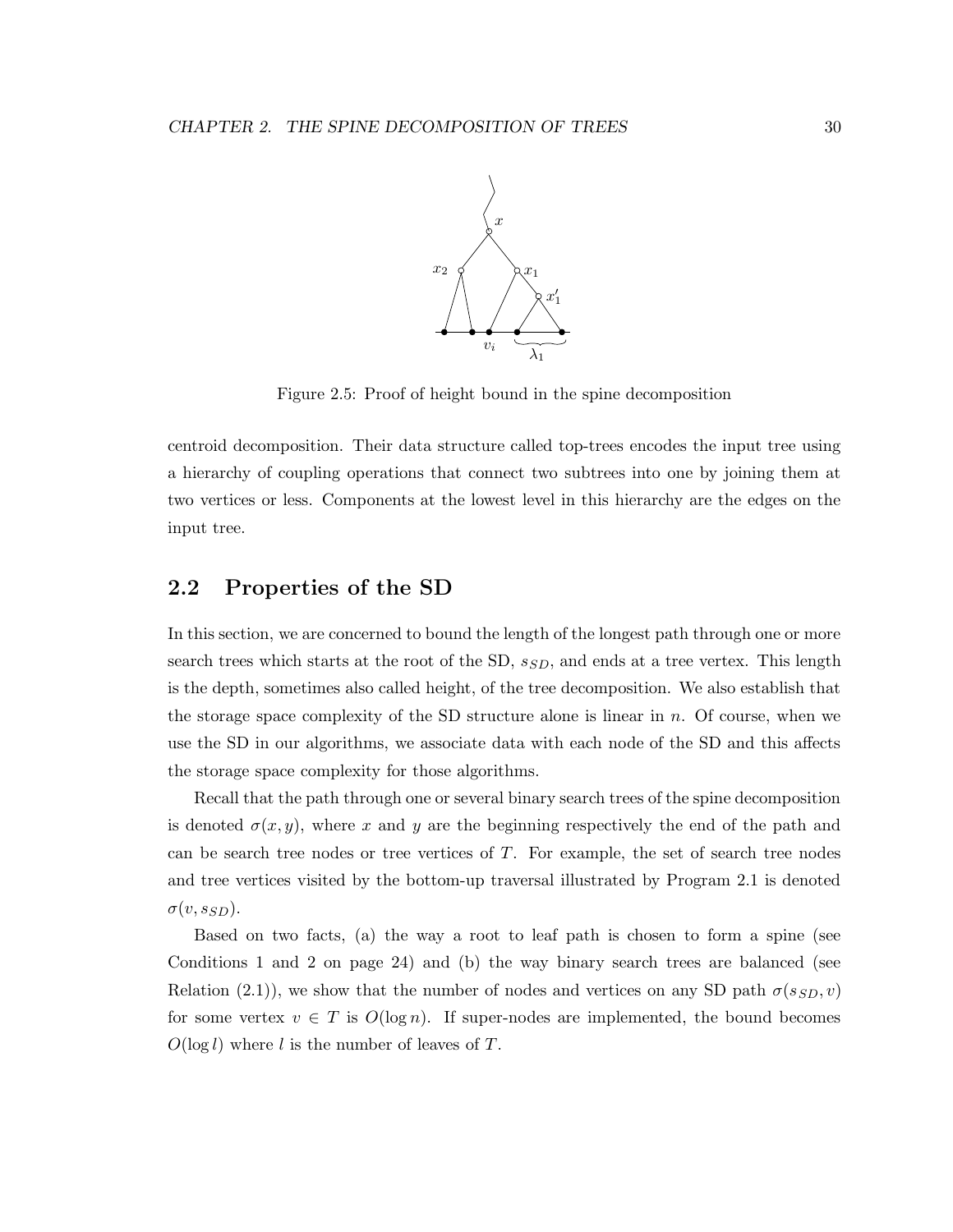

Figure 2.5: Proof of height bound in the spine decomposition

centroid decomposition. Their data structure called top-trees encodes the input tree using a hierarchy of coupling operations that connect two subtrees into one by joining them at two vertices or less. Components at the lowest level in this hierarchy are the edges on the input tree.

## 2.2 Properties of the SD

In this section, we are concerned to bound the length of the longest path through one or more search trees which starts at the root of the SD,  $s_{SD}$ , and ends at a tree vertex. This length is the depth, sometimes also called height, of the tree decomposition. We also establish that the storage space complexity of the SD structure alone is linear in  $n$ . Of course, when we use the SD in our algorithms, we associate data with each node of the SD and this affects the storage space complexity for those algorithms.

Recall that the path through one or several binary search trees of the spine decomposition is denoted  $\sigma(x, y)$ , where x and y are the beginning respectively the end of the path and can be search tree nodes or tree vertices of T. For example, the set of search tree nodes and tree vertices visited by the bottom-up traversal illustrated by Program 2.1 is denoted  $\sigma(v, s_{SD})$ .

Based on two facts, (a) the way a root to leaf path is chosen to form a spine (see Conditions 1 and 2 on page 24) and (b) the way binary search trees are balanced (see Relation (2.1)), we show that the number of nodes and vertices on any SD path  $\sigma(s_{SD}, v)$ for some vertex  $v \in T$  is  $O(\log n)$ . If super-nodes are implemented, the bound becomes  $O(\log l)$  where l is the number of leaves of T.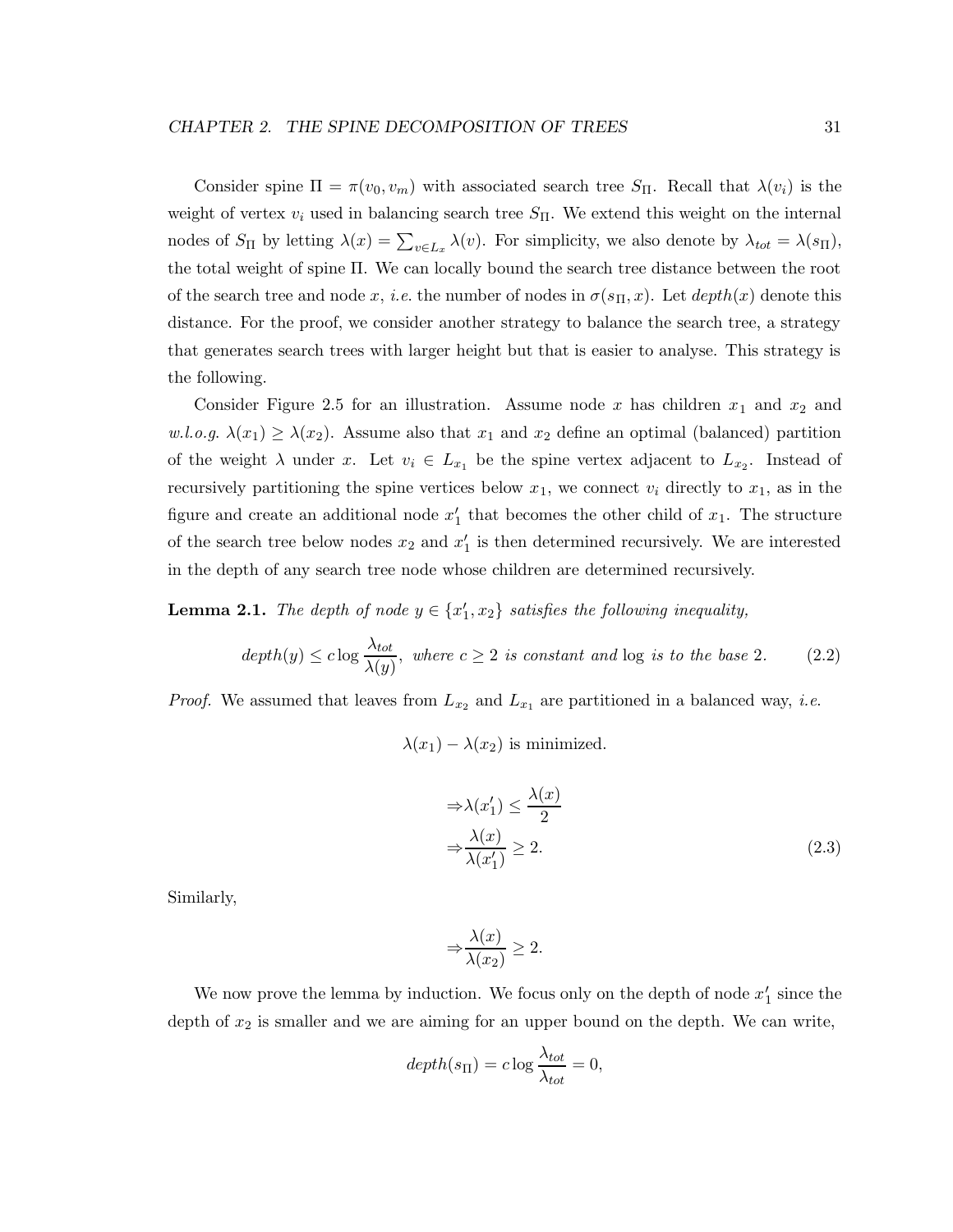Consider spine  $\Pi = \pi(v_0, v_m)$  with associated search tree  $S_{\Pi}$ . Recall that  $\lambda(v_i)$  is the weight of vertex  $v_i$  used in balancing search tree  $S_{\Pi}$ . We extend this weight on the internal nodes of  $S_{\Pi}$  by letting  $\lambda(x) = \sum_{v \in L_x} \lambda(v)$ . For simplicity, we also denote by  $\lambda_{tot} = \lambda(s_{\Pi}),$ the total weight of spine Π. We can locally bound the search tree distance between the root of the search tree and node x, i.e. the number of nodes in  $\sigma(s_{\Pi}, x)$ . Let  $depth(x)$  denote this distance. For the proof, we consider another strategy to balance the search tree, a strategy that generates search trees with larger height but that is easier to analyse. This strategy is the following.

Consider Figure 2.5 for an illustration. Assume node x has children  $x_1$  and  $x_2$  and w.l.o.g.  $\lambda(x_1) \geq \lambda(x_2)$ . Assume also that  $x_1$  and  $x_2$  define an optimal (balanced) partition of the weight  $\lambda$  under x. Let  $v_i \in L_{x_1}$  be the spine vertex adjacent to  $L_{x_2}$ . Instead of recursively partitioning the spine vertices below  $x_1$ , we connect  $v_i$  directly to  $x_1$ , as in the figure and create an additional node  $x'_1$  that becomes the other child of  $x_1$ . The structure of the search tree below nodes  $x_2$  and  $x'_1$  is then determined recursively. We are interested in the depth of any search tree node whose children are determined recursively.

**Lemma 2.1.** The depth of node  $y \in \{x'_1, x_2\}$  satisfies the following inequality,

$$
depth(y) \leq c \log \frac{\lambda_{tot}}{\lambda(y)}
$$
, where  $c \geq 2$  is constant and log is to the base 2. (2.2)

*Proof.* We assumed that leaves from  $L_{x_2}$  and  $L_{x_1}$  are partitioned in a balanced way, *i.e.* 

 $\lambda(x_1) - \lambda(x_2)$  is minimized.

$$
\Rightarrow \lambda(x_1') \le \frac{\lambda(x)}{2}
$$
  

$$
\Rightarrow \frac{\lambda(x)}{\lambda(x_1')} \ge 2.
$$
 (2.3)

Similarly,

$$
\Rightarrow \frac{\lambda(x)}{\lambda(x_2)} \ge 2.
$$

We now prove the lemma by induction. We focus only on the depth of node  $x'_1$  since the depth of  $x_2$  is smaller and we are aiming for an upper bound on the depth. We can write,

$$
depth(s_{\Pi}) = c \log \frac{\lambda_{tot}}{\lambda_{tot}} = 0,
$$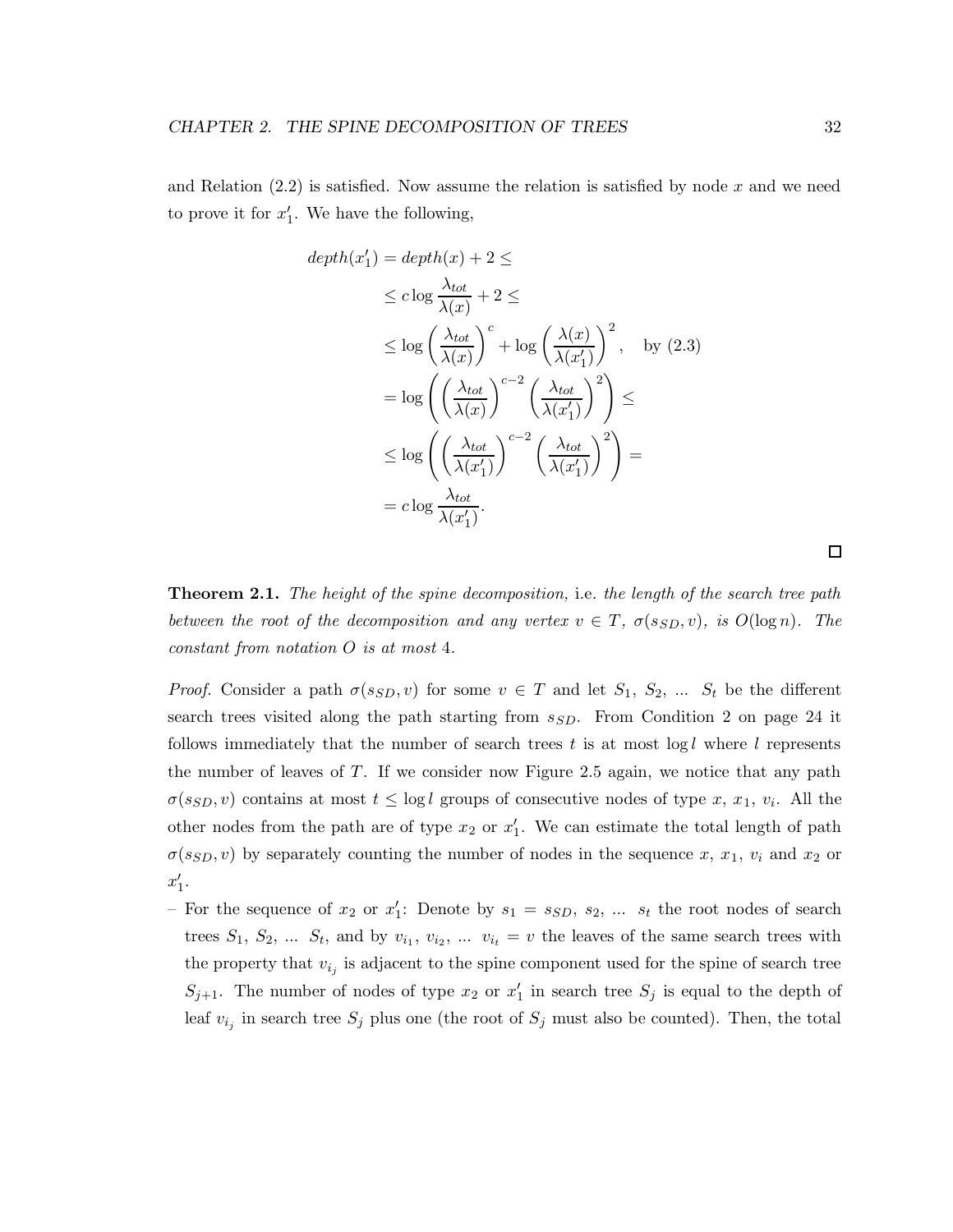and Relation  $(2.2)$  is satisfied. Now assume the relation is satisfied by node x and we need to prove it for  $x'_1$ . We have the following,

$$
depth(x'_1) = depth(x) + 2 \le
$$
  
\n
$$
\leq c \log \frac{\lambda_{tot}}{\lambda(x)} + 2 \leq
$$
  
\n
$$
\leq \log \left(\frac{\lambda_{tot}}{\lambda(x)}\right)^c + \log \left(\frac{\lambda(x)}{\lambda(x'_1)}\right)^2, \text{ by (2.3)}
$$
  
\n
$$
= \log \left(\left(\frac{\lambda_{tot}}{\lambda(x)}\right)^{c-2} \left(\frac{\lambda_{tot}}{\lambda(x'_1)}\right)^2\right) \leq
$$
  
\n
$$
\leq \log \left(\left(\frac{\lambda_{tot}}{\lambda(x'_1)}\right)^{c-2} \left(\frac{\lambda_{tot}}{\lambda(x'_1)}\right)^2\right) =
$$
  
\n
$$
= c \log \frac{\lambda_{tot}}{\lambda(x'_1)}.
$$

**Theorem 2.1.** The height of the spine decomposition, i.e. the length of the search tree path between the root of the decomposition and any vertex  $v \in T$ ,  $\sigma(s_{SD}, v)$ , is  $O(\log n)$ . The constant from notation O is at most 4.

*Proof.* Consider a path  $\sigma(s_{SD}, v)$  for some  $v \in T$  and let  $S_1, S_2, \ldots S_t$  be the different search trees visited along the path starting from  $s_{SD}$ . From Condition 2 on page 24 it follows immediately that the number of search trees t is at most  $log l$  where l represents the number of leaves of  $T$ . If we consider now Figure 2.5 again, we notice that any path  $\sigma(s_{SD}, v)$  contains at most  $t \leq \log l$  groups of consecutive nodes of type x, x<sub>1</sub>, v<sub>i</sub>. All the other nodes from the path are of type  $x_2$  or  $x_1'$ . We can estimate the total length of path  $\sigma(s_{SD}, v)$  by separately counting the number of nodes in the sequence x,  $x_1, v_i$  and  $x_2$  or  $x'_1$ .

- For the sequence of  $x_2$  or  $x_1'$ : Denote by  $s_1 = s_{SD}, s_2, \ldots s_t$  the root nodes of search trees  $S_1, S_2, \ldots S_t$ , and by  $v_{i_1}, v_{i_2}, \ldots v_{i_t} = v$  the leaves of the same search trees with the property that  $v_{i_j}$  is adjacent to the spine component used for the spine of search tree  $S_{j+1}$ . The number of nodes of type  $x_2$  or  $x'_1$  in search tree  $S_j$  is equal to the depth of leaf  $v_{i_j}$  in search tree  $S_j$  plus one (the root of  $S_j$  must also be counted). Then, the total

 $\Box$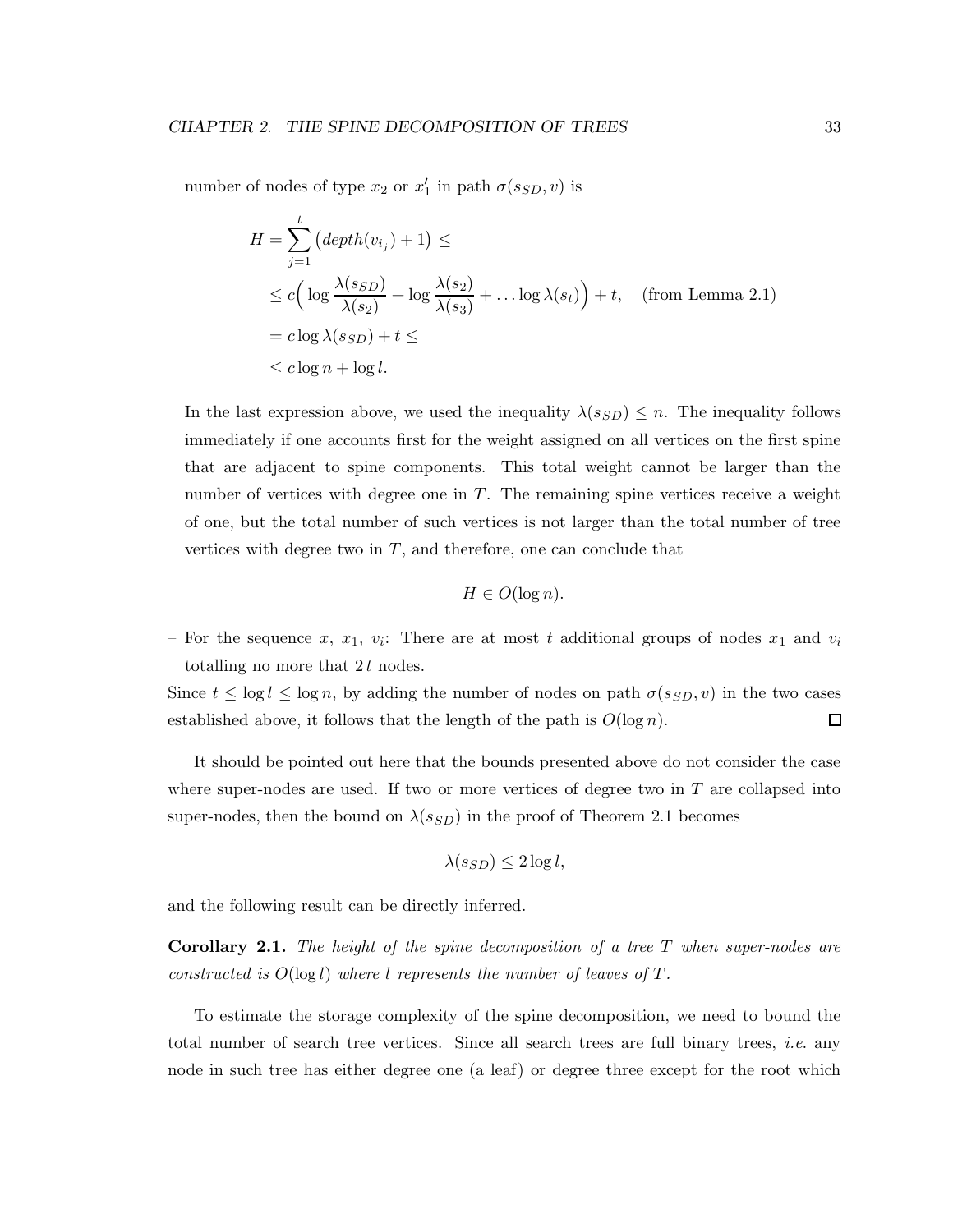number of nodes of type  $x_2$  or  $x'_1$  in path  $\sigma(s_{SD}, v)$  is

$$
H = \sum_{j=1}^{t} (depth(v_{i_j}) + 1) \le
$$
  
\n
$$
\leq c \Big( \log \frac{\lambda(s_{SD})}{\lambda(s_2)} + \log \frac{\lambda(s_2)}{\lambda(s_3)} + \dots \log \lambda(s_t) \Big) + t, \quad \text{(from Lemma 2.1)}
$$
  
\n
$$
= c \log \lambda(s_{SD}) + t \leq
$$
  
\n
$$
\leq c \log n + \log l.
$$

In the last expression above, we used the inequality  $\lambda(s_{SD}) \leq n$ . The inequality follows immediately if one accounts first for the weight assigned on all vertices on the first spine that are adjacent to spine components. This total weight cannot be larger than the number of vertices with degree one in  $T$ . The remaining spine vertices receive a weight of one, but the total number of such vertices is not larger than the total number of tree vertices with degree two in  $T$ , and therefore, one can conclude that

$$
H \in O(\log n).
$$

- For the sequence x,  $x_1$ ,  $v_i$ : There are at most t additional groups of nodes  $x_1$  and  $v_i$ totalling no more that  $2t$  nodes.

Since  $t \leq \log l \leq \log n$ , by adding the number of nodes on path  $\sigma(s_{SD}, v)$  in the two cases established above, it follows that the length of the path is  $O(\log n)$ .  $\Box$ 

It should be pointed out here that the bounds presented above do not consider the case where super-nodes are used. If two or more vertices of degree two in  $T$  are collapsed into super-nodes, then the bound on  $\lambda(s_{SD})$  in the proof of Theorem 2.1 becomes

$$
\lambda(s_{SD}) \leq 2\log l,
$$

and the following result can be directly inferred.

**Corollary 2.1.** The height of the spine decomposition of a tree  $T$  when super-nodes are constructed is  $O(\log l)$  where l represents the number of leaves of T.

To estimate the storage complexity of the spine decomposition, we need to bound the total number of search tree vertices. Since all search trees are full binary trees, i.e. any node in such tree has either degree one (a leaf) or degree three except for the root which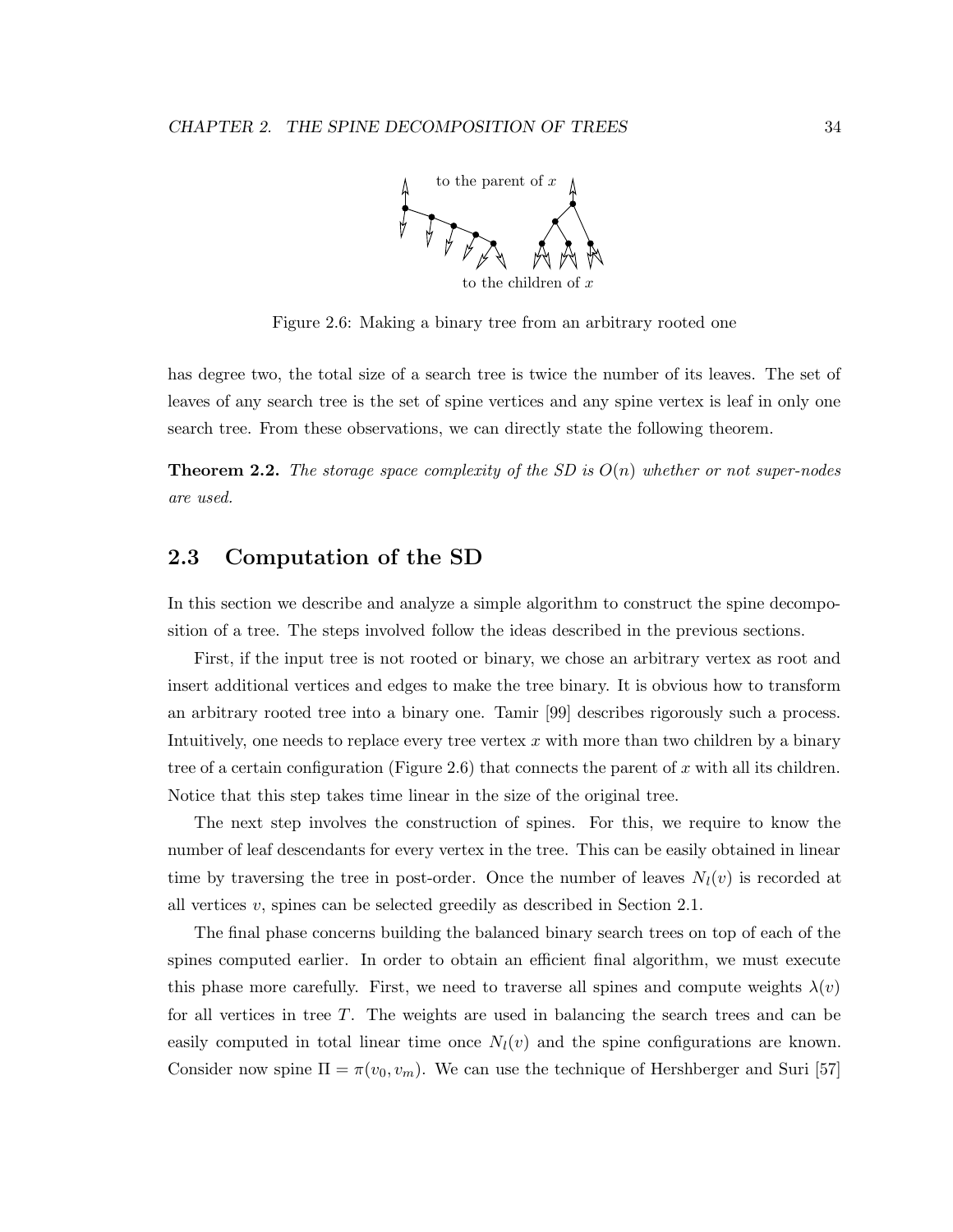

Figure 2.6: Making a binary tree from an arbitrary rooted one

has degree two, the total size of a search tree is twice the number of its leaves. The set of leaves of any search tree is the set of spine vertices and any spine vertex is leaf in only one search tree. From these observations, we can directly state the following theorem.

**Theorem 2.2.** The storage space complexity of the SD is  $O(n)$  whether or not super-nodes are used.

## 2.3 Computation of the SD

In this section we describe and analyze a simple algorithm to construct the spine decomposition of a tree. The steps involved follow the ideas described in the previous sections.

First, if the input tree is not rooted or binary, we chose an arbitrary vertex as root and insert additional vertices and edges to make the tree binary. It is obvious how to transform an arbitrary rooted tree into a binary one. Tamir [99] describes rigorously such a process. Intuitively, one needs to replace every tree vertex  $x$  with more than two children by a binary tree of a certain configuration (Figure 2.6) that connects the parent of x with all its children. Notice that this step takes time linear in the size of the original tree.

The next step involves the construction of spines. For this, we require to know the number of leaf descendants for every vertex in the tree. This can be easily obtained in linear time by traversing the tree in post-order. Once the number of leaves  $N_l(v)$  is recorded at all vertices v, spines can be selected greedily as described in Section 2.1.

The final phase concerns building the balanced binary search trees on top of each of the spines computed earlier. In order to obtain an efficient final algorithm, we must execute this phase more carefully. First, we need to traverse all spines and compute weights  $\lambda(v)$ for all vertices in tree T. The weights are used in balancing the search trees and can be easily computed in total linear time once  $N_l(v)$  and the spine configurations are known. Consider now spine  $\Pi = \pi(v_0, v_m)$ . We can use the technique of Hershberger and Suri [57]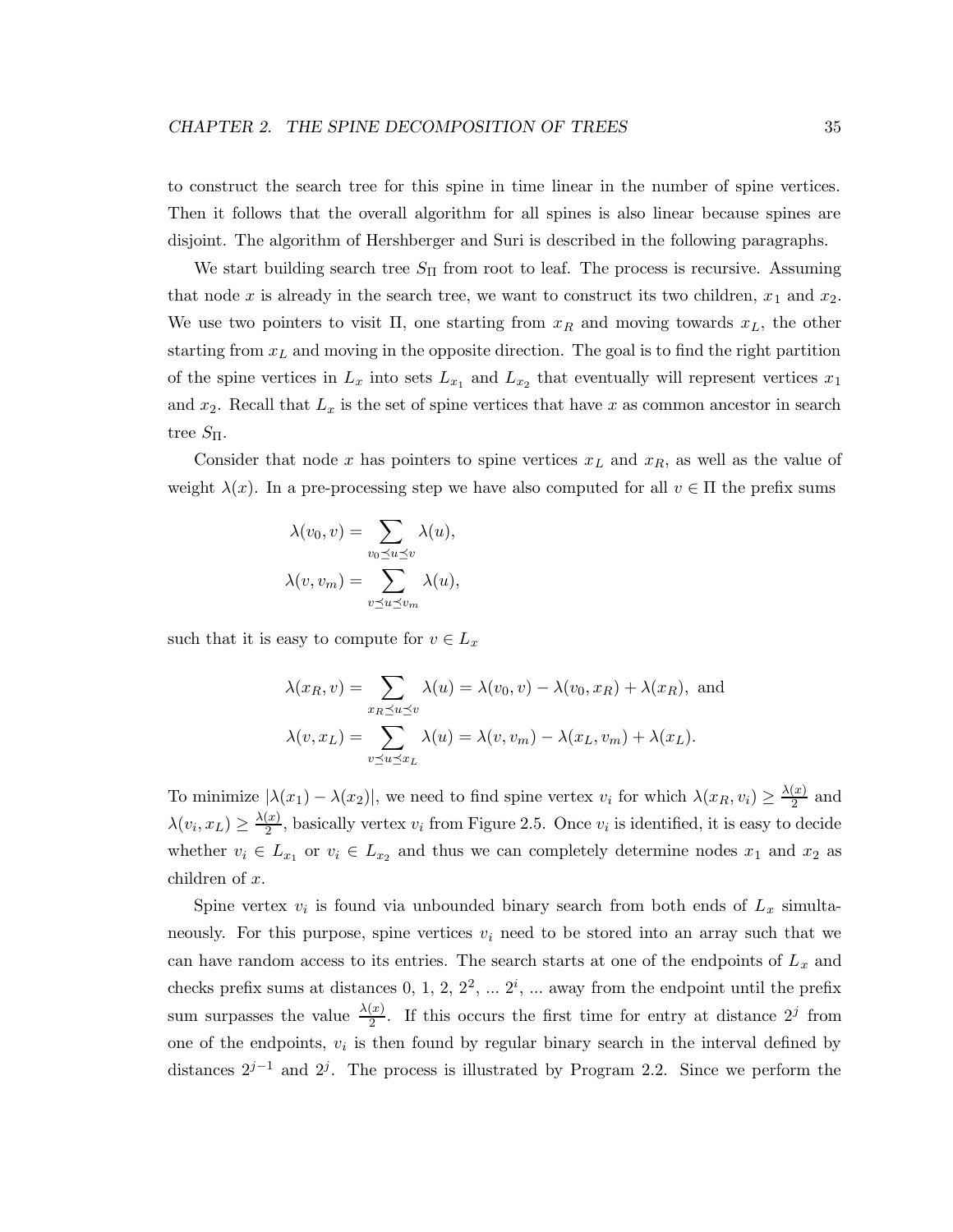to construct the search tree for this spine in time linear in the number of spine vertices. Then it follows that the overall algorithm for all spines is also linear because spines are disjoint. The algorithm of Hershberger and Suri is described in the following paragraphs.

We start building search tree  $S_{\Pi}$  from root to leaf. The process is recursive. Assuming that node x is already in the search tree, we want to construct its two children,  $x_1$  and  $x_2$ . We use two pointers to visit  $\Pi$ , one starting from  $x_R$  and moving towards  $x_L$ , the other starting from  $x<sub>L</sub>$  and moving in the opposite direction. The goal is to find the right partition of the spine vertices in  $L_x$  into sets  $L_{x_1}$  and  $L_{x_2}$  that eventually will represent vertices  $x_1$ and  $x_2$ . Recall that  $L_x$  is the set of spine vertices that have x as common ancestor in search tree  $S_{\Pi}$ .

Consider that node x has pointers to spine vertices  $x_L$  and  $x_R$ , as well as the value of weight  $\lambda(x)$ . In a pre-processing step we have also computed for all  $v \in \Pi$  the prefix sums

$$
\lambda(v_0, v) = \sum_{v_0 \preceq u \preceq v} \lambda(u),
$$

$$
\lambda(v, v_m) = \sum_{v \preceq u \preceq v_m} \lambda(u),
$$

such that it is easy to compute for  $v \in L_x$ 

$$
\lambda(x_R, v) = \sum_{x_R \preceq u \preceq v} \lambda(u) = \lambda(v_0, v) - \lambda(v_0, x_R) + \lambda(x_R), \text{ and}
$$

$$
\lambda(v, x_L) = \sum_{v \preceq u \preceq x_L} \lambda(u) = \lambda(v, v_m) - \lambda(x_L, v_m) + \lambda(x_L).
$$

To minimize  $|\lambda(x_1) - \lambda(x_2)|$ , we need to find spine vertex  $v_i$  for which  $\lambda(x_R, v_i) \geq \frac{\lambda(x)}{2}$  $\frac{x}{2}$  and  $\lambda(v_i, x_L) \geq \frac{\lambda(x)}{2}$  $\frac{y(x)}{2}$ , basically vertex  $v_i$  from Figure 2.5. Once  $v_i$  is identified, it is easy to decide whether  $v_i \in L_{x_1}$  or  $v_i \in L_{x_2}$  and thus we can completely determine nodes  $x_1$  and  $x_2$  as children of x.

Spine vertex  $v_i$  is found via unbounded binary search from both ends of  $L_x$  simultaneously. For this purpose, spine vertices  $v_i$  need to be stored into an array such that we can have random access to its entries. The search starts at one of the endpoints of  $L<sub>x</sub>$  and checks prefix sums at distances  $0, 1, 2, 2^2, \dots 2^i$ ,  $\dots$  away from the endpoint until the prefix sum surpasses the value  $\frac{\lambda(x)}{2}$ . If this occurs the first time for entry at distance  $2^j$  from one of the endpoints,  $v_i$  is then found by regular binary search in the interval defined by distances  $2^{j-1}$  and  $2^j$ . The process is illustrated by Program 2.2. Since we perform the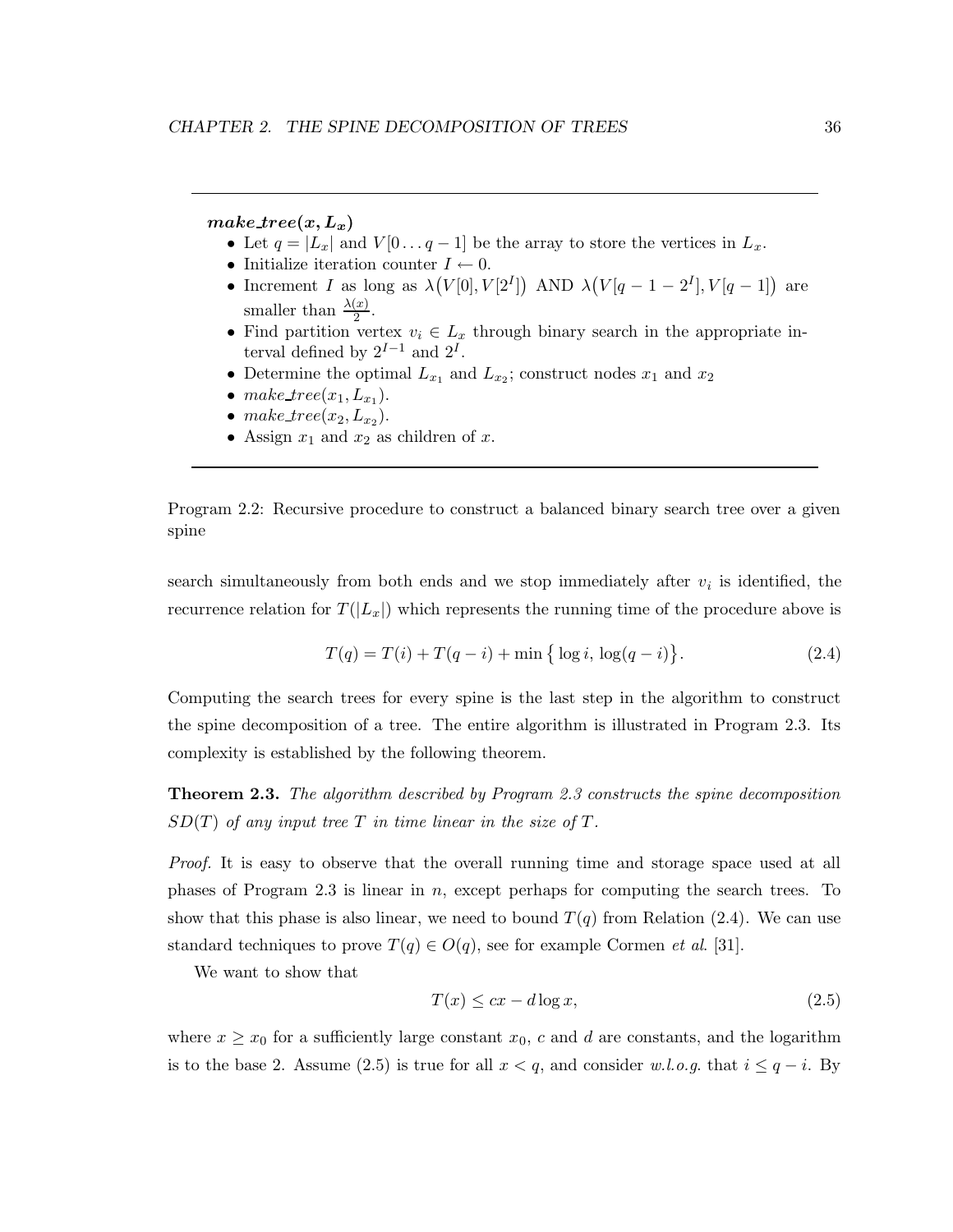#### make  $tree(x, L_x)$

- Let  $q = |L_x|$  and  $V[0 \dots q-1]$  be the array to store the vertices in  $L_x$ .
- Initialize iteration counter  $I \leftarrow 0$ .
- Increment I as long as  $\lambda(V[0], V[2^I])$  AND  $\lambda(V[q-1-2^I], V[q-1])$  are smaller than  $\frac{\lambda(x)}{2}$ .
- Find partition vertex  $v_i \in L_x$  through binary search in the appropriate interval defined by  $2^{I-1}$  and  $2^I$ .
- Determine the optimal  $L_{x_1}$  and  $L_{x_2}$ ; construct nodes  $x_1$  and  $x_2$
- make\_tree $(x_1, L_{x_1})$ .
- make\_tree( $x_2, L_{x_2}$ ).
- Assign  $x_1$  and  $x_2$  as children of x.

Program 2.2: Recursive procedure to construct a balanced binary search tree over a given spine

search simultaneously from both ends and we stop immediately after  $v_i$  is identified, the recurrence relation for  $T(|L_x|)$  which represents the running time of the procedure above is

$$
T(q) = T(i) + T(q - i) + \min \{ \log i, \log(q - i) \}.
$$
 (2.4)

Computing the search trees for every spine is the last step in the algorithm to construct the spine decomposition of a tree. The entire algorithm is illustrated in Program 2.3. Its complexity is established by the following theorem.

Theorem 2.3. The algorithm described by Program 2.3 constructs the spine decomposition  $SD(T)$  of any input tree T in time linear in the size of T.

Proof. It is easy to observe that the overall running time and storage space used at all phases of Program 2.3 is linear in  $n$ , except perhaps for computing the search trees. To show that this phase is also linear, we need to bound  $T(q)$  from Relation (2.4). We can use standard techniques to prove  $T(q) \in O(q)$ , see for example Cormen *et al.* [31].

We want to show that

$$
T(x) \le cx - d \log x,\tag{2.5}
$$

where  $x \geq x_0$  for a sufficiently large constant  $x_0$ , c and d are constants, and the logarithm is to the base 2. Assume (2.5) is true for all  $x < q$ , and consider w.l.o.g. that  $i \leq q - i$ . By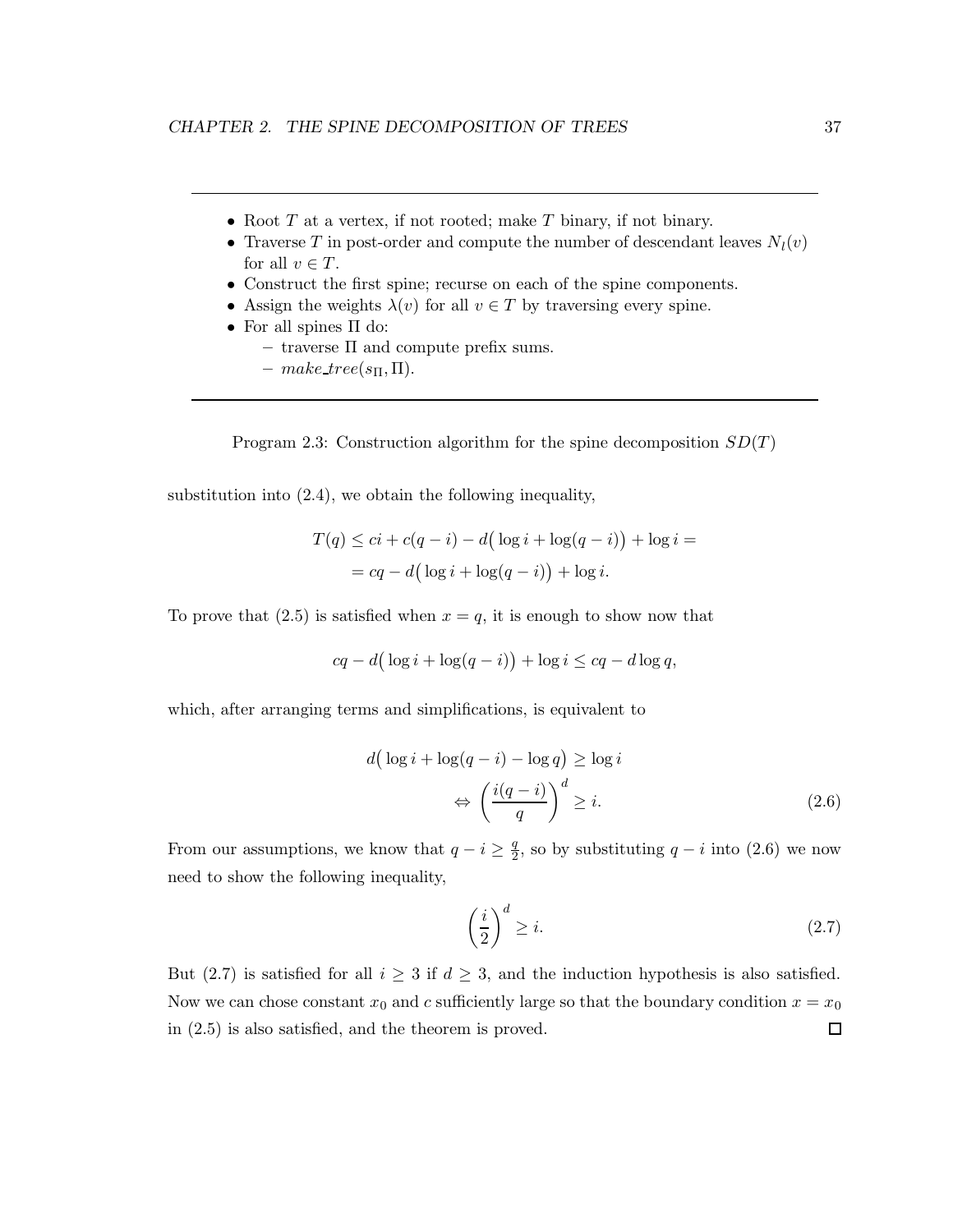- Root  $T$  at a vertex, if not rooted; make  $T$  binary, if not binary.
- Traverse T in post-order and compute the number of descendant leaves  $N_l(v)$ for all  $v \in T$ .
- Construct the first spine; recurse on each of the spine components.
- Assign the weights  $\lambda(v)$  for all  $v \in T$  by traversing every spine.
- For all spines Π do:
	- $-$  traverse  $\Pi$  and compute prefix sums.
	- make tree( $s_{\Pi}$ ,  $\Pi$ ).

Program 2.3: Construction algorithm for the spine decomposition  $SD(T)$ 

substitution into (2.4), we obtain the following inequality,

$$
T(q) \le ci + c(q - i) - d\left(\log i + \log(q - i)\right) + \log i =
$$
  
= 
$$
cq - d\left(\log i + \log(q - i)\right) + \log i.
$$

To prove that  $(2.5)$  is satisfied when  $x = q$ , it is enough to show now that

$$
cq - d(\log i + \log(q - i)) + \log i \le cq - d\log q,
$$

which, after arranging terms and simplifications, is equivalent to

$$
d\left(\log i + \log(q - i) - \log q\right) \ge \log i
$$

$$
\Leftrightarrow \left(\frac{i(q - i)}{q}\right)^d \ge i. \tag{2.6}
$$

From our assumptions, we know that  $q - i \geq \frac{q}{2}$  $\frac{q}{2}$ , so by substituting  $q - i$  into (2.6) we now need to show the following inequality,

$$
\left(\frac{i}{2}\right)^d \ge i. \tag{2.7}
$$

But (2.7) is satisfied for all  $i \geq 3$  if  $d \geq 3$ , and the induction hypothesis is also satisfied. Now we can chose constant  $x_0$  and c sufficiently large so that the boundary condition  $x = x_0$  $\Box$ in (2.5) is also satisfied, and the theorem is proved.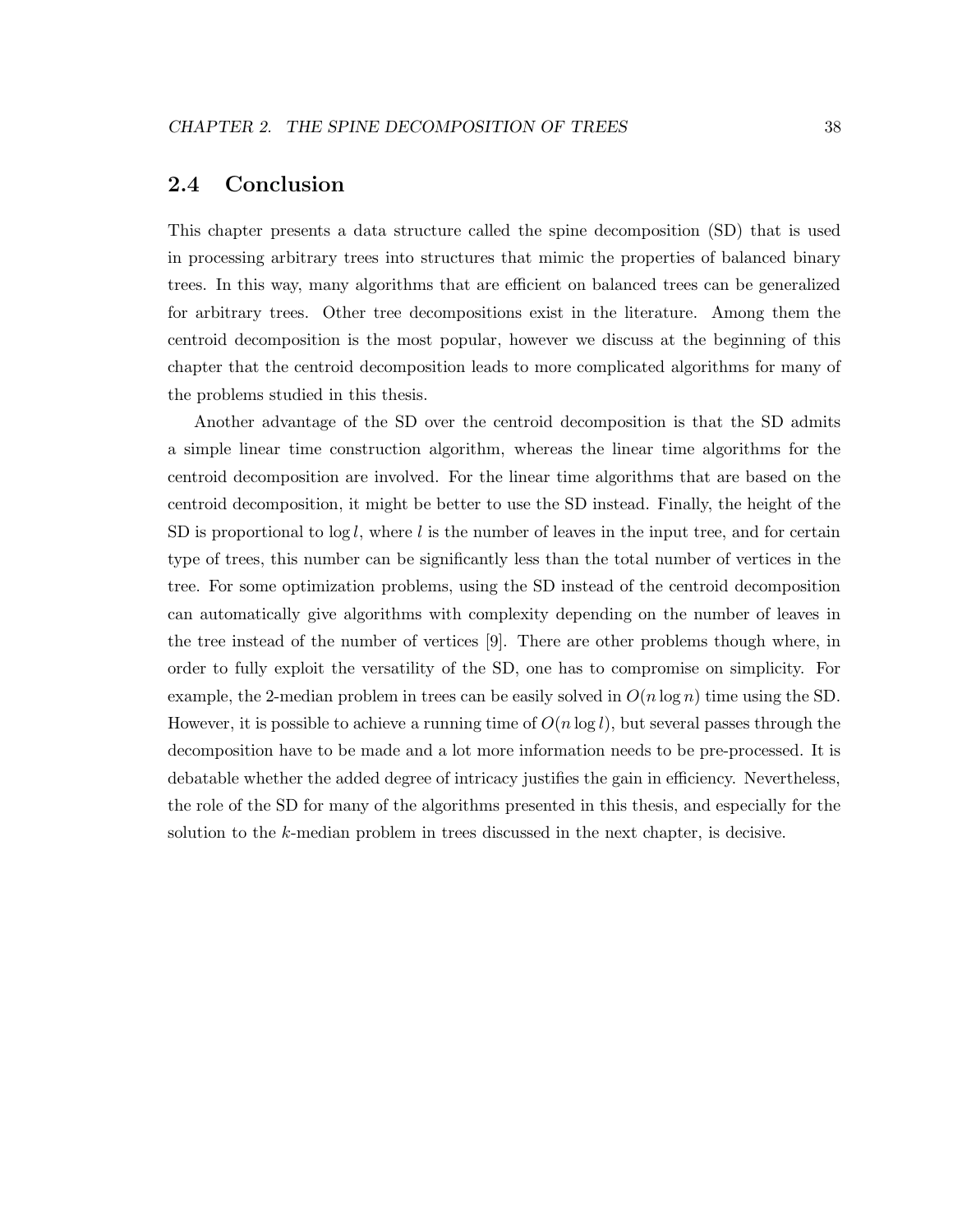## 2.4 Conclusion

This chapter presents a data structure called the spine decomposition (SD) that is used in processing arbitrary trees into structures that mimic the properties of balanced binary trees. In this way, many algorithms that are efficient on balanced trees can be generalized for arbitrary trees. Other tree decompositions exist in the literature. Among them the centroid decomposition is the most popular, however we discuss at the beginning of this chapter that the centroid decomposition leads to more complicated algorithms for many of the problems studied in this thesis.

Another advantage of the SD over the centroid decomposition is that the SD admits a simple linear time construction algorithm, whereas the linear time algorithms for the centroid decomposition are involved. For the linear time algorithms that are based on the centroid decomposition, it might be better to use the SD instead. Finally, the height of the SD is proportional to  $\log l$ , where l is the number of leaves in the input tree, and for certain type of trees, this number can be significantly less than the total number of vertices in the tree. For some optimization problems, using the SD instead of the centroid decomposition can automatically give algorithms with complexity depending on the number of leaves in the tree instead of the number of vertices [9]. There are other problems though where, in order to fully exploit the versatility of the SD, one has to compromise on simplicity. For example, the 2-median problem in trees can be easily solved in  $O(n \log n)$  time using the SD. However, it is possible to achieve a running time of  $O(n \log l)$ , but several passes through the decomposition have to be made and a lot more information needs to be pre-processed. It is debatable whether the added degree of intricacy justifies the gain in efficiency. Nevertheless, the role of the SD for many of the algorithms presented in this thesis, and especially for the solution to the k-median problem in trees discussed in the next chapter, is decisive.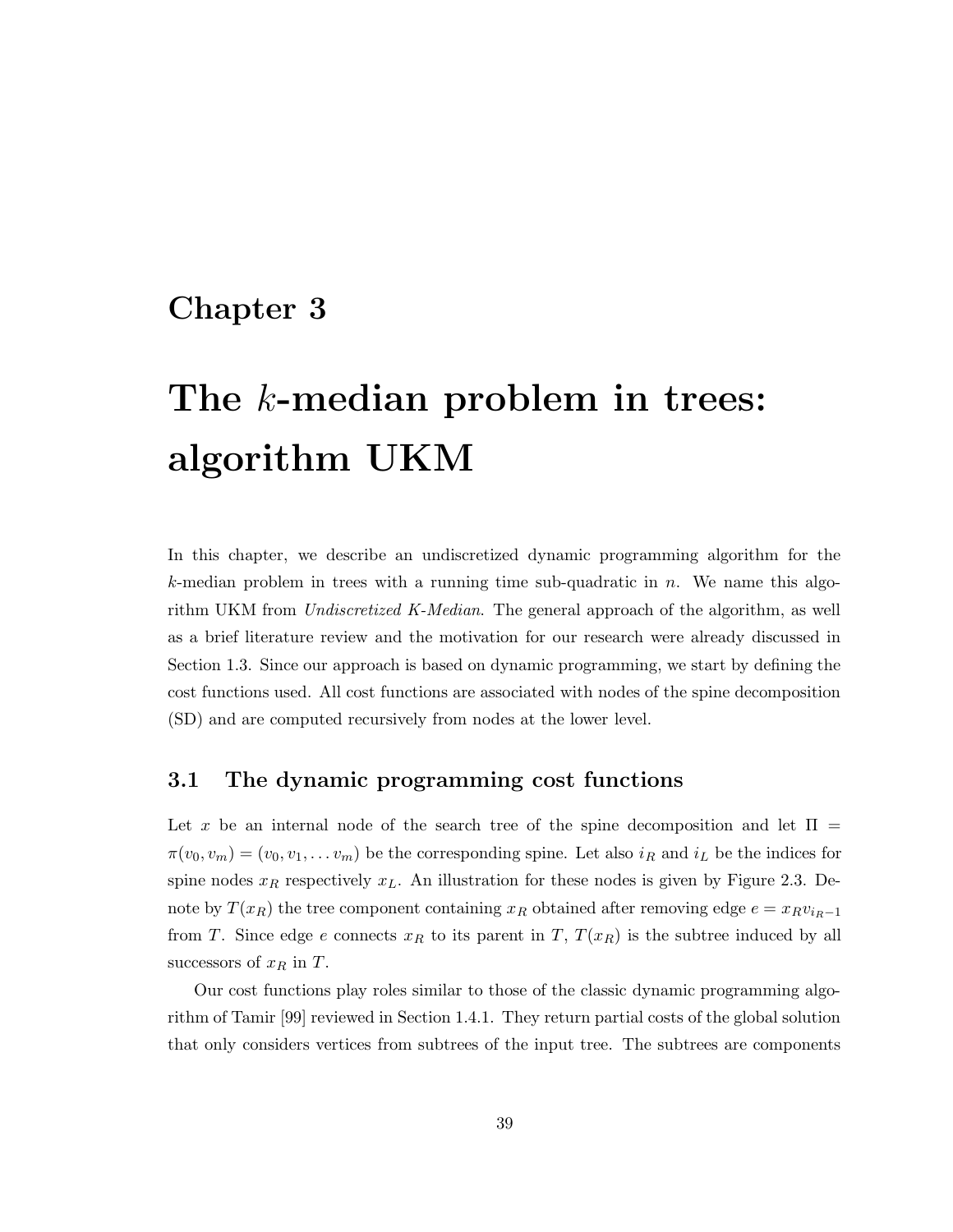## Chapter 3

# The k-median problem in trees: algorithm UKM

In this chapter, we describe an undiscretized dynamic programming algorithm for the k-median problem in trees with a running time sub-quadratic in  $n$ . We name this algorithm UKM from Undiscretized K-Median. The general approach of the algorithm, as well as a brief literature review and the motivation for our research were already discussed in Section 1.3. Since our approach is based on dynamic programming, we start by defining the cost functions used. All cost functions are associated with nodes of the spine decomposition (SD) and are computed recursively from nodes at the lower level.

## 3.1 The dynamic programming cost functions

Let x be an internal node of the search tree of the spine decomposition and let  $\Pi$  =  $\pi(v_0, v_m) = (v_0, v_1, \dots v_m)$  be the corresponding spine. Let also  $i_R$  and  $i_L$  be the indices for spine nodes  $x_R$  respectively  $x_L$ . An illustration for these nodes is given by Figure 2.3. Denote by  $T(x_R)$  the tree component containing  $x_R$  obtained after removing edge  $e = x_R v_{i_R-1}$ from T. Since edge e connects  $x_R$  to its parent in T,  $T(x_R)$  is the subtree induced by all successors of  $x_R$  in  $T$ .

Our cost functions play roles similar to those of the classic dynamic programming algorithm of Tamir [99] reviewed in Section 1.4.1. They return partial costs of the global solution that only considers vertices from subtrees of the input tree. The subtrees are components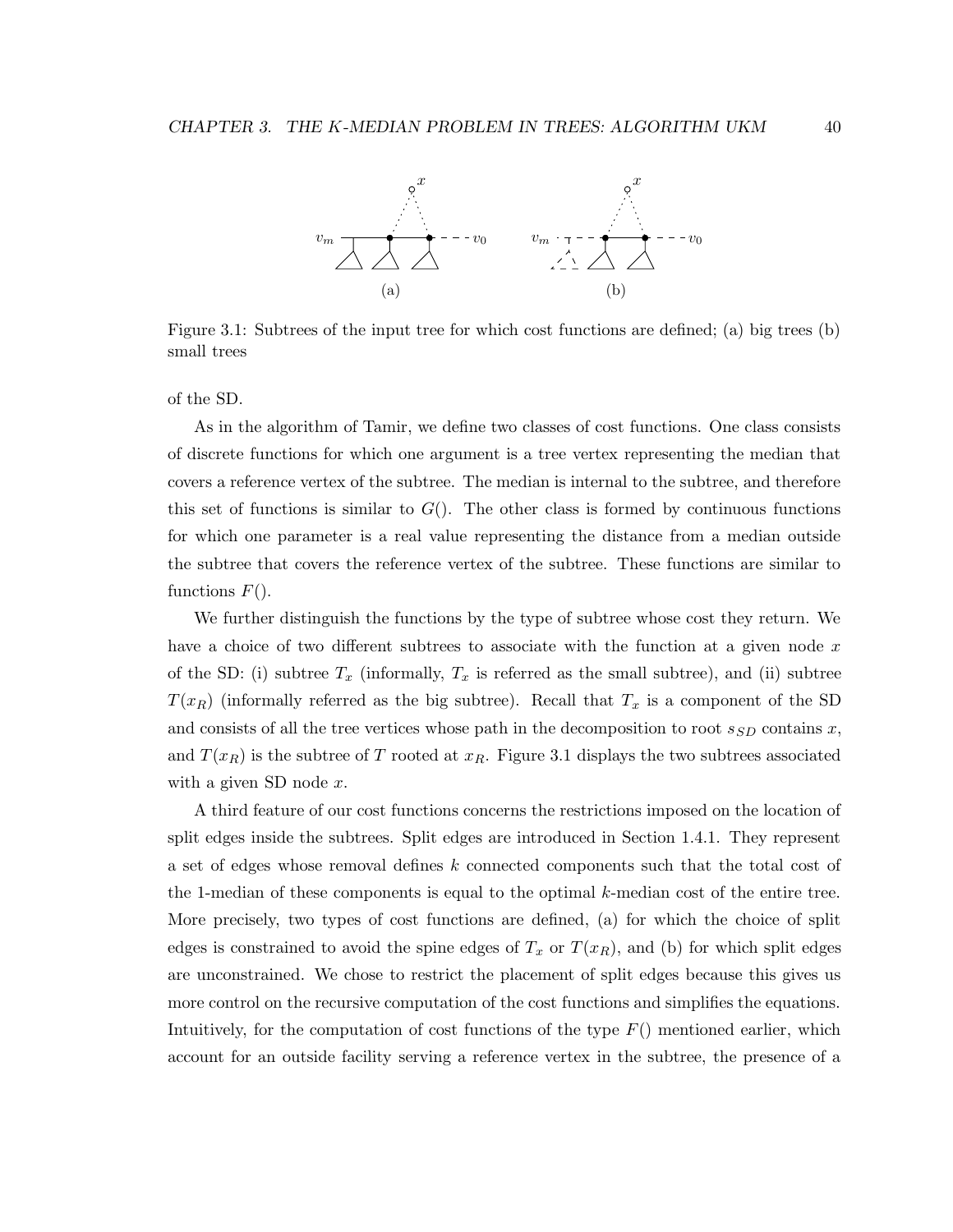

Figure 3.1: Subtrees of the input tree for which cost functions are defined; (a) big trees (b) small trees

of the SD.

As in the algorithm of Tamir, we define two classes of cost functions. One class consists of discrete functions for which one argument is a tree vertex representing the median that covers a reference vertex of the subtree. The median is internal to the subtree, and therefore this set of functions is similar to  $G()$ . The other class is formed by continuous functions for which one parameter is a real value representing the distance from a median outside the subtree that covers the reference vertex of the subtree. These functions are similar to functions  $F()$ .

We further distinguish the functions by the type of subtree whose cost they return. We have a choice of two different subtrees to associate with the function at a given node  $x$ of the SD: (i) subtree  $T_x$  (informally,  $T_x$  is referred as the small subtree), and (ii) subtree  $T(x_R)$  (informally referred as the big subtree). Recall that  $T_x$  is a component of the SD and consists of all the tree vertices whose path in the decomposition to root  $s_{SD}$  contains x, and  $T(x_R)$  is the subtree of T rooted at  $x_R$ . Figure 3.1 displays the two subtrees associated with a given SD node  $x$ .

A third feature of our cost functions concerns the restrictions imposed on the location of split edges inside the subtrees. Split edges are introduced in Section 1.4.1. They represent a set of edges whose removal defines k connected components such that the total cost of the 1-median of these components is equal to the optimal k-median cost of the entire tree. More precisely, two types of cost functions are defined, (a) for which the choice of split edges is constrained to avoid the spine edges of  $T_x$  or  $T(x_R)$ , and (b) for which split edges are unconstrained. We chose to restrict the placement of split edges because this gives us more control on the recursive computation of the cost functions and simplifies the equations. Intuitively, for the computation of cost functions of the type  $F()$  mentioned earlier, which account for an outside facility serving a reference vertex in the subtree, the presence of a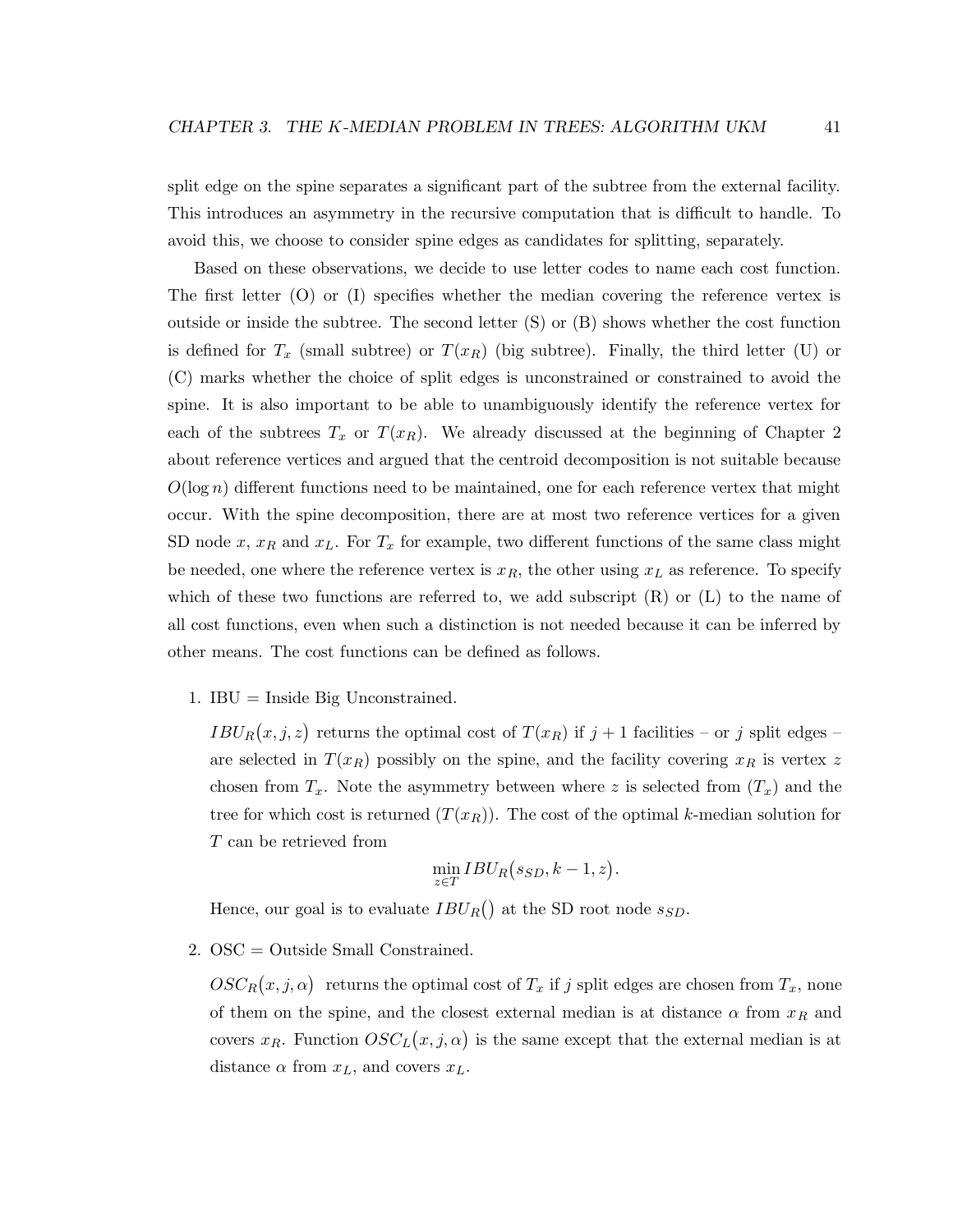split edge on the spine separates a significant part of the subtree from the external facility. This introduces an asymmetry in the recursive computation that is difficult to handle. To avoid this, we choose to consider spine edges as candidates for splitting, separately.

Based on these observations, we decide to use letter codes to name each cost function. The first letter (O) or (I) specifies whether the median covering the reference vertex is outside or inside the subtree. The second letter (S) or (B) shows whether the cost function is defined for  $T_x$  (small subtree) or  $T(x_R)$  (big subtree). Finally, the third letter (U) or (C) marks whether the choice of split edges is unconstrained or constrained to avoid the spine. It is also important to be able to unambiguously identify the reference vertex for each of the subtrees  $T_x$  or  $T(x_R)$ . We already discussed at the beginning of Chapter 2 about reference vertices and argued that the centroid decomposition is not suitable because  $O(\log n)$  different functions need to be maintained, one for each reference vertex that might occur. With the spine decomposition, there are at most two reference vertices for a given SD node x,  $x_R$  and  $x_L$ . For  $T_x$  for example, two different functions of the same class might be needed, one where the reference vertex is  $x_R$ , the other using  $x_L$  as reference. To specify which of these two functions are referred to, we add subscript  $(R)$  or  $(L)$  to the name of all cost functions, even when such a distinction is not needed because it can be inferred by other means. The cost functions can be defined as follows.

1. IBU = Inside Big Unconstrained.

 $IBU_R(x, j, z)$  returns the optimal cost of  $T(x_R)$  if  $j + 1$  facilities – or j split edges – are selected in  $T(x_R)$  possibly on the spine, and the facility covering  $x_R$  is vertex z chosen from  $T_x$ . Note the asymmetry between where z is selected from  $(T_x)$  and the tree for which cost is returned  $(T(x_R))$ . The cost of the optimal k-median solution for T can be retrieved from

$$
\min_{z \in T} IBU_R(s_{SD}, k-1, z).
$$

Hence, our goal is to evaluate  $IBU_R()$  at the SD root node  $s_{SD}$ .

2. OSC = Outside Small Constrained.

 $\mathcal{O} \mathcal{S} \mathcal{C}_R(x, j, \alpha)$  returns the optimal cost of  $T_x$  if j split edges are chosen from  $T_x$ , none of them on the spine, and the closest external median is at distance  $\alpha$  from  $x_R$  and covers  $x_R$ . Function  $OSC<sub>L</sub>(x, j, \alpha)$  is the same except that the external median is at distance  $\alpha$  from  $x_L$ , and covers  $x_L$ .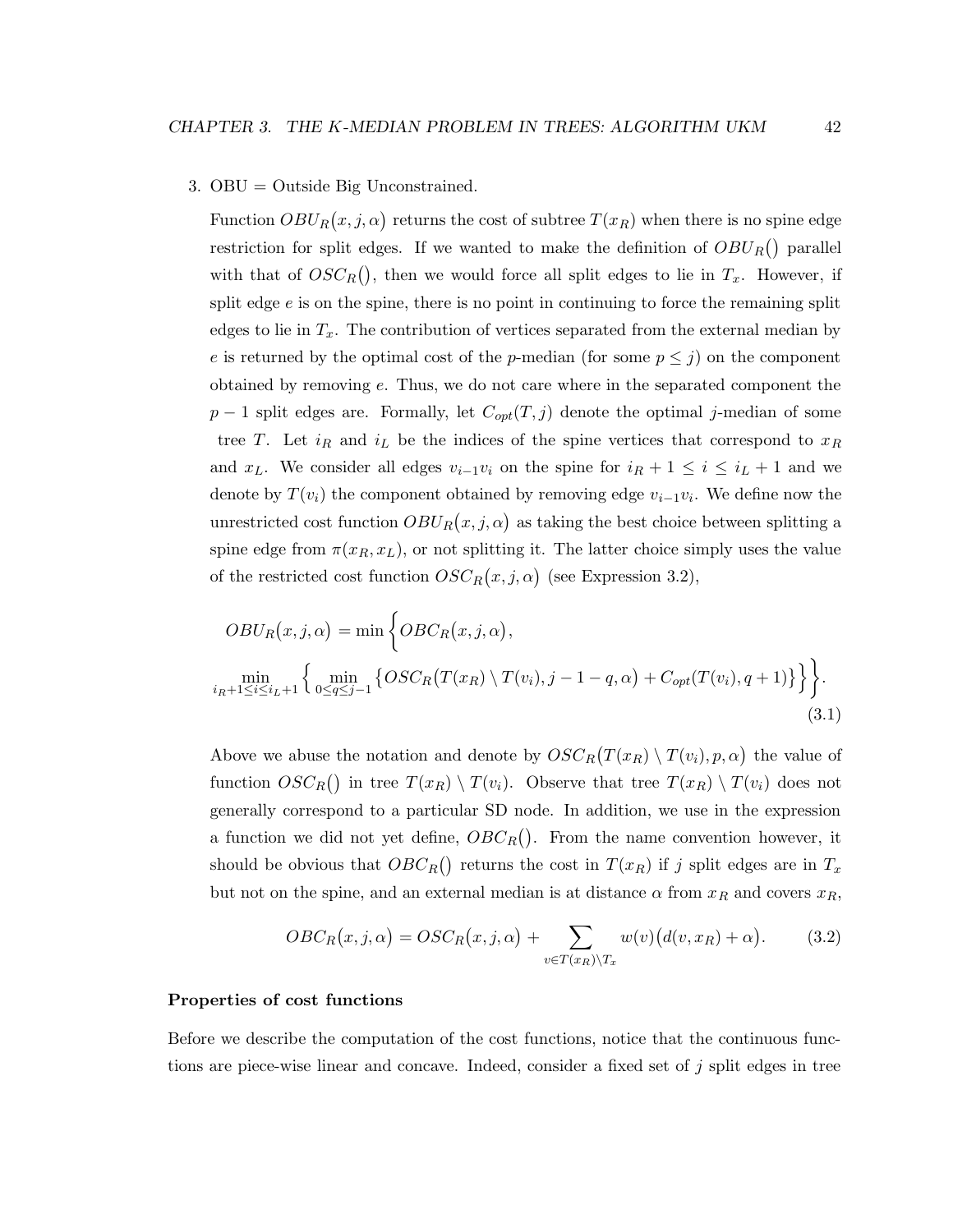#### 3. OBU = Outside Big Unconstrained.

Function  $OBU_R(x, j, \alpha)$  returns the cost of subtree  $T(x_R)$  when there is no spine edge restriction for split edges. If we wanted to make the definition of  $OBU_R()$  parallel with that of  $OSC_R()$ , then we would force all split edges to lie in  $T_x$ . However, if split edge  $e$  is on the spine, there is no point in continuing to force the remaining split edges to lie in  $T_x$ . The contribution of vertices separated from the external median by e is returned by the optimal cost of the p-median (for some  $p \leq j$ ) on the component obtained by removing e. Thus, we do not care where in the separated component the  $p-1$  split edges are. Formally, let  $C_{opt}(T, j)$  denote the optimal j-median of some tree T. Let  $i_R$  and  $i_L$  be the indices of the spine vertices that correspond to  $x_R$ and  $x_L$ . We consider all edges  $v_{i-1}v_i$  on the spine for  $i_R + 1 \leq i \leq i_L + 1$  and we denote by  $T(v_i)$  the component obtained by removing edge  $v_{i-1}v_i$ . We define now the unrestricted cost function  $OBU_R(x, j, \alpha)$  as taking the best choice between splitting a spine edge from  $\pi(x_R, x_L)$ , or not splitting it. The latter choice simply uses the value of the restricted cost function  $OSC_R(x, j, \alpha)$  (see Expression 3.2),

$$
OBUR(x, j, \alpha) = \min \left\{ OBCR(x, j, \alpha),
$$
  
\n
$$
\min_{i_R+1 \le i \le i_L+1} \left\{ \min_{0 \le q \le j-1} \left\{ OSCR(T(x_R) \setminus T(v_i), j-1-q, \alpha) + C_{opt}(T(v_i), q+1) \right\} \right\}.
$$
\n(3.1)

Above we abuse the notation and denote by  $OSC_R(T(x_R) \setminus T(v_i), p, \alpha)$  the value of function  $OSC_R()$  in tree  $T(x_R) \setminus T(v_i)$ . Observe that tree  $T(x_R) \setminus T(v_i)$  does not generally correspond to a particular SD node. In addition, we use in the expression a function we did not yet define,  $OBC_R()$ . From the name convention however, it should be obvious that  $OBC_R()$  returns the cost in  $T(x_R)$  if j split edges are in  $T_x$ but not on the spine, and an external median is at distance  $\alpha$  from  $x_R$  and covers  $x_R$ ,

$$
OBC_R(x,j,\alpha) = OSC_R(x,j,\alpha) + \sum_{v \in T(x_R) \setminus T_x} w(v) \big(d(v,x_R) + \alpha\big). \tag{3.2}
$$

#### Properties of cost functions

Before we describe the computation of the cost functions, notice that the continuous functions are piece-wise linear and concave. Indeed, consider a fixed set of j split edges in tree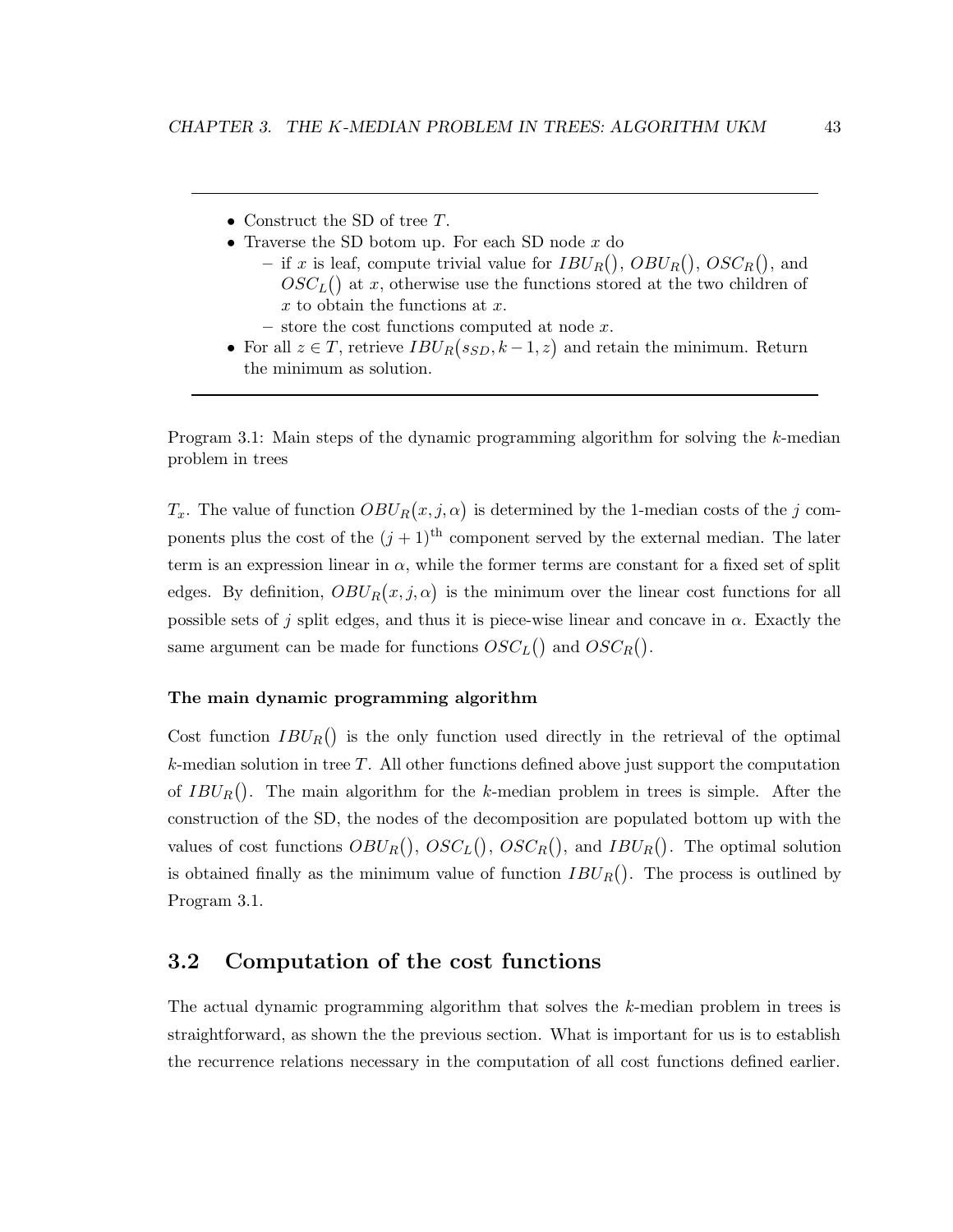- Construct the SD of tree T.
- Traverse the SD botom up. For each SD node  $x$  do
	- if x is leaf, compute trivial value for  $IBU_R()$ ,  $OBU_R()$ ,  $OSC_R()$ , and  $OSC<sub>L</sub>($ ) at x, otherwise use the functions stored at the two children of  $x$  to obtain the functions at  $x$ .
	- $-$  store the cost functions computed at node  $x$ .
- For all  $z \in T$ , retrieve  $IBU_R(s_{SD}, k-1, z)$  and retain the minimum. Return the minimum as solution.

Program 3.1: Main steps of the dynamic programming algorithm for solving the k-median problem in trees

 $T_x$ . The value of function  $OBU_R(x, j, \alpha)$  is determined by the 1-median costs of the j components plus the cost of the  $(j+1)$ <sup>th</sup> component served by the external median. The later term is an expression linear in  $\alpha$ , while the former terms are constant for a fixed set of split edges. By definition,  $OBU_R(x, j, \alpha)$  is the minimum over the linear cost functions for all possible sets of j split edges, and thus it is piece-wise linear and concave in  $\alpha$ . Exactly the same argument can be made for functions  $OSC_L()$  and  $OSC_R()$ .

#### The main dynamic programming algorithm

Cost function  $IBU_R()$  is the only function used directly in the retrieval of the optimal  $k$ -median solution in tree  $T$ . All other functions defined above just support the computation of  $IBU_R()$ . The main algorithm for the k-median problem in trees is simple. After the construction of the SD, the nodes of the decomposition are populated bottom up with the values of cost functions  $OBU_R()$ ,  $OSC_L()$ ,  $OSC_R()$ , and  $IBU_R()$ . The optimal solution is obtained finally as the minimum value of function  $IBU_R()$ . The process is outlined by Program 3.1.

## 3.2 Computation of the cost functions

The actual dynamic programming algorithm that solves the k-median problem in trees is straightforward, as shown the the previous section. What is important for us is to establish the recurrence relations necessary in the computation of all cost functions defined earlier.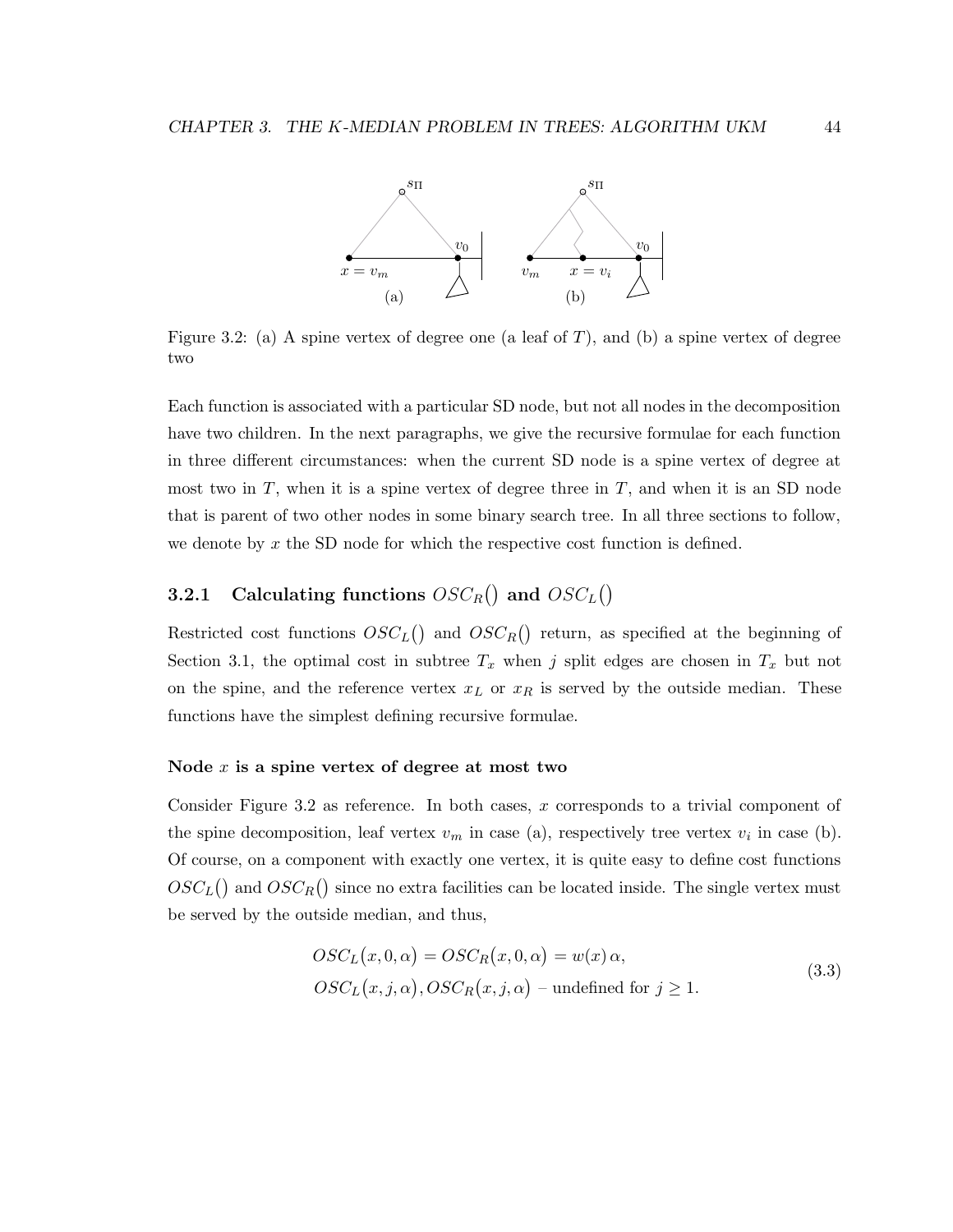

Figure 3.2: (a) A spine vertex of degree one (a leaf of  $T$ ), and (b) a spine vertex of degree two

Each function is associated with a particular SD node, but not all nodes in the decomposition have two children. In the next paragraphs, we give the recursive formulae for each function in three different circumstances: when the current SD node is a spine vertex of degree at most two in  $T$ , when it is a spine vertex of degree three in  $T$ , and when it is an SD node that is parent of two other nodes in some binary search tree. In all three sections to follow, we denote by  $x$  the SD node for which the respective cost function is defined.

## **3.2.1** Calculating functions  $OSC_R()$  and  $OSC_L()$

Restricted cost functions  $OSC<sub>L</sub>($  and  $OSC<sub>R</sub>()$  return, as specified at the beginning of Section 3.1, the optimal cost in subtree  $T_x$  when j split edges are chosen in  $T_x$  but not on the spine, and the reference vertex  $x_L$  or  $x_R$  is served by the outside median. These functions have the simplest defining recursive formulae.

#### Node  $x$  is a spine vertex of degree at most two

Consider Figure 3.2 as reference. In both cases,  $x$  corresponds to a trivial component of the spine decomposition, leaf vertex  $v_m$  in case (a), respectively tree vertex  $v_i$  in case (b). Of course, on a component with exactly one vertex, it is quite easy to define cost functions  $OSC<sub>L</sub>($ ) and  $OSC<sub>R</sub>()$  since no extra facilities can be located inside. The single vertex must be served by the outside median, and thus,

$$
OSC_L(x, 0, \alpha) = OSC_R(x, 0, \alpha) = w(x) \alpha,
$$
  

$$
OSC_L(x, j, \alpha), OSC_R(x, j, \alpha) - \text{undefined for } j \ge 1.
$$
 (3.3)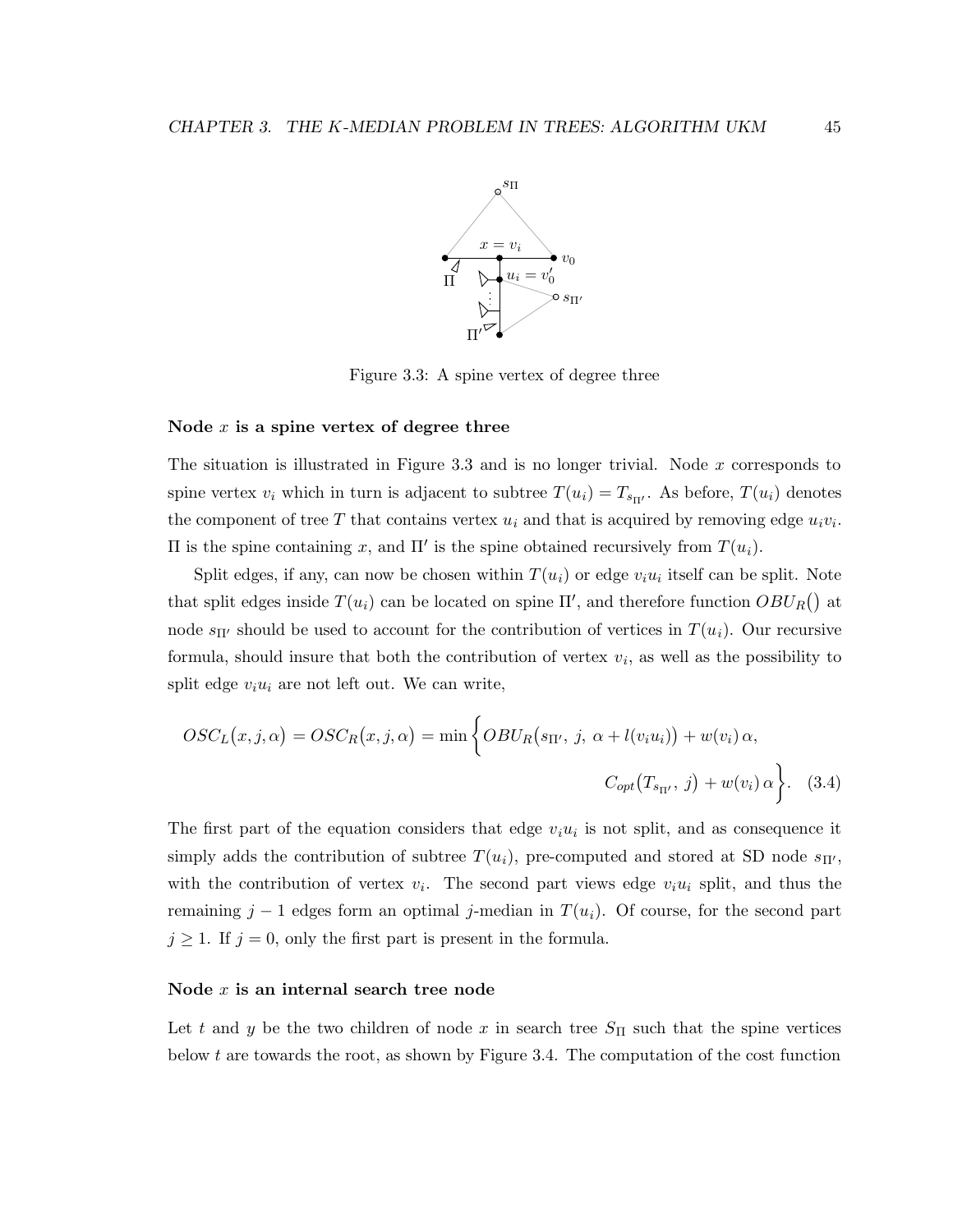

Figure 3.3: A spine vertex of degree three

#### Node  $x$  is a spine vertex of degree three

The situation is illustrated in Figure 3.3 and is no longer trivial. Node  $x$  corresponds to spine vertex  $v_i$  which in turn is adjacent to subtree  $T(u_i) = T_{s_{\Pi'}}$ . As before,  $T(u_i)$  denotes the component of tree T that contains vertex  $u_i$  and that is acquired by removing edge  $u_i v_i$ . II is the spine containing x, and  $\Pi'$  is the spine obtained recursively from  $T(u_i)$ .

Split edges, if any, can now be chosen within  $T(u_i)$  or edge  $v_iu_i$  itself can be split. Note that split edges inside  $T(u_i)$  can be located on spine  $\Pi'$ , and therefore function  $OBU_R()$  at node  $s_{\Pi'}$  should be used to account for the contribution of vertices in  $T(u_i)$ . Our recursive formula, should insure that both the contribution of vertex  $v_i$ , as well as the possibility to split edge  $v_i u_i$  are not left out. We can write,

$$
OSC_L(x, j, \alpha) = OSC_R(x, j, \alpha) = \min \left\{ OBU_R(s_{\Pi'}, j, \alpha + l(v_i u_i)) + w(v_i) \alpha, \right\}
$$

$$
C_{opt}(T_{s_{\Pi'}}, j) + w(v_i) \alpha \left\}.
$$
 (3.4)

The first part of the equation considers that edge  $v_i u_i$  is not split, and as consequence it simply adds the contribution of subtree  $T(u_i)$ , pre-computed and stored at SD node  $s_{\Pi'}$ , with the contribution of vertex  $v_i$ . The second part views edge  $v_i u_i$  split, and thus the remaining  $j-1$  edges form an optimal j-median in  $T(u_i)$ . Of course, for the second part  $j \geq 1$ . If  $j = 0$ , only the first part is present in the formula.

#### Node x is an internal search tree node

Let t and y be the two children of node x in search tree  $S_{\Pi}$  such that the spine vertices below t are towards the root, as shown by Figure 3.4. The computation of the cost function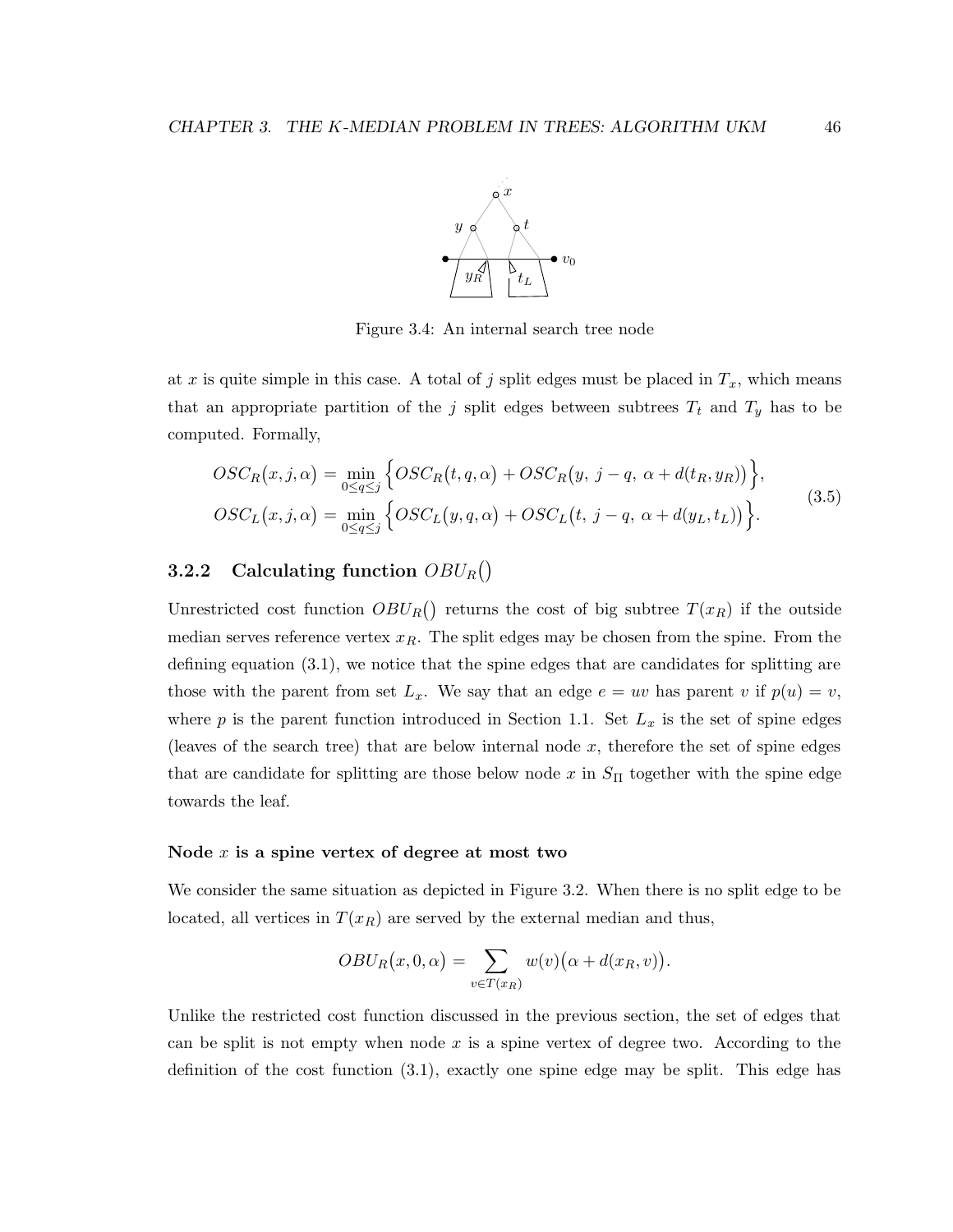

Figure 3.4: An internal search tree node

at x is quite simple in this case. A total of j split edges must be placed in  $T_x$ , which means that an appropriate partition of the j split edges between subtrees  $T_t$  and  $T_y$  has to be computed. Formally,

$$
OSC_R(x, j, \alpha) = \min_{0 \le q \le j} \left\{ OSC_R(t, q, \alpha) + OSC_R(y, j - q, \alpha + d(t_R, y_R)) \right\},\
$$
  

$$
OSC_L(x, j, \alpha) = \min_{0 \le q \le j} \left\{ OSC_L(y, q, \alpha) + OSC_L(t, j - q, \alpha + d(y_L, t_L)) \right\}.
$$
  
(3.5)

## 3.2.2 Calculating function  $OBU_R()$

Unrestricted cost function  $OBU_R()$  returns the cost of big subtree  $T(x_R)$  if the outside median serves reference vertex  $x_R$ . The split edges may be chosen from the spine. From the defining equation (3.1), we notice that the spine edges that are candidates for splitting are those with the parent from set  $L_x$ . We say that an edge  $e = uv$  has parent v if  $p(u) = v$ , where  $p$  is the parent function introduced in Section 1.1. Set  $L_x$  is the set of spine edges (leaves of the search tree) that are below internal node  $x$ , therefore the set of spine edges that are candidate for splitting are those below node x in  $S_{\Pi}$  together with the spine edge towards the leaf.

#### Node  $x$  is a spine vertex of degree at most two

We consider the same situation as depicted in Figure 3.2. When there is no split edge to be located, all vertices in  $T(x_R)$  are served by the external median and thus,

$$
OBU_R(x,0,\alpha) = \sum_{v \in T(x_R)} w(v) (\alpha + d(x_R, v)).
$$

Unlike the restricted cost function discussed in the previous section, the set of edges that can be split is not empty when node  $x$  is a spine vertex of degree two. According to the definition of the cost function (3.1), exactly one spine edge may be split. This edge has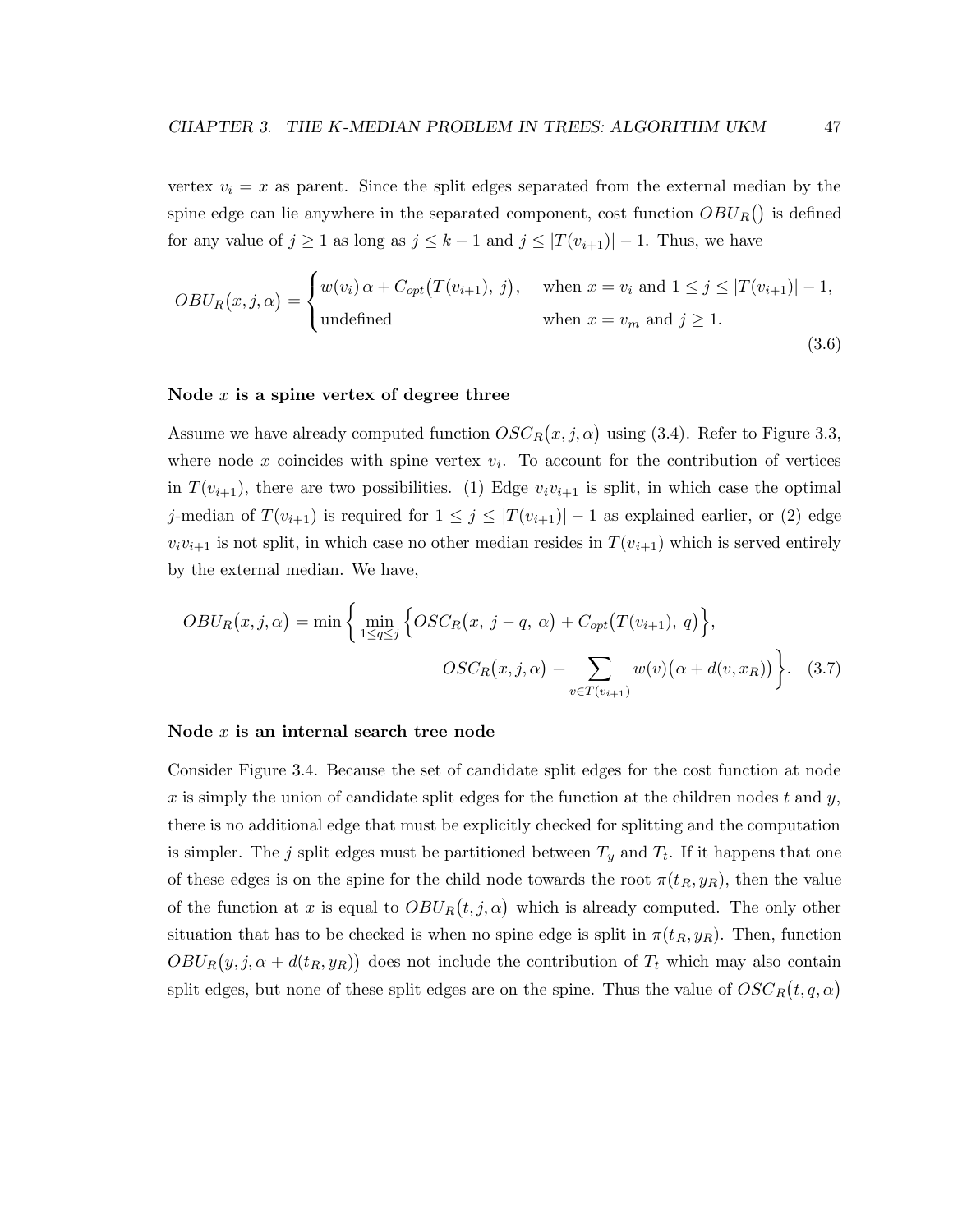vertex  $v_i = x$  as parent. Since the split edges separated from the external median by the spine edge can lie anywhere in the separated component, cost function  $OBU_R()$  is defined for any value of  $j \ge 1$  as long as  $j \le k-1$  and  $j \le |T(v_{i+1})|-1$ . Thus, we have

$$
OBU_R(x,j,\alpha) = \begin{cases} w(v_i) \alpha + C_{opt}(T(v_{i+1}), j), & \text{when } x = v_i \text{ and } 1 \le j \le |T(v_{i+1})| - 1, \\ \text{undefined} & \text{when } x = v_m \text{ and } j \ge 1. \end{cases} \tag{3.6}
$$

#### Node  $x$  is a spine vertex of degree three

Assume we have already computed function  $OSC_R(x, j, \alpha)$  using (3.4). Refer to Figure 3.3, where node x coincides with spine vertex  $v_i$ . To account for the contribution of vertices in  $T(v_{i+1})$ , there are two possibilities. (1) Edge  $v_i v_{i+1}$  is split, in which case the optimal j-median of  $T(v_{i+1})$  is required for  $1 \leq j \leq |T(v_{i+1})|-1$  as explained earlier, or (2) edge  $v_i v_{i+1}$  is not split, in which case no other median resides in  $T(v_{i+1})$  which is served entirely by the external median. We have,

$$
OBU_R(x,j,\alpha) = \min\left\{\min_{1\leq q\leq j}\left\{OSC_R(x,j-q,\alpha) + C_{opt}(T(v_{i+1}),q)\right\},\right.\\
$$

$$
OSC_R(x,j,\alpha) + \sum_{v\in T(v_{i+1})} w(v)(\alpha + d(v,x_R))\right\}.
$$
(3.7)

#### Node x is an internal search tree node

Consider Figure 3.4. Because the set of candidate split edges for the cost function at node x is simply the union of candidate split edges for the function at the children nodes t and y, there is no additional edge that must be explicitly checked for splitting and the computation is simpler. The j split edges must be partitioned between  $T_y$  and  $T_t$ . If it happens that one of these edges is on the spine for the child node towards the root  $\pi(t_R, y_R)$ , then the value of the function at x is equal to  $OBU_R(t, j, \alpha)$  which is already computed. The only other situation that has to be checked is when no spine edge is split in  $\pi(t_R, y_R)$ . Then, function  $OBU_R(y, j, \alpha + d(t_R, y_R))$  does not include the contribution of  $T_t$  which may also contain split edges, but none of these split edges are on the spine. Thus the value of  $OSC_R(t, q, \alpha)$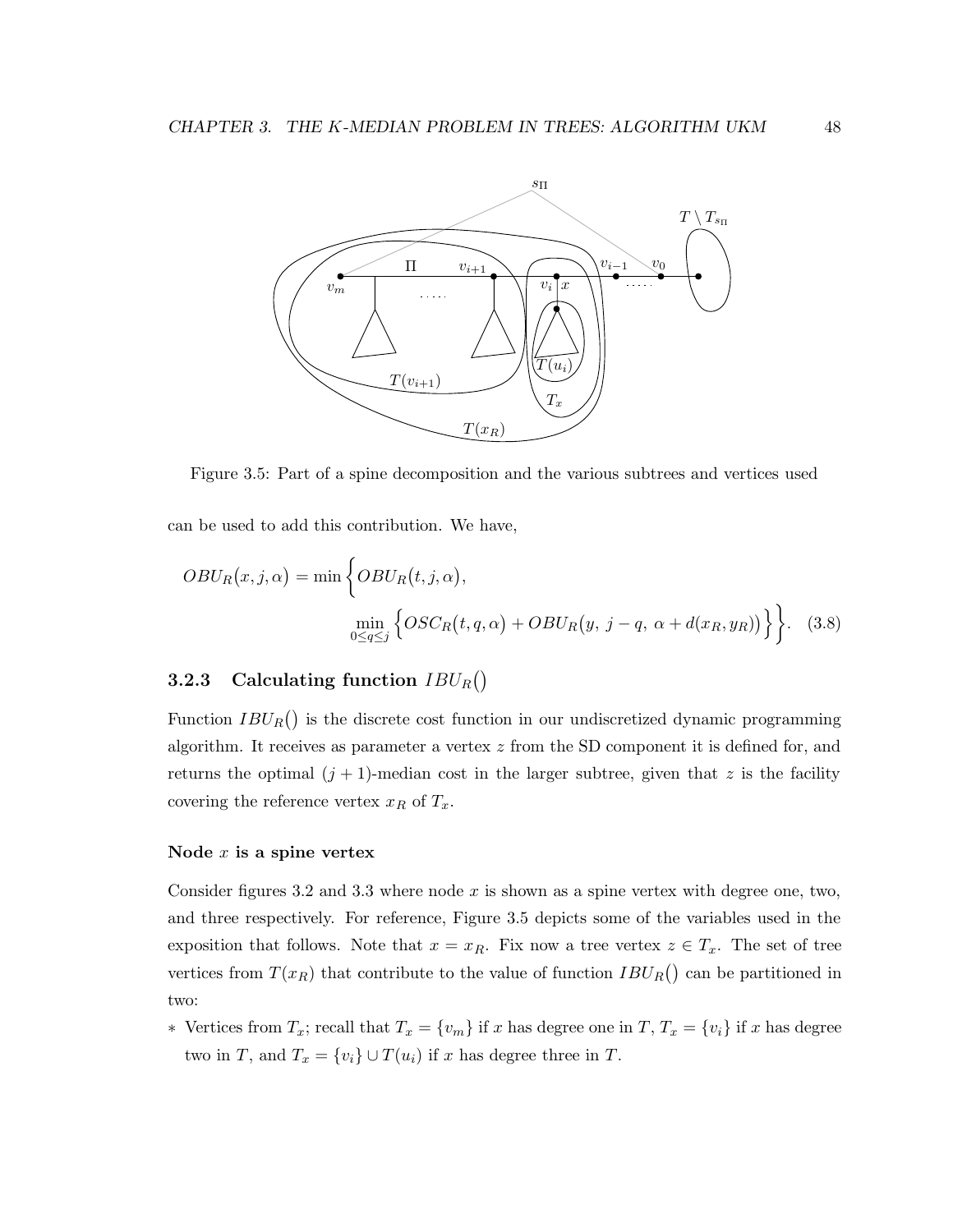

Figure 3.5: Part of a spine decomposition and the various subtrees and vertices used

can be used to add this contribution. We have,

$$
OBU_R(x,j,\alpha) = \min \left\{ OBU_R(t,j,\alpha), \atop \min_{0 \le q \le j} \left\{ OSC_R(t,q,\alpha) + OBU_R(y,j-q,\alpha+d(x_R,y_R)) \right\} \right\}.
$$
 (3.8)

## **3.2.3** Calculating function  $IBU_R()$

Function  $IBU_R()$  is the discrete cost function in our undiscretized dynamic programming algorithm. It receives as parameter a vertex z from the SD component it is defined for, and returns the optimal  $(j + 1)$ -median cost in the larger subtree, given that z is the facility covering the reference vertex  $x_R$  of  $T_x$ .

#### Node  $x$  is a spine vertex

Consider figures 3.2 and 3.3 where node  $x$  is shown as a spine vertex with degree one, two, and three respectively. For reference, Figure 3.5 depicts some of the variables used in the exposition that follows. Note that  $x = x_R$ . Fix now a tree vertex  $z \in T_x$ . The set of tree vertices from  $T(x_R)$  that contribute to the value of function  $IBU_R()$  can be partitioned in two:

• Vertices from  $T_x$ ; recall that  $T_x = \{v_m\}$  if x has degree one in  $T$ ,  $T_x = \{v_i\}$  if x has degree two in T, and  $T_x = \{v_i\} \cup T(u_i)$  if x has degree three in T.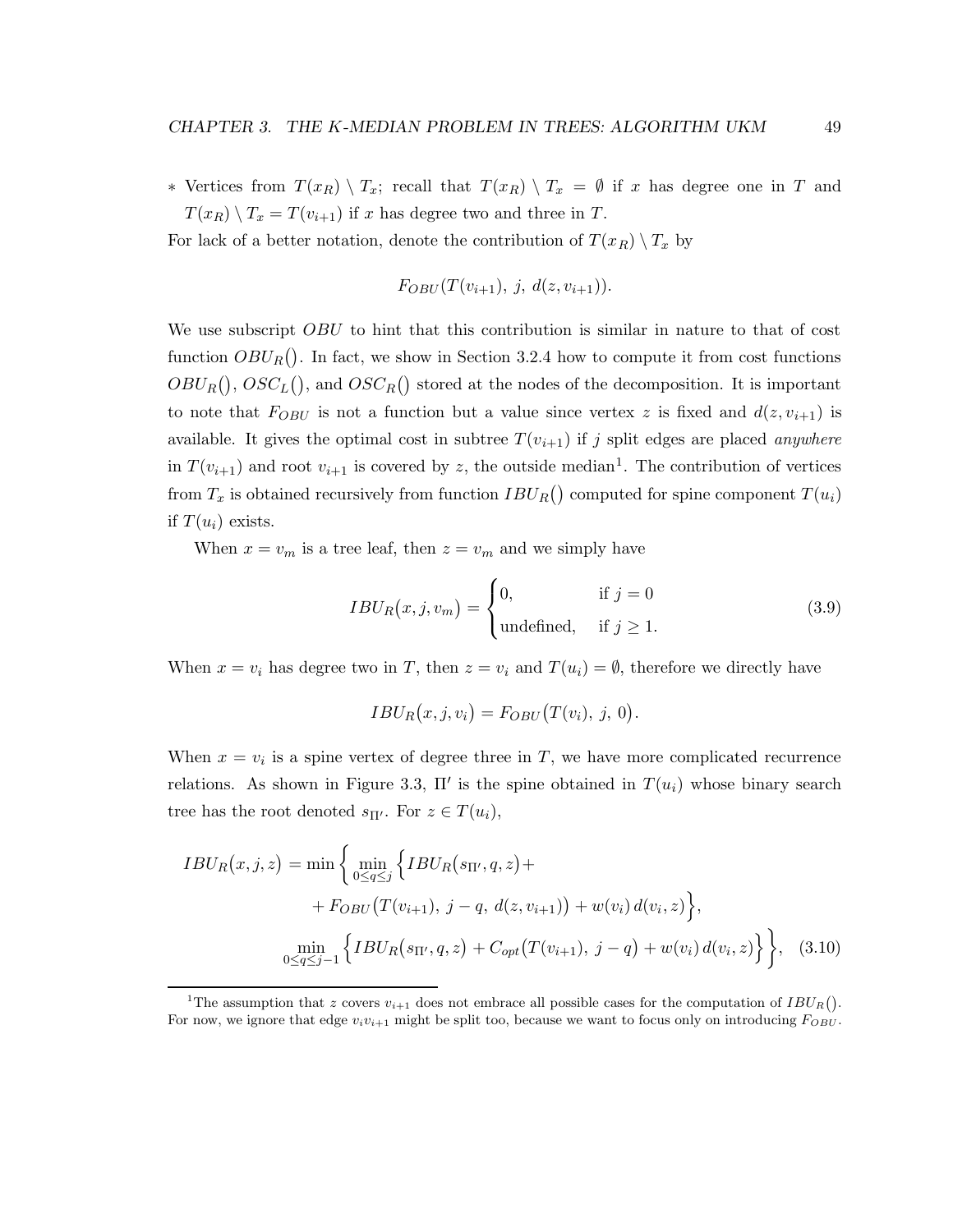∗ Vertices from  $T(x_R) \setminus T_x$ ; recall that  $T(x_R) \setminus T_x = ∅$  if x has degree one in T and  $T(x_R) \setminus T_x = T(v_{i+1})$  if x has degree two and three in T.

For lack of a better notation, denote the contribution of  $T(x_R) \setminus T_x$  by

$$
F_{OBU}(T(v_{i+1}), j, d(z, v_{i+1})).
$$

We use subscript *OBU* to hint that this contribution is similar in nature to that of cost function  $OBU_R()$ . In fact, we show in Section 3.2.4 how to compute it from cost functions  $OBU_R(), \, OSC_L(),$  and  $OSC_R()$  stored at the nodes of the decomposition. It is important to note that  $F_{OBU}$  is not a function but a value since vertex z is fixed and  $d(z, v_{i+1})$  is available. It gives the optimal cost in subtree  $T(v_{i+1})$  if j split edges are placed anywhere in  $T(v_{i+1})$  and root  $v_{i+1}$  is covered by z, the outside median<sup>1</sup>. The contribution of vertices from  $T_x$  is obtained recursively from function  $IBU_R()$  computed for spine component  $T(u_i)$ if  $T(u_i)$  exists.

When  $x = v_m$  is a tree leaf, then  $z = v_m$  and we simply have

$$
IBU_R(x,j,v_m) = \begin{cases} 0, & \text{if } j = 0\\ \text{undefined}, & \text{if } j \ge 1. \end{cases}
$$
 (3.9)

When  $x = v_i$  has degree two in T, then  $z = v_i$  and  $T(u_i) = \emptyset$ , therefore we directly have

$$
IBU_R(x, j, v_i) = F_{OBU}(T(v_i), j, 0).
$$

When  $x = v_i$  is a spine vertex of degree three in T, we have more complicated recurrence relations. As shown in Figure 3.3,  $\Pi'$  is the spine obtained in  $T(u_i)$  whose binary search tree has the root denoted  $s_{\Pi'}$ . For  $z \in T(u_i)$ ,

$$
IBU_R(x,j,z) = \min \left\{ \min_{0 \le q \le j} \left\{ IBU_R(s_{\Pi'}, q, z) + \n+ F_{OBU}(T(v_{i+1}), j - q, d(z, v_{i+1})) + w(v_i) d(v_i, z) \right\}, \right\}
$$
\n
$$
\min_{0 \le q \le j-1} \left\{ IBU_R(s_{\Pi'}, q, z) + C_{opt}(T(v_{i+1}), j - q) + w(v_i) d(v_i, z) \right\}, \quad (3.10)
$$

<sup>&</sup>lt;sup>1</sup>The assumption that z covers  $v_{i+1}$  does not embrace all possible cases for the computation of  $IBU_R()$ . For now, we ignore that edge  $v_i v_{i+1}$  might be split too, because we want to focus only on introducing  $F_{OBU}$ .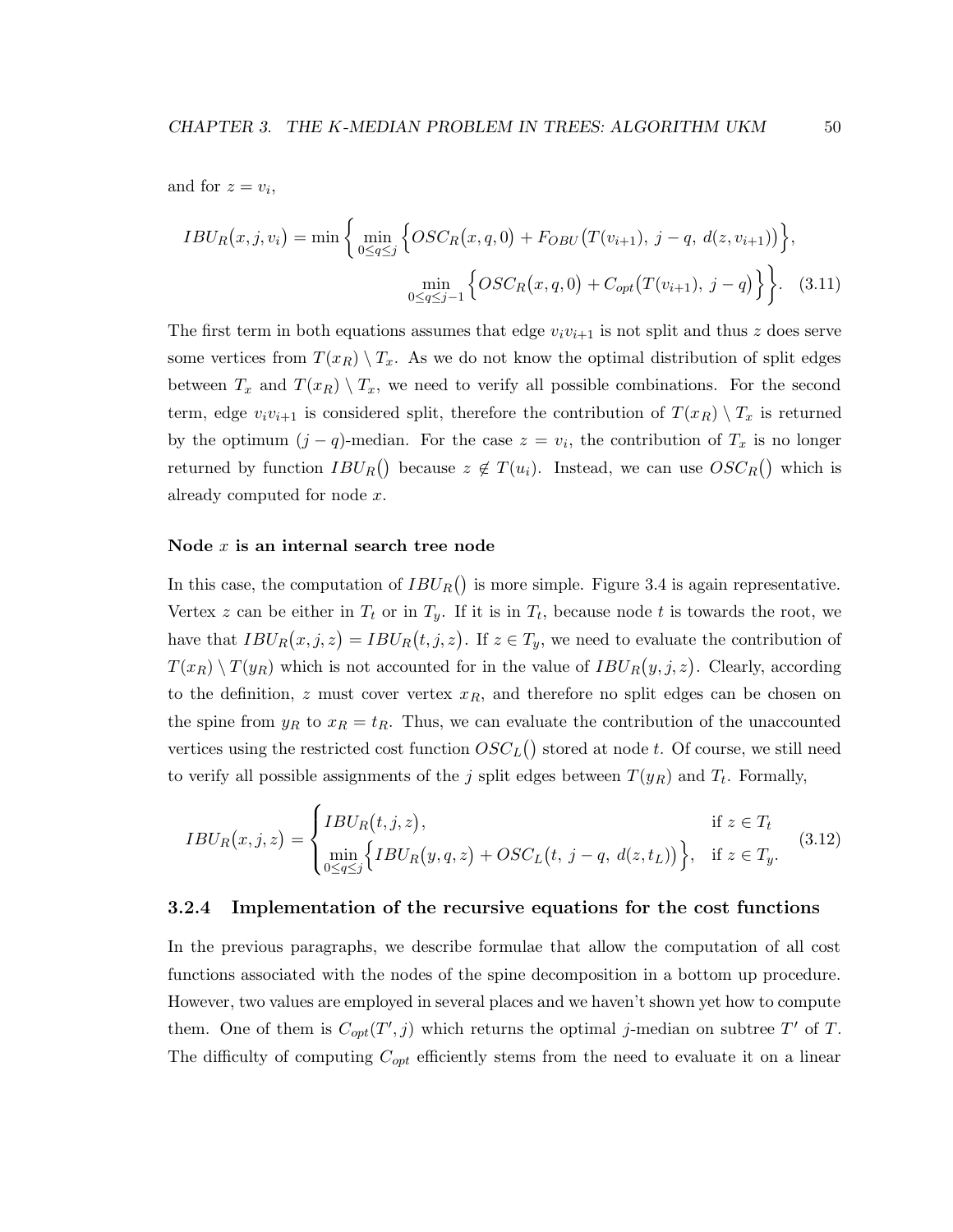and for  $z = v_i$ ,

$$
IBU_R(x,j,v_i) = \min\left\{\min_{0 \le q \le j} \left\{OSC_R(x,q,0) + F_{OBU}(T(v_{i+1}), j-q, d(z,v_{i+1}))\right\},\newline \min_{0 \le q \le j-1} \left\{OSC_R(x,q,0) + C_{opt}(T(v_{i+1}), j-q)\right\}\right\}.
$$
 (3.11)

The first term in both equations assumes that edge  $v_i v_{i+1}$  is not split and thus z does serve some vertices from  $T(x_R) \setminus T_x$ . As we do not know the optimal distribution of split edges between  $T_x$  and  $T(x_R) \setminus T_x$ , we need to verify all possible combinations. For the second term, edge  $v_i v_{i+1}$  is considered split, therefore the contribution of  $T(x_R) \setminus T_x$  is returned by the optimum  $(j - q)$ -median. For the case  $z = v_i$ , the contribution of  $T_x$  is no longer returned by function  $IBU_R()$  because  $z \notin T(u_i)$ . Instead, we can use  $OSC_R()$  which is already computed for node x.

#### Node  $x$  is an internal search tree node

In this case, the computation of  $IBU_R()$  is more simple. Figure 3.4 is again representative. Vertex z can be either in  $T_t$  or in  $T_y$ . If it is in  $T_t$ , because node t is towards the root, we have that  $IBU_R(x, j, z) = IBU_R(t, j, z)$ . If  $z \in T_y$ , we need to evaluate the contribution of  $T(x_R) \setminus T(y_R)$  which is not accounted for in the value of  $IBU_R(y, j, z)$ . Clearly, according to the definition, z must cover vertex  $x_R$ , and therefore no split edges can be chosen on the spine from  $y_R$  to  $x_R = t_R$ . Thus, we can evaluate the contribution of the unaccounted vertices using the restricted cost function  $OSC_L()$  stored at node t. Of course, we still need to verify all possible assignments of the j split edges between  $T(y_R)$  and  $T_t$ . Formally,

$$
IBU_R(x,j,z) = \begin{cases} IBU_R(t,j,z), & \text{if } z \in T_t \\ \min_{0 \le q \le j} \Big\{ IBU_R(y,q,z) + OSC_L(t,j-q, d(z,t_L)) \Big\}, & \text{if } z \in T_y. \end{cases}
$$
(3.12)

#### 3.2.4 Implementation of the recursive equations for the cost functions

In the previous paragraphs, we describe formulae that allow the computation of all cost functions associated with the nodes of the spine decomposition in a bottom up procedure. However, two values are employed in several places and we haven't shown yet how to compute them. One of them is  $C_{opt}(T', j)$  which returns the optimal j-median on subtree T' of T. The difficulty of computing  $C_{opt}$  efficiently stems from the need to evaluate it on a linear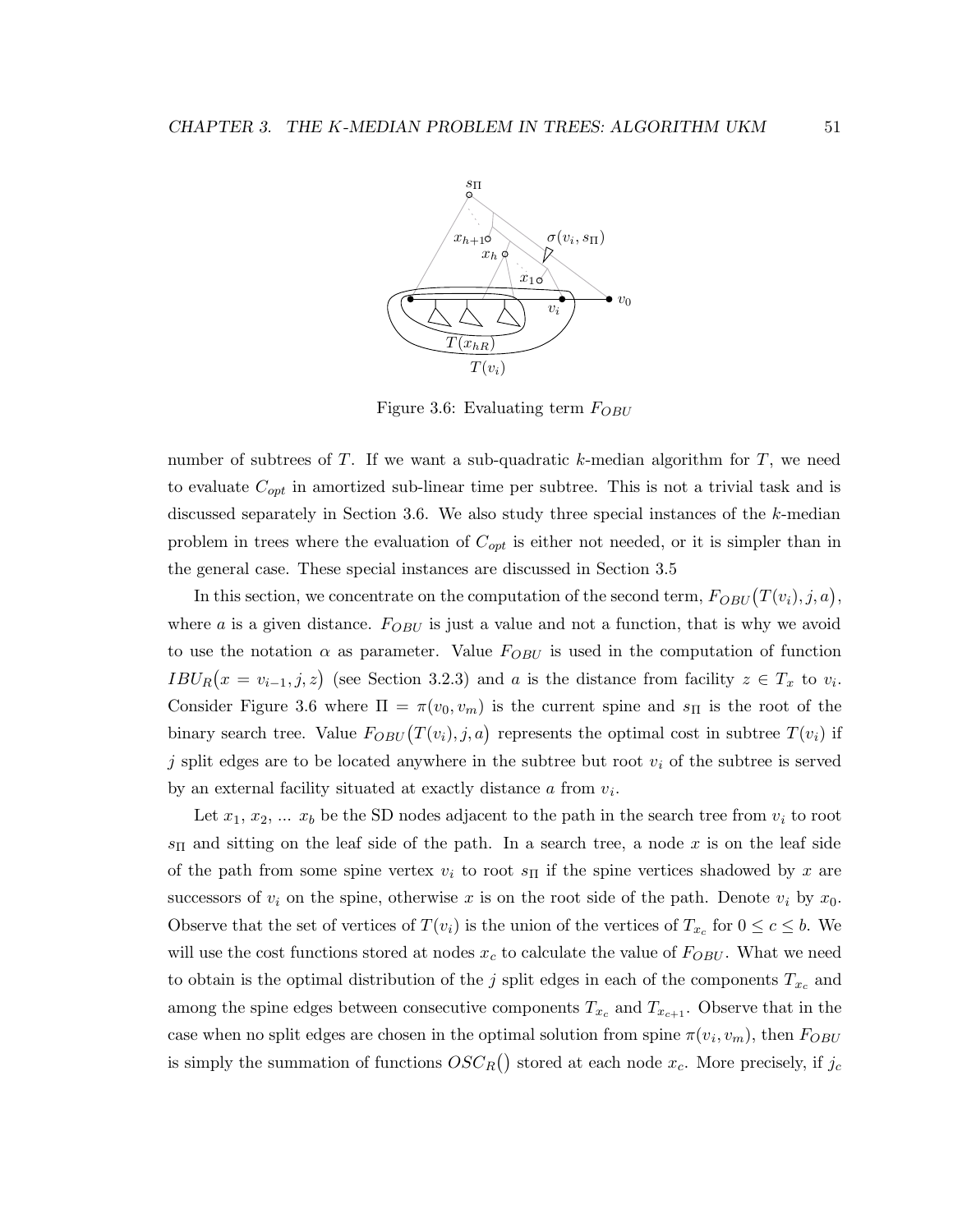

Figure 3.6: Evaluating term  $F_{OBU}$ 

number of subtrees of T. If we want a sub-quadratic k-median algorithm for  $T$ , we need to evaluate  $C_{opt}$  in amortized sub-linear time per subtree. This is not a trivial task and is discussed separately in Section 3.6. We also study three special instances of the k-median problem in trees where the evaluation of  $C_{opt}$  is either not needed, or it is simpler than in the general case. These special instances are discussed in Section 3.5

In this section, we concentrate on the computation of the second term,  $F_{OBU}(T(v_i), j, a)$ , where a is a given distance.  $F_{OBU}$  is just a value and not a function, that is why we avoid to use the notation  $\alpha$  as parameter. Value  $F_{OBU}$  is used in the computation of function  $IBU_R(x = v_{i-1}, j, z)$  (see Section 3.2.3) and a is the distance from facility  $z \in T_x$  to  $v_i$ . Consider Figure 3.6 where  $\Pi = \pi(v_0, v_m)$  is the current spine and  $s_{\Pi}$  is the root of the binary search tree. Value  $F_{OBU}(T(v_i), j, a)$  represents the optimal cost in subtree  $T(v_i)$  if j split edges are to be located anywhere in the subtree but root  $v_i$  of the subtree is served by an external facility situated at exactly distance  $a$  from  $v_i$ .

Let  $x_1, x_2, \ldots x_b$  be the SD nodes adjacent to the path in the search tree from  $v_i$  to root  $s_{\text{II}}$  and sitting on the leaf side of the path. In a search tree, a node x is on the leaf side of the path from some spine vertex  $v_i$  to root  $s_{\Pi}$  if the spine vertices shadowed by x are successors of  $v_i$  on the spine, otherwise x is on the root side of the path. Denote  $v_i$  by  $x_0$ . Observe that the set of vertices of  $T(v_i)$  is the union of the vertices of  $T_{x_c}$  for  $0 \le c \le b$ . We will use the cost functions stored at nodes  $x_c$  to calculate the value of  $F_{OBU}$ . What we need to obtain is the optimal distribution of the j split edges in each of the components  $T_{x_c}$  and among the spine edges between consecutive components  $T_{x_c}$  and  $T_{x_{c+1}}$ . Observe that in the case when no split edges are chosen in the optimal solution from spine  $\pi(v_i, v_m)$ , then  $F_{OBU}$ is simply the summation of functions  $OSC_R()$  stored at each node  $x_c$ . More precisely, if  $j_c$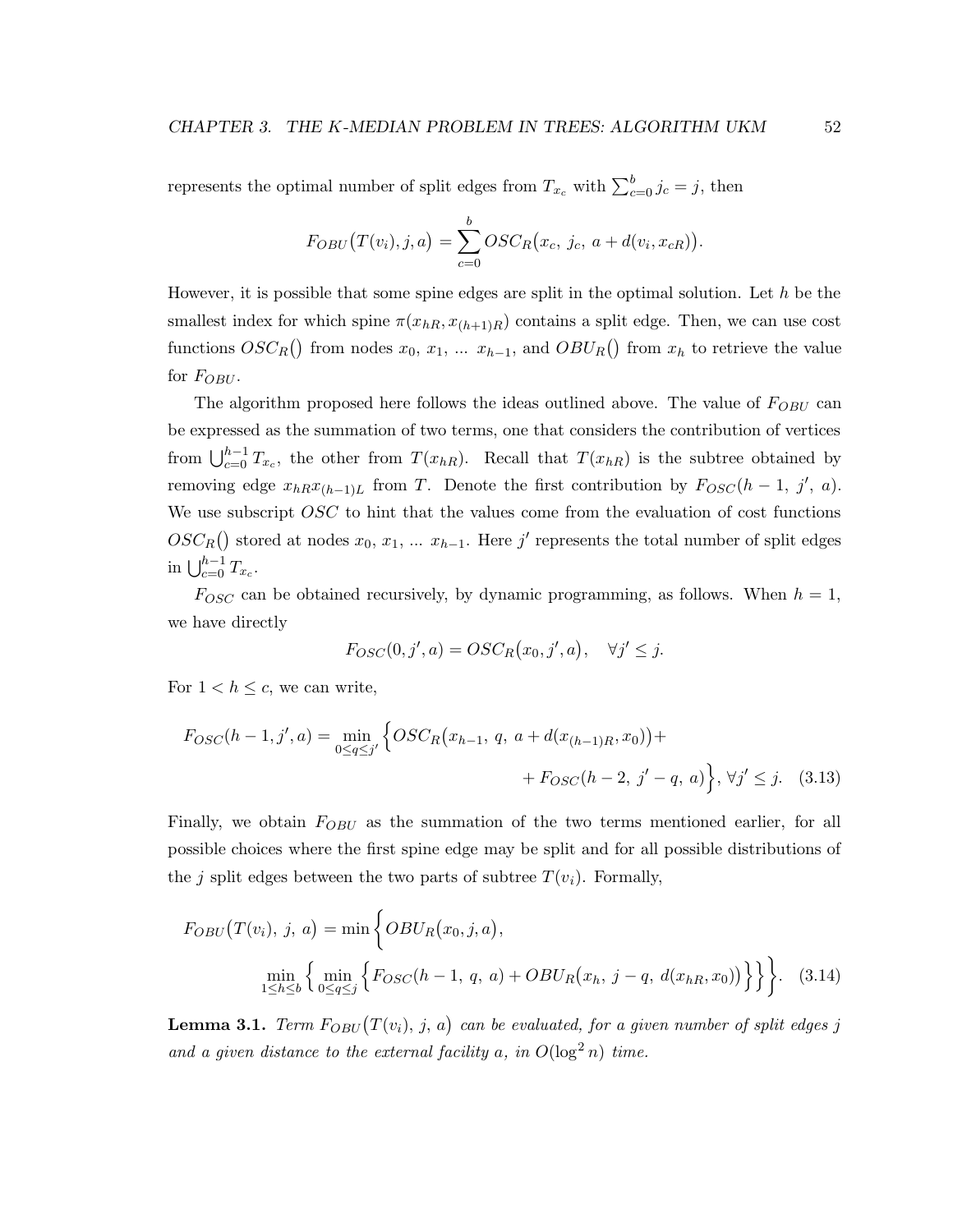represents the optimal number of split edges from  $T_{x_c}$  with  $\sum_{c=0}^{b} j_c = j$ , then

$$
F_{OBU}(T(v_i), j, a) = \sum_{c=0}^{b} OSC_R(x_c, j_c, a + d(v_i, x_{cR})).
$$

However, it is possible that some spine edges are split in the optimal solution. Let  $h$  be the smallest index for which spine  $\pi(x_{hR}, x_{(h+1)R})$  contains a split edge. Then, we can use cost functions  $OSC_R()$  from nodes  $x_0, x_1, \ldots, x_{h-1}$ , and  $OBU_R()$  from  $x_h$  to retrieve the value for  $F_{OBU}$ .

The algorithm proposed here follows the ideas outlined above. The value of  $F_{OBU}$  can be expressed as the summation of two terms, one that considers the contribution of vertices from  $\bigcup_{c=0}^{h-1} T_{x_c}$ , the other from  $T(x_{hR})$ . Recall that  $T(x_{hR})$  is the subtree obtained by removing edge  $x_{hR}x_{(h-1)L}$  from T. Denote the first contribution by  $F_{OSC}(h-1, j', a)$ . We use subscript OSC to hint that the values come from the evaluation of cost functions  $OSC_R()$  stored at nodes  $x_0, x_1, \ldots x_{h-1}$ . Here j' represents the total number of split edges in  $\bigcup_{c=0}^{h-1} T_{x_c}$ .

 $F_{OSC}$  can be obtained recursively, by dynamic programming, as follows. When  $h = 1$ , we have directly

$$
F_{OSC}(0, j', a) = OSC_R(x_0, j', a), \quad \forall j' \leq j.
$$

For  $1 < h \leq c$ , we can write,

$$
F_{OSC}(h-1, j', a) = \min_{0 \le q \le j'} \left\{ OSC_R(x_{h-1}, q, a + d(x_{(h-1)R}, x_0)) + F_{OSC}(h-2, j'-q, a) \right\}, \forall j' \le j. \quad (3.13)
$$

Finally, we obtain  $F_{OBU}$  as the summation of the two terms mentioned earlier, for all possible choices where the first spine edge may be split and for all possible distributions of the j split edges between the two parts of subtree  $T(v_i)$ . Formally,

$$
F_{OBU}(T(v_i), j, a) = \min \left\{ OBU_R(x_0, j, a), \n\min_{1 \le h \le b} \left\{ \min_{0 \le q \le j} \left\{ F_{OSC}(h-1, q, a) + OBU_R(x_h, j-q, d(x_{hR}, x_0)) \right\} \right\} \right\}.
$$
\n(3.14)

**Lemma 3.1.** Term  $F_{OBU}(T(v_i), j, a)$  can be evaluated, for a given number of split edges j and a given distance to the external facility a, in  $O(\log^2 n)$  time.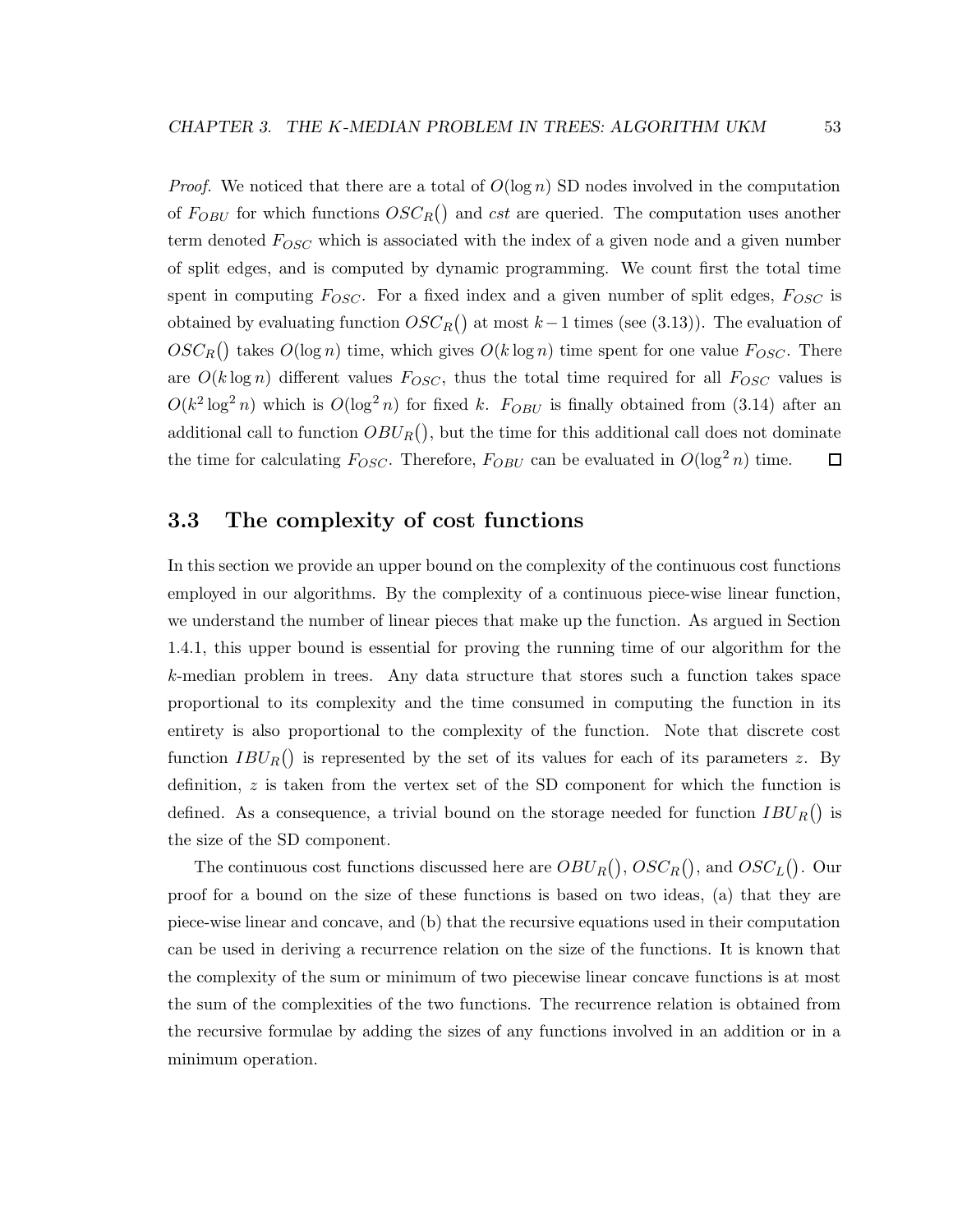*Proof.* We noticed that there are a total of  $O(\log n)$  SD nodes involved in the computation of  $F_{OBU}$  for which functions  $OSC_R()$  and cst are queried. The computation uses another term denoted  $F_{OSC}$  which is associated with the index of a given node and a given number of split edges, and is computed by dynamic programming. We count first the total time spent in computing  $F_{OSC}$ . For a fixed index and a given number of split edges,  $F_{OSC}$  is obtained by evaluating function  $OSC_R()$  at most  $k-1$  times (see (3.13)). The evaluation of  $OSC_R()$  takes  $O(\log n)$  time, which gives  $O(k \log n)$  time spent for one value  $F_{OSC}$ . There are  $O(k \log n)$  different values  $F_{OSC}$ , thus the total time required for all  $F_{OSC}$  values is  $O(k^2 \log^2 n)$  which is  $O(\log^2 n)$  for fixed k.  $F_{OBU}$  is finally obtained from (3.14) after an additional call to function  $OBU_R()$ , but the time for this additional call does not dominate the time for calculating  $F_{OSC}$ . Therefore,  $F_{OBU}$  can be evaluated in  $O(\log^2 n)$  time.  $\Box$ 

## 3.3 The complexity of cost functions

In this section we provide an upper bound on the complexity of the continuous cost functions employed in our algorithms. By the complexity of a continuous piece-wise linear function, we understand the number of linear pieces that make up the function. As argued in Section 1.4.1, this upper bound is essential for proving the running time of our algorithm for the k-median problem in trees. Any data structure that stores such a function takes space proportional to its complexity and the time consumed in computing the function in its entirety is also proportional to the complexity of the function. Note that discrete cost function  $IBU_R()$  is represented by the set of its values for each of its parameters z. By definition,  $z$  is taken from the vertex set of the SD component for which the function is defined. As a consequence, a trivial bound on the storage needed for function  $IBU_R()$  is the size of the SD component.

The continuous cost functions discussed here are  $OBU_R(), \, OSC_R(),$  and  $OSC_L()$ . Our proof for a bound on the size of these functions is based on two ideas, (a) that they are piece-wise linear and concave, and (b) that the recursive equations used in their computation can be used in deriving a recurrence relation on the size of the functions. It is known that the complexity of the sum or minimum of two piecewise linear concave functions is at most the sum of the complexities of the two functions. The recurrence relation is obtained from the recursive formulae by adding the sizes of any functions involved in an addition or in a minimum operation.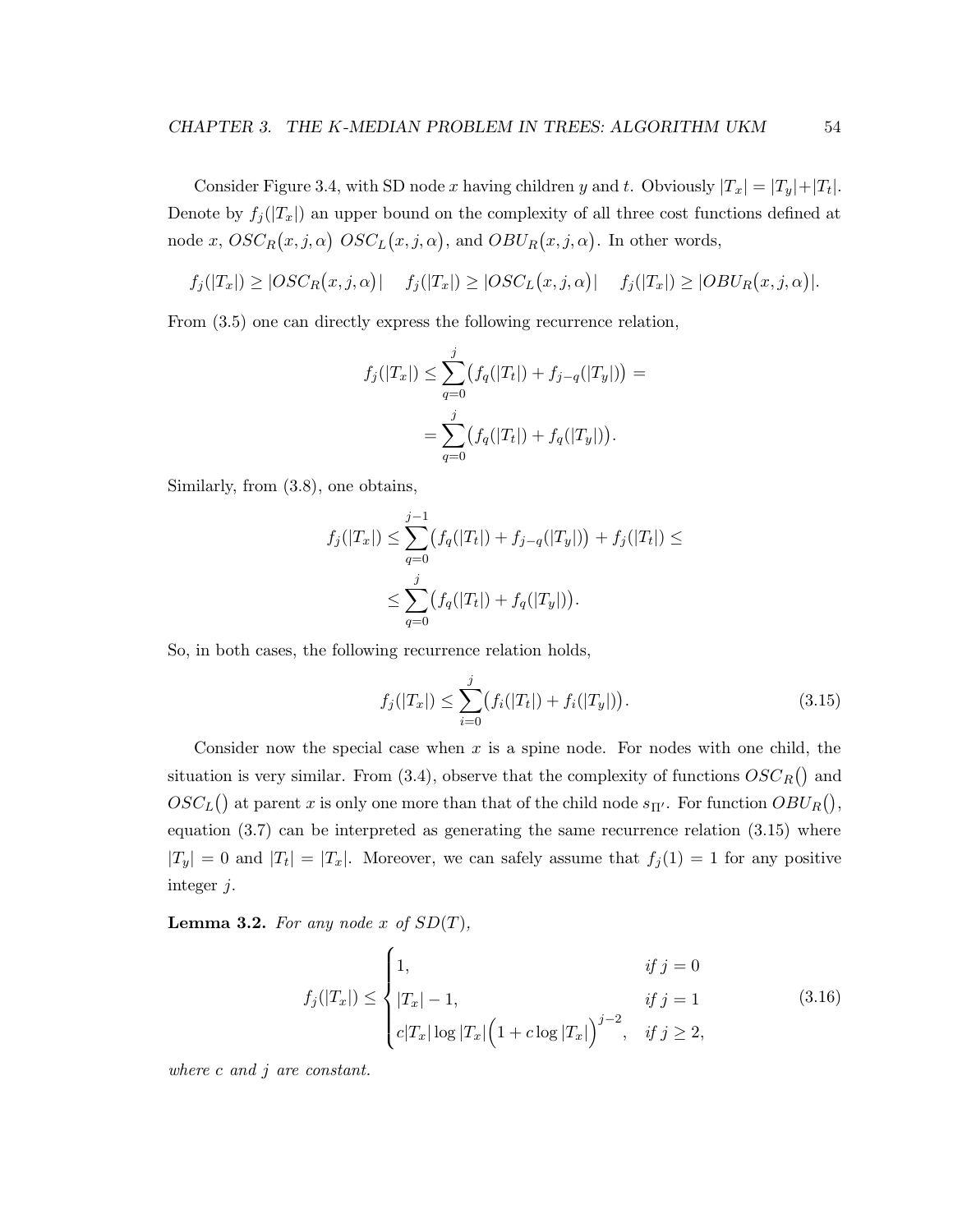Consider Figure 3.4, with SD node x having children y and t. Obviously  $|T_x| = |T_y| + |T_t|$ . Denote by  $f_j(|T_x|)$  an upper bound on the complexity of all three cost functions defined at node x,  $OSC_R(x, j, \alpha)$   $OSC_L(x, j, \alpha)$ , and  $OBU_R(x, j, \alpha)$ . In other words,

$$
f_j(|T_x|) \geq |OSC_R(x,j,\alpha)| \quad f_j(|T_x|) \geq |OSC_L(x,j,\alpha)| \quad f_j(|T_x|) \geq |OBU_R(x,j,\alpha)|.
$$

From (3.5) one can directly express the following recurrence relation,

$$
f_j(|T_x|) \leq \sum_{q=0}^j (f_q(|T_t|) + f_{j-q}(|T_y|)) =
$$
  
= 
$$
\sum_{q=0}^j (f_q(|T_t|) + f_q(|T_y|)).
$$

Similarly, from (3.8), one obtains,

$$
f_j(|T_x|) \le \sum_{q=0}^{j-1} (f_q(|T_t|) + f_{j-q}(|T_y|)) + f_j(|T_t|) \le
$$
  

$$
\le \sum_{q=0}^{j} (f_q(|T_t|) + f_q(|T_y|)).
$$

So, in both cases, the following recurrence relation holds,

 $\overline{\phantom{a}}$ 

$$
f_j(|T_x|) \le \sum_{i=0}^j (f_i(|T_t|) + f_i(|T_y|)). \tag{3.15}
$$

Consider now the special case when  $x$  is a spine node. For nodes with one child, the situation is very similar. From  $(3.4)$ , observe that the complexity of functions  $OSC_R()$  and  $OSC<sub>L</sub>($ ) at parent x is only one more than that of the child node  $s_{\Pi'}$ . For function  $OBU<sub>R</sub>($ ), equation (3.7) can be interpreted as generating the same recurrence relation (3.15) where  $|T_y| = 0$  and  $|T_t| = |T_x|$ . Moreover, we can safely assume that  $f_j(1) = 1$  for any positive integer j.

**Lemma 3.2.** For any node x of  $SD(T)$ ,

$$
f_j(|T_x|) \le \begin{cases} 1, & \text{if } j = 0 \\ |T_x| - 1, & \text{if } j = 1 \\ c|T_x| \log |T_x| \left(1 + c \log |T_x|\right)^{j-2}, & \text{if } j \ge 2, \end{cases}
$$
(3.16)

where c and j are constant.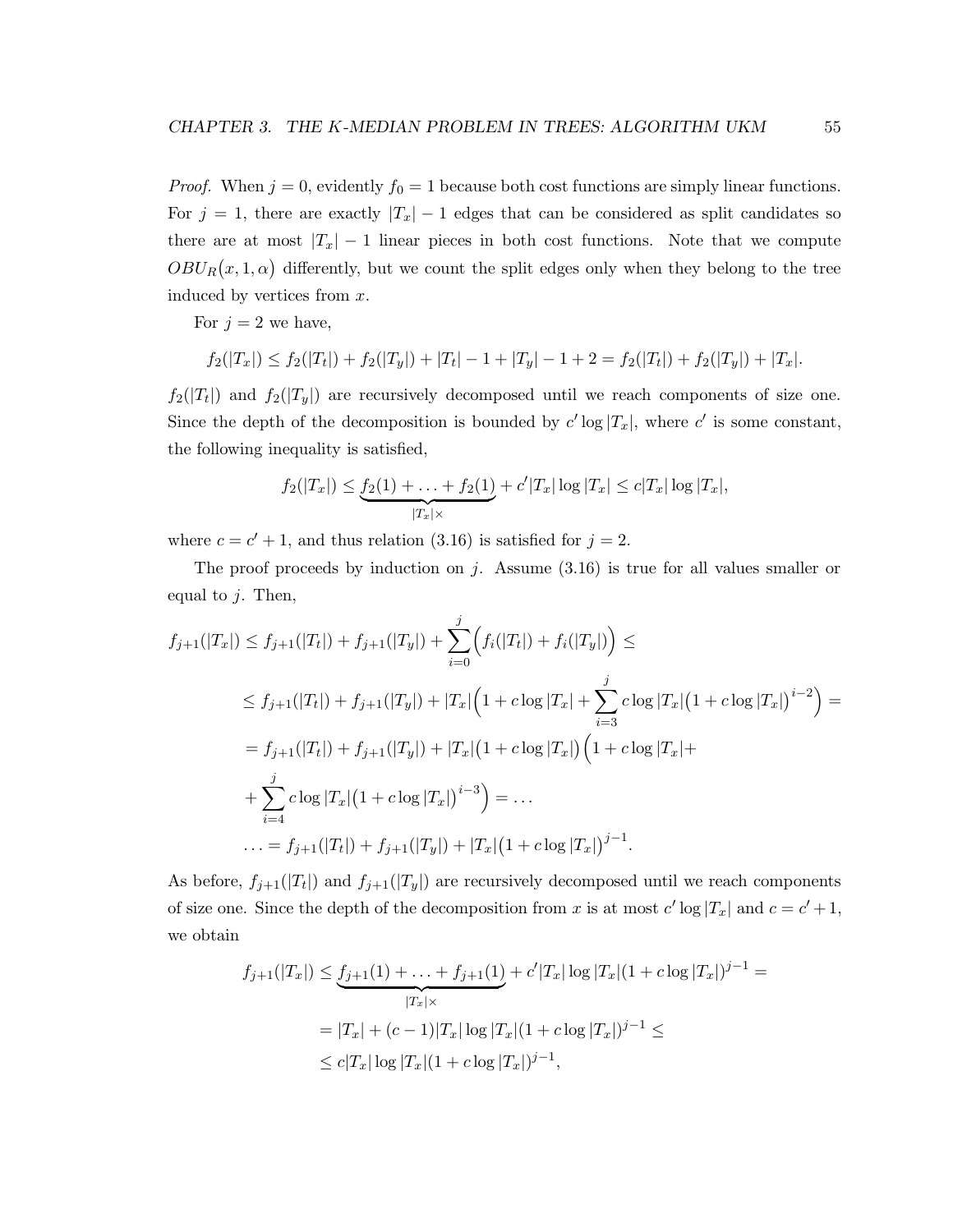*Proof.* When  $j = 0$ , evidently  $f_0 = 1$  because both cost functions are simply linear functions. For  $j = 1$ , there are exactly  $|T_x| - 1$  edges that can be considered as split candidates so there are at most  $|T_x| - 1$  linear pieces in both cost functions. Note that we compute  $OBU_R(x,1,\alpha)$  differently, but we count the split edges only when they belong to the tree induced by vertices from x.

For  $j = 2$  we have,

$$
f_2(|T_x|) \le f_2(|T_t|) + f_2(|T_y|) + |T_t| - 1 + |T_y| - 1 + 2 = f_2(|T_t|) + f_2(|T_y|) + |T_x|.
$$

 $f_2(|T_t|)$  and  $f_2(|T_y|)$  are recursively decomposed until we reach components of size one. Since the depth of the decomposition is bounded by  $c' \log |T_x|$ , where  $c'$  is some constant, the following inequality is satisfied,

$$
f_2(|T_x|) \leq \underbrace{f_2(1) + \ldots + f_2(1)}_{|T_x| \times} + c'|T_x| \log |T_x| \leq c|T_x| \log |T_x|,
$$

where  $c = c' + 1$ , and thus relation (3.16) is satisfied for  $j = 2$ .

The proof proceeds by induction on j. Assume  $(3.16)$  is true for all values smaller or equal to  $j$ . Then,

$$
f_{j+1}(|T_x|) \le f_{j+1}(|T_t|) + f_{j+1}(|T_y|) + \sum_{i=0}^j \Big( f_i(|T_t|) + f_i(|T_y|) \Big) \le
$$
  
\n
$$
\le f_{j+1}(|T_t|) + f_{j+1}(|T_y|) + |T_x| \Big( 1 + c \log |T_x| + \sum_{i=3}^j c \log |T_x| \Big( 1 + c \log |T_x| \Big)^{i-2} \Big) =
$$
  
\n
$$
= f_{j+1}(|T_t|) + f_{j+1}(|T_y|) + |T_x| \Big( 1 + c \log |T_x| \Big) \Big( 1 + c \log |T_x| +
$$
  
\n
$$
+ \sum_{i=4}^j c \log |T_x| \Big( 1 + c \log |T_x| \Big)^{i-3} \Big) = \dots
$$
  
\n
$$
\dots = f_{j+1}(|T_t|) + f_{j+1}(|T_y|) + |T_x| \Big( 1 + c \log |T_x| \Big)^{j-1}.
$$

As before,  $f_{j+1}(|T_t|)$  and  $f_{j+1}(|T_y|)$  are recursively decomposed until we reach components of size one. Since the depth of the decomposition from x is at most  $c' \log |T_x|$  and  $c = c' + 1$ , we obtain

$$
f_{j+1}(|T_x|) \le \underbrace{f_{j+1}(1) + \ldots + f_{j+1}(1)}_{|T_x| \times} + c'|T_x|\log |T_x|(1 + c\log |T_x|)^{j-1} =
$$
  
= |T\_x| + (c - 1)|T\_x|\log |T\_x|(1 + c\log |T\_x|)^{j-1} \le   
\le c|T\_x|\log |T\_x|(1 + c\log |T\_x|)^{j-1},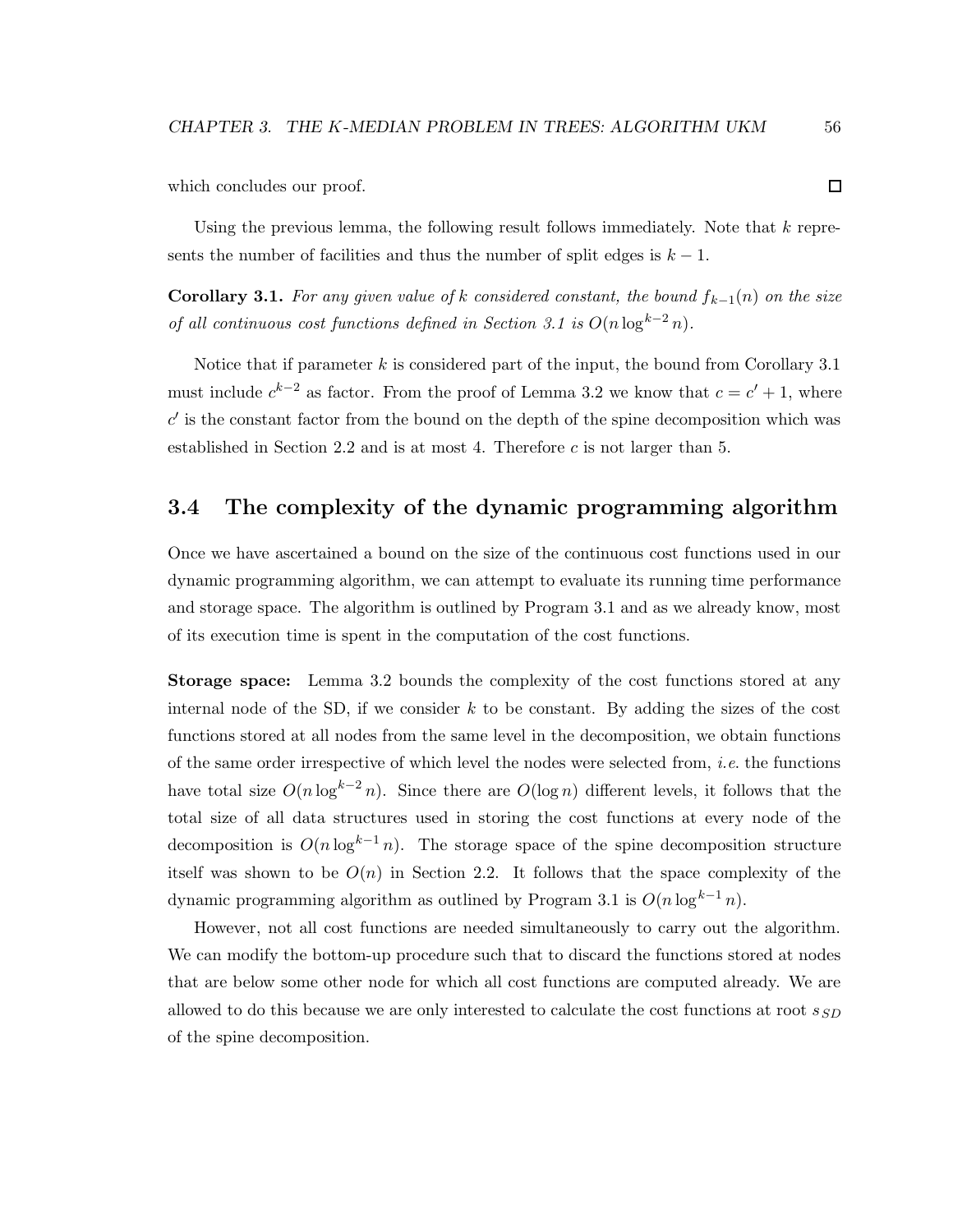which concludes our proof.

Using the previous lemma, the following result follows immediately. Note that  $k$  represents the number of facilities and thus the number of split edges is  $k - 1$ .

**Corollary 3.1.** For any given value of k considered constant, the bound  $f_{k-1}(n)$  on the size of all continuous cost functions defined in Section 3.1 is  $O(n \log^{k-2} n)$ .

Notice that if parameter  $k$  is considered part of the input, the bound from Corollary 3.1 must include  $c^{k-2}$  as factor. From the proof of Lemma 3.2 we know that  $c = c' + 1$ , where  $c'$  is the constant factor from the bound on the depth of the spine decomposition which was established in Section 2.2 and is at most 4. Therefore c is not larger than 5.

## 3.4 The complexity of the dynamic programming algorithm

Once we have ascertained a bound on the size of the continuous cost functions used in our dynamic programming algorithm, we can attempt to evaluate its running time performance and storage space. The algorithm is outlined by Program 3.1 and as we already know, most of its execution time is spent in the computation of the cost functions.

Storage space: Lemma 3.2 bounds the complexity of the cost functions stored at any internal node of the SD, if we consider  $k$  to be constant. By adding the sizes of the cost functions stored at all nodes from the same level in the decomposition, we obtain functions of the same order irrespective of which level the nodes were selected from, *i.e.* the functions have total size  $O(n \log^{k-2} n)$ . Since there are  $O(\log n)$  different levels, it follows that the total size of all data structures used in storing the cost functions at every node of the decomposition is  $O(n \log^{k-1} n)$ . The storage space of the spine decomposition structure itself was shown to be  $O(n)$  in Section 2.2. It follows that the space complexity of the dynamic programming algorithm as outlined by Program 3.1 is  $O(n \log^{k-1} n)$ .

However, not all cost functions are needed simultaneously to carry out the algorithm. We can modify the bottom-up procedure such that to discard the functions stored at nodes that are below some other node for which all cost functions are computed already. We are allowed to do this because we are only interested to calculate the cost functions at root  $s_{SD}$ of the spine decomposition.

 $\Box$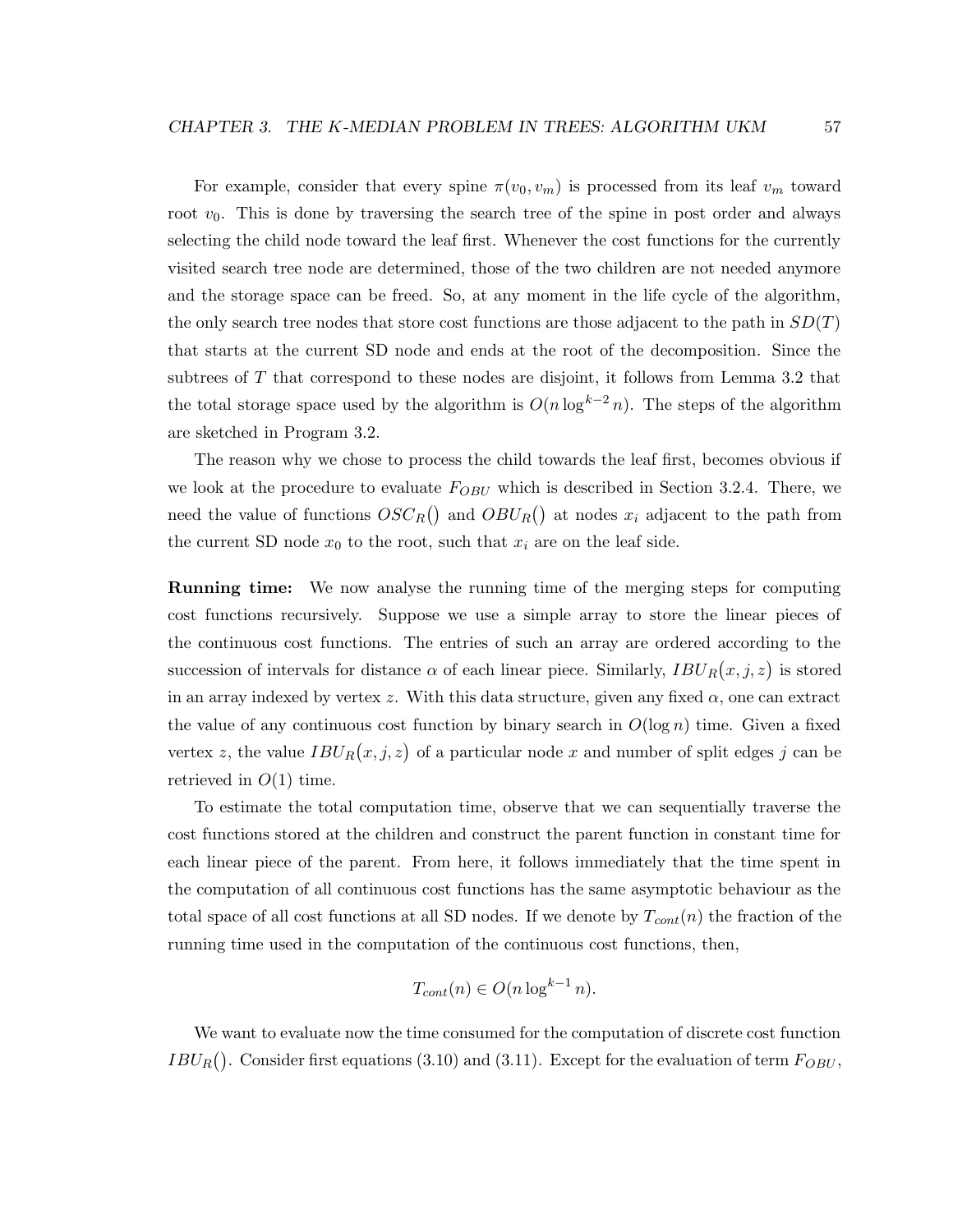For example, consider that every spine  $\pi(v_0, v_m)$  is processed from its leaf  $v_m$  toward root  $v_0$ . This is done by traversing the search tree of the spine in post order and always selecting the child node toward the leaf first. Whenever the cost functions for the currently visited search tree node are determined, those of the two children are not needed anymore and the storage space can be freed. So, at any moment in the life cycle of the algorithm, the only search tree nodes that store cost functions are those adjacent to the path in  $SD(T)$ that starts at the current SD node and ends at the root of the decomposition. Since the subtrees of  $T$  that correspond to these nodes are disjoint, it follows from Lemma 3.2 that the total storage space used by the algorithm is  $O(n \log^{k-2} n)$ . The steps of the algorithm are sketched in Program 3.2.

The reason why we chose to process the child towards the leaf first, becomes obvious if we look at the procedure to evaluate  $F_{OBU}$  which is described in Section 3.2.4. There, we need the value of functions  $OSC_R()$  and  $OBU_R()$  at nodes  $x_i$  adjacent to the path from the current SD node  $x_0$  to the root, such that  $x_i$  are on the leaf side.

**Running time:** We now analyse the running time of the merging steps for computing cost functions recursively. Suppose we use a simple array to store the linear pieces of the continuous cost functions. The entries of such an array are ordered according to the succession of intervals for distance  $\alpha$  of each linear piece. Similarly,  $IBU_R(x, j, z)$  is stored in an array indexed by vertex z. With this data structure, given any fixed  $\alpha$ , one can extract the value of any continuous cost function by binary search in  $O(\log n)$  time. Given a fixed vertex z, the value  $IBU_R(x, j, z)$  of a particular node x and number of split edges j can be retrieved in  $O(1)$  time.

To estimate the total computation time, observe that we can sequentially traverse the cost functions stored at the children and construct the parent function in constant time for each linear piece of the parent. From here, it follows immediately that the time spent in the computation of all continuous cost functions has the same asymptotic behaviour as the total space of all cost functions at all SD nodes. If we denote by  $T_{cont}(n)$  the fraction of the running time used in the computation of the continuous cost functions, then,

$$
T_{cont}(n) \in O(n \log^{k-1} n).
$$

We want to evaluate now the time consumed for the computation of discrete cost function  $IBU_R()$ . Consider first equations (3.10) and (3.11). Except for the evaluation of term  $F_{OBU}$ ,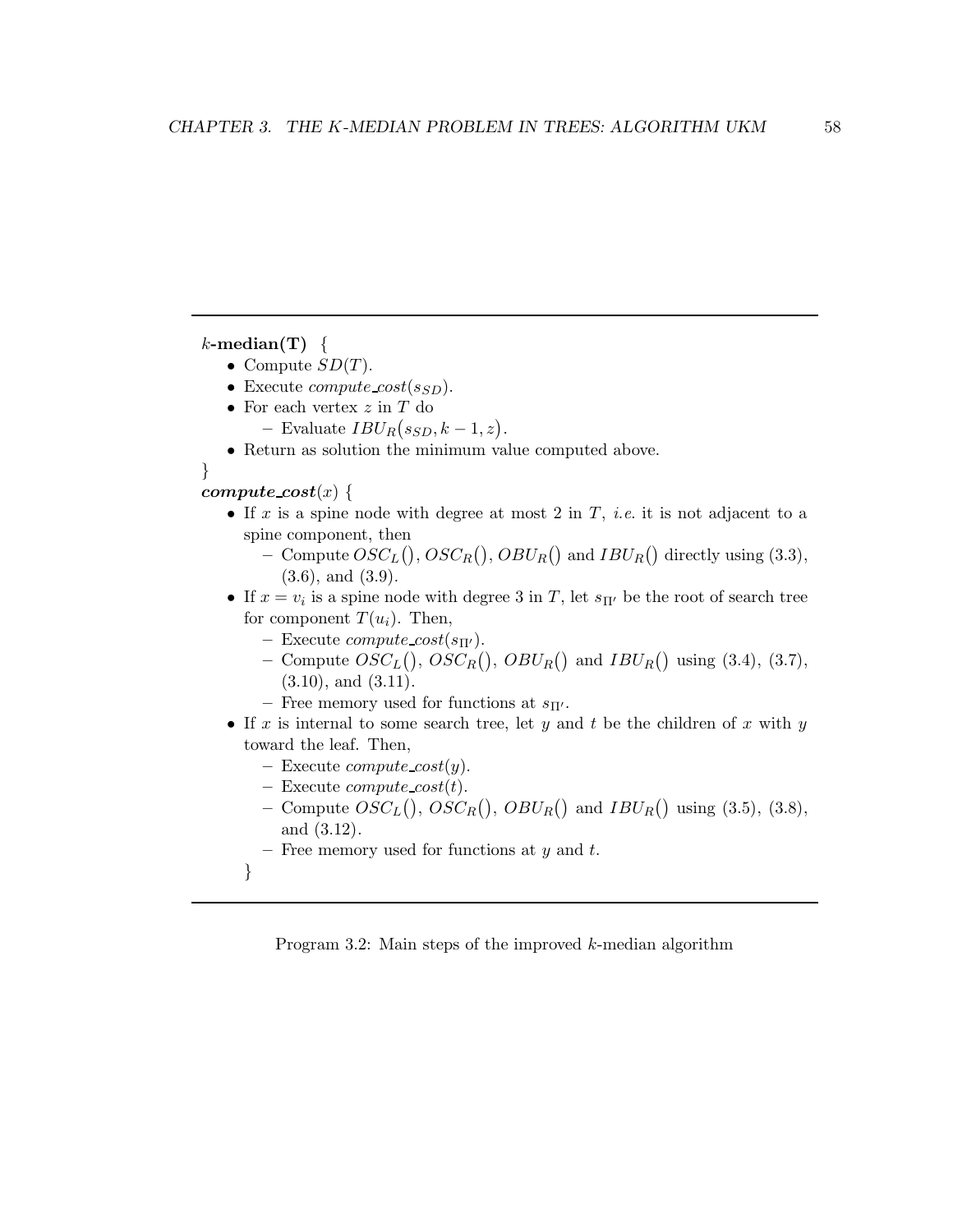$k$ -median(T) {

- Compute  $SD(T)$ .
- Execute *compute cost*( $s_{SD}$ ).
- $\bullet\,$  For each vertex  $z$  in  $T$  do
	- Evaluate  $IBU_R(s_{SD}, k-1, z)$ .
- Return as solution the minimum value computed above.

}

#### compute  $cost(x)$  {

- If x is a spine node with degree at most 2 in  $T$ , *i.e.* it is not adjacent to a spine component, then
	- Compute  $OSC_L()$ ,  $OSC_R()$ ,  $OBU_R()$  and  $IBU_R()$  directly using (3.3), (3.6), and (3.9).
- If  $x = v_i$  is a spine node with degree 3 in T, let  $s_{\Pi'}$  be the root of search tree for component  $T(u_i)$ . Then,
	- Execute *compute cost*( $s_{\Pi}$ ).
	- Compute  $OSC<sub>L</sub>($ ,  $OSC<sub>R</sub>()$ ,  $OBU<sub>R</sub>()$  and  $IBU<sub>R</sub>()$  using (3.4), (3.7),  $(3.10)$ , and  $(3.11)$ .
	- Free memory used for functions at  $s_{\Pi'}$ .
- If x is internal to some search tree, let y and t be the children of x with y toward the leaf. Then,
	- Execute *compute cost* $(y)$ .
	- Execute *compute cost* $(t)$ .
	- Compute  $OSC<sub>L</sub>($ ,  $OSC<sub>R</sub>()$ ,  $OBU<sub>R</sub>()$  and  $IBU<sub>R</sub>()$  using (3.5), (3.8), and (3.12).
	- Free memory used for functions at  $y$  and  $t$ .
	- }

Program 3.2: Main steps of the improved k-median algorithm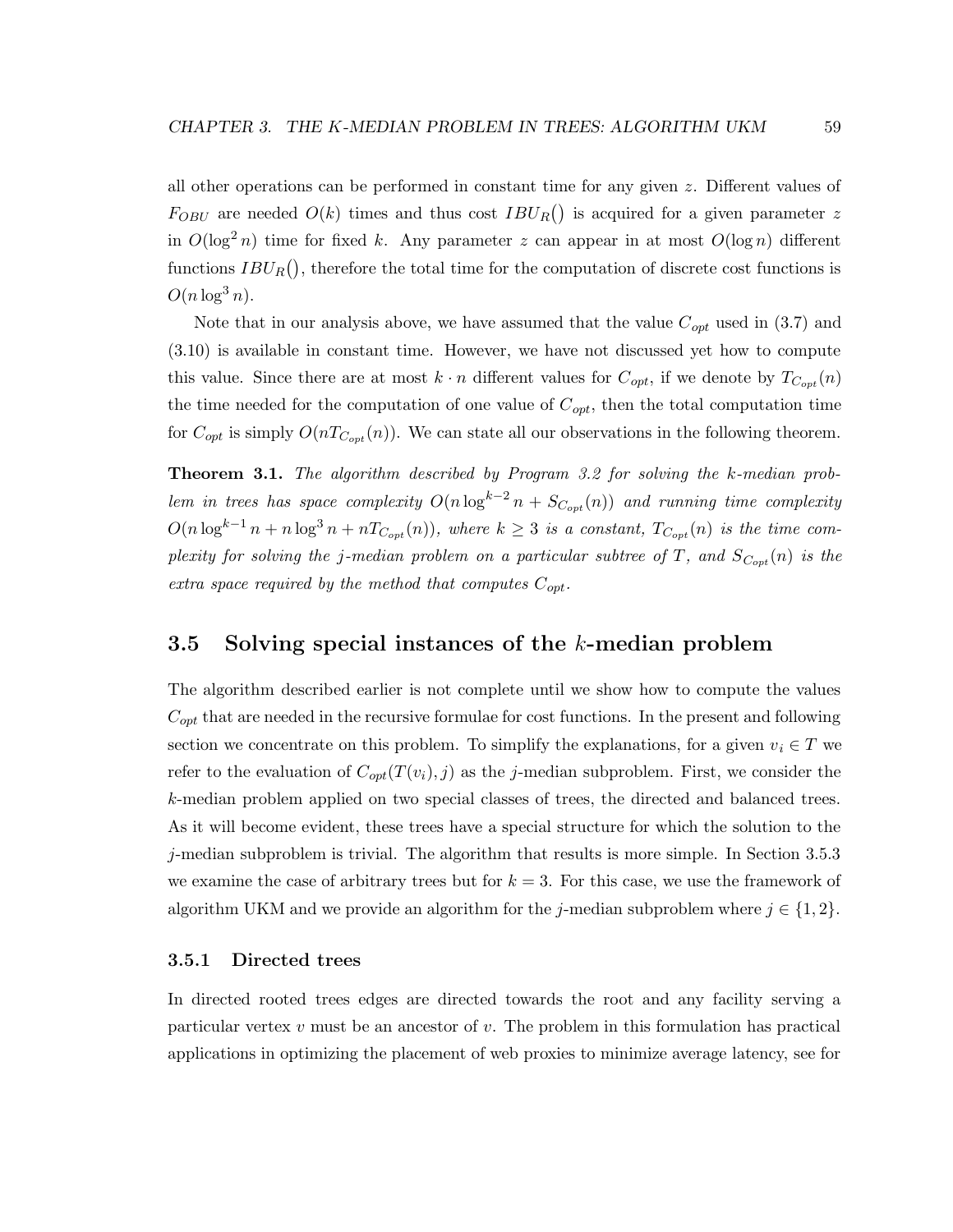all other operations can be performed in constant time for any given z. Different values of  $F_{OBU}$  are needed  $O(k)$  times and thus cost  $IBU_R()$  is acquired for a given parameter z in  $O(\log^2 n)$  time for fixed k. Any parameter z can appear in at most  $O(\log n)$  different functions  $IBU_R()$ , therefore the total time for the computation of discrete cost functions is  $O(n \log^3 n)$ .

Note that in our analysis above, we have assumed that the value  $C_{opt}$  used in (3.7) and (3.10) is available in constant time. However, we have not discussed yet how to compute this value. Since there are at most  $k \cdot n$  different values for  $C_{opt}$ , if we denote by  $T_{Cont}(n)$ the time needed for the computation of one value of  $C_{opt}$ , then the total computation time for  $C_{opt}$  is simply  $O(nT_{C_{opt}}(n))$ . We can state all our observations in the following theorem.

Theorem 3.1. The algorithm described by Program 3.2 for solving the k-median problem in trees has space complexity  $O(n \log^{k-2} n + S_{Cont}(n))$  and running time complexity  $O(n \log^{k-1} n + n \log^3 n + nT_{C_{opt}}(n))$ , where  $k \geq 3$  is a constant,  $T_{C_{opt}}(n)$  is the time complexity for solving the j-median problem on a particular subtree of T, and  $S_{C_{opt}}(n)$  is the extra space required by the method that computes  $C_{opt}$ .

# 3.5 Solving special instances of the k-median problem

The algorithm described earlier is not complete until we show how to compute the values  $C_{opt}$  that are needed in the recursive formulae for cost functions. In the present and following section we concentrate on this problem. To simplify the explanations, for a given  $v_i \in T$  we refer to the evaluation of  $C_{opt}(T(v_i), j)$  as the j-median subproblem. First, we consider the k-median problem applied on two special classes of trees, the directed and balanced trees. As it will become evident, these trees have a special structure for which the solution to the j-median subproblem is trivial. The algorithm that results is more simple. In Section 3.5.3 we examine the case of arbitrary trees but for  $k = 3$ . For this case, we use the framework of algorithm UKM and we provide an algorithm for the j-median subproblem where  $j \in \{1,2\}$ .

#### 3.5.1 Directed trees

In directed rooted trees edges are directed towards the root and any facility serving a particular vertex  $v$  must be an ancestor of  $v$ . The problem in this formulation has practical applications in optimizing the placement of web proxies to minimize average latency, see for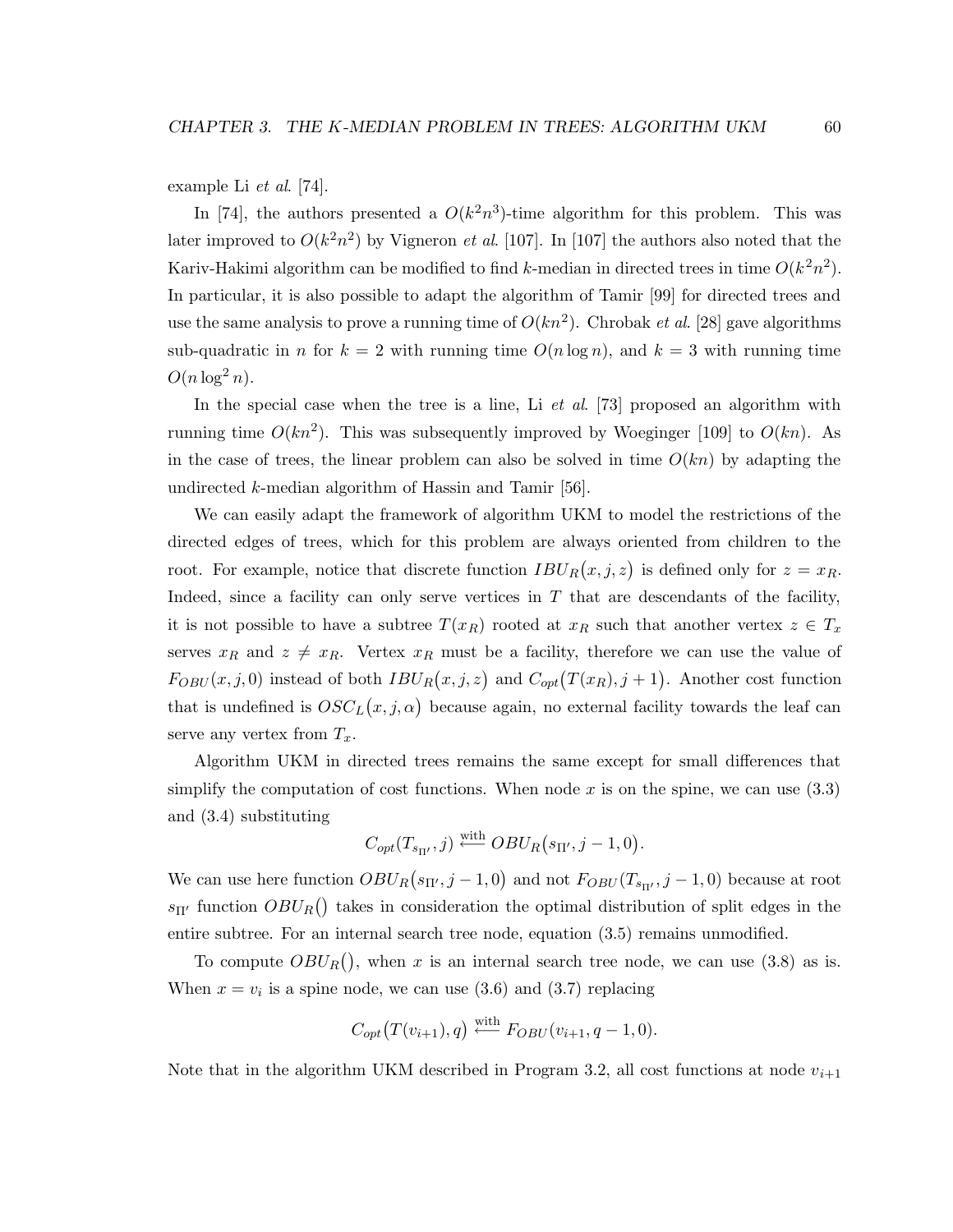example Li et al. [74].

In [74], the authors presented a  $O(k^2n^3)$ -time algorithm for this problem. This was later improved to  $O(k^2n^2)$  by Vigneron *et al.* [107]. In [107] the authors also noted that the Kariv-Hakimi algorithm can be modified to find k-median in directed trees in time  $O(k^2n^2)$ . In particular, it is also possible to adapt the algorithm of Tamir [99] for directed trees and use the same analysis to prove a running time of  $O(kn^2)$ . Chrobak *et al.* [28] gave algorithms sub-quadratic in n for  $k = 2$  with running time  $O(n \log n)$ , and  $k = 3$  with running time  $O(n \log^2 n)$ .

In the special case when the tree is a line, Li  $et \ al.$  [73] proposed an algorithm with running time  $O(kn^2)$ . This was subsequently improved by Woeginger [109] to  $O(kn)$ . As in the case of trees, the linear problem can also be solved in time  $O(kn)$  by adapting the undirected k-median algorithm of Hassin and Tamir [56].

We can easily adapt the framework of algorithm UKM to model the restrictions of the directed edges of trees, which for this problem are always oriented from children to the root. For example, notice that discrete function  $IBU_R(x, j, z)$  is defined only for  $z = x_R$ . Indeed, since a facility can only serve vertices in  $T$  that are descendants of the facility, it is not possible to have a subtree  $T(x_R)$  rooted at  $x_R$  such that another vertex  $z \in T_x$ serves  $x_R$  and  $z \neq x_R$ . Vertex  $x_R$  must be a facility, therefore we can use the value of  $F_{OBU}(x, j, 0)$  instead of both  $IBU_R(x, j, z)$  and  $C_{opt}(T(x_R), j + 1)$ . Another cost function that is undefined is  $OSC<sub>L</sub>(x, j, \alpha)$  because again, no external facility towards the leaf can serve any vertex from  $T_x$ .

Algorithm UKM in directed trees remains the same except for small differences that simplify the computation of cost functions. When node x is on the spine, we can use  $(3.3)$ and (3.4) substituting

$$
C_{opt}(T_{s_{\Pi'}},j) \stackrel{\text{with}}{\longleftarrow} OBU_R(s_{\Pi'},j-1,0).
$$

We can use here function  $OBU_R(s_{\Pi'}, j-1, 0)$  and not  $F_{OBU}(T_{s_{\Pi'}}, j-1, 0)$  because at root  $s_{\Pi'}$  function  $OBU_R()$  takes in consideration the optimal distribution of split edges in the entire subtree. For an internal search tree node, equation (3.5) remains unmodified.

To compute  $OBU_R()$ , when x is an internal search tree node, we can use (3.8) as is. When  $x = v_i$  is a spine node, we can use (3.6) and (3.7) replacing

$$
C_{opt}(T(v_{i+1}), q) \stackrel{\text{with}}{\longleftarrow} F_{OBU}(v_{i+1}, q-1, 0).
$$

Note that in the algorithm UKM described in Program 3.2, all cost functions at node  $v_{i+1}$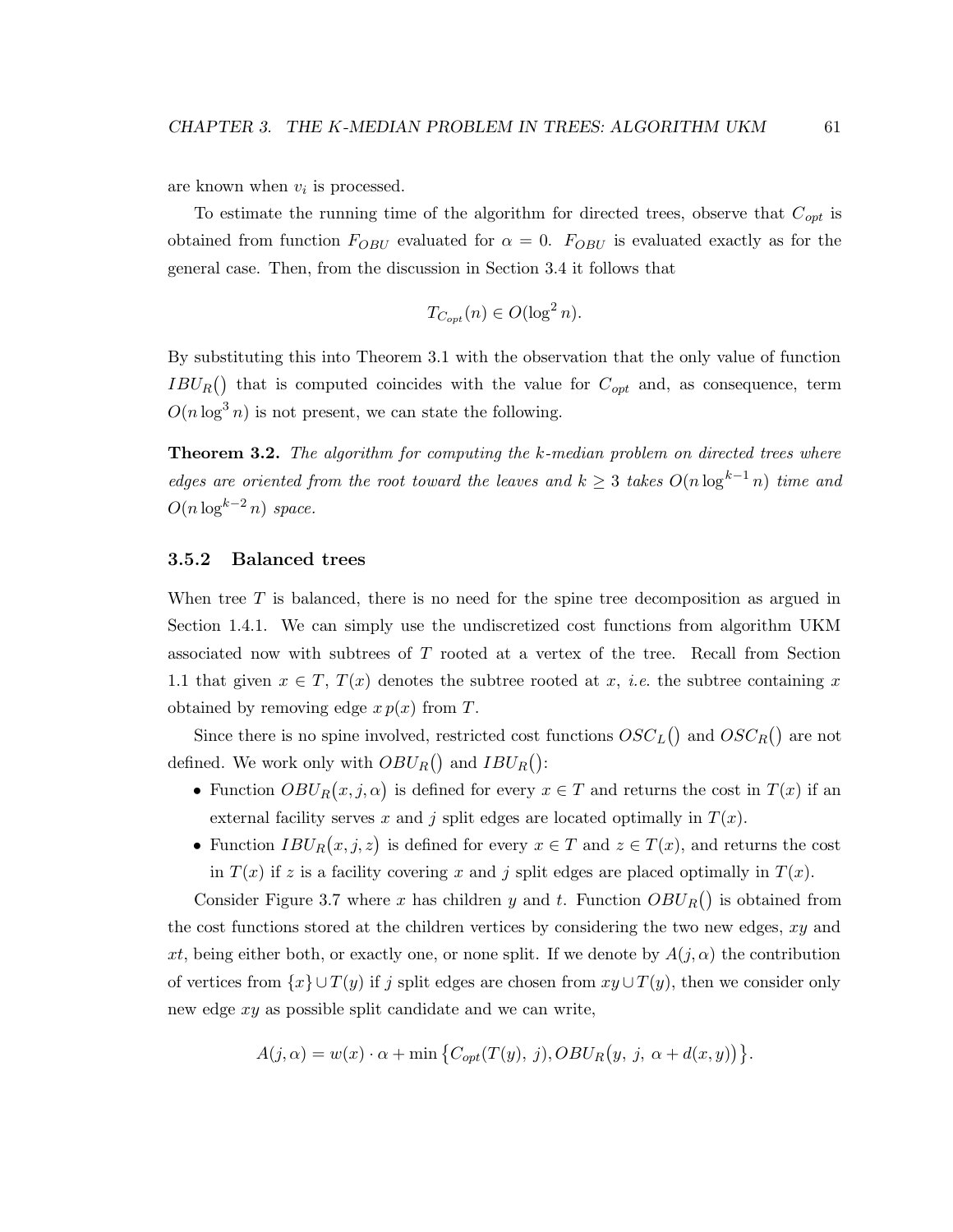are known when  $v_i$  is processed.

To estimate the running time of the algorithm for directed trees, observe that  $C_{opt}$  is obtained from function  $F_{OBU}$  evaluated for  $\alpha = 0$ .  $F_{OBU}$  is evaluated exactly as for the general case. Then, from the discussion in Section 3.4 it follows that

$$
T_{C_{opt}}(n) \in O(\log^2 n).
$$

By substituting this into Theorem 3.1 with the observation that the only value of function  $IBU_R()$  that is computed coincides with the value for  $C_{opt}$  and, as consequence, term  $O(n \log^3 n)$  is not present, we can state the following.

**Theorem 3.2.** The algorithm for computing the  $k$ -median problem on directed trees where edges are oriented from the root toward the leaves and  $k \geq 3$  takes  $O(n \log^{k-1} n)$  time and  $O(n \log^{k-2} n)$  space.

#### 3.5.2 Balanced trees

When tree T is balanced, there is no need for the spine tree decomposition as argued in Section 1.4.1. We can simply use the undiscretized cost functions from algorithm UKM associated now with subtrees of T rooted at a vertex of the tree. Recall from Section 1.1 that given  $x \in T$ ,  $T(x)$  denotes the subtree rooted at x, *i.e.* the subtree containing x obtained by removing edge  $x p(x)$  from T.

Since there is no spine involved, restricted cost functions  $OSC_L()$  and  $OSC_R()$  are not defined. We work only with  $OBU_R()$  and  $IBU_R()$ :

- Function  $OBU_R(x, j, \alpha)$  is defined for every  $x \in T$  and returns the cost in  $T(x)$  if an external facility serves x and j split edges are located optimally in  $T(x)$ .
- Function  $IBU_R(x, j, z)$  is defined for every  $x \in T$  and  $z \in T(x)$ , and returns the cost in  $T(x)$  if z is a facility covering x and j split edges are placed optimally in  $T(x)$ .

Consider Figure 3.7 where x has children y and t. Function  $OBU_R()$  is obtained from the cost functions stored at the children vertices by considering the two new edges,  $xy$  and xt, being either both, or exactly one, or none split. If we denote by  $A(j,\alpha)$  the contribution of vertices from  $\{x\} \cup T(y)$  if j split edges are chosen from  $xy \cup T(y)$ , then we consider only new edge xy as possible split candidate and we can write,

$$
A(j, \alpha) = w(x) \cdot \alpha + \min \left\{ C_{opt}(T(y), j), OBU_R(y, j, \alpha + d(x, y)) \right\}.
$$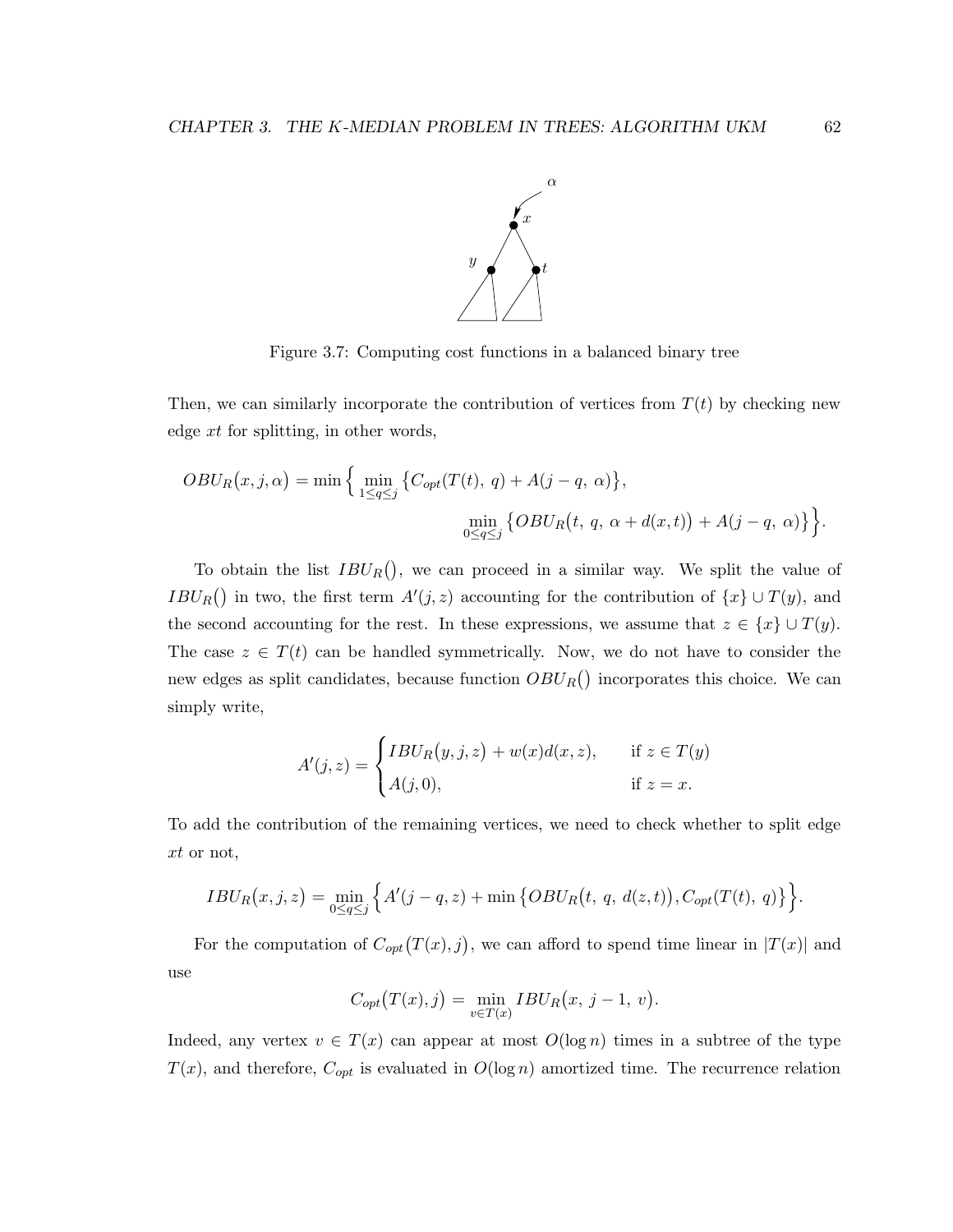

Figure 3.7: Computing cost functions in a balanced binary tree

Then, we can similarly incorporate the contribution of vertices from  $T(t)$  by checking new edge xt for splitting, in other words,

$$
OBU_R(x,j,\alpha) = \min\Big\{\min_{1\leq q\leq j}\big\{C_{opt}(T(t),\,q) + A(j-q,\,\alpha)\big\},\
$$

$$
\min_{0\leq q\leq j}\big\{OBU_R(t,\,q,\,\alpha+d(x,t)) + A(j-q,\,\alpha)\big\}\Big\}.
$$

To obtain the list  $IBU_R()$ , we can proceed in a similar way. We split the value of  $IBU_R()$  in two, the first term  $A'(j, z)$  accounting for the contribution of  $\{x\} \cup T(y)$ , and the second accounting for the rest. In these expressions, we assume that  $z \in \{x\} \cup T(y)$ . The case  $z \in T(t)$  can be handled symmetrically. Now, we do not have to consider the new edges as split candidates, because function  $OBU_R()$  incorporates this choice. We can simply write,

$$
A'(j, z) = \begin{cases} IBU_R(y, j, z) + w(x)d(x, z), & \text{if } z \in T(y) \\ A(j, 0), & \text{if } z = x. \end{cases}
$$

To add the contribution of the remaining vertices, we need to check whether to split edge xt or not,

$$
IBU_R(x,j,z) = \min_{0 \le q \le j} \Big\{ A'(j-q,z) + \min \big\{ OBU_R(t, q, d(z,t)), C_{opt}(T(t), q) \big\} \Big\}.
$$

For the computation of  $C_{opt}(T(x), j)$ , we can afford to spend time linear in  $|T(x)|$  and use

$$
C_{opt}(T(x), j) = \min_{v \in T(x)} IBU_R(x, j-1, v).
$$

Indeed, any vertex  $v \in T(x)$  can appear at most  $O(\log n)$  times in a subtree of the type  $T(x)$ , and therefore,  $C_{opt}$  is evaluated in  $O(\log n)$  amortized time. The recurrence relation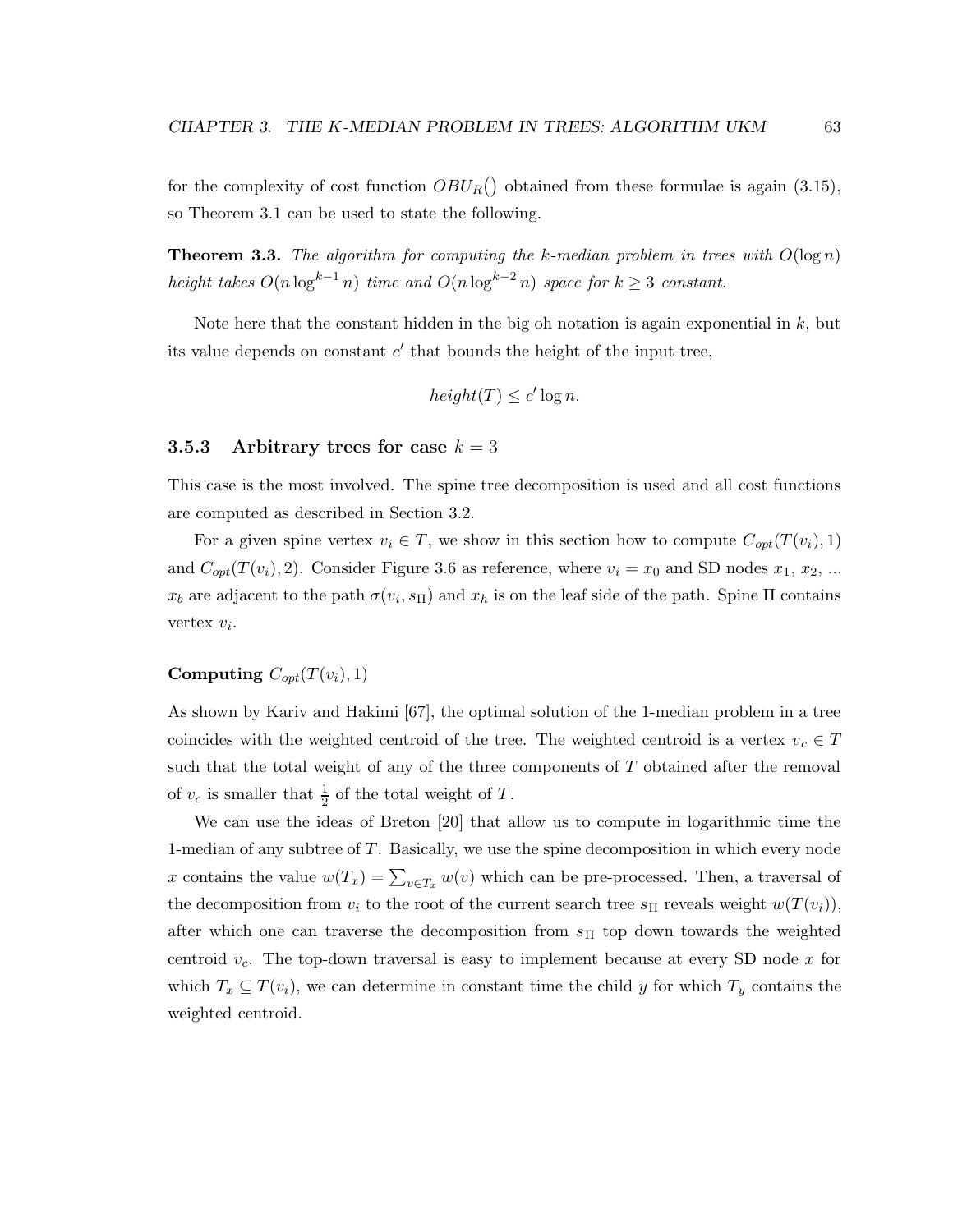for the complexity of cost function  $OBU_R()$  obtained from these formulae is again (3.15), so Theorem 3.1 can be used to state the following.

**Theorem 3.3.** The algorithm for computing the k-median problem in trees with  $O(\log n)$ height takes  $O(n \log^{k-1} n)$  time and  $O(n \log^{k-2} n)$  space for  $k \geq 3$  constant.

Note here that the constant hidden in the big oh notation is again exponential in  $k$ , but its value depends on constant  $c'$  that bounds the height of the input tree,

$$
height(T) \le c' \log n.
$$

#### 3.5.3 Arbitrary trees for case  $k = 3$

This case is the most involved. The spine tree decomposition is used and all cost functions are computed as described in Section 3.2.

For a given spine vertex  $v_i \in T$ , we show in this section how to compute  $C_{opt}(T(v_i), 1)$ and  $C_{opt}(T(v_i), 2)$ . Consider Figure 3.6 as reference, where  $v_i = x_0$  and SD nodes  $x_1, x_2, ...$  $x_b$  are adjacent to the path  $\sigma(v_i, s_{\Pi})$  and  $x_h$  is on the leaf side of the path. Spine  $\Pi$  contains vertex  $v_i$ .

#### Computing  $C_{opt}(T(v_i), 1)$

As shown by Kariv and Hakimi [67], the optimal solution of the 1-median problem in a tree coincides with the weighted centroid of the tree. The weighted centroid is a vertex  $v_c \in T$ such that the total weight of any of the three components of  $T$  obtained after the removal of  $v_c$  is smaller that  $\frac{1}{2}$  of the total weight of T.

We can use the ideas of Breton [20] that allow us to compute in logarithmic time the 1-median of any subtree of T. Basically, we use the spine decomposition in which every node x contains the value  $w(T_x) = \sum_{v \in T_x} w(v)$  which can be pre-processed. Then, a traversal of the decomposition from  $v_i$  to the root of the current search tree  $s_{\Pi}$  reveals weight  $w(T(v_i))$ , after which one can traverse the decomposition from  $s_{\Pi}$  top down towards the weighted centroid  $v_c$ . The top-down traversal is easy to implement because at every SD node x for which  $T_x \subseteq T(v_i)$ , we can determine in constant time the child y for which  $T_y$  contains the weighted centroid.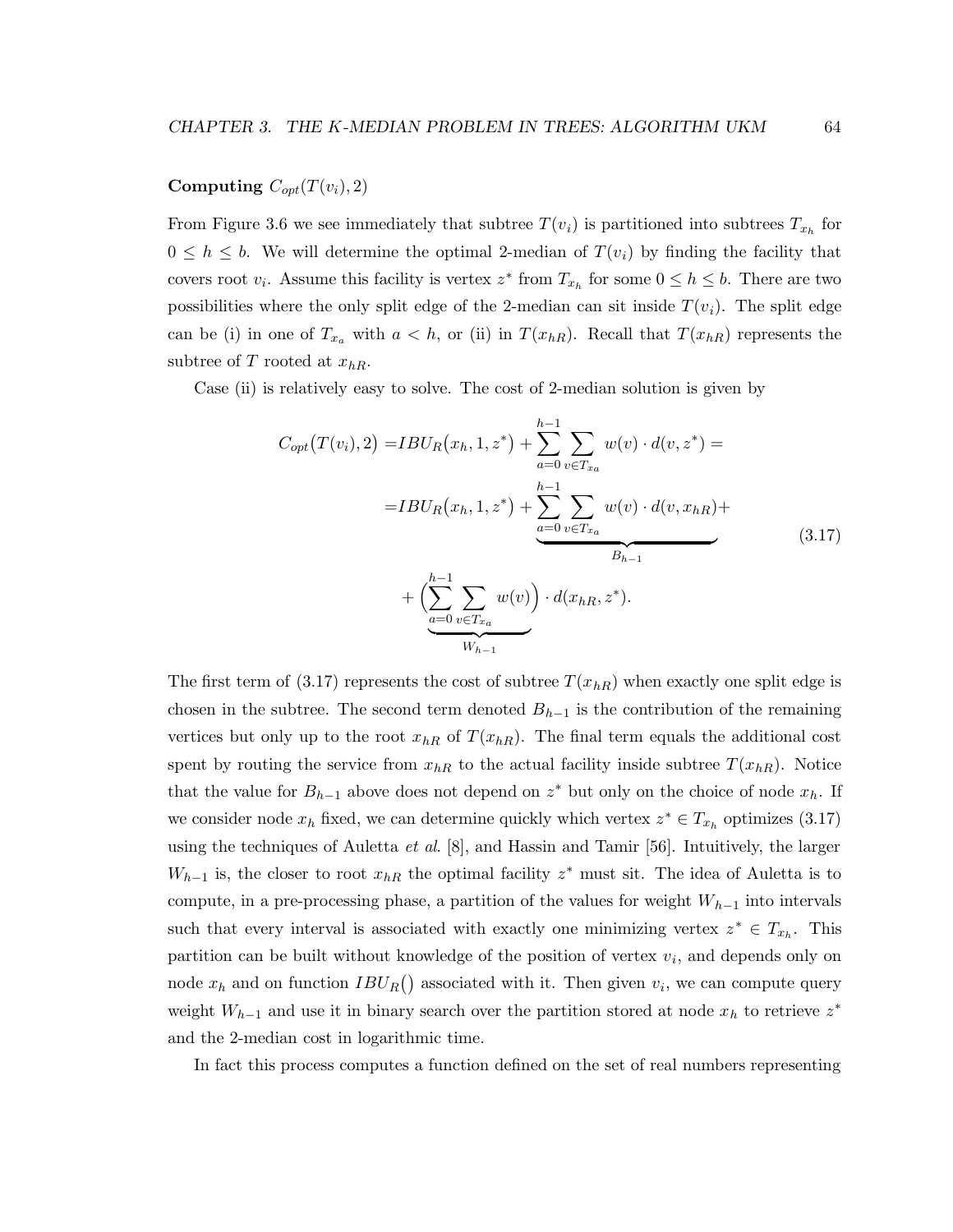#### Computing  $C_{opt}(T(v_i), 2)$

From Figure 3.6 we see immediately that subtree  $T(v_i)$  is partitioned into subtrees  $T_{x_h}$  for  $0 \leq h \leq b$ . We will determine the optimal 2-median of  $T(v_i)$  by finding the facility that covers root  $v_i$ . Assume this facility is vertex  $z^*$  from  $T_{x_h}$  for some  $0 \leq h \leq b$ . There are two possibilities where the only split edge of the 2-median can sit inside  $T(v_i)$ . The split edge can be (i) in one of  $T_{x_a}$  with  $a < h$ , or (ii) in  $T(x_{hR})$ . Recall that  $T(x_{hR})$  represents the subtree of T rooted at  $x_{hR}$ .

Case (ii) is relatively easy to solve. The cost of 2-median solution is given by

$$
C_{opt}(T(v_i), 2) = IBU_R(x_h, 1, z^*) + \sum_{a=0}^{h-1} \sum_{v \in T_{x_a}} w(v) \cdot d(v, z^*) =
$$
  

$$
= IBU_R(x_h, 1, z^*) + \sum_{a=0}^{h-1} \sum_{v \in T_{x_a}} w(v) \cdot d(v, x_{hR}) +
$$
  

$$
+ \left( \sum_{a=0}^{h-1} \sum_{v \in T_{x_a}} w(v) \right) \cdot d(x_{hR}, z^*).
$$
 (3.17)

The first term of (3.17) represents the cost of subtree  $T(x_{hR})$  when exactly one split edge is chosen in the subtree. The second term denoted  $B_{h-1}$  is the contribution of the remaining vertices but only up to the root  $x_{hR}$  of  $T(x_{hR})$ . The final term equals the additional cost spent by routing the service from  $x_{hR}$  to the actual facility inside subtree  $T(x_{hR})$ . Notice that the value for  $B_{h-1}$  above does not depend on  $z^*$  but only on the choice of node  $x_h$ . If we consider node  $x_h$  fixed, we can determine quickly which vertex  $z^* \in T_{x_h}$  optimizes (3.17) using the techniques of Auletta et al.  $[8]$ , and Hassin and Tamir  $[56]$ . Intuitively, the larger  $W_{h-1}$  is, the closer to root  $x_{hR}$  the optimal facility  $z^*$  must sit. The idea of Auletta is to compute, in a pre-processing phase, a partition of the values for weight  $W_{h-1}$  into intervals such that every interval is associated with exactly one minimizing vertex  $z^* \in T_{x_h}$ . This partition can be built without knowledge of the position of vertex  $v_i$ , and depends only on node  $x_h$  and on function  $IBU_R()$  associated with it. Then given  $v_i$ , we can compute query weight  $W_{h-1}$  and use it in binary search over the partition stored at node  $x_h$  to retrieve  $z^*$ and the 2-median cost in logarithmic time.

In fact this process computes a function defined on the set of real numbers representing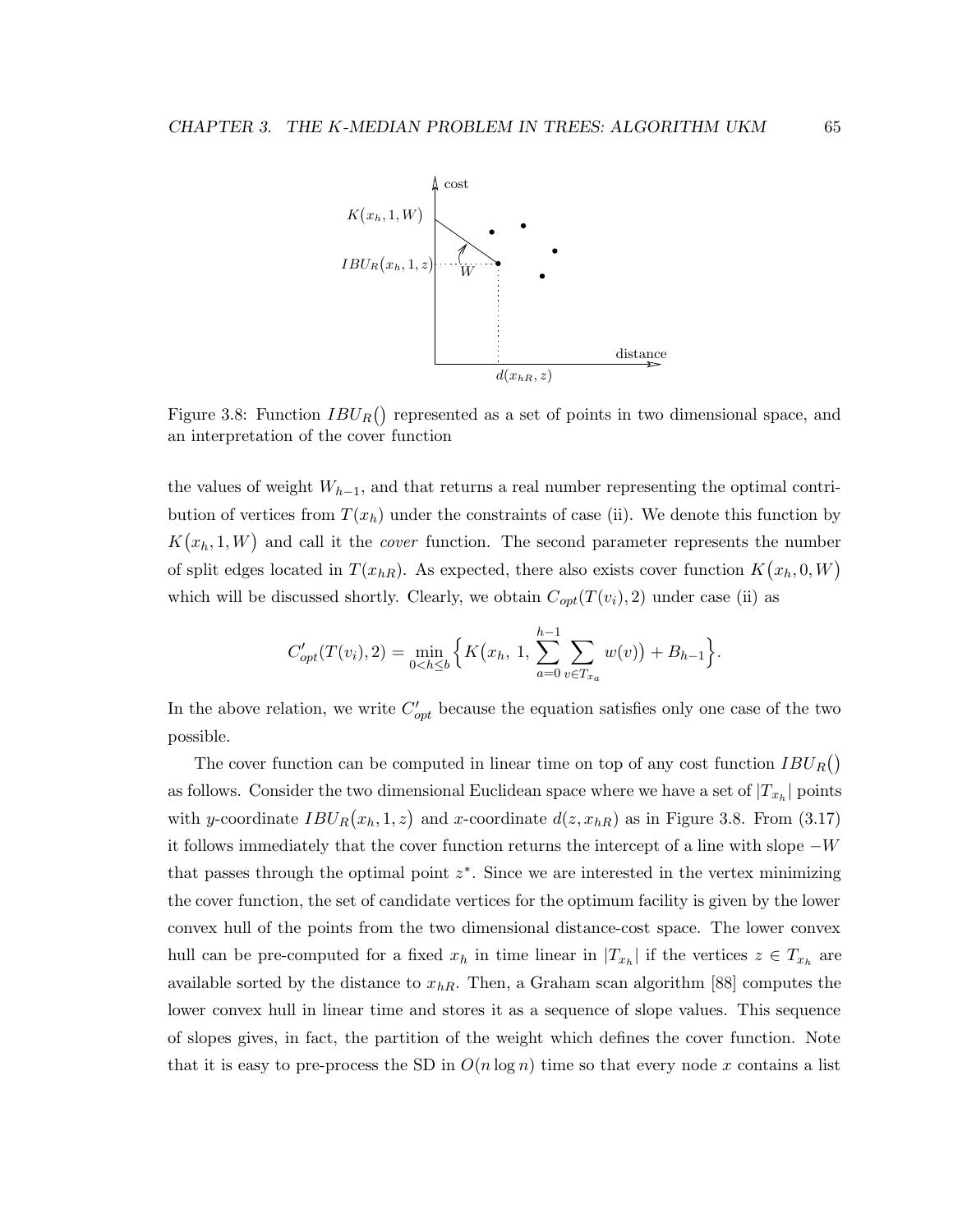

Figure 3.8: Function  $IBU_R()$  represented as a set of points in two dimensional space, and an interpretation of the cover function

the values of weight  $W_{h-1}$ , and that returns a real number representing the optimal contribution of vertices from  $T(x_h)$  under the constraints of case (ii). We denote this function by  $K(x_h, 1, W)$  and call it the *cover* function. The second parameter represents the number of split edges located in  $T(x_{hR})$ . As expected, there also exists cover function  $K(x_h, 0, W)$ which will be discussed shortly. Clearly, we obtain  $C_{opt}(T(v_i), 2)$  under case (ii) as

$$
C'_{opt}(T(v_i), 2) = \min_{0 < h \leq b} \left\{ K(x_h, 1, \sum_{a=0}^{h-1} \sum_{v \in T_{xa}} w(v)) + B_{h-1} \right\}.
$$

In the above relation, we write  $C'_{opt}$  because the equation satisfies only one case of the two possible.

The cover function can be computed in linear time on top of any cost function  $IBU_R()$ as follows. Consider the two dimensional Euclidean space where we have a set of  $|T_{x_h}|$  points with y-coordinate  $IBU_R(x_h, 1, z)$  and x-coordinate  $d(z, x_{hR})$  as in Figure 3.8. From (3.17) it follows immediately that the cover function returns the intercept of a line with slope  $-W$ that passes through the optimal point  $z^*$ . Since we are interested in the vertex minimizing the cover function, the set of candidate vertices for the optimum facility is given by the lower convex hull of the points from the two dimensional distance-cost space. The lower convex hull can be pre-computed for a fixed  $x_h$  in time linear in  $|T_{x_h}|$  if the vertices  $z \in T_{x_h}$  are available sorted by the distance to  $x_{hR}$ . Then, a Graham scan algorithm [88] computes the lower convex hull in linear time and stores it as a sequence of slope values. This sequence of slopes gives, in fact, the partition of the weight which defines the cover function. Note that it is easy to pre-process the SD in  $O(n \log n)$  time so that every node x contains a list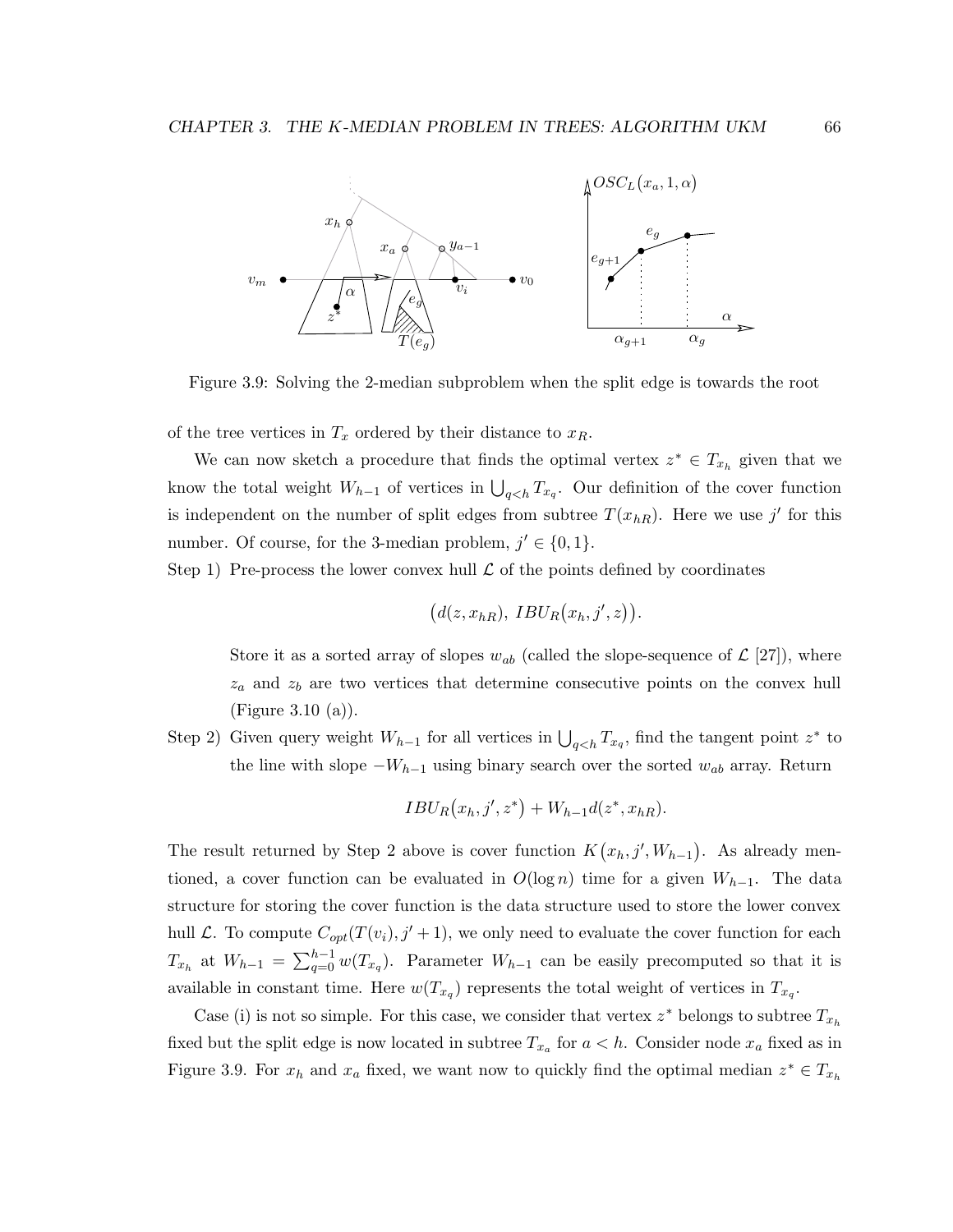

Figure 3.9: Solving the 2-median subproblem when the split edge is towards the root

of the tree vertices in  $T_x$  ordered by their distance to  $x_R$ .

We can now sketch a procedure that finds the optimal vertex  $z^* \in T_{x_h}$  given that we know the total weight  $W_{h-1}$  of vertices in  $\bigcup_{q < h} T_{x_q}$ . Our definition of the cover function is independent on the number of split edges from subtree  $T(x_{hR})$ . Here we use j' for this number. Of course, for the 3-median problem,  $j' \in \{0, 1\}$ .

Step 1) Pre-process the lower convex hull  $\mathcal L$  of the points defined by coordinates

$$
(d(z,x_{hR}), IBU_R(x_h,j',z)).
$$

Store it as a sorted array of slopes  $w_{ab}$  (called the slope-sequence of  $\mathcal{L}$  [27]), where  $z_a$  and  $z_b$  are two vertices that determine consecutive points on the convex hull (Figure 3.10 (a)).

Step 2) Given query weight  $W_{h-1}$  for all vertices in  $\bigcup_{q < h} T_{x_q}$ , find the tangent point  $z^*$  to the line with slope  $-W_{h-1}$  using binary search over the sorted  $w_{ab}$  array. Return

$$
IBU_R(x_h, j', z^*) + W_{h-1}d(z^*, x_{hR}).
$$

The result returned by Step 2 above is cover function  $K(x_h, j', W_{h-1})$ . As already mentioned, a cover function can be evaluated in  $O(\log n)$  time for a given  $W_{h-1}$ . The data structure for storing the cover function is the data structure used to store the lower convex hull L. To compute  $C_{opt}(T(v_i), j' + 1)$ , we only need to evaluate the cover function for each  $T_{x_h}$  at  $W_{h-1} = \sum_{q=0}^{h-1} w(T_{x_q})$ . Parameter  $W_{h-1}$  can be easily precomputed so that it is available in constant time. Here  $w(T_{x_q})$  represents the total weight of vertices in  $T_{x_q}$ .

Case (i) is not so simple. For this case, we consider that vertex  $z^*$  belongs to subtree  $T_{x_h}$ fixed but the split edge is now located in subtree  $T_{x_a}$  for  $a < h$ . Consider node  $x_a$  fixed as in Figure 3.9. For  $x_h$  and  $x_a$  fixed, we want now to quickly find the optimal median  $z^* \in T_{x_h}$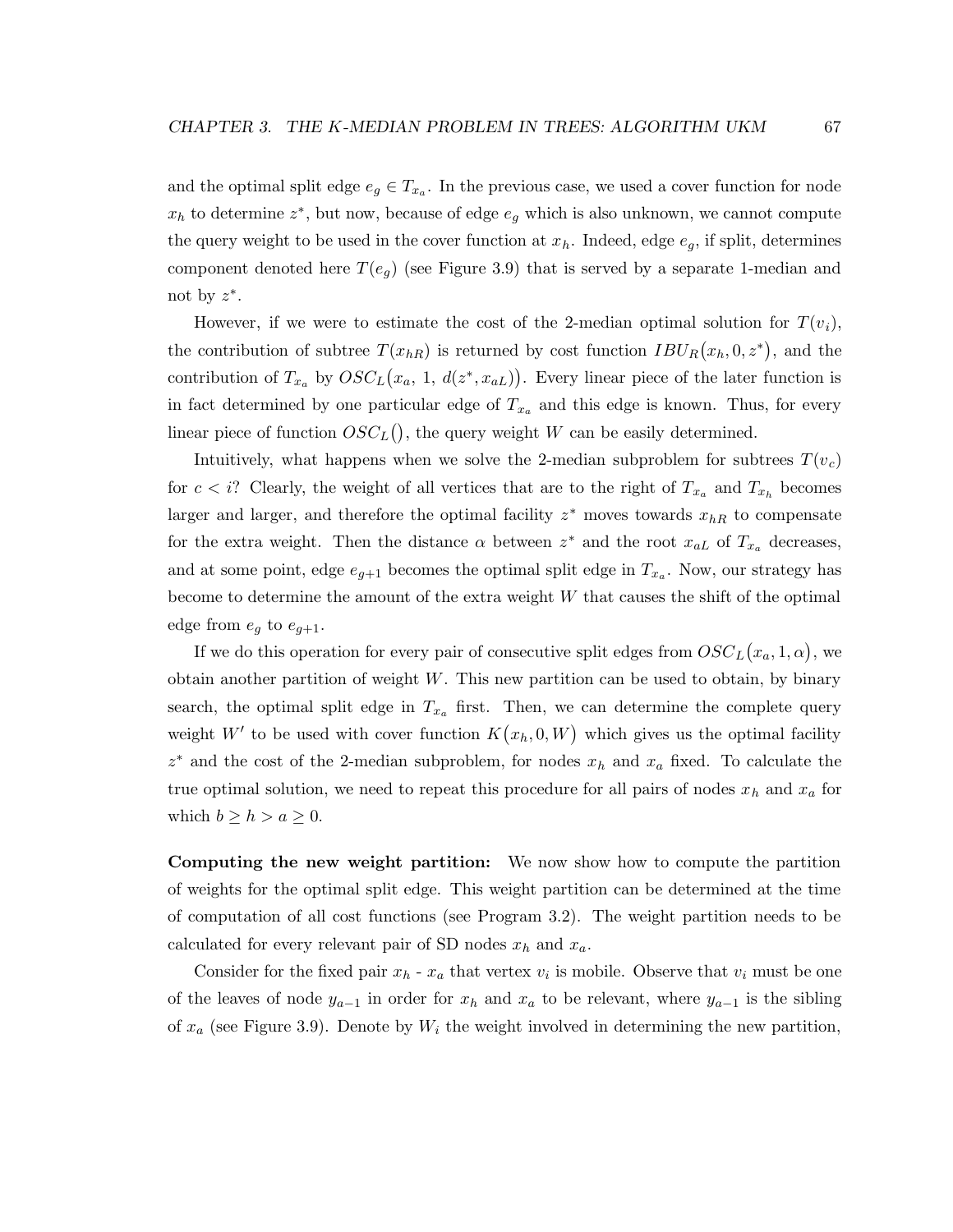and the optimal split edge  $e_g \in T_{x_a}$ . In the previous case, we used a cover function for node  $x_h$  to determine  $z^*$ , but now, because of edge  $e_g$  which is also unknown, we cannot compute the query weight to be used in the cover function at  $x_h$ . Indeed, edge  $e_g$ , if split, determines component denoted here  $T(e_q)$  (see Figure 3.9) that is served by a separate 1-median and not by  $z^*$ .

However, if we were to estimate the cost of the 2-median optimal solution for  $T(v_i)$ , the contribution of subtree  $T(x_{hR})$  is returned by cost function  $IBU_R(x_h, 0, z^*)$ , and the contribution of  $T_{x_a}$  by  $OSC<sub>L</sub>(x_a, 1, d(z^*, x_{aL}))$ . Every linear piece of the later function is in fact determined by one particular edge of  $T_{x_a}$  and this edge is known. Thus, for every linear piece of function  $OSC_L()$ , the query weight W can be easily determined.

Intuitively, what happens when we solve the 2-median subproblem for subtrees  $T(v_c)$ for  $c < i$ ? Clearly, the weight of all vertices that are to the right of  $T_{x_a}$  and  $T_{x_h}$  becomes larger and larger, and therefore the optimal facility  $z^*$  moves towards  $x_{hR}$  to compensate for the extra weight. Then the distance  $\alpha$  between  $z^*$  and the root  $x_{aL}$  of  $T_{x_a}$  decreases, and at some point, edge  $e_{g+1}$  becomes the optimal split edge in  $T_{x_a}$ . Now, our strategy has become to determine the amount of the extra weight W that causes the shift of the optimal edge from  $e_g$  to  $e_{g+1}$ .

If we do this operation for every pair of consecutive split edges from  ${OSC}_L(x_a, 1, \alpha)$ , we obtain another partition of weight  $W$ . This new partition can be used to obtain, by binary search, the optimal split edge in  $T_{x_a}$  first. Then, we can determine the complete query weight W' to be used with cover function  $K(x_h, 0, W)$  which gives us the optimal facility  $z^*$  and the cost of the 2-median subproblem, for nodes  $x_h$  and  $x_a$  fixed. To calculate the true optimal solution, we need to repeat this procedure for all pairs of nodes  $x_h$  and  $x_a$  for which  $b \geq h > a \geq 0$ .

Computing the new weight partition: We now show how to compute the partition of weights for the optimal split edge. This weight partition can be determined at the time of computation of all cost functions (see Program 3.2). The weight partition needs to be calculated for every relevant pair of SD nodes  $x_h$  and  $x_a$ .

Consider for the fixed pair  $x_h$  -  $x_a$  that vertex  $v_i$  is mobile. Observe that  $v_i$  must be one of the leaves of node  $y_{a-1}$  in order for  $x_h$  and  $x_a$  to be relevant, where  $y_{a-1}$  is the sibling of  $x_a$  (see Figure 3.9). Denote by  $W_i$  the weight involved in determining the new partition,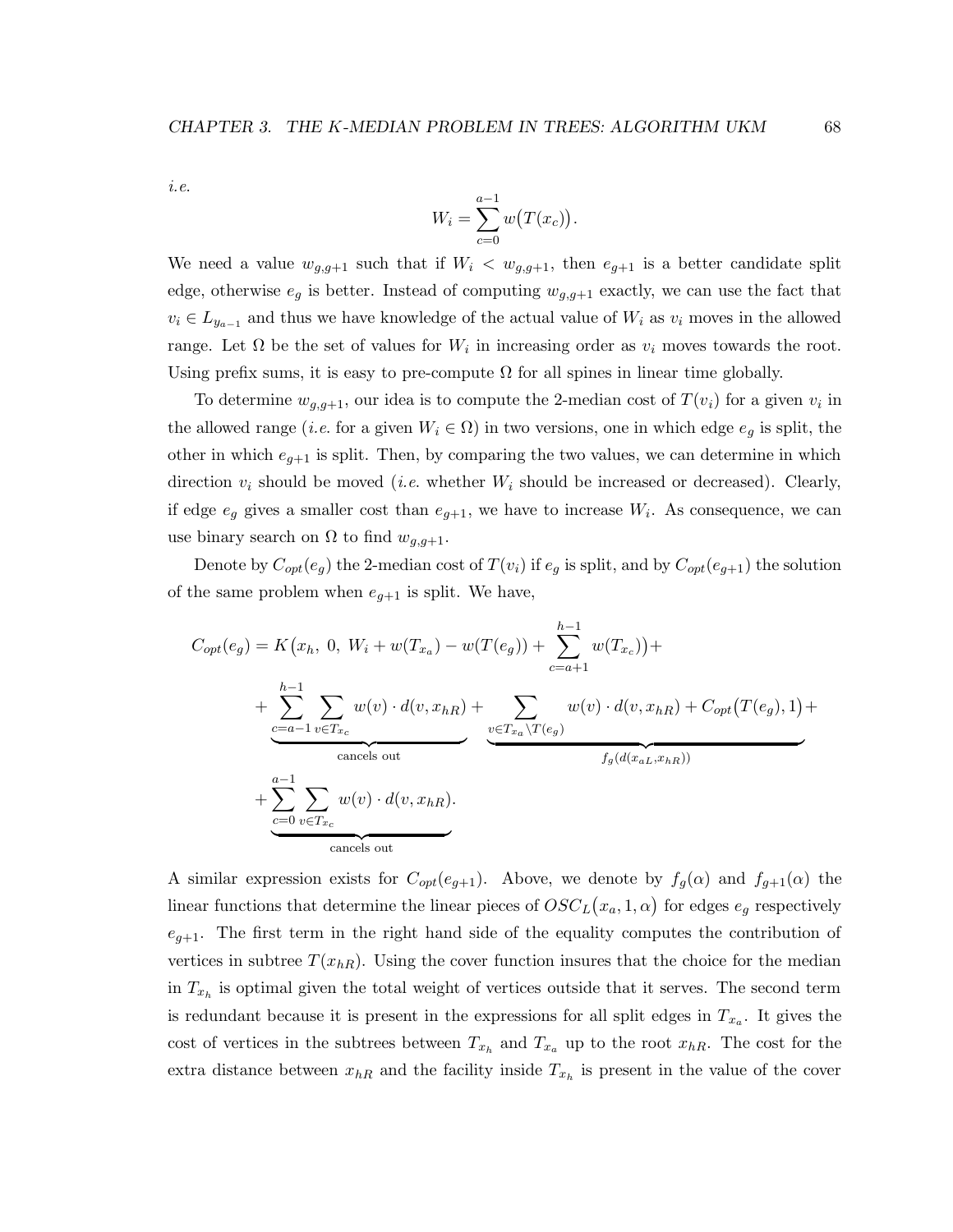i.e.

$$
W_i = \sum_{c=0}^{a-1} w(T(x_c)).
$$

We need a value  $w_{g,g+1}$  such that if  $W_i < w_{g,g+1}$ , then  $e_{g+1}$  is a better candidate split edge, otherwise  $e_g$  is better. Instead of computing  $w_{g,g+1}$  exactly, we can use the fact that  $v_i \in L_{y_{a-1}}$  and thus we have knowledge of the actual value of  $W_i$  as  $v_i$  moves in the allowed range. Let  $\Omega$  be the set of values for  $W_i$  in increasing order as  $v_i$  moves towards the root. Using prefix sums, it is easy to pre-compute  $\Omega$  for all spines in linear time globally.

To determine  $w_{g,g+1}$ , our idea is to compute the 2-median cost of  $T(v_i)$  for a given  $v_i$  in the allowed range (*i.e.* for a given  $W_i \in \Omega$ ) in two versions, one in which edge  $e_g$  is split, the other in which  $e_{g+1}$  is split. Then, by comparing the two values, we can determine in which direction  $v_i$  should be moved (*i.e.* whether  $W_i$  should be increased or decreased). Clearly, if edge  $e_g$  gives a smaller cost than  $e_{g+1}$ , we have to increase  $W_i$ . As consequence, we can use binary search on  $\Omega$  to find  $w_{g,g+1}$ .

Denote by  $C_{opt}(e_g)$  the 2-median cost of  $T(v_i)$  if  $e_g$  is split, and by  $C_{opt}(e_{g+1})$  the solution of the same problem when  $e_{q+1}$  is split. We have,

$$
C_{opt}(e_g) = K(x_h, 0, W_i + w(T_{x_a}) - w(T(e_g)) + \sum_{c=a+1}^{h-1} w(T_{x_c})) +
$$
  
+ 
$$
\sum_{c=a-1}^{h-1} \sum_{v \in T_{x_c}} w(v) \cdot d(v, x_{hR}) + \sum_{v \in T_{x_a} \setminus T(e_g)} w(v) \cdot d(v, x_{hR}) + C_{opt}(T(e_g), 1) +
$$
  
+ 
$$
\sum_{c=0}^{h-1} \sum_{v \in T_{x_c}} w(v) \cdot d(v, x_{hR}).
$$
  
concels out

A similar expression exists for  $C_{opt}(e_{g+1})$ . Above, we denote by  $f_g(\alpha)$  and  $f_{g+1}(\alpha)$  the linear functions that determine the linear pieces of  $OSC<sub>L</sub>(x<sub>a</sub>, 1, \alpha)$  for edges  $e<sub>g</sub>$  respectively  $e_{q+1}$ . The first term in the right hand side of the equality computes the contribution of vertices in subtree  $T(x_{hR})$ . Using the cover function insures that the choice for the median in  $T_{x_h}$  is optimal given the total weight of vertices outside that it serves. The second term is redundant because it is present in the expressions for all split edges in  $T_{x_a}$ . It gives the cost of vertices in the subtrees between  $T_{x_h}$  and  $T_{x_a}$  up to the root  $x_{hR}$ . The cost for the extra distance between  $x_{hR}$  and the facility inside  $T_{x_h}$  is present in the value of the cover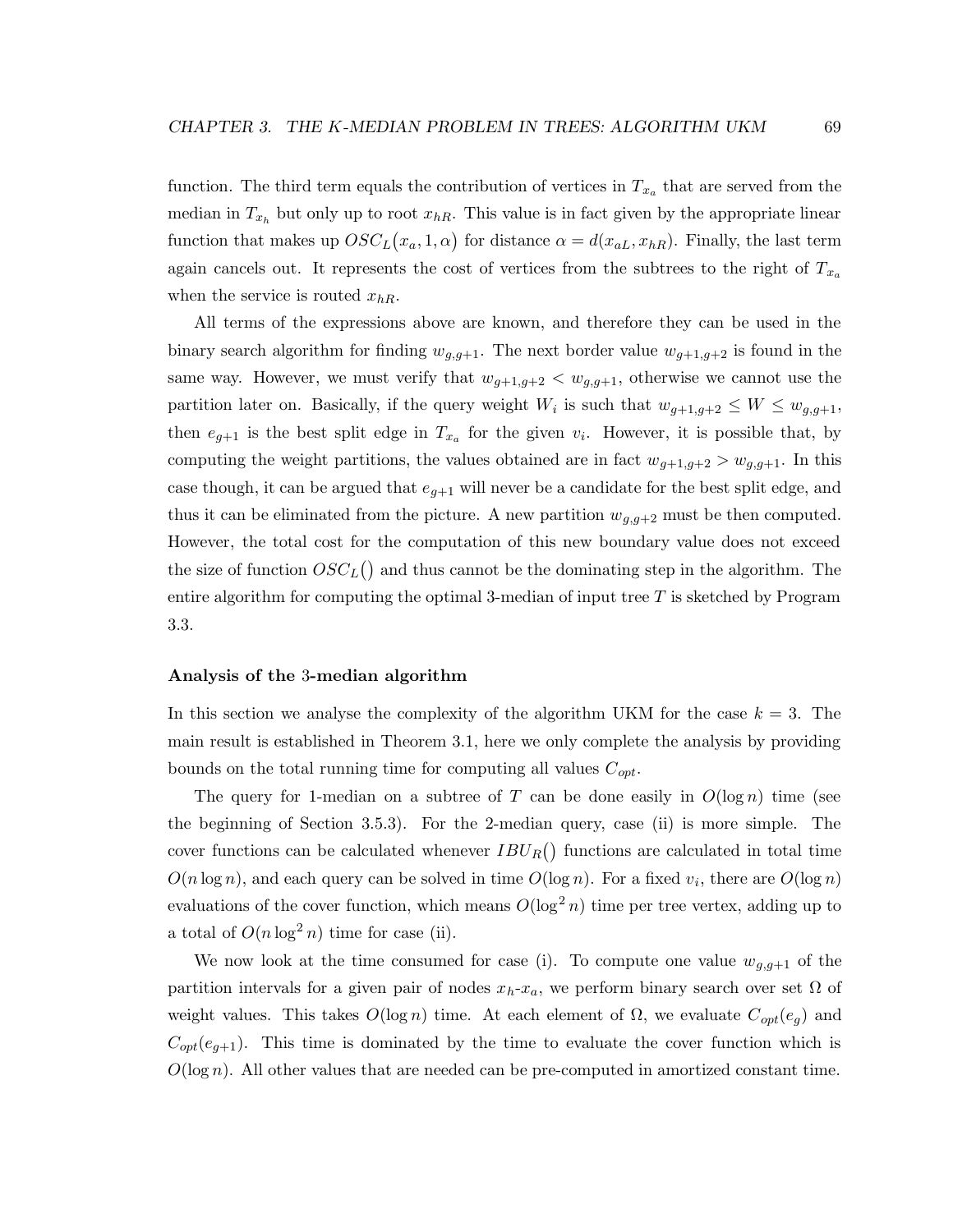function. The third term equals the contribution of vertices in  $T_{x_a}$  that are served from the median in  $T_{x_h}$  but only up to root  $x_{hR}$ . This value is in fact given by the appropriate linear function that makes up  $OSC<sub>L</sub>(x<sub>a</sub>, 1, \alpha)$  for distance  $\alpha = d(x<sub>aL</sub>, x<sub>hR</sub>)$ . Finally, the last term again cancels out. It represents the cost of vertices from the subtrees to the right of  $T_{x_a}$ when the service is routed  $x_{hR}$ .

All terms of the expressions above are known, and therefore they can be used in the binary search algorithm for finding  $w_{q,q+1}$ . The next border value  $w_{q+1,q+2}$  is found in the same way. However, we must verify that  $w_{g+1,g+2} < w_{g,g+1}$ , otherwise we cannot use the partition later on. Basically, if the query weight  $W_i$  is such that  $w_{g+1,g+2} \leq W \leq w_{g,g+1}$ , then  $e_{g+1}$  is the best split edge in  $T_{x_a}$  for the given  $v_i$ . However, it is possible that, by computing the weight partitions, the values obtained are in fact  $w_{g+1,g+2} > w_{g,g+1}$ . In this case though, it can be argued that  $e_{q+1}$  will never be a candidate for the best split edge, and thus it can be eliminated from the picture. A new partition  $w_{g,g+2}$  must be then computed. However, the total cost for the computation of this new boundary value does not exceed the size of function  $OSC_{L}$  and thus cannot be the dominating step in the algorithm. The entire algorithm for computing the optimal 3-median of input tree  $T$  is sketched by Program 3.3.

#### Analysis of the 3-median algorithm

In this section we analyse the complexity of the algorithm UKM for the case  $k = 3$ . The main result is established in Theorem 3.1, here we only complete the analysis by providing bounds on the total running time for computing all values  $C_{opt}$ .

The query for 1-median on a subtree of T can be done easily in  $O(\log n)$  time (see the beginning of Section 3.5.3). For the 2-median query, case (ii) is more simple. The cover functions can be calculated whenever  $IBU_R()$  functions are calculated in total time  $O(n \log n)$ , and each query can be solved in time  $O(\log n)$ . For a fixed  $v_i$ , there are  $O(\log n)$ evaluations of the cover function, which means  $O(\log^2 n)$  time per tree vertex, adding up to a total of  $O(n \log^2 n)$  time for case (ii).

We now look at the time consumed for case (i). To compute one value  $w_{q,q+1}$  of the partition intervals for a given pair of nodes  $x_h-x_a$ , we perform binary search over set  $\Omega$  of weight values. This takes  $O(\log n)$  time. At each element of  $\Omega$ , we evaluate  $C_{opt}(e_g)$  and  $C_{opt}(e_{q+1})$ . This time is dominated by the time to evaluate the cover function which is  $O(\log n)$ . All other values that are needed can be pre-computed in amortized constant time.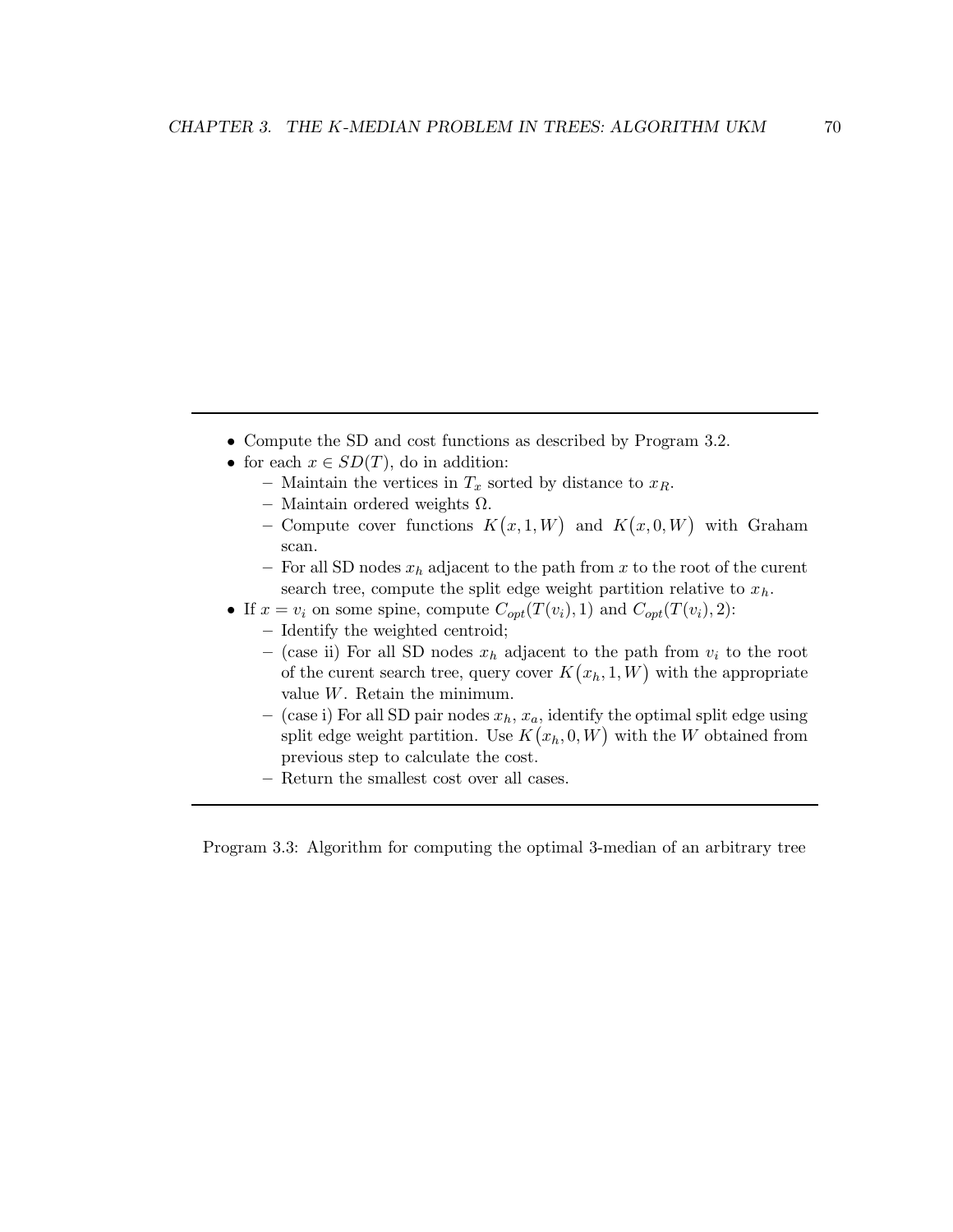- Compute the SD and cost functions as described by Program 3.2.
- for each  $x \in SD(T)$ , do in addition:
	- Maintain the vertices in  $T_x$  sorted by distance to  $x_R$ .
	- Maintain ordered weights Ω.
	- Compute cover functions  $K(x,1,W)$  and  $K(x,0,W)$  with Graham scan.
	- For all SD nodes  $x_h$  adjacent to the path from x to the root of the curent search tree, compute the split edge weight partition relative to  $x_h$ .
- If  $x = v_i$  on some spine, compute  $C_{opt}(T(v_i), 1)$  and  $C_{opt}(T(v_i), 2)$ :
	- Identify the weighted centroid;
	- (case ii) For all SD nodes  $x_h$  adjacent to the path from  $v_i$  to the root of the curent search tree, query cover  $K(x_h, 1, W)$  with the appropriate value W. Retain the minimum.
	- (case i) For all SD pair nodes  $x_h$ ,  $x_a$ , identify the optimal split edge using split edge weight partition. Use  $K(x_h, 0, W)$  with the W obtained from previous step to calculate the cost.
	- Return the smallest cost over all cases.

Program 3.3: Algorithm for computing the optimal 3-median of an arbitrary tree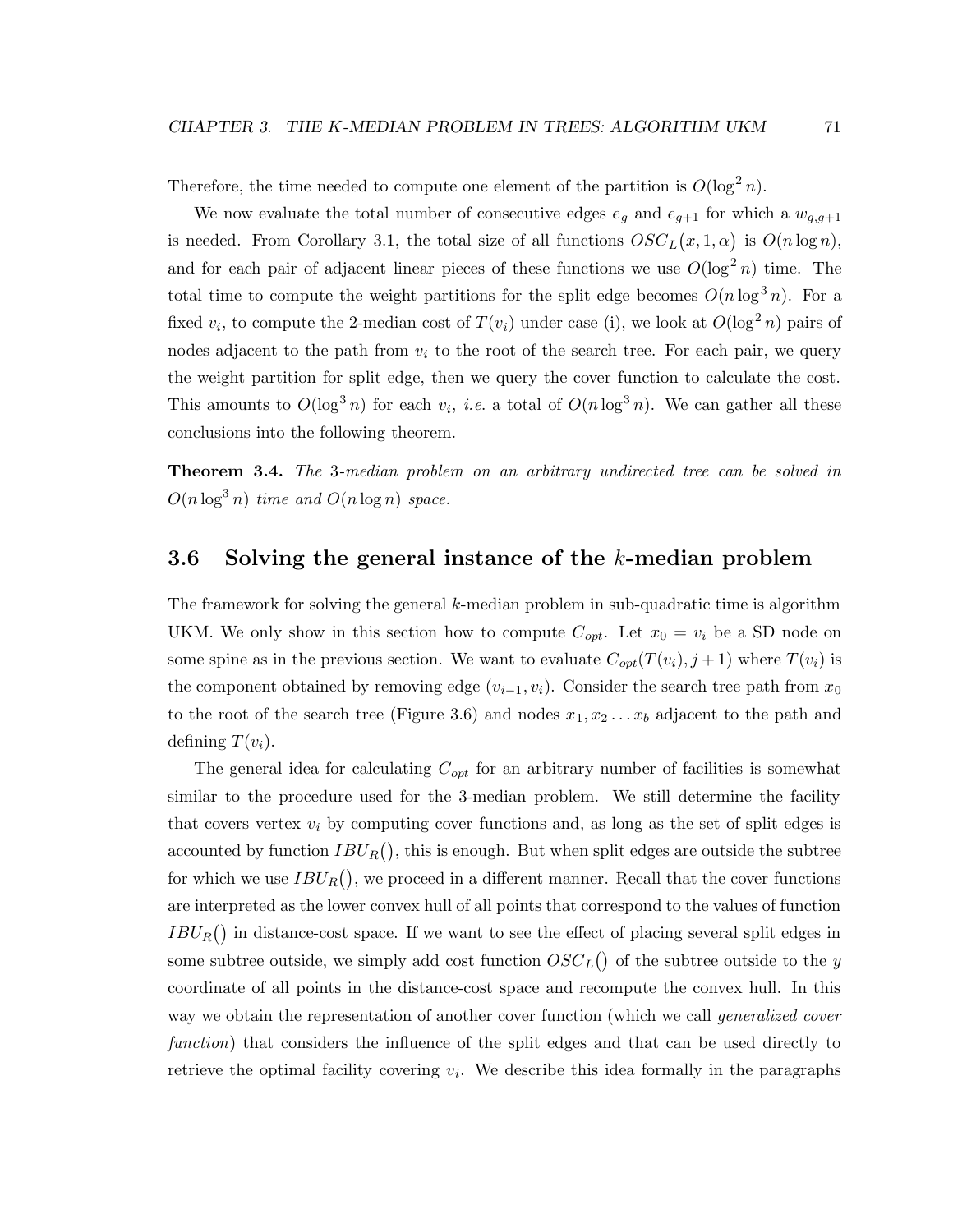Therefore, the time needed to compute one element of the partition is  $O(\log^2 n)$ .

We now evaluate the total number of consecutive edges  $e_q$  and  $e_{q+1}$  for which a  $w_{q,q+1}$ is needed. From Corollary 3.1, the total size of all functions  $OSC<sub>L</sub>(x, 1, \alpha)$  is  $O(n \log n)$ , and for each pair of adjacent linear pieces of these functions we use  $O(\log^2 n)$  time. The total time to compute the weight partitions for the split edge becomes  $O(n \log^3 n)$ . For a fixed  $v_i$ , to compute the 2-median cost of  $T(v_i)$  under case (i), we look at  $O(\log^2 n)$  pairs of nodes adjacent to the path from  $v_i$  to the root of the search tree. For each pair, we query the weight partition for split edge, then we query the cover function to calculate the cost. This amounts to  $O(\log^3 n)$  for each  $v_i$ , *i.e.* a total of  $O(n \log^3 n)$ . We can gather all these conclusions into the following theorem.

Theorem 3.4. The 3-median problem on an arbitrary undirected tree can be solved in  $O(n \log^3 n)$  time and  $O(n \log n)$  space.

# 3.6 Solving the general instance of the  $k$ -median problem

The framework for solving the general k-median problem in sub-quadratic time is algorithm UKM. We only show in this section how to compute  $C_{opt}$ . Let  $x_0 = v_i$  be a SD node on some spine as in the previous section. We want to evaluate  $C_{opt}(T(v_i), j+1)$  where  $T(v_i)$  is the component obtained by removing edge  $(v_{i-1}, v_i)$ . Consider the search tree path from  $x_0$ to the root of the search tree (Figure 3.6) and nodes  $x_1, x_2, \ldots, x_b$  adjacent to the path and defining  $T(v_i)$ .

The general idea for calculating  $C_{opt}$  for an arbitrary number of facilities is somewhat similar to the procedure used for the 3-median problem. We still determine the facility that covers vertex  $v_i$  by computing cover functions and, as long as the set of split edges is accounted by function  $IBU_R()$ , this is enough. But when split edges are outside the subtree for which we use  $IBU_R()$ , we proceed in a different manner. Recall that the cover functions are interpreted as the lower convex hull of all points that correspond to the values of function  $IBU_R()$  in distance-cost space. If we want to see the effect of placing several split edges in some subtree outside, we simply add cost function  $OSC_L()$  of the subtree outside to the y coordinate of all points in the distance-cost space and recompute the convex hull. In this way we obtain the representation of another cover function (which we call *generalized cover* function) that considers the influence of the split edges and that can be used directly to retrieve the optimal facility covering  $v_i$ . We describe this idea formally in the paragraphs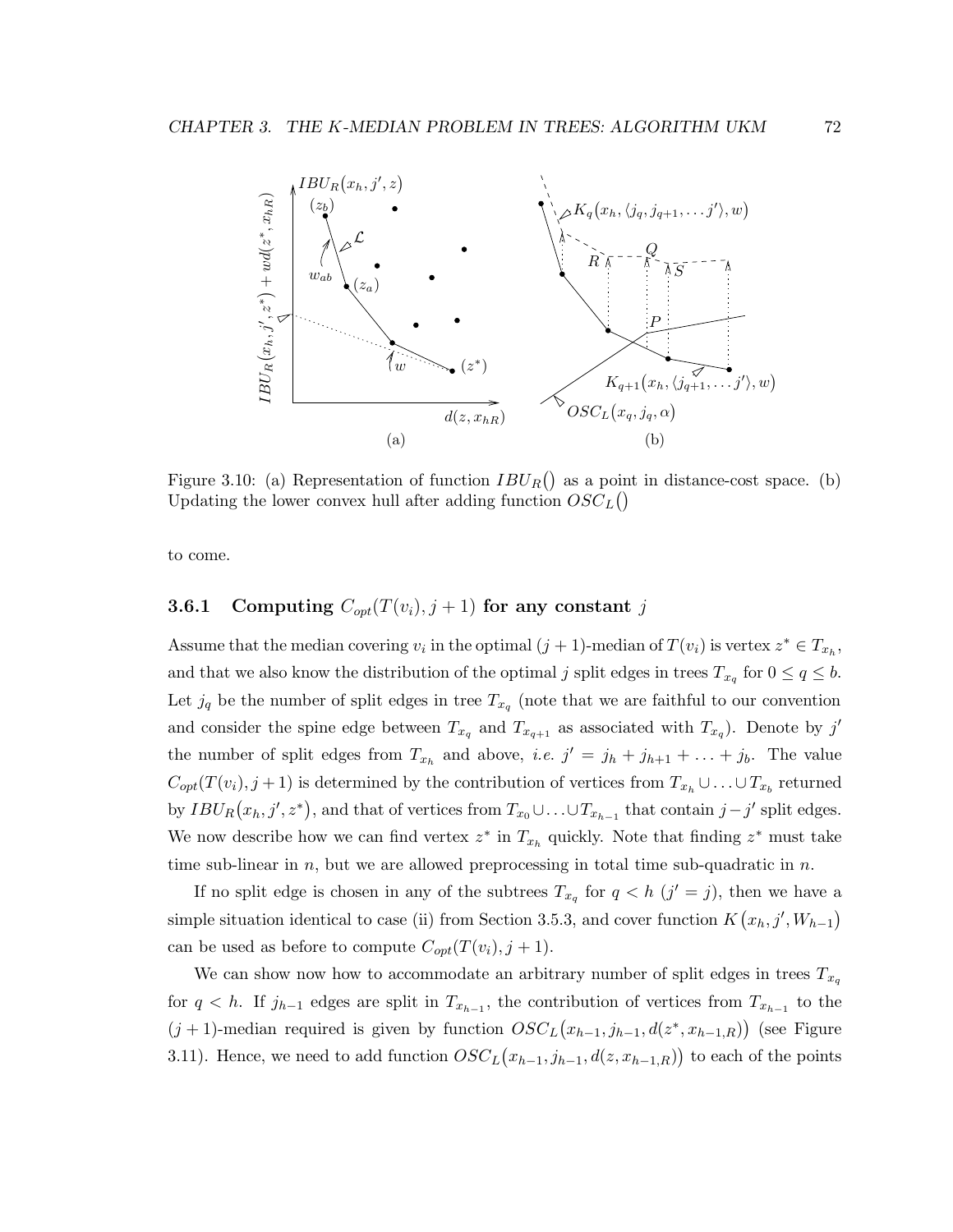

Figure 3.10: (a) Representation of function  $IBU_R()$  as a point in distance-cost space. (b) Updating the lower convex hull after adding function  $OSC_L()$ 

to come.

### **3.6.1** Computing  $C_{opt}(T(v_i), j+1)$  for any constant j

Assume that the median covering  $v_i$  in the optimal  $(j + 1)$ -median of  $T(v_i)$  is vertex  $z^* \in T_{x_h}$ , and that we also know the distribution of the optimal j split edges in trees  $T_{x_q}$  for  $0 \le q \le b$ . Let  $j_q$  be the number of split edges in tree  $T_{x_q}$  (note that we are faithful to our convention and consider the spine edge between  $T_{x_q}$  and  $T_{x_{q+1}}$  as associated with  $T_{x_q}$ ). Denote by j' the number of split edges from  $T_{x_h}$  and above, *i.e.*  $j' = j_h + j_{h+1} + \ldots + j_b$ . The value  $C_{opt}(T(v_i), j+1)$  is determined by the contribution of vertices from  $T_{x_h} \cup \ldots \cup T_{x_b}$  returned by  $IBU_R(x_h, j', z^*)$ , and that of vertices from  $T_{x_0} \cup \ldots \cup T_{x_{h-1}}$  that contain  $j - j'$  split edges. We now describe how we can find vertex  $z^*$  in  $T_{x_h}$  quickly. Note that finding  $z^*$  must take time sub-linear in  $n$ , but we are allowed preprocessing in total time sub-quadratic in  $n$ .

If no split edge is chosen in any of the subtrees  $T_{x_q}$  for  $q < h$   $(j' = j)$ , then we have a simple situation identical to case (ii) from Section 3.5.3, and cover function  $K(x_h, j', W_{h-1})$ can be used as before to compute  $C_{opt}(T(v_i), j+1)$ .

We can show now how to accommodate an arbitrary number of split edges in trees  $T_{x_q}$ for  $q < h$ . If  $j_{h-1}$  edges are split in  $T_{x_{h-1}}$ , the contribution of vertices from  $T_{x_{h-1}}$  to the  $(j + 1)$ -median required is given by function  $OSC<sub>L</sub>(x<sub>h-1</sub>, j<sub>h-1</sub>, d(z<sup>*</sup>, x<sub>h-1,R</sub>))$  (see Figure 3.11). Hence, we need to add function  $OSC<sub>L</sub>(x<sub>h-1</sub>, j<sub>h-1</sub>, d(z, x<sub>h-1,R</sub>))$  to each of the points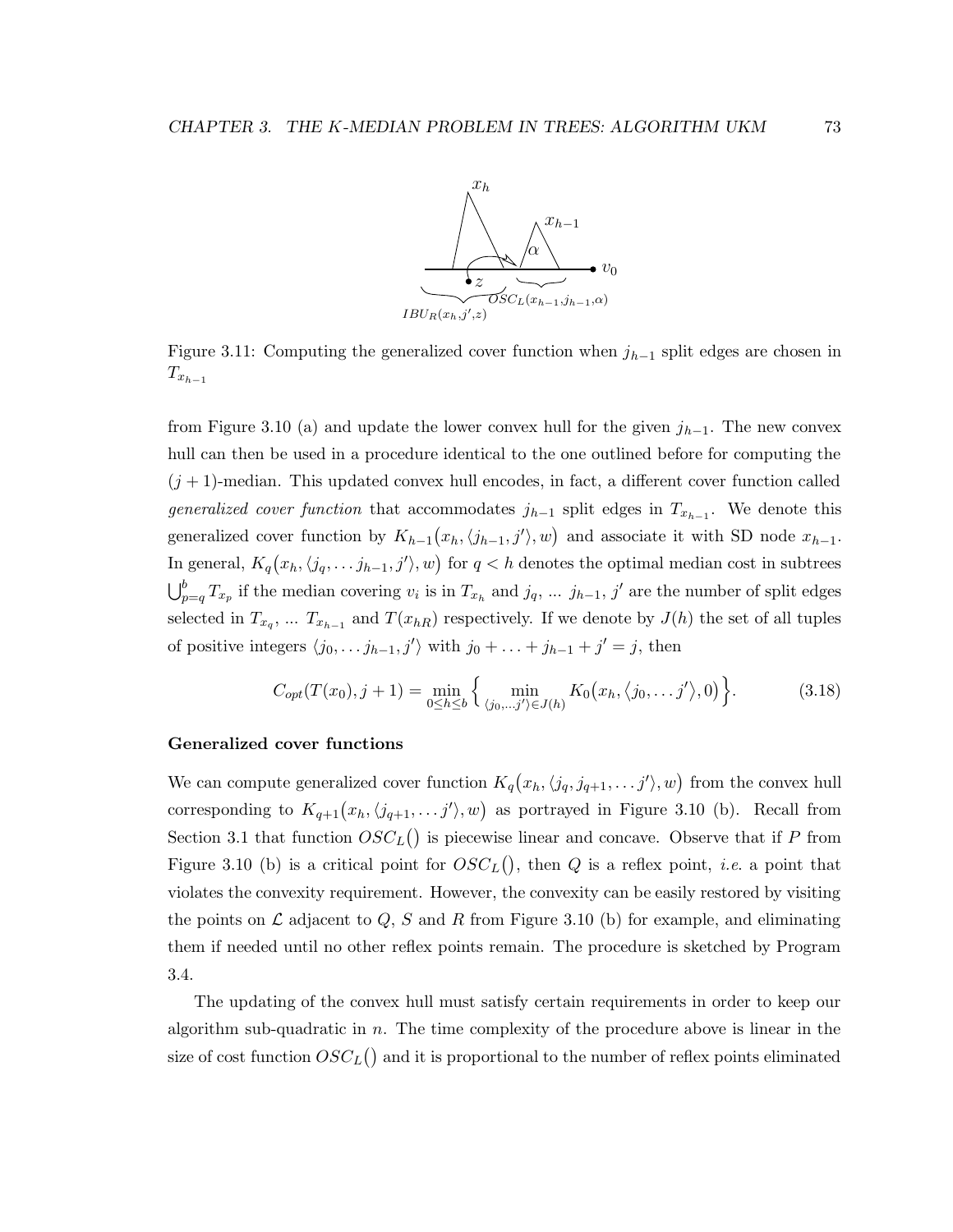

Figure 3.11: Computing the generalized cover function when  $j_{h-1}$  split edges are chosen in  $T_{x_{h-1}}$ 

from Figure 3.10 (a) and update the lower convex hull for the given  $j_{h-1}$ . The new convex hull can then be used in a procedure identical to the one outlined before for computing the  $(j + 1)$ -median. This updated convex hull encodes, in fact, a different cover function called *generalized cover function* that accommodates  $j_{h-1}$  split edges in  $T_{x_{h-1}}$ . We denote this generalized cover function by  $K_{h-1}(x_h, \langle j_{h-1}, j' \rangle, w)$  and associate it with SD node  $x_{h-1}$ . In general,  $K_q(x_h, \langle j_q, \ldots j_{h-1}, j' \rangle, w)$  for  $q < h$  denotes the optimal median cost in subtrees  $\bigcup_{p=q}^b T_{x_p}$  if the median covering  $v_i$  is in  $T_{x_h}$  and  $j_q, \ldots, j_{h-1}, j'$  are the number of split edges selected in  $T_{x_q}$ , ...  $T_{x_{h-1}}$  and  $T(x_{hR})$  respectively. If we denote by  $J(h)$  the set of all tuples of positive integers  $\langle j_0, \ldots j_{h-1}, j' \rangle$  with  $j_0 + \ldots + j_{h-1} + j' = j$ , then

$$
C_{opt}(T(x_0), j+1) = \min_{0 \le h \le b} \left\{ \min_{(j_0, \ldots, j') \in J(h)} K_0(x_h, \langle j_0, \ldots, j' \rangle, 0) \right\}.
$$
 (3.18)

#### Generalized cover functions

We can compute generalized cover function  $K_q(x_h, \langle j_q, j_{q+1}, \ldots j' \rangle, w)$  from the convex hull corresponding to  $K_{q+1}(x_h, \langle j_{q+1}, \ldots j' \rangle, w)$  as portrayed in Figure 3.10 (b). Recall from Section 3.1 that function  $OSC<sub>L</sub>($ ) is piecewise linear and concave. Observe that if P from Figure 3.10 (b) is a critical point for  $OSC<sub>L</sub>($ ), then Q is a reflex point, *i.e.* a point that violates the convexity requirement. However, the convexity can be easily restored by visiting the points on  $\mathcal L$  adjacent to  $Q$ , S and R from Figure 3.10 (b) for example, and eliminating them if needed until no other reflex points remain. The procedure is sketched by Program 3.4.

The updating of the convex hull must satisfy certain requirements in order to keep our algorithm sub-quadratic in n. The time complexity of the procedure above is linear in the size of cost function  $OSC_{L}()$  and it is proportional to the number of reflex points eliminated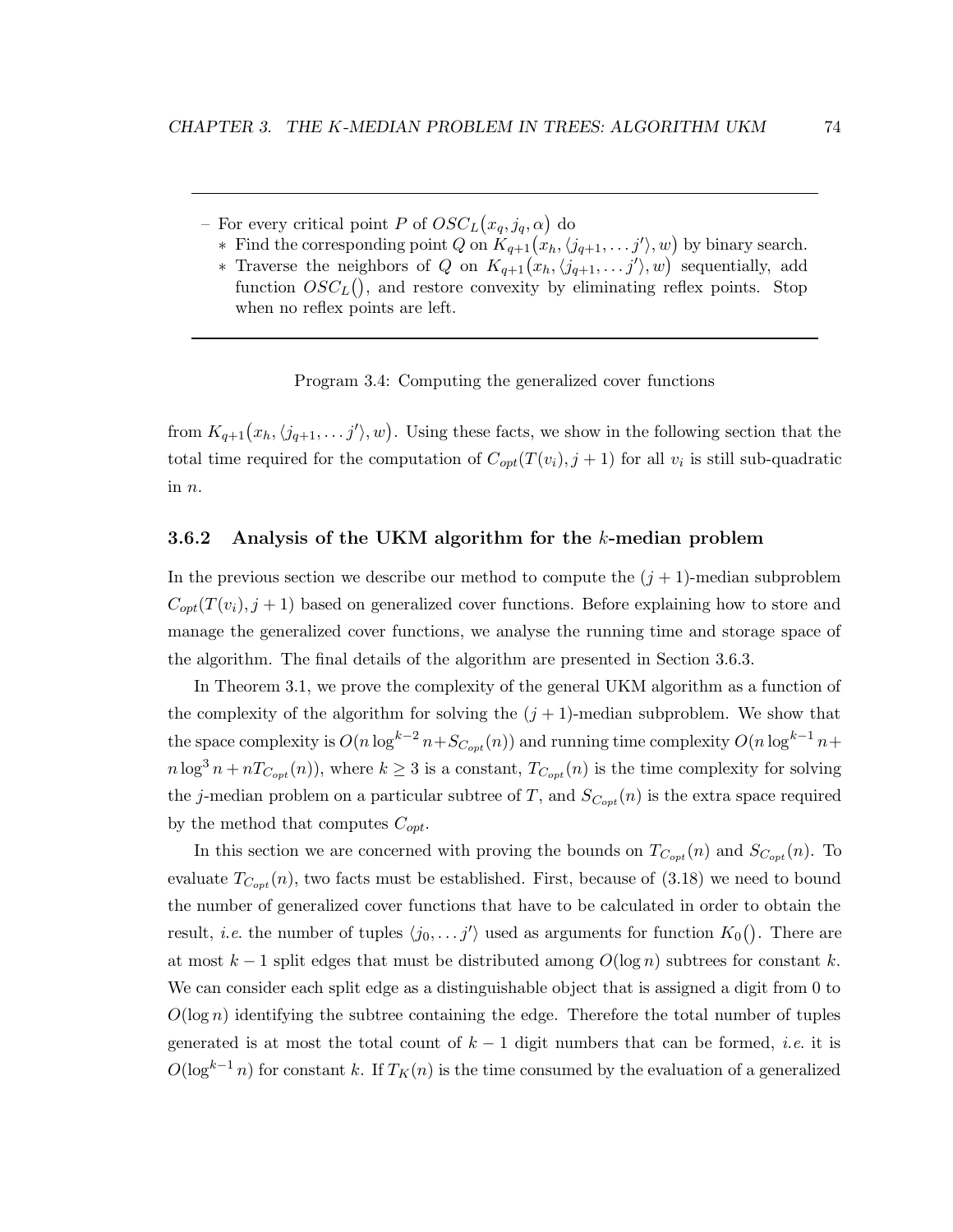- For every critical point P of  $OSC<sub>L</sub>(x<sub>q</sub>, j<sub>q</sub>, \alpha)$  do
- ∗ Find the corresponding point Q on  $K_{q+1}(x_h, \langle j_{q+1}, \ldots j' \rangle, w)$  by binary search.
	- \* Traverse the neighbors of Q on  $K_{q+1}(x_h, \langle j_{q+1}, \ldots j' \rangle, w)$  sequentially, add function  $OSC<sub>L</sub>($ ), and restore convexity by eliminating reflex points. Stop when no reflex points are left.

Program 3.4: Computing the generalized cover functions

from  $K_{q+1}(x_h, \langle j_{q+1}, \ldots j' \rangle, w)$ . Using these facts, we show in the following section that the total time required for the computation of  $C_{opt}(T(v_i), j+1)$  for all  $v_i$  is still sub-quadratic in  $n$ .

#### 3.6.2 Analysis of the UKM algorithm for the k-median problem

In the previous section we describe our method to compute the  $(j + 1)$ -median subproblem  $C_{opt}(T(v_i), j+1)$  based on generalized cover functions. Before explaining how to store and manage the generalized cover functions, we analyse the running time and storage space of the algorithm. The final details of the algorithm are presented in Section 3.6.3.

In Theorem 3.1, we prove the complexity of the general UKM algorithm as a function of the complexity of the algorithm for solving the  $(j + 1)$ -median subproblem. We show that the space complexity is  $O(n \log^{k-2} n + S_{C_{opt}}(n))$  and running time complexity  $O(n \log^{k-1} n +$  $n \log^3 n + nT_{C_{opt}}(n)$ , where  $k \geq 3$  is a constant,  $T_{C_{opt}}(n)$  is the time complexity for solving the j-median problem on a particular subtree of T, and  $S_{C_{opt}}(n)$  is the extra space required by the method that computes  $C_{opt}$ .

In this section we are concerned with proving the bounds on  $T_{C_{opt}}(n)$  and  $S_{C_{opt}}(n)$ . To evaluate  $T_{C_{opt}}(n)$ , two facts must be established. First, because of (3.18) we need to bound the number of generalized cover functions that have to be calculated in order to obtain the result, *i.e.* the number of tuples  $\langle j_0, \ldots j' \rangle$  used as arguments for function  $K_0()$ . There are at most  $k-1$  split edges that must be distributed among  $O(\log n)$  subtrees for constant k. We can consider each split edge as a distinguishable object that is assigned a digit from 0 to  $O(\log n)$  identifying the subtree containing the edge. Therefore the total number of tuples generated is at most the total count of  $k-1$  digit numbers that can be formed, *i.e.* it is  $O(\log^{k-1} n)$  for constant k. If  $T_K(n)$  is the time consumed by the evaluation of a generalized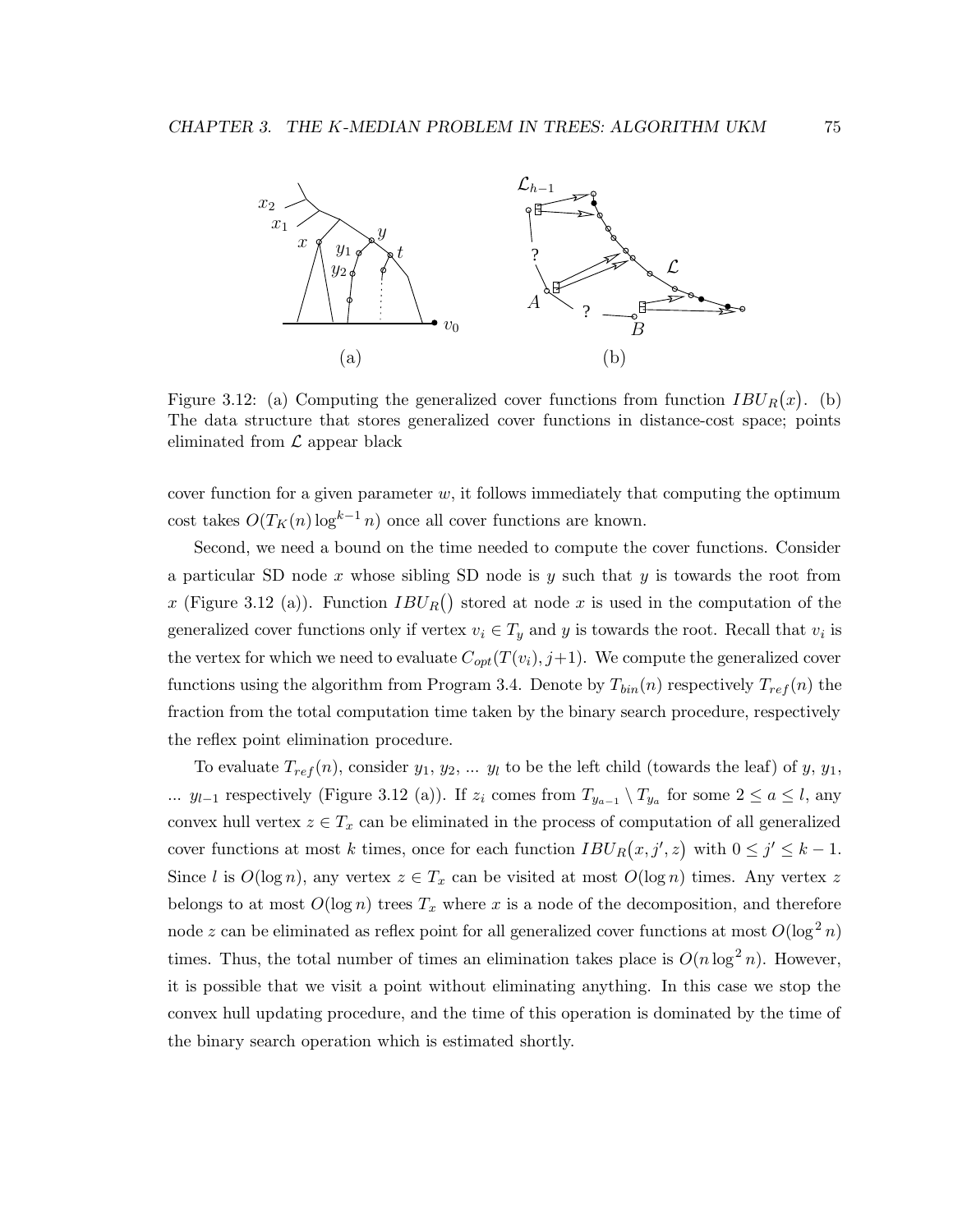

Figure 3.12: (a) Computing the generalized cover functions from function  $IBU_R(x)$ . (b) The data structure that stores generalized cover functions in distance-cost space; points eliminated from  $\mathcal L$  appear black

cover function for a given parameter  $w$ , it follows immediately that computing the optimum cost takes  $O(T_K(n)\log^{k-1} n)$  once all cover functions are known.

Second, we need a bound on the time needed to compute the cover functions. Consider a particular SD node x whose sibling SD node is y such that y is towards the root from x (Figure 3.12 (a)). Function  $IBU_R()$  stored at node x is used in the computation of the generalized cover functions only if vertex  $v_i \in T_y$  and y is towards the root. Recall that  $v_i$  is the vertex for which we need to evaluate  $C_{opt}(T(v_i), j+1)$ . We compute the generalized cover functions using the algorithm from Program 3.4. Denote by  $T_{bin}(n)$  respectively  $T_{ref}(n)$  the fraction from the total computation time taken by the binary search procedure, respectively the reflex point elimination procedure.

To evaluate  $T_{ref}(n)$ , consider  $y_1, y_2, \ldots, y_l$  to be the left child (towards the leaf) of  $y, y_1$ , ...  $y_{l-1}$  respectively (Figure 3.12 (a)). If  $z_i$  comes from  $T_{y_{a-1}} \setminus T_{y_a}$  for some  $2 \le a \le l$ , any convex hull vertex  $z \in T_x$  can be eliminated in the process of computation of all generalized cover functions at most k times, once for each function  $IBU_R(x, j', z)$  with  $0 \leq j' \leq k - 1$ . Since l is  $O(\log n)$ , any vertex  $z \in T_x$  can be visited at most  $O(\log n)$  times. Any vertex z belongs to at most  $O(\log n)$  trees  $T_x$  where x is a node of the decomposition, and therefore node z can be eliminated as reflex point for all generalized cover functions at most  $O(\log^2 n)$ times. Thus, the total number of times an elimination takes place is  $O(n \log^2 n)$ . However, it is possible that we visit a point without eliminating anything. In this case we stop the convex hull updating procedure, and the time of this operation is dominated by the time of the binary search operation which is estimated shortly.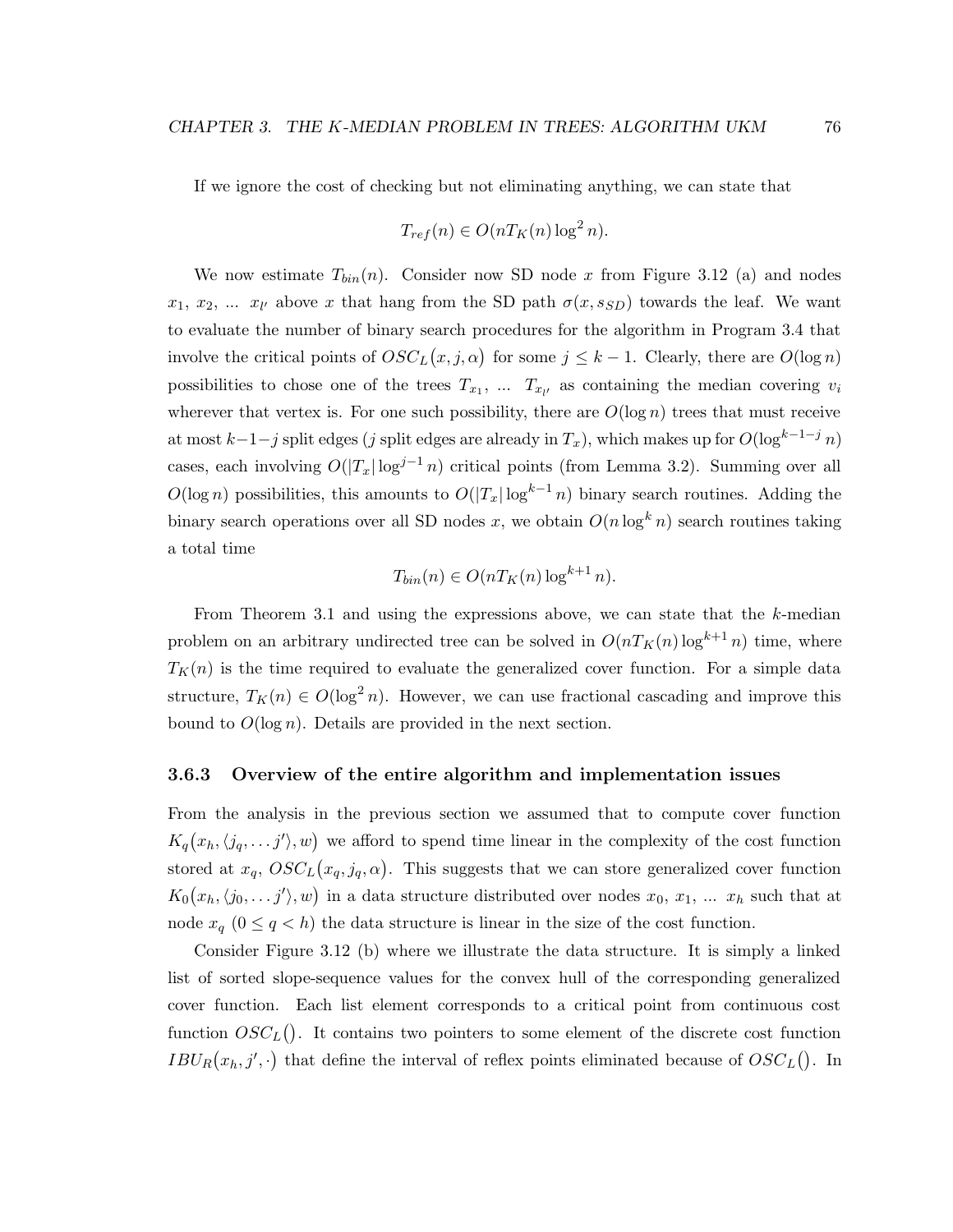If we ignore the cost of checking but not eliminating anything, we can state that

$$
T_{ref}(n) \in O(nT_K(n)\log^2 n).
$$

We now estimate  $T_{bin}(n)$ . Consider now SD node x from Figure 3.12 (a) and nodes  $x_1, x_2, \ldots x_{l'}$  above x that hang from the SD path  $\sigma(x, s_{SD})$  towards the leaf. We want to evaluate the number of binary search procedures for the algorithm in Program 3.4 that involve the critical points of  $OSC<sub>L</sub>(x, j, \alpha)$  for some  $j \leq k - 1$ . Clearly, there are  $O(\log n)$ possibilities to chose one of the trees  $T_{x_1}, \ldots, T_{x_{l'}}$  as containing the median covering  $v_i$ wherever that vertex is. For one such possibility, there are  $O(\log n)$  trees that must receive at most  $k-1-j$  split edges (j split edges are already in  $T_x$ ), which makes up for  $O(\log^{k-1-j} n)$ cases, each involving  $O(|T_x| \log^{j-1} n)$  critical points (from Lemma 3.2). Summing over all  $O(\log n)$  possibilities, this amounts to  $O(|T_x| \log^{k-1} n)$  binary search routines. Adding the binary search operations over all SD nodes x, we obtain  $O(n \log^k n)$  search routines taking a total time

$$
T_{bin}(n) \in O(nT_K(n)\log^{k+1} n).
$$

From Theorem 3.1 and using the expressions above, we can state that the  $k$ -median problem on an arbitrary undirected tree can be solved in  $O(nT_K(n)\log^{k+1} n)$  time, where  $T_K(n)$  is the time required to evaluate the generalized cover function. For a simple data structure,  $T_K(n) \in O(\log^2 n)$ . However, we can use fractional cascading and improve this bound to  $O(\log n)$ . Details are provided in the next section.

#### 3.6.3 Overview of the entire algorithm and implementation issues

From the analysis in the previous section we assumed that to compute cover function  $K_q(x_h, \langle j_q, \ldots j' \rangle, w)$  we afford to spend time linear in the complexity of the cost function stored at  $x_q$ ,  $OSC<sub>L</sub>(x_q, j_q, \alpha)$ . This suggests that we can store generalized cover function  $K_0(x_h, \langle j_0, \ldots j' \rangle, w)$  in a data structure distributed over nodes  $x_0, x_1, \ldots, x_h$  such that at node  $x_q$  ( $0 \le q < h$ ) the data structure is linear in the size of the cost function.

Consider Figure 3.12 (b) where we illustrate the data structure. It is simply a linked list of sorted slope-sequence values for the convex hull of the corresponding generalized cover function. Each list element corresponds to a critical point from continuous cost function  $OSC_{L}$ ). It contains two pointers to some element of the discrete cost function  $IBU_R(x_h, j', \cdot)$  that define the interval of reflex points eliminated because of  $OSC_L()$ . In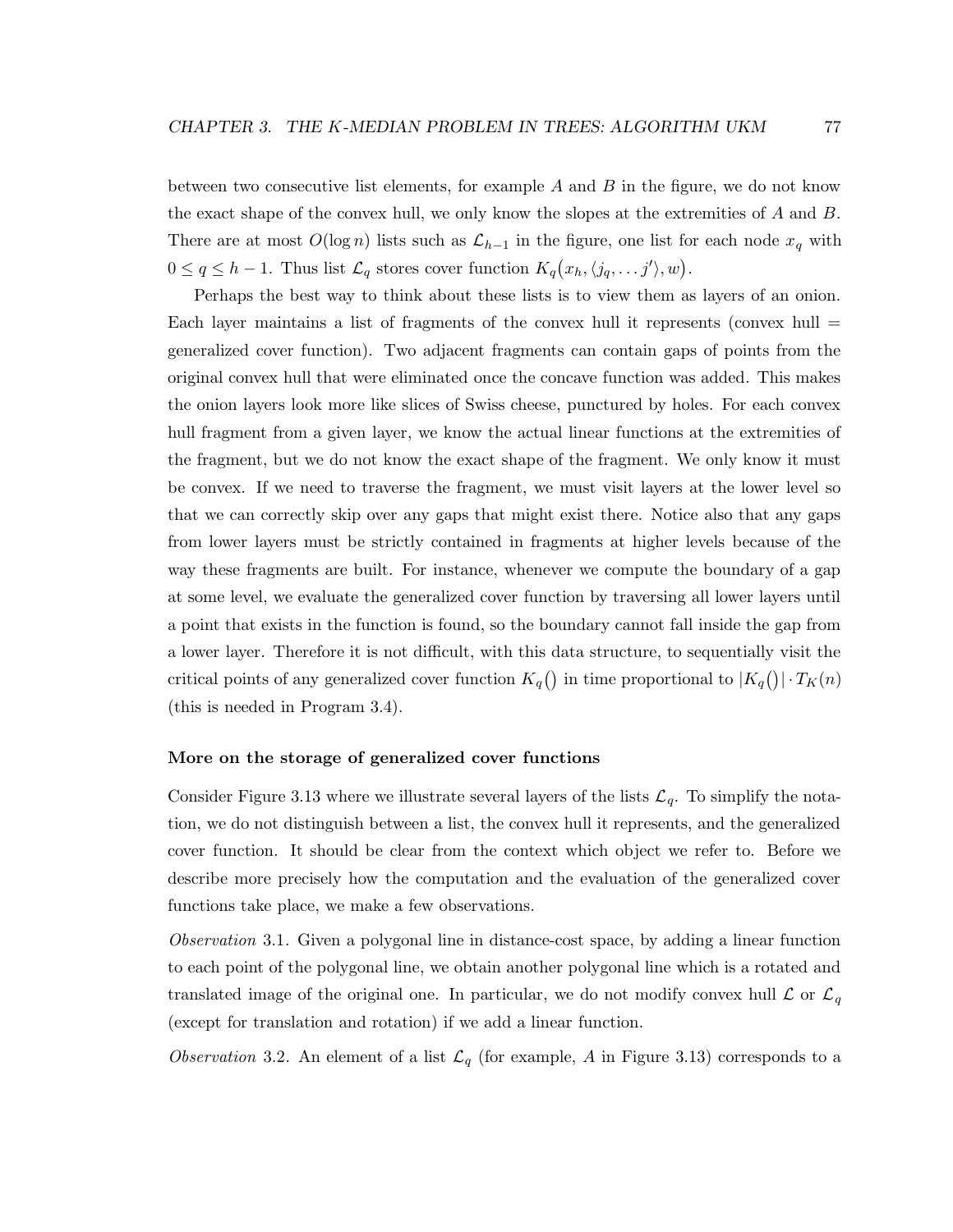between two consecutive list elements, for example  $A$  and  $B$  in the figure, we do not know the exact shape of the convex hull, we only know the slopes at the extremities of A and B. There are at most  $O(\log n)$  lists such as  $\mathcal{L}_{h-1}$  in the figure, one list for each node  $x_q$  with  $0 \le q \le h-1$ . Thus list  $\mathcal{L}_q$  stores cover function  $K_q(x_h, \langle j_q, \ldots j' \rangle, w)$ .

Perhaps the best way to think about these lists is to view them as layers of an onion. Each layer maintains a list of fragments of the convex hull it represents (convex hull  $=$ generalized cover function). Two adjacent fragments can contain gaps of points from the original convex hull that were eliminated once the concave function was added. This makes the onion layers look more like slices of Swiss cheese, punctured by holes. For each convex hull fragment from a given layer, we know the actual linear functions at the extremities of the fragment, but we do not know the exact shape of the fragment. We only know it must be convex. If we need to traverse the fragment, we must visit layers at the lower level so that we can correctly skip over any gaps that might exist there. Notice also that any gaps from lower layers must be strictly contained in fragments at higher levels because of the way these fragments are built. For instance, whenever we compute the boundary of a gap at some level, we evaluate the generalized cover function by traversing all lower layers until a point that exists in the function is found, so the boundary cannot fall inside the gap from a lower layer. Therefore it is not difficult, with this data structure, to sequentially visit the critical points of any generalized cover function  $K_q()$  in time proportional to  $|K_q()| \cdot T_K(n)$ (this is needed in Program 3.4).

#### More on the storage of generalized cover functions

Consider Figure 3.13 where we illustrate several layers of the lists  $\mathcal{L}_q$ . To simplify the notation, we do not distinguish between a list, the convex hull it represents, and the generalized cover function. It should be clear from the context which object we refer to. Before we describe more precisely how the computation and the evaluation of the generalized cover functions take place, we make a few observations.

Observation 3.1. Given a polygonal line in distance-cost space, by adding a linear function to each point of the polygonal line, we obtain another polygonal line which is a rotated and translated image of the original one. In particular, we do not modify convex hull  $\mathcal L$  or  $\mathcal L_q$ (except for translation and rotation) if we add a linear function.

Observation 3.2. An element of a list  $\mathcal{L}_q$  (for example, A in Figure 3.13) corresponds to a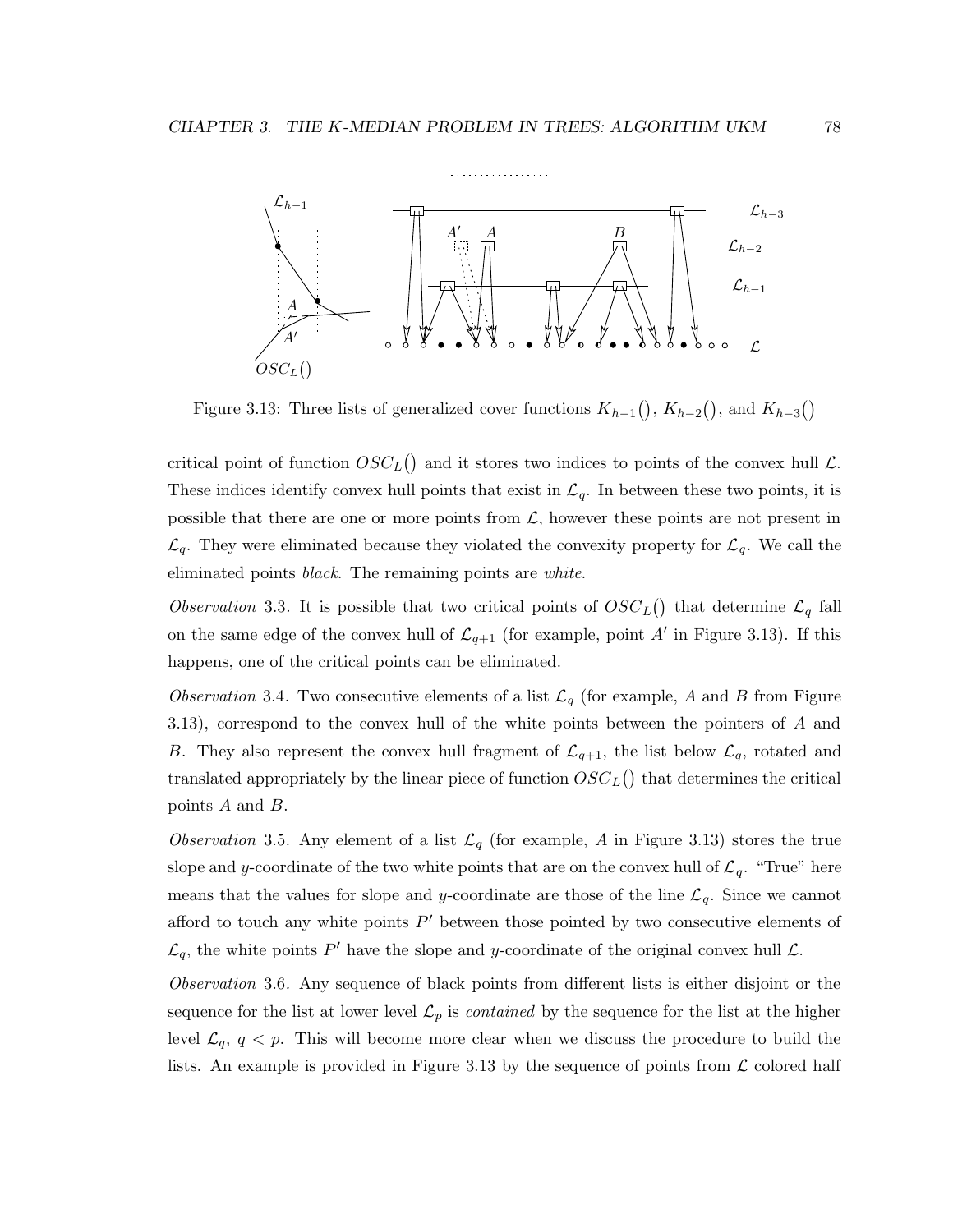

Figure 3.13: Three lists of generalized cover functions  $K_{h-1}($ ,  $K_{h-2}()$ , and  $K_{h-3}()$ 

critical point of function  $OSC<sub>L</sub>($ ) and it stores two indices to points of the convex hull  $\mathcal{L}$ . These indices identify convex hull points that exist in  $\mathcal{L}_q$ . In between these two points, it is possible that there are one or more points from  $\mathcal{L}$ , however these points are not present in  $\mathcal{L}_q$ . They were eliminated because they violated the convexity property for  $\mathcal{L}_q$ . We call the eliminated points *black*. The remaining points are *white*.

Observation 3.3. It is possible that two critical points of  $OSC_L()$  that determine  $\mathcal{L}_q$  fall on the same edge of the convex hull of  $\mathcal{L}_{q+1}$  (for example, point A' in Figure 3.13). If this happens, one of the critical points can be eliminated.

Observation 3.4. Two consecutive elements of a list  $\mathcal{L}_q$  (for example, A and B from Figure 3.13), correspond to the convex hull of the white points between the pointers of A and B. They also represent the convex hull fragment of  $\mathcal{L}_{q+1}$ , the list below  $\mathcal{L}_q$ , rotated and translated appropriately by the linear piece of function  $OSC_L()$  that determines the critical points A and B.

Observation 3.5. Any element of a list  $\mathcal{L}_q$  (for example, A in Figure 3.13) stores the true slope and y-coordinate of the two white points that are on the convex hull of  $\mathcal{L}_q$ . "True" here means that the values for slope and y-coordinate are those of the line  $\mathcal{L}_q$ . Since we cannot afford to touch any white points  $P'$  between those pointed by two consecutive elements of  $\mathcal{L}_q$ , the white points P' have the slope and y-coordinate of the original convex hull  $\mathcal{L}$ .

Observation 3.6. Any sequence of black points from different lists is either disjoint or the sequence for the list at lower level  $\mathcal{L}_p$  is *contained* by the sequence for the list at the higher level  $\mathcal{L}_q$ ,  $q < p$ . This will become more clear when we discuss the procedure to build the lists. An example is provided in Figure 3.13 by the sequence of points from  $\mathcal L$  colored half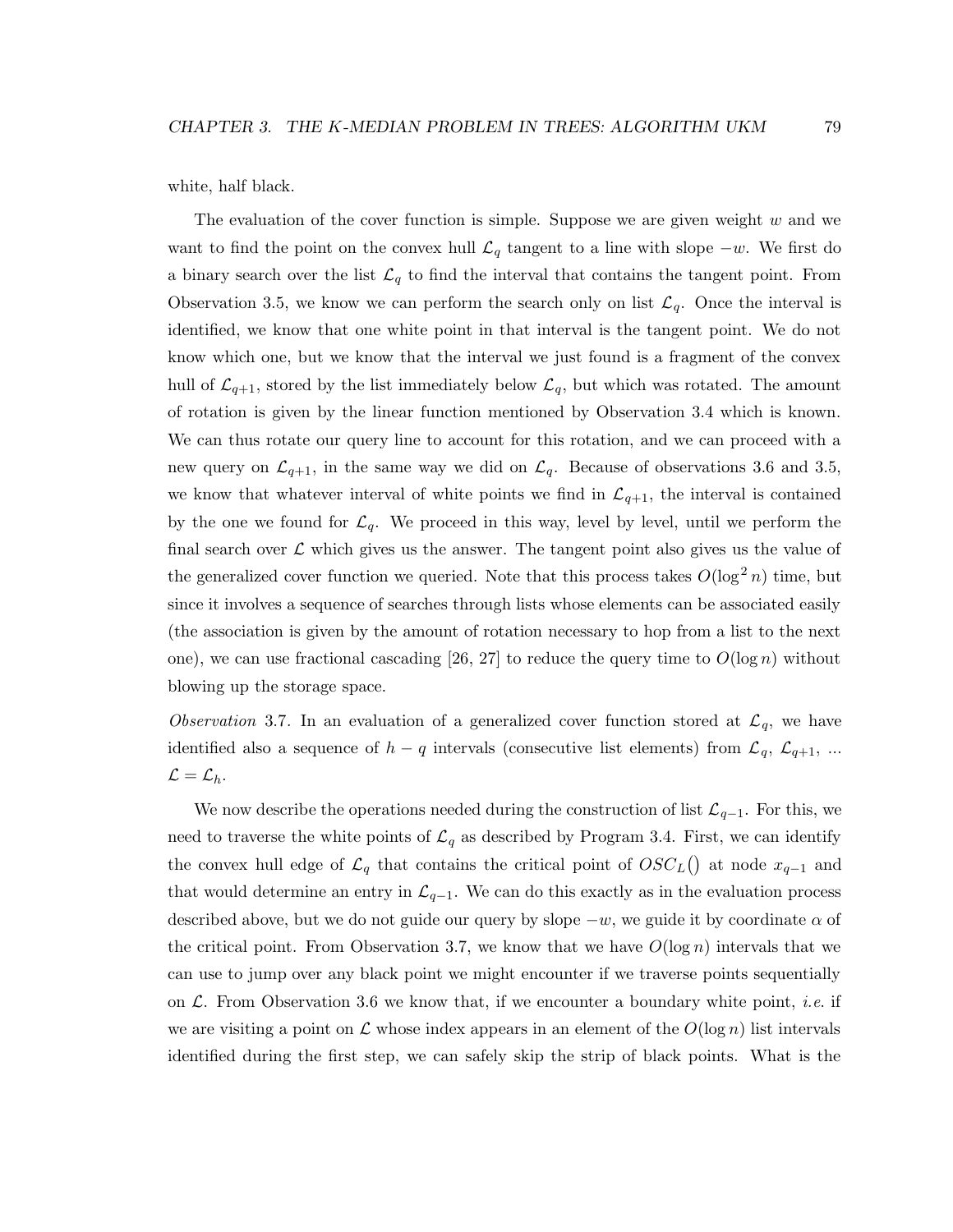white, half black.

The evaluation of the cover function is simple. Suppose we are given weight  $w$  and we want to find the point on the convex hull  $\mathcal{L}_q$  tangent to a line with slope  $-w$ . We first do a binary search over the list  $\mathcal{L}_q$  to find the interval that contains the tangent point. From Observation 3.5, we know we can perform the search only on list  $\mathcal{L}_q$ . Once the interval is identified, we know that one white point in that interval is the tangent point. We do not know which one, but we know that the interval we just found is a fragment of the convex hull of  $\mathcal{L}_{q+1}$ , stored by the list immediately below  $\mathcal{L}_q$ , but which was rotated. The amount of rotation is given by the linear function mentioned by Observation 3.4 which is known. We can thus rotate our query line to account for this rotation, and we can proceed with a new query on  $\mathcal{L}_{q+1}$ , in the same way we did on  $\mathcal{L}_q$ . Because of observations 3.6 and 3.5, we know that whatever interval of white points we find in  $\mathcal{L}_{q+1}$ , the interval is contained by the one we found for  $\mathcal{L}_q$ . We proceed in this way, level by level, until we perform the final search over  $\mathcal L$  which gives us the answer. The tangent point also gives us the value of the generalized cover function we queried. Note that this process takes  $O(\log^2 n)$  time, but since it involves a sequence of searches through lists whose elements can be associated easily (the association is given by the amount of rotation necessary to hop from a list to the next one), we can use fractional cascading [26, 27] to reduce the query time to  $O(\log n)$  without blowing up the storage space.

Observation 3.7. In an evaluation of a generalized cover function stored at  $\mathcal{L}_q$ , we have identified also a sequence of  $h - q$  intervals (consecutive list elements) from  $\mathcal{L}_q$ ,  $\mathcal{L}_{q+1}$ , ...  $\mathcal{L} = \mathcal{L}_h.$ 

We now describe the operations needed during the construction of list  $\mathcal{L}_{q-1}$ . For this, we need to traverse the white points of  $\mathcal{L}_q$  as described by Program 3.4. First, we can identify the convex hull edge of  $\mathcal{L}_q$  that contains the critical point of  $OSC<sub>L</sub>($ ) at node  $x_{q-1}$  and that would determine an entry in  $\mathcal{L}_{q-1}$ . We can do this exactly as in the evaluation process described above, but we do not guide our query by slope  $-w$ , we guide it by coordinate  $\alpha$  of the critical point. From Observation 3.7, we know that we have  $O(\log n)$  intervals that we can use to jump over any black point we might encounter if we traverse points sequentially on  $\mathcal{L}$ . From Observation 3.6 we know that, if we encounter a boundary white point, *i.e.* if we are visiting a point on L whose index appears in an element of the  $O(\log n)$  list intervals identified during the first step, we can safely skip the strip of black points. What is the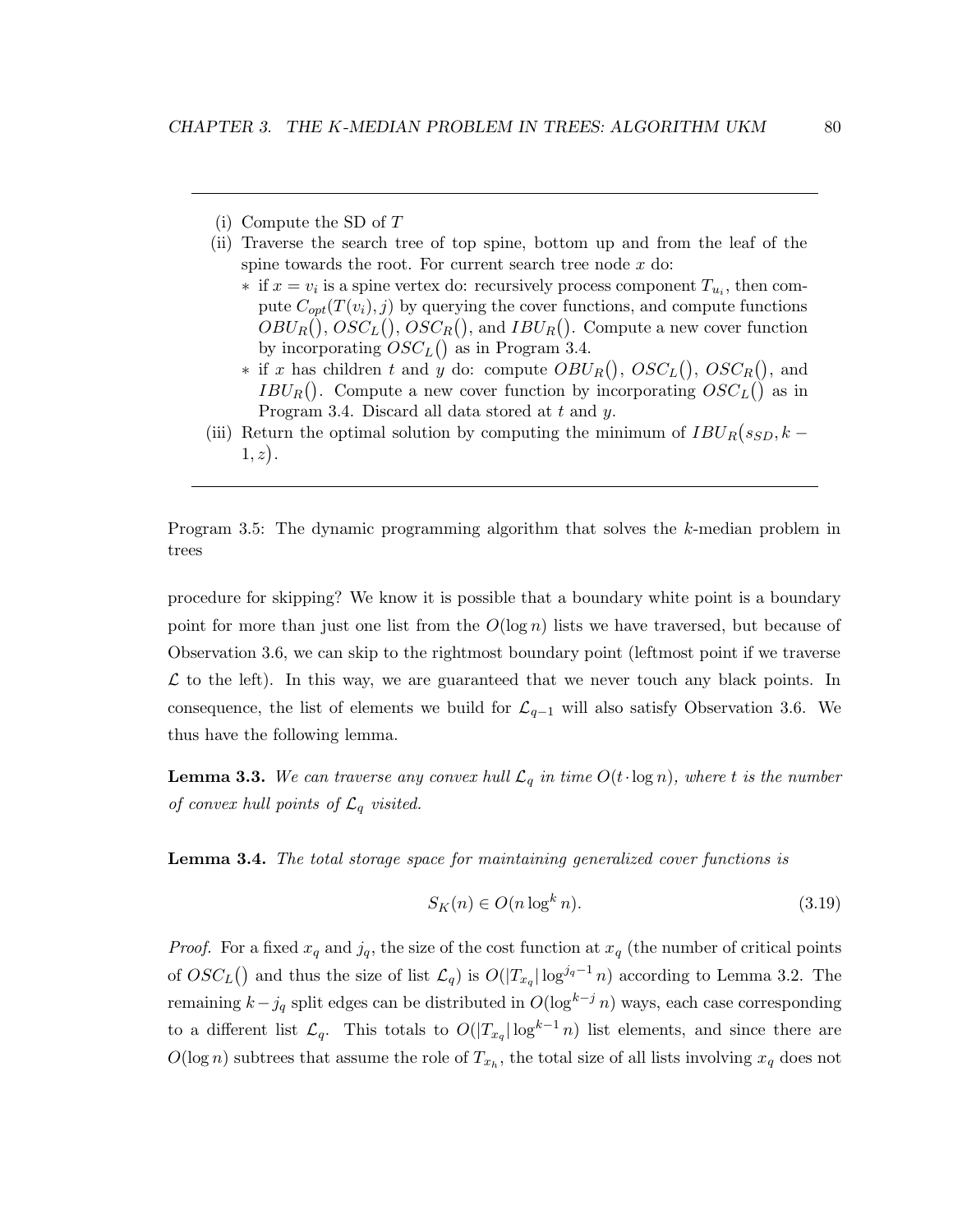- (i) Compute the SD of T
- (ii) Traverse the search tree of top spine, bottom up and from the leaf of the spine towards the root. For current search tree node  $x$  do:
	- $*$  if  $x = v_i$  is a spine vertex do: recursively process component  $T_{u_i}$ , then compute  $C_{opt}(T(v_i), j)$  by querying the cover functions, and compute functions  $OBU_R(), \, OSC_L(), \, OSC_R(),$  and  $IBU_R()$ . Compute a new cover function by incorporating  $OSC_{L}$  () as in Program 3.4.
	- ∗ if x has children t and y do: compute  $OBU_R()$ ,  $OSC_L()$ ,  $OSC_R()$ , and  $IBU_R()$ . Compute a new cover function by incorporating  $OSC_L()$  as in Program 3.4. Discard all data stored at t and y.
- (iii) Return the optimal solution by computing the minimum of  $IBU_R(s_{SD}, k 1, z$ ).

Program 3.5: The dynamic programming algorithm that solves the k-median problem in trees

procedure for skipping? We know it is possible that a boundary white point is a boundary point for more than just one list from the  $O(\log n)$  lists we have traversed, but because of Observation 3.6, we can skip to the rightmost boundary point (leftmost point if we traverse  $\mathcal L$  to the left). In this way, we are guaranteed that we never touch any black points. In consequence, the list of elements we build for  $\mathcal{L}_{q-1}$  will also satisfy Observation 3.6. We thus have the following lemma.

**Lemma 3.3.** We can traverse any convex hull  $\mathcal{L}_q$  in time  $O(t \cdot \log n)$ , where t is the number of convex hull points of  $\mathcal{L}_q$  visited.

Lemma 3.4. The total storage space for maintaining generalized cover functions is

$$
S_K(n) \in O(n \log^k n). \tag{3.19}
$$

*Proof.* For a fixed  $x_q$  and  $j_q$ , the size of the cost function at  $x_q$  (the number of critical points of  $OSC_{L}$ ) and thus the size of list  $\mathcal{L}_{q}$  is  $O(|T_{x_q}| \log^{j_q-1} n)$  according to Lemma 3.2. The remaining  $k-j_q$  split edges can be distributed in  $O(\log^{k-j} n)$  ways, each case corresponding to a different list  $\mathcal{L}_q$ . This totals to  $O(|T_{x_q}| \log^{k-1} n)$  list elements, and since there are  $O(\log n)$  subtrees that assume the role of  $T_{x_h}$ , the total size of all lists involving  $x_q$  does not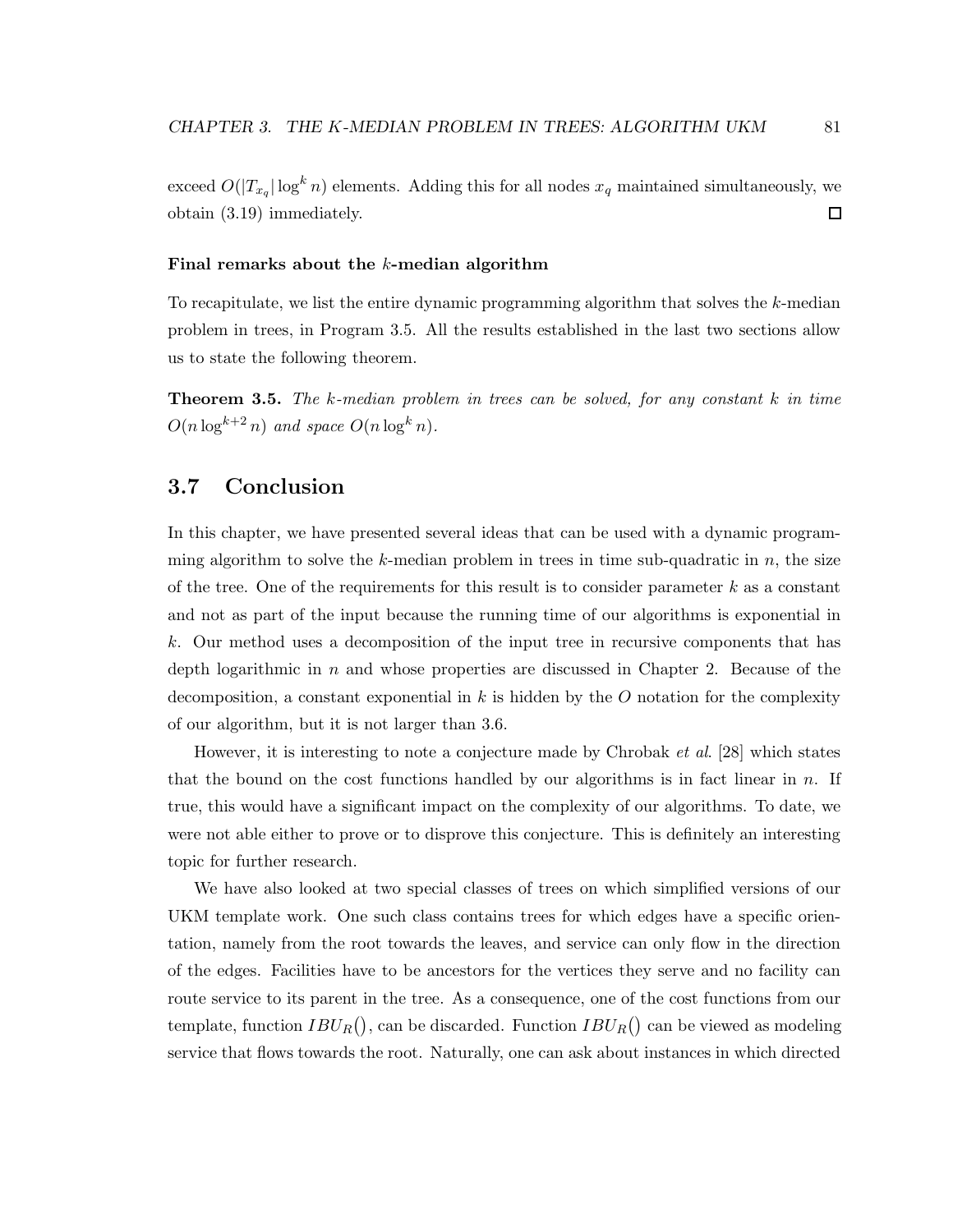exceed  $O(|T_{x_q}| \log^k n)$  elements. Adding this for all nodes  $x_q$  maintained simultaneously, we obtain (3.19) immediately.  $\Box$ 

#### Final remarks about the  $k$ -median algorithm

To recapitulate, we list the entire dynamic programming algorithm that solves the k-median problem in trees, in Program 3.5. All the results established in the last two sections allow us to state the following theorem.

**Theorem 3.5.** The k-median problem in trees can be solved, for any constant  $k$  in time  $O(n \log^{k+2} n)$  and space  $O(n \log^k n)$ .

# 3.7 Conclusion

In this chapter, we have presented several ideas that can be used with a dynamic programming algorithm to solve the k-median problem in trees in time sub-quadratic in  $n$ , the size of the tree. One of the requirements for this result is to consider parameter  $k$  as a constant and not as part of the input because the running time of our algorithms is exponential in k. Our method uses a decomposition of the input tree in recursive components that has depth logarithmic in  $n$  and whose properties are discussed in Chapter 2. Because of the decomposition, a constant exponential in k is hidden by the O notation for the complexity of our algorithm, but it is not larger than 3.6.

However, it is interesting to note a conjecture made by Chrobak *et al.* [28] which states that the bound on the cost functions handled by our algorithms is in fact linear in  $n$ . If true, this would have a significant impact on the complexity of our algorithms. To date, we were not able either to prove or to disprove this conjecture. This is definitely an interesting topic for further research.

We have also looked at two special classes of trees on which simplified versions of our UKM template work. One such class contains trees for which edges have a specific orientation, namely from the root towards the leaves, and service can only flow in the direction of the edges. Facilities have to be ancestors for the vertices they serve and no facility can route service to its parent in the tree. As a consequence, one of the cost functions from our template, function  $IBU_R()$ , can be discarded. Function  $IBU_R()$  can be viewed as modeling service that flows towards the root. Naturally, one can ask about instances in which directed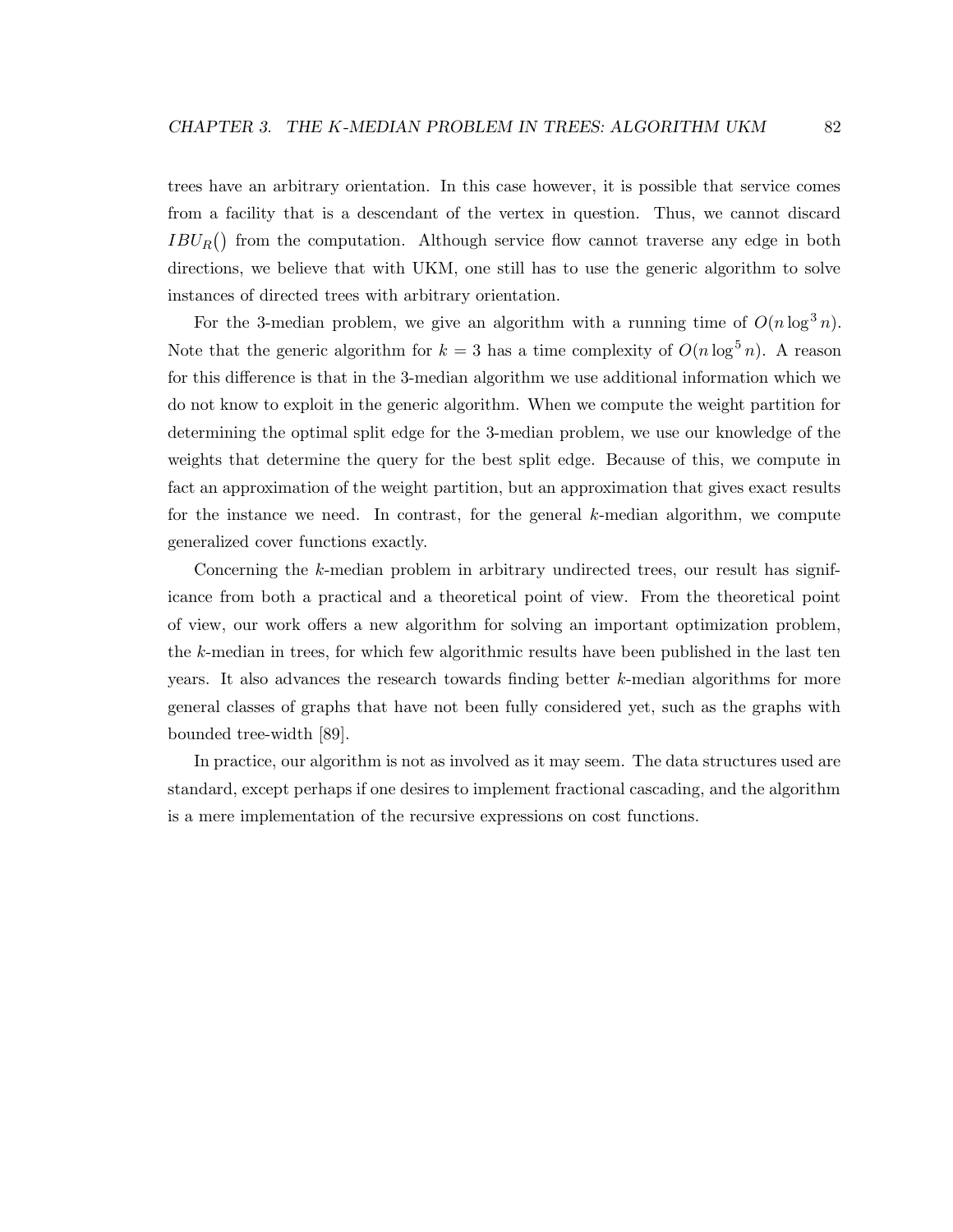trees have an arbitrary orientation. In this case however, it is possible that service comes from a facility that is a descendant of the vertex in question. Thus, we cannot discard  $IBU_R()$  from the computation. Although service flow cannot traverse any edge in both directions, we believe that with UKM, one still has to use the generic algorithm to solve instances of directed trees with arbitrary orientation.

For the 3-median problem, we give an algorithm with a running time of  $O(n \log^3 n)$ . Note that the generic algorithm for  $k = 3$  has a time complexity of  $O(n \log^5 n)$ . A reason for this difference is that in the 3-median algorithm we use additional information which we do not know to exploit in the generic algorithm. When we compute the weight partition for determining the optimal split edge for the 3-median problem, we use our knowledge of the weights that determine the query for the best split edge. Because of this, we compute in fact an approximation of the weight partition, but an approximation that gives exact results for the instance we need. In contrast, for the general  $k$ -median algorithm, we compute generalized cover functions exactly.

Concerning the k-median problem in arbitrary undirected trees, our result has significance from both a practical and a theoretical point of view. From the theoretical point of view, our work offers a new algorithm for solving an important optimization problem, the k-median in trees, for which few algorithmic results have been published in the last ten years. It also advances the research towards finding better k-median algorithms for more general classes of graphs that have not been fully considered yet, such as the graphs with bounded tree-width [89].

In practice, our algorithm is not as involved as it may seem. The data structures used are standard, except perhaps if one desires to implement fractional cascading, and the algorithm is a mere implementation of the recursive expressions on cost functions.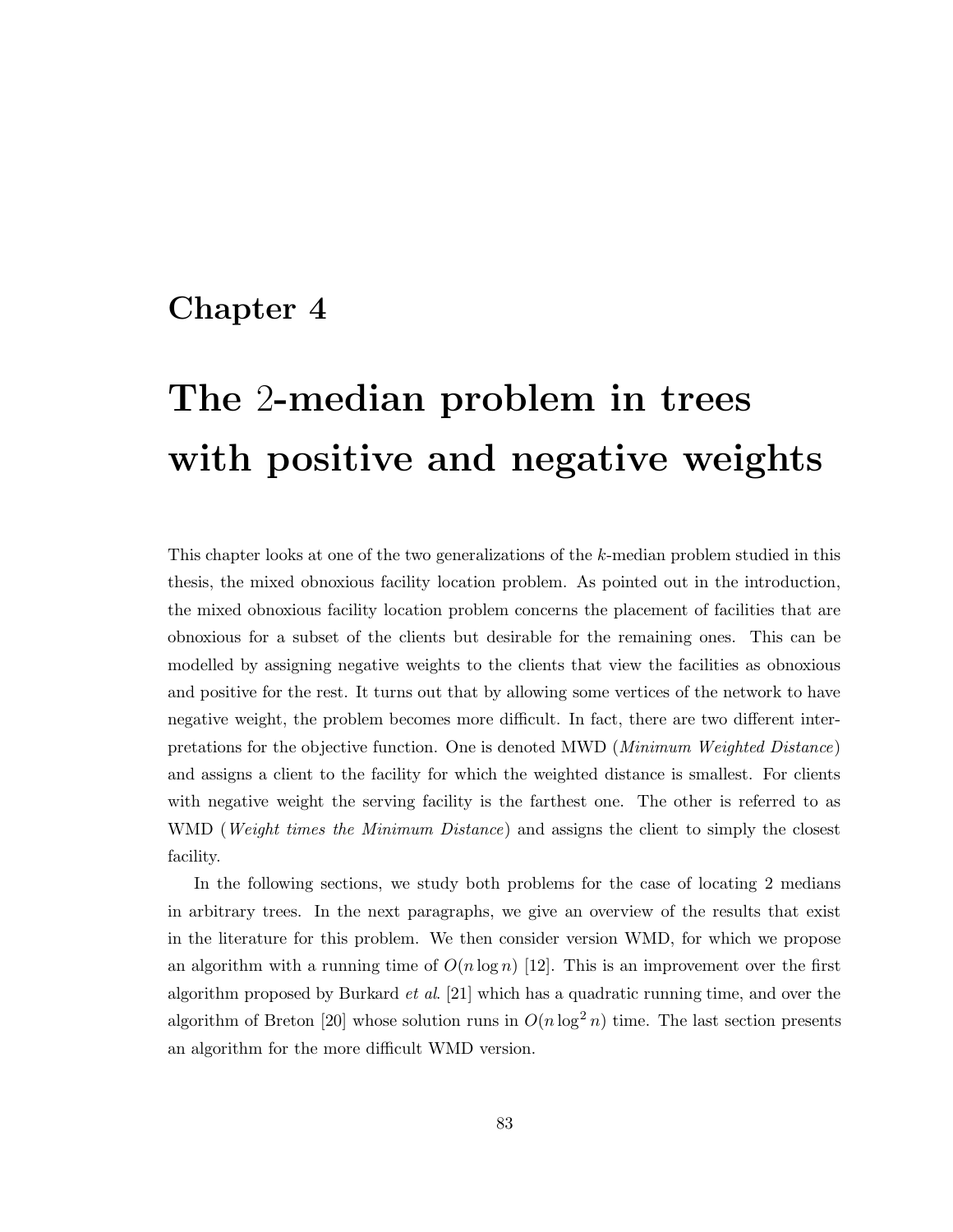# Chapter 4

# The 2-median problem in trees with positive and negative weights

This chapter looks at one of the two generalizations of the k-median problem studied in this thesis, the mixed obnoxious facility location problem. As pointed out in the introduction, the mixed obnoxious facility location problem concerns the placement of facilities that are obnoxious for a subset of the clients but desirable for the remaining ones. This can be modelled by assigning negative weights to the clients that view the facilities as obnoxious and positive for the rest. It turns out that by allowing some vertices of the network to have negative weight, the problem becomes more difficult. In fact, there are two different interpretations for the objective function. One is denoted MWD (Minimum Weighted Distance) and assigns a client to the facility for which the weighted distance is smallest. For clients with negative weight the serving facility is the farthest one. The other is referred to as WMD (*Weight times the Minimum Distance*) and assigns the client to simply the closest facility.

In the following sections, we study both problems for the case of locating 2 medians in arbitrary trees. In the next paragraphs, we give an overview of the results that exist in the literature for this problem. We then consider version WMD, for which we propose an algorithm with a running time of  $O(n \log n)$  [12]. This is an improvement over the first algorithm proposed by Burkard et al. [21] which has a quadratic running time, and over the algorithm of Breton [20] whose solution runs in  $O(n \log^2 n)$  time. The last section presents an algorithm for the more difficult WMD version.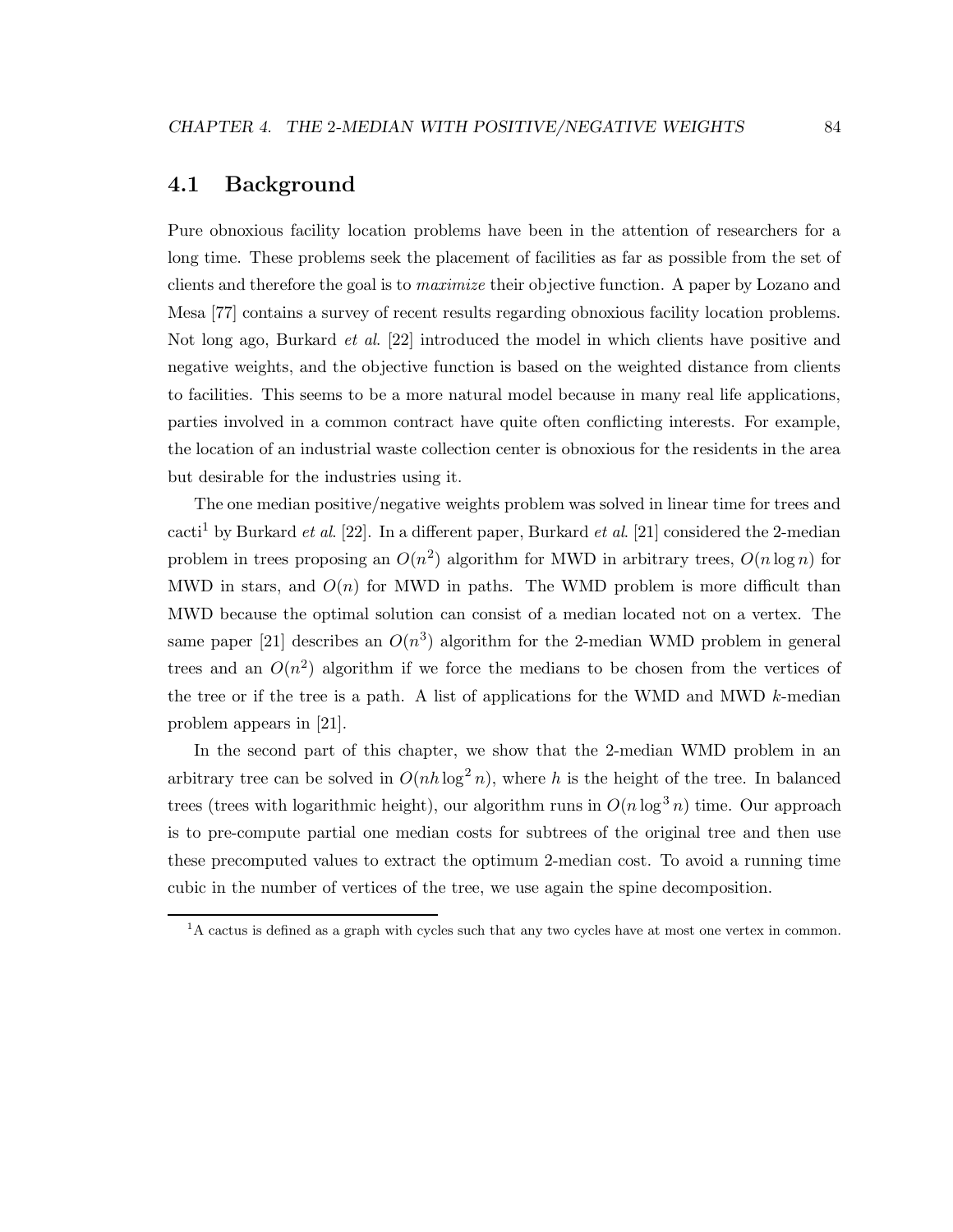# 4.1 Background

Pure obnoxious facility location problems have been in the attention of researchers for a long time. These problems seek the placement of facilities as far as possible from the set of clients and therefore the goal is to maximize their objective function. A paper by Lozano and Mesa [77] contains a survey of recent results regarding obnoxious facility location problems. Not long ago, Burkard *et al.* [22] introduced the model in which clients have positive and negative weights, and the objective function is based on the weighted distance from clients to facilities. This seems to be a more natural model because in many real life applications, parties involved in a common contract have quite often conflicting interests. For example, the location of an industrial waste collection center is obnoxious for the residents in the area but desirable for the industries using it.

The one median positive/negative weights problem was solved in linear time for trees and cacti<sup>1</sup> by Burkard *et al.* [22]. In a different paper, Burkard *et al.* [21] considered the 2-median problem in trees proposing an  $O(n^2)$  algorithm for MWD in arbitrary trees,  $O(n \log n)$  for MWD in stars, and  $O(n)$  for MWD in paths. The WMD problem is more difficult than MWD because the optimal solution can consist of a median located not on a vertex. The same paper [21] describes an  $O(n^3)$  algorithm for the 2-median WMD problem in general trees and an  $O(n^2)$  algorithm if we force the medians to be chosen from the vertices of the tree or if the tree is a path. A list of applications for the WMD and MWD k-median problem appears in [21].

In the second part of this chapter, we show that the 2-median WMD problem in an arbitrary tree can be solved in  $O(nh \log^2 n)$ , where h is the height of the tree. In balanced trees (trees with logarithmic height), our algorithm runs in  $O(n \log^3 n)$  time. Our approach is to pre-compute partial one median costs for subtrees of the original tree and then use these precomputed values to extract the optimum 2-median cost. To avoid a running time cubic in the number of vertices of the tree, we use again the spine decomposition.

<sup>&</sup>lt;sup>1</sup>A cactus is defined as a graph with cycles such that any two cycles have at most one vertex in common.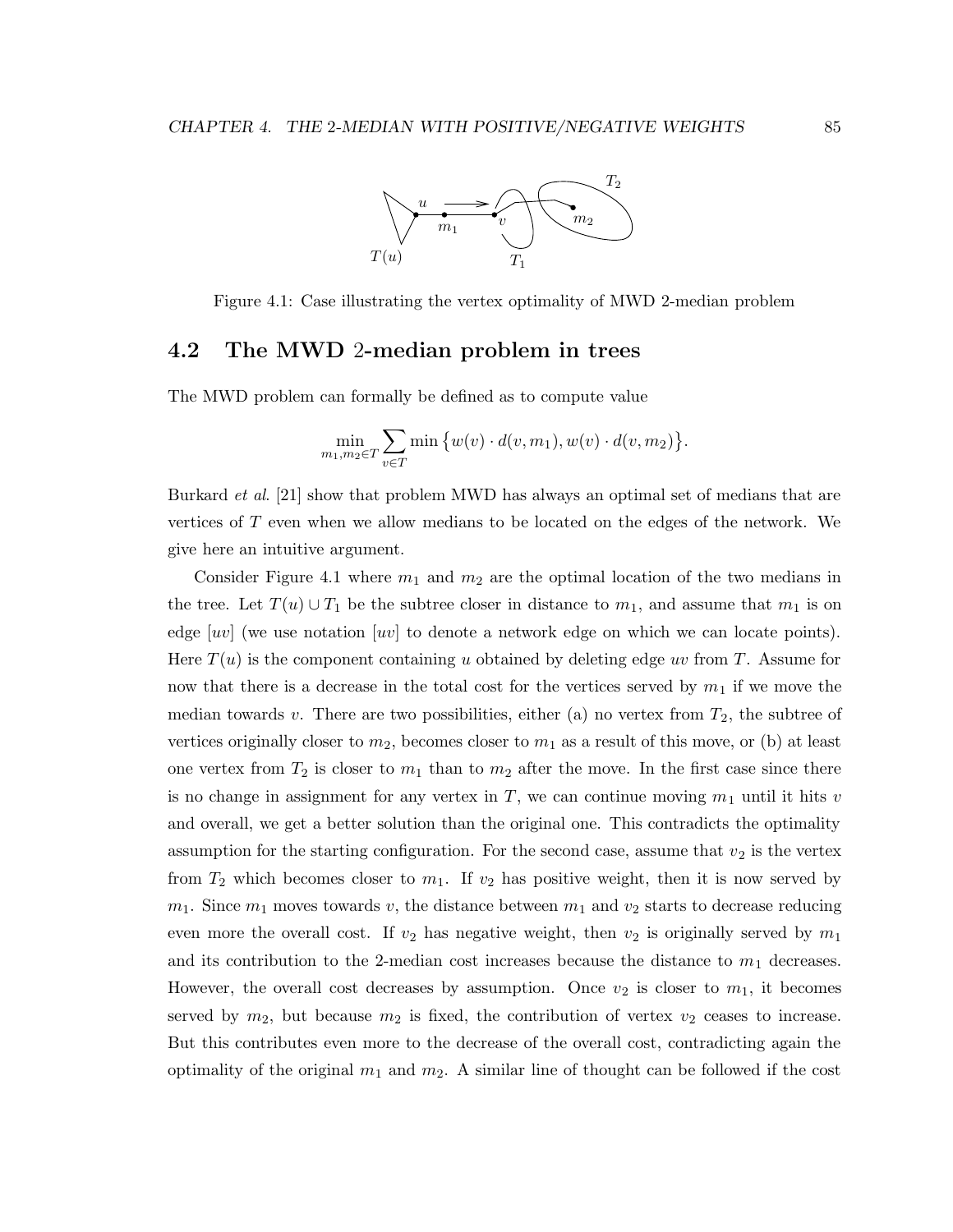

Figure 4.1: Case illustrating the vertex optimality of MWD 2-median problem

# 4.2 The MWD 2-median problem in trees

The MWD problem can formally be defined as to compute value

$$
\min_{m_1,m_2 \in T} \sum_{v \in T} \min \big\{ w(v) \cdot d(v,m_1), w(v) \cdot d(v,m_2) \big\}.
$$

Burkard *et al.* [21] show that problem MWD has always an optimal set of medians that are vertices of T even when we allow medians to be located on the edges of the network. We give here an intuitive argument.

Consider Figure 4.1 where  $m_1$  and  $m_2$  are the optimal location of the two medians in the tree. Let  $T(u) \cup T_1$  be the subtree closer in distance to  $m_1$ , and assume that  $m_1$  is on edge [uv] (we use notation [uv] to denote a network edge on which we can locate points). Here  $T(u)$  is the component containing u obtained by deleting edge uv from T. Assume for now that there is a decrease in the total cost for the vertices served by  $m_1$  if we move the median towards v. There are two possibilities, either (a) no vertex from  $T_2$ , the subtree of vertices originally closer to  $m_2$ , becomes closer to  $m_1$  as a result of this move, or (b) at least one vertex from  $T_2$  is closer to  $m_1$  than to  $m_2$  after the move. In the first case since there is no change in assignment for any vertex in T, we can continue moving  $m_1$  until it hits v and overall, we get a better solution than the original one. This contradicts the optimality assumption for the starting configuration. For the second case, assume that  $v_2$  is the vertex from  $T_2$  which becomes closer to  $m_1$ . If  $v_2$  has positive weight, then it is now served by  $m_1$ . Since  $m_1$  moves towards v, the distance between  $m_1$  and  $v_2$  starts to decrease reducing even more the overall cost. If  $v_2$  has negative weight, then  $v_2$  is originally served by  $m_1$ and its contribution to the 2-median cost increases because the distance to  $m_1$  decreases. However, the overall cost decreases by assumption. Once  $v_2$  is closer to  $m_1$ , it becomes served by  $m_2$ , but because  $m_2$  is fixed, the contribution of vertex  $v_2$  ceases to increase. But this contributes even more to the decrease of the overall cost, contradicting again the optimality of the original  $m_1$  and  $m_2$ . A similar line of thought can be followed if the cost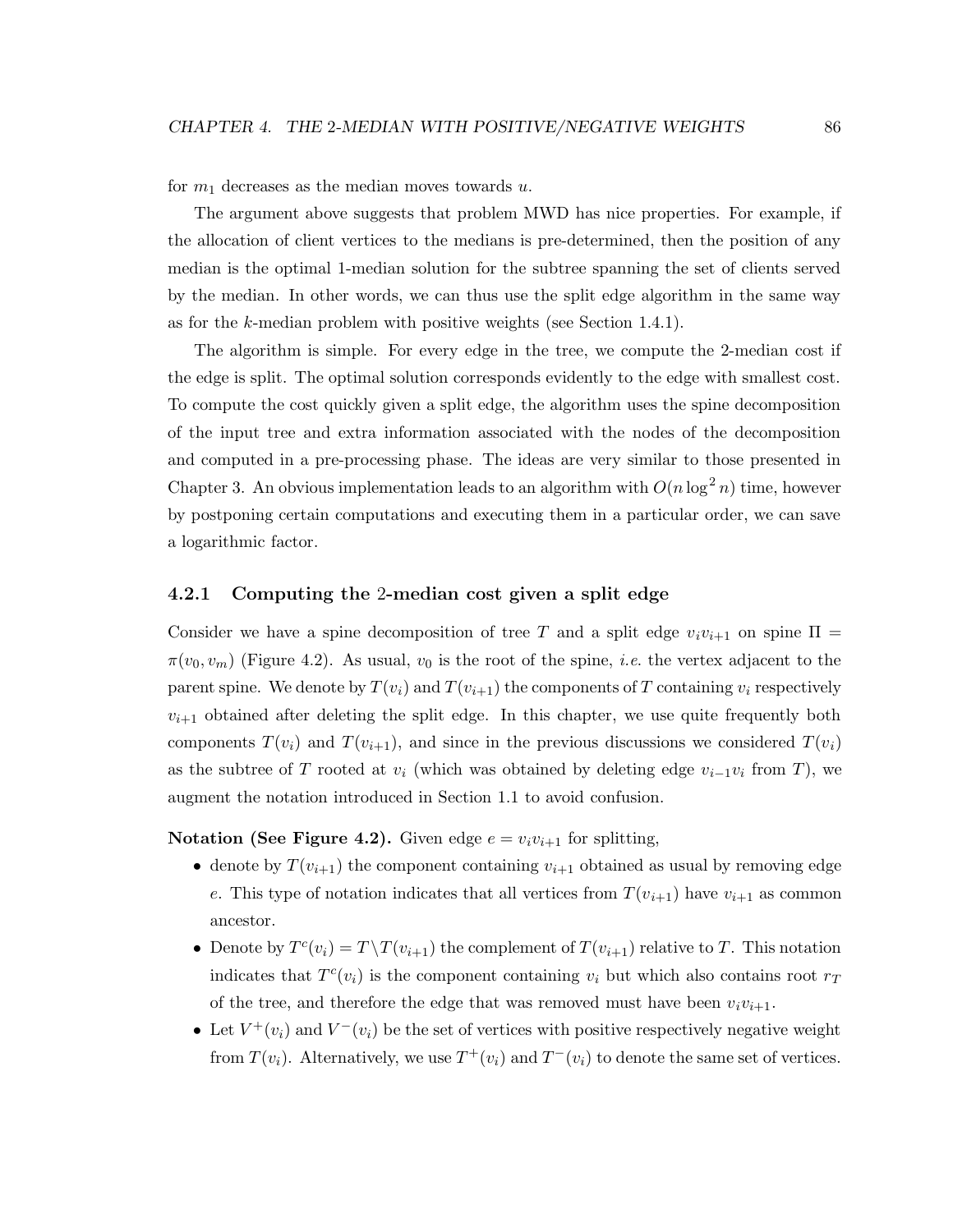for  $m_1$  decreases as the median moves towards u.

The argument above suggests that problem MWD has nice properties. For example, if the allocation of client vertices to the medians is pre-determined, then the position of any median is the optimal 1-median solution for the subtree spanning the set of clients served by the median. In other words, we can thus use the split edge algorithm in the same way as for the k-median problem with positive weights (see Section 1.4.1).

The algorithm is simple. For every edge in the tree, we compute the 2-median cost if the edge is split. The optimal solution corresponds evidently to the edge with smallest cost. To compute the cost quickly given a split edge, the algorithm uses the spine decomposition of the input tree and extra information associated with the nodes of the decomposition and computed in a pre-processing phase. The ideas are very similar to those presented in Chapter 3. An obvious implementation leads to an algorithm with  $O(n \log^2 n)$  time, however by postponing certain computations and executing them in a particular order, we can save a logarithmic factor.

#### 4.2.1 Computing the 2-median cost given a split edge

Consider we have a spine decomposition of tree T and a split edge  $v_i v_{i+1}$  on spine  $\Pi$  $\pi(v_0, v_m)$  (Figure 4.2). As usual,  $v_0$  is the root of the spine, *i.e.* the vertex adjacent to the parent spine. We denote by  $T(v_i)$  and  $T(v_{i+1})$  the components of T containing  $v_i$  respectively  $v_{i+1}$  obtained after deleting the split edge. In this chapter, we use quite frequently both components  $T(v_i)$  and  $T(v_{i+1})$ , and since in the previous discussions we considered  $T(v_i)$ as the subtree of T rooted at  $v_i$  (which was obtained by deleting edge  $v_{i-1}v_i$  from T), we augment the notation introduced in Section 1.1 to avoid confusion.

Notation (See Figure 4.2). Given edge  $e = v_i v_{i+1}$  for splitting,

- denote by  $T(v_{i+1})$  the component containing  $v_{i+1}$  obtained as usual by removing edge e. This type of notation indicates that all vertices from  $T(v_{i+1})$  have  $v_{i+1}$  as common ancestor.
- Denote by  $T^{c}(v_i) = T \setminus T(v_{i+1})$  the complement of  $T(v_{i+1})$  relative to T. This notation indicates that  $T^{c}(v_i)$  is the component containing  $v_i$  but which also contains root  $r_T$ of the tree, and therefore the edge that was removed must have been  $v_i v_{i+1}$ .
- Let  $V^+(v_i)$  and  $V^-(v_i)$  be the set of vertices with positive respectively negative weight from  $T(v_i)$ . Alternatively, we use  $T^+(v_i)$  and  $T^-(v_i)$  to denote the same set of vertices.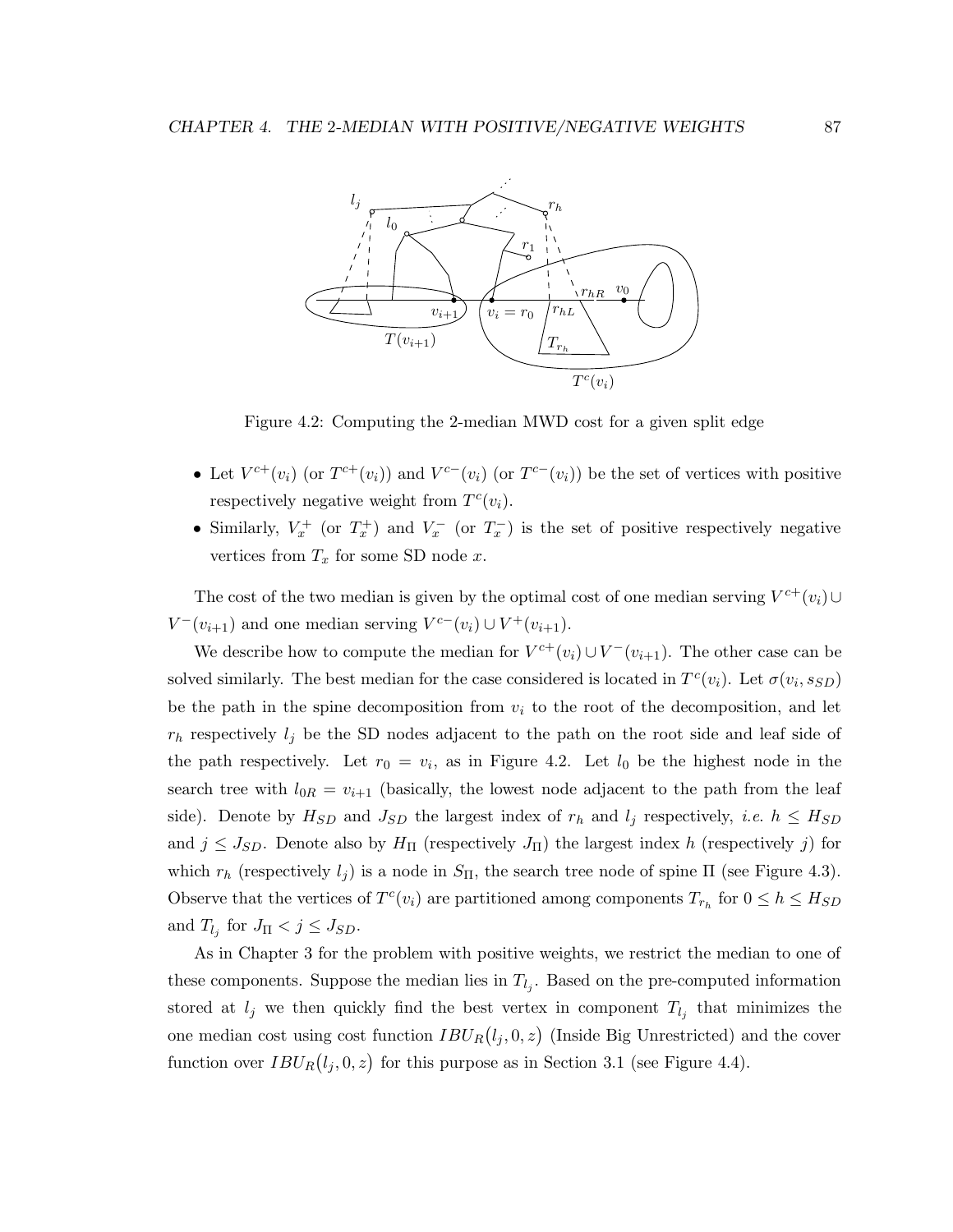

Figure 4.2: Computing the 2-median MWD cost for a given split edge

- Let  $V^{c+}(v_i)$  (or  $T^{c+}(v_i)$ ) and  $V^{c-}(v_i)$  (or  $T^{c-}(v_i)$ ) be the set of vertices with positive respectively negative weight from  $T^c(v_i)$ .
- Similarly,  $V_x^+$  (or  $T_x^+$ ) and  $V_x^-$  (or  $T_x^-$ ) is the set of positive respectively negative vertices from  $T_x$  for some SD node  $x$ .

The cost of the two median is given by the optimal cost of one median serving  $V^{c+}(v_i) \cup$  $V^-(v_{i+1})$  and one median serving  $V^{c-}(v_i) \cup V^+(v_{i+1})$ .

We describe how to compute the median for  $V^{c+}(v_i) \cup V^-(v_{i+1})$ . The other case can be solved similarly. The best median for the case considered is located in  $T^{c}(v_i)$ . Let  $\sigma(v_i, s_{SD})$ be the path in the spine decomposition from  $v_i$  to the root of the decomposition, and let  $r_h$  respectively  $l_j$  be the SD nodes adjacent to the path on the root side and leaf side of the path respectively. Let  $r_0 = v_i$ , as in Figure 4.2. Let  $l_0$  be the highest node in the search tree with  $l_{0R} = v_{i+1}$  (basically, the lowest node adjacent to the path from the leaf side). Denote by  $H_{SD}$  and  $J_{SD}$  the largest index of  $r_h$  and  $l_j$  respectively, *i.e.*  $h \leq H_{SD}$ and  $j \leq J_{SD}$ . Denote also by  $H_{\Pi}$  (respectively  $J_{\Pi}$ ) the largest index h (respectively j) for which  $r_h$  (respectively  $l_j$ ) is a node in  $S_{\Pi}$ , the search tree node of spine  $\Pi$  (see Figure 4.3). Observe that the vertices of  $T^{c}(v_i)$  are partitioned among components  $T_{r_h}$  for  $0 \leq h \leq H_{SD}$ and  $T_{l_j}$  for  $J_{\Pi} < j \leq J_{SD}$ .

As in Chapter 3 for the problem with positive weights, we restrict the median to one of these components. Suppose the median lies in  $T_{l_j}$ . Based on the pre-computed information stored at  $l_j$  we then quickly find the best vertex in component  $T_{l_j}$  that minimizes the one median cost using cost function  $IBU_R(l_j, 0, z)$  (Inside Big Unrestricted) and the cover function over  $IBU_R(l_j, 0, z)$  for this purpose as in Section 3.1 (see Figure 4.4).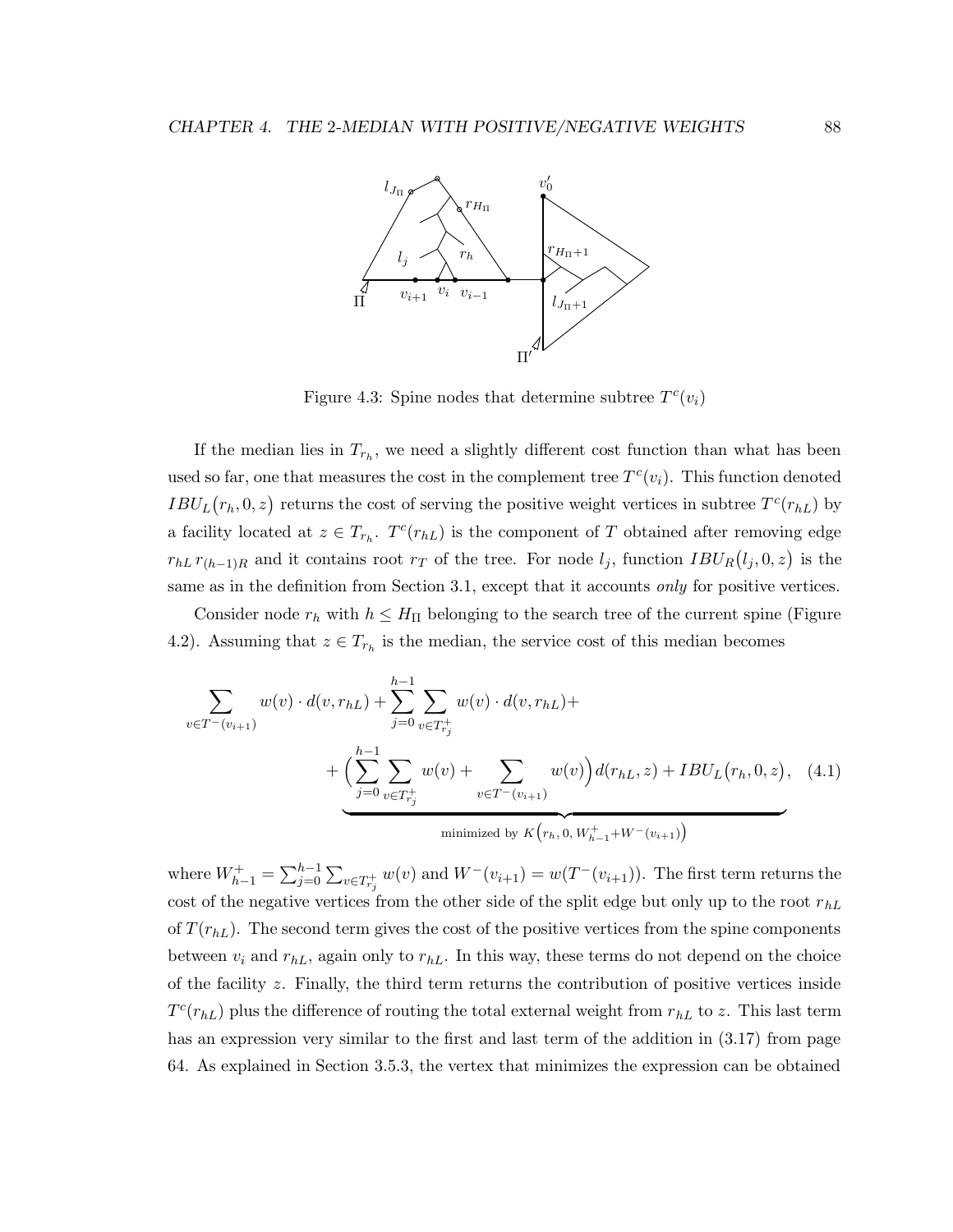

Figure 4.3: Spine nodes that determine subtree  $T^{c}(v_i)$ 

If the median lies in  $T_{r_h}$ , we need a slightly different cost function than what has been used so far, one that measures the cost in the complement tree  $T^{c}(v_i)$ . This function denoted  $IBU_L(r_h, 0, z)$  returns the cost of serving the positive weight vertices in subtree  $T^{c}(r_{hL})$  by a facility located at  $z \in T_{r_h}$ .  $T^c(r_{hL})$  is the component of T obtained after removing edge  $r_{hL} r_{(h-1)R}$  and it contains root  $r_T$  of the tree. For node  $l_j$ , function  $IBU_R(l_j, 0, z)$  is the same as in the definition from Section 3.1, except that it accounts only for positive vertices.

Consider node  $r_h$  with  $h \leq H_{\Pi}$  belonging to the search tree of the current spine (Figure 4.2). Assuming that  $z \in T_{r_h}$  is the median, the service cost of this median becomes

$$
\sum_{v \in T^{-}(v_{i+1})} w(v) \cdot d(v, r_{hL}) + \sum_{j=0}^{h-1} \sum_{v \in T^{+}_{r_{j}}} w(v) \cdot d(v, r_{hL}) + \left( \sum_{j=0}^{h-1} \sum_{v \in T^{+}_{r_{j}}} w(v) + \sum_{v \in T^{-}(v_{i+1})} w(v) \right) d(r_{hL}, z) + IBU_{L}(r_{h}, 0, z), \quad (4.1)
$$
\nminimized by  $K(r_{h}, 0, W^{+}_{h-1} + W^{-}(v_{i+1})$ 

where  $W_{h-1}^+ = \sum_{j=0}^{h-1} \sum_{v \in T_{r_j}^+} w(v)$  and  $W^-(v_{i+1}) = w(T^-(v_{i+1}))$ . The first term returns the cost of the negative vertices from the other side of the split edge but only up to the root  $r_{hL}$ of  $T(r_{hL})$ . The second term gives the cost of the positive vertices from the spine components between  $v_i$  and  $r_{hL}$ , again only to  $r_{hL}$ . In this way, these terms do not depend on the choice of the facility z. Finally, the third term returns the contribution of positive vertices inside  $T^{c}(r_{hL})$  plus the difference of routing the total external weight from  $r_{hL}$  to z. This last term has an expression very similar to the first and last term of the addition in  $(3.17)$  from page 64. As explained in Section 3.5.3, the vertex that minimizes the expression can be obtained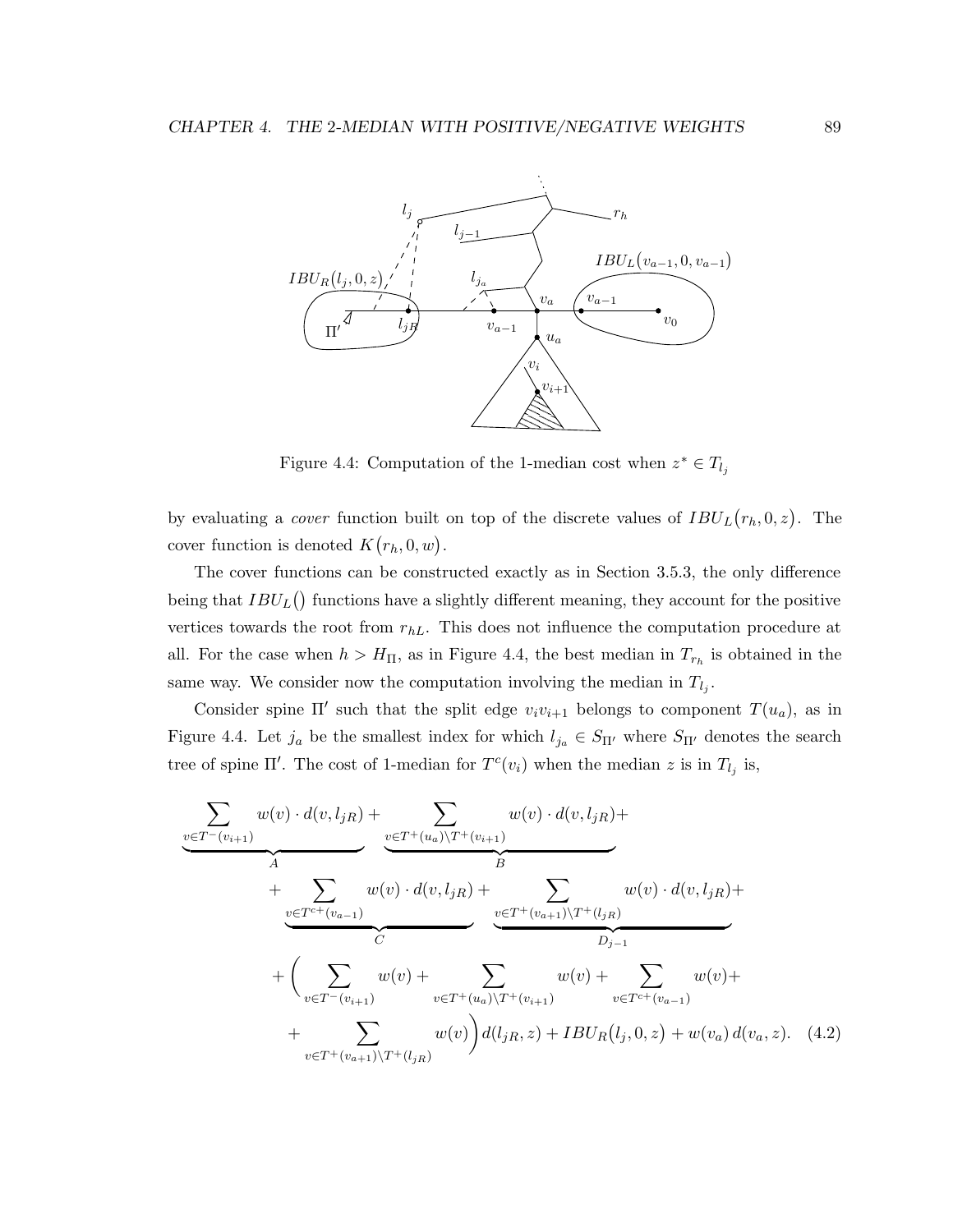

Figure 4.4: Computation of the 1-median cost when  $z^* \in T_{l_j}$ 

by evaluating a *cover* function built on top of the discrete values of  $IBU<sub>L</sub>(r<sub>h</sub>, 0, z)$ . The cover function is denoted  $K(r_h, 0, w)$ .

The cover functions can be constructed exactly as in Section 3.5.3, the only difference being that  $IBU_L()$  functions have a slightly different meaning, they account for the positive vertices towards the root from  $r_{hL}$ . This does not influence the computation procedure at all. For the case when  $h > H_{\Pi}$ , as in Figure 4.4, the best median in  $T_{r_h}$  is obtained in the same way. We consider now the computation involving the median in  $T_{l_j}$ .

Consider spine  $\Pi'$  such that the split edge  $v_i v_{i+1}$  belongs to component  $T(u_a)$ , as in Figure 4.4. Let  $j_a$  be the smallest index for which  $l_{j_a} \in S_{\Pi'}$  where  $S_{\Pi'}$  denotes the search tree of spine  $\Pi'$ . The cost of 1-median for  $T^{c}(v_i)$  when the median z is in  $T_{l_j}$  is,

$$
\frac{\sum_{v \in T^{-}(v_{i+1})} w(v) \cdot d(v, l_{jR}) + \sum_{v \in T^{+}(u_{a}) \setminus T^{+}(v_{i+1})} w(v) \cdot d(v, l_{jR}) + \sum_{v \in T^{c^{+}}(v_{a-1})} w(v) \cdot d(v, l_{jR}) + \sum_{v \in T^{c^{+}}(v_{a-1})} w(v) \cdot d(v, l_{jR}) + \sum_{v \in T^{+}(v_{a+1}) \setminus T^{+}(l_{jR})} w(v) \cdot d(v, l_{jR}) + \sum_{v \in T^{-}(v_{i+1})} w(v) + \sum_{v \in T^{+}(u_{a}) \setminus T^{+}(v_{i+1})} w(v) + \sum_{v \in T^{c^{+}}(v_{a-1})} w(v) + \sum_{v \in T^{+}(v_{a+1}) \setminus T^{+}(l_{jR})} w(v) \frac{d(l_{jR}, z) + IBU_{R}(l_{j}, 0, z) + w(v_{a}) d(v_{a}, z). \quad (4.2)
$$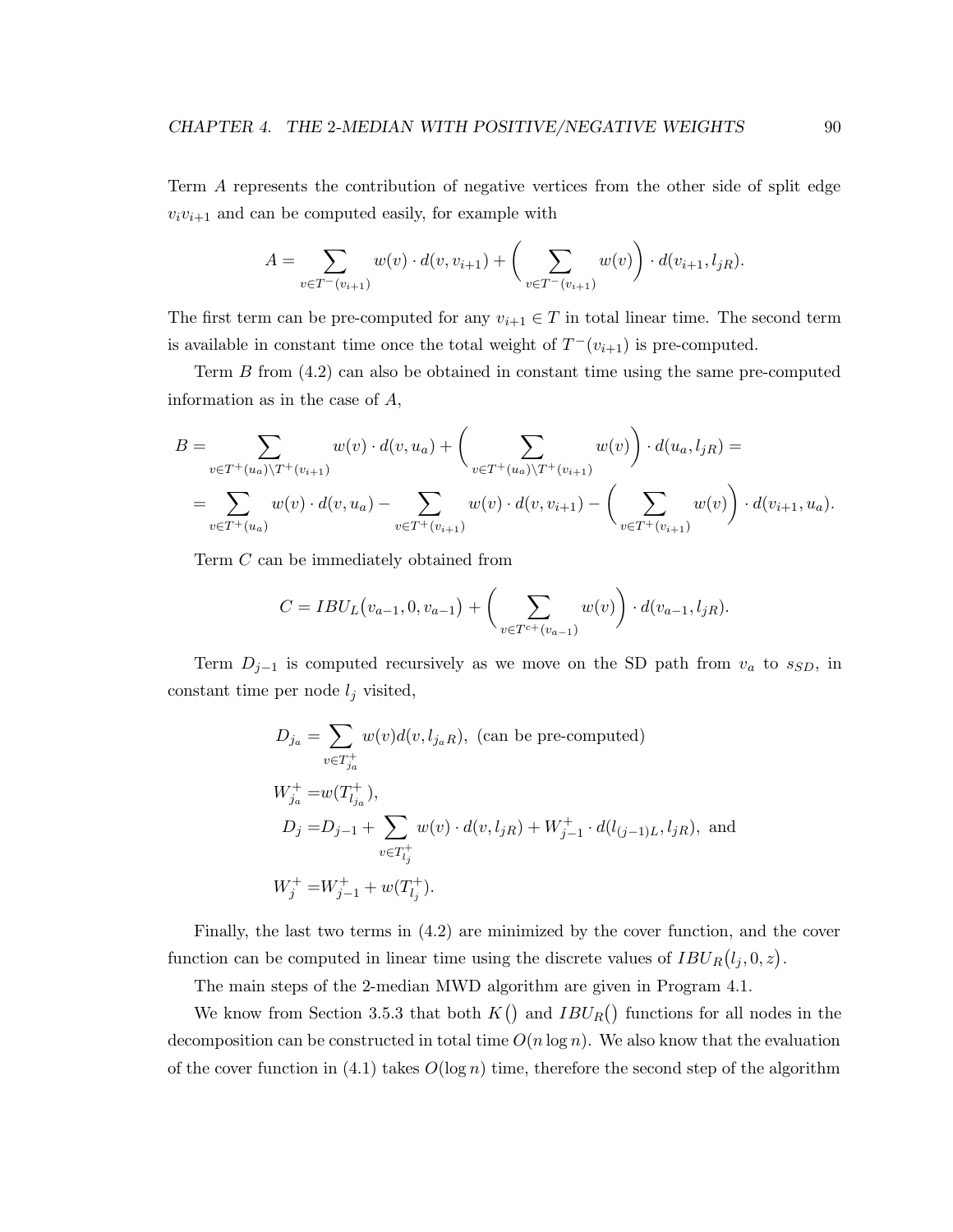Term A represents the contribution of negative vertices from the other side of split edge  $v_i v_{i+1}$  and can be computed easily, for example with

$$
A = \sum_{v \in T^-(v_{i+1})} w(v) \cdot d(v, v_{i+1}) + \left(\sum_{v \in T^-(v_{i+1})} w(v)\right) \cdot d(v_{i+1}, l_{jR}).
$$

The first term can be pre-computed for any  $v_{i+1} \in T$  in total linear time. The second term is available in constant time once the total weight of  $T^-(v_{i+1})$  is pre-computed.

Term B from (4.2) can also be obtained in constant time using the same pre-computed information as in the case of A,

$$
B = \sum_{v \in T^+(u_a)\backslash T^+(v_{i+1})} w(v) \cdot d(v, u_a) + \left(\sum_{v \in T^+(u_a)\backslash T^+(v_{i+1})} w(v)\right) \cdot d(u_a, l_{jR}) =
$$
  
= 
$$
\sum_{v \in T^+(u_a)} w(v) \cdot d(v, u_a) - \sum_{v \in T^+(v_{i+1})} w(v) \cdot d(v, v_{i+1}) - \left(\sum_{v \in T^+(v_{i+1})} w(v)\right) \cdot d(v_{i+1}, u_a).
$$

Term C can be immediately obtained from

$$
C = IBU_L(v_{a-1}, 0, v_{a-1}) + \left(\sum_{v \in T^{c+}(v_{a-1})} w(v)\right) \cdot d(v_{a-1}, l_{jR}).
$$

Term  $D_{j-1}$  is computed recursively as we move on the SD path from  $v_a$  to  $s_{SD}$ , in constant time per node  $l_j$  visited,

$$
D_{j_a} = \sum_{v \in T_{j_a}^+} w(v) d(v, l_{j_a R}), \text{ (can be pre-computed)}
$$
\n
$$
W_{j_a}^+ = w(T_{l_{j_a}}^+),
$$
\n
$$
D_j = D_{j-1} + \sum_{v \in T_{l_j}^+} w(v) \cdot d(v, l_{jR}) + W_{j-1}^+ \cdot d(l_{(j-1)L}, l_{jR}), \text{ and}
$$
\n
$$
W_j^+ = W_{j-1}^+ + w(T_{l_j}^+).
$$

Finally, the last two terms in (4.2) are minimized by the cover function, and the cover function can be computed in linear time using the discrete values of  $IBU_R(l_j, 0, z)$ .

The main steps of the 2-median MWD algorithm are given in Program 4.1.

We know from Section 3.5.3 that both  $K()$  and  $IBU_R()$  functions for all nodes in the decomposition can be constructed in total time  $O(n \log n)$ . We also know that the evaluation of the cover function in (4.1) takes  $O(\log n)$  time, therefore the second step of the algorithm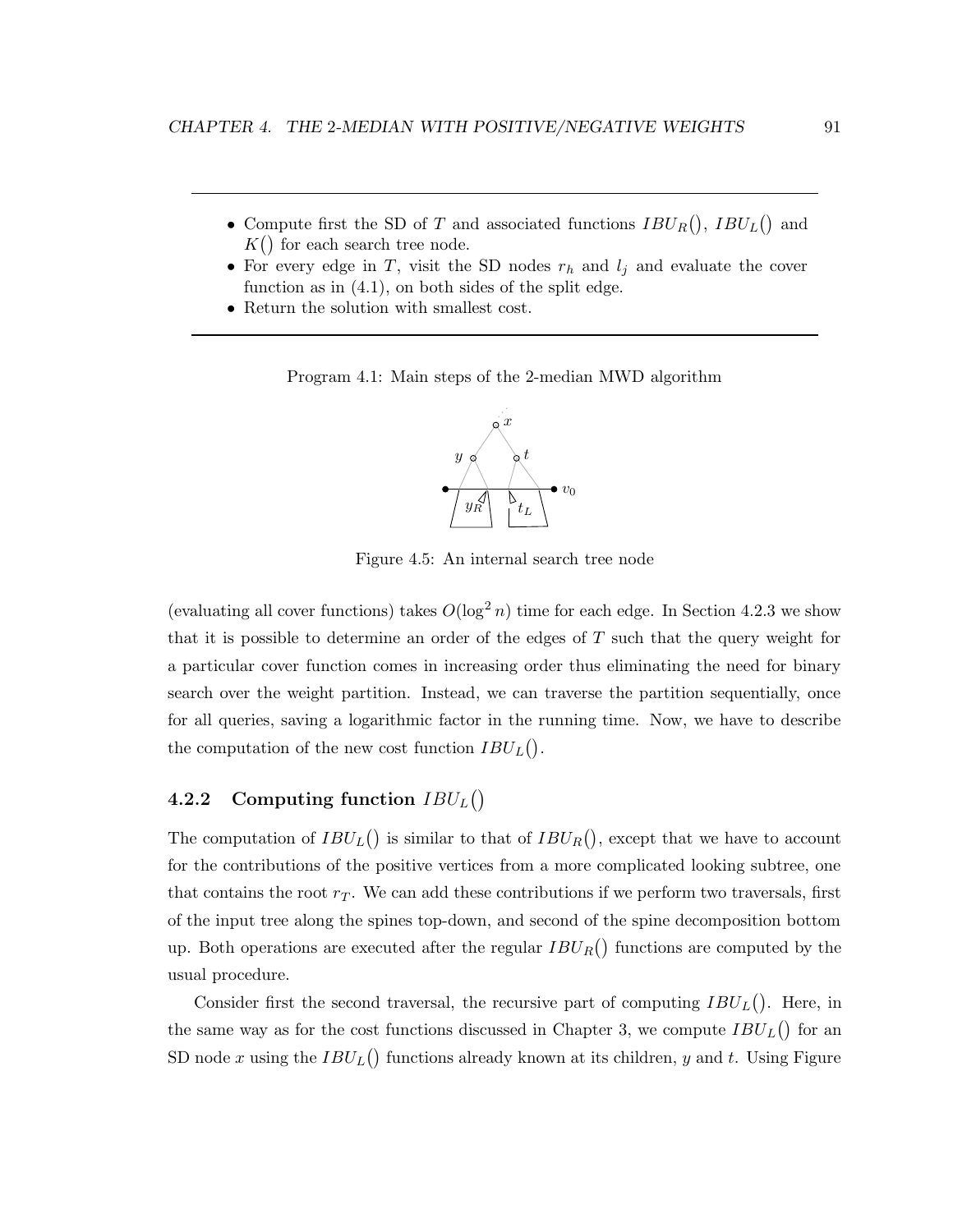- Compute first the SD of T and associated functions  $IBU_R()$ ,  $IBU_L()$  and  $K()$  for each search tree node.
- For every edge in T, visit the SD nodes  $r_h$  and  $l_i$  and evaluate the cover function as in (4.1), on both sides of the split edge.
- Return the solution with smallest cost.

Program 4.1: Main steps of the 2-median MWD algorithm



Figure 4.5: An internal search tree node

(evaluating all cover functions) takes  $O(\log^2 n)$  time for each edge. In Section 4.2.3 we show that it is possible to determine an order of the edges of T such that the query weight for a particular cover function comes in increasing order thus eliminating the need for binary search over the weight partition. Instead, we can traverse the partition sequentially, once for all queries, saving a logarithmic factor in the running time. Now, we have to describe the computation of the new cost function  $IBU_L()$ .

# 4.2.2 Computing function  $IBU_L()$

The computation of  $IBU_L()$  is similar to that of  $IBU_R()$ , except that we have to account for the contributions of the positive vertices from a more complicated looking subtree, one that contains the root  $r<sub>T</sub>$ . We can add these contributions if we perform two traversals, first of the input tree along the spines top-down, and second of the spine decomposition bottom up. Both operations are executed after the regular  $IBU_R()$  functions are computed by the usual procedure.

Consider first the second traversal, the recursive part of computing  $IBU_L()$ . Here, in the same way as for the cost functions discussed in Chapter 3, we compute  $IBU_L()$  for an SD node x using the  $IBU_L()$  functions already known at its children, y and t. Using Figure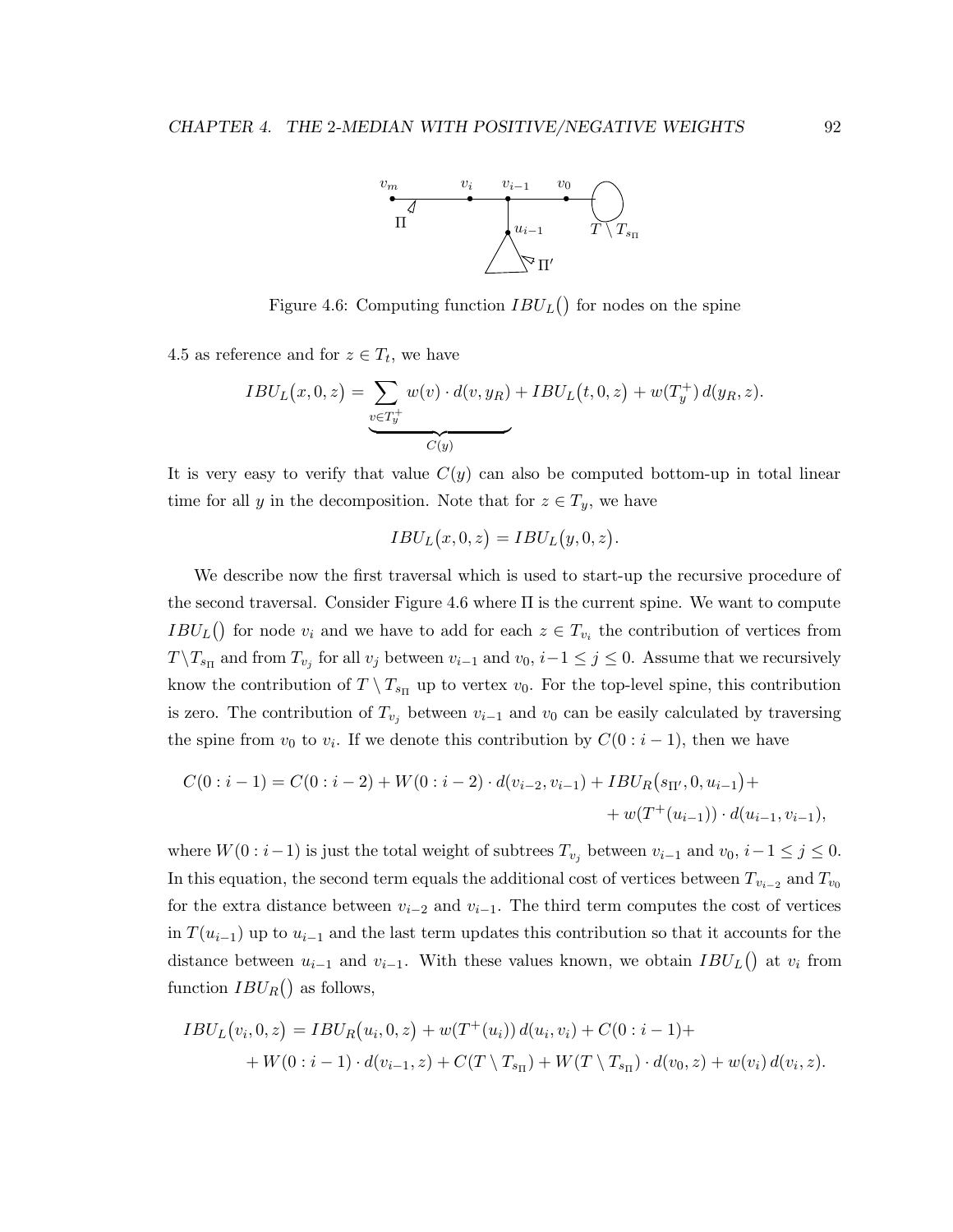

Figure 4.6: Computing function  $IBU_L()$  for nodes on the spine

4.5 as reference and for  $z \in T_t$ , we have

$$
IBU_{L}(x,0,z) = \underbrace{\sum_{v \in T_{y}^{+}} w(v) \cdot d(v,y_{R})}_{C(y)} + IBU_{L}(t,0,z) + w(T_{y}^{+}) d(y_{R},z).
$$

It is very easy to verify that value  $C(y)$  can also be computed bottom-up in total linear time for all y in the decomposition. Note that for  $z \in T_y$ , we have

$$
IBU_L(x,0,z) = IBU_L(y,0,z).
$$

We describe now the first traversal which is used to start-up the recursive procedure of the second traversal. Consider Figure 4.6 where  $\Pi$  is the current spine. We want to compute  $IBU_L()$  for node  $v_i$  and we have to add for each  $z \in T_{v_i}$  the contribution of vertices from  $T \backslash T_{s_{\Pi}}$  and from  $T_{v_j}$  for all  $v_j$  between  $v_{i-1}$  and  $v_0$ ,  $i-1 \leq j \leq 0$ . Assume that we recursively know the contribution of  $T \setminus T_{s_{\Pi}}$  up to vertex  $v_0$ . For the top-level spine, this contribution is zero. The contribution of  $T_{v_j}$  between  $v_{i-1}$  and  $v_0$  can be easily calculated by traversing the spine from  $v_0$  to  $v_i$ . If we denote this contribution by  $C(0:i-1)$ , then we have

$$
C(0:i-1) = C(0:i-2) + W(0:i-2) \cdot d(v_{i-2}, v_{i-1}) + IBU_R(s_{\Pi'}, 0, u_{i-1}) ++ w(T^+(u_{i-1})) \cdot d(u_{i-1}, v_{i-1}),
$$

where  $W(0:i-1)$  is just the total weight of subtrees  $T_{v_j}$  between  $v_{i-1}$  and  $v_0$ ,  $i-1 \leq j \leq 0$ . In this equation, the second term equals the additional cost of vertices between  $T_{v_{i-2}}$  and  $T_{v_0}$ for the extra distance between  $v_{i-2}$  and  $v_{i-1}$ . The third term computes the cost of vertices in  $T(u_{i-1})$  up to  $u_{i-1}$  and the last term updates this contribution so that it accounts for the distance between  $u_{i-1}$  and  $v_{i-1}$ . With these values known, we obtain  $IBU_L()$  at  $v_i$  from function  $IBU_R()$  as follows,

$$
IBU_{L}(v_{i},0,z) = IBU_{R}(u_{i},0,z) + w(T^{+}(u_{i})) d(u_{i},v_{i}) + C(0:i-1) +
$$
  
+ 
$$
W(0:i-1) \cdot d(v_{i-1},z) + C(T \setminus T_{s_{\Pi}}) + W(T \setminus T_{s_{\Pi}}) \cdot d(v_{0},z) + w(v_{i}) d(v_{i},z).
$$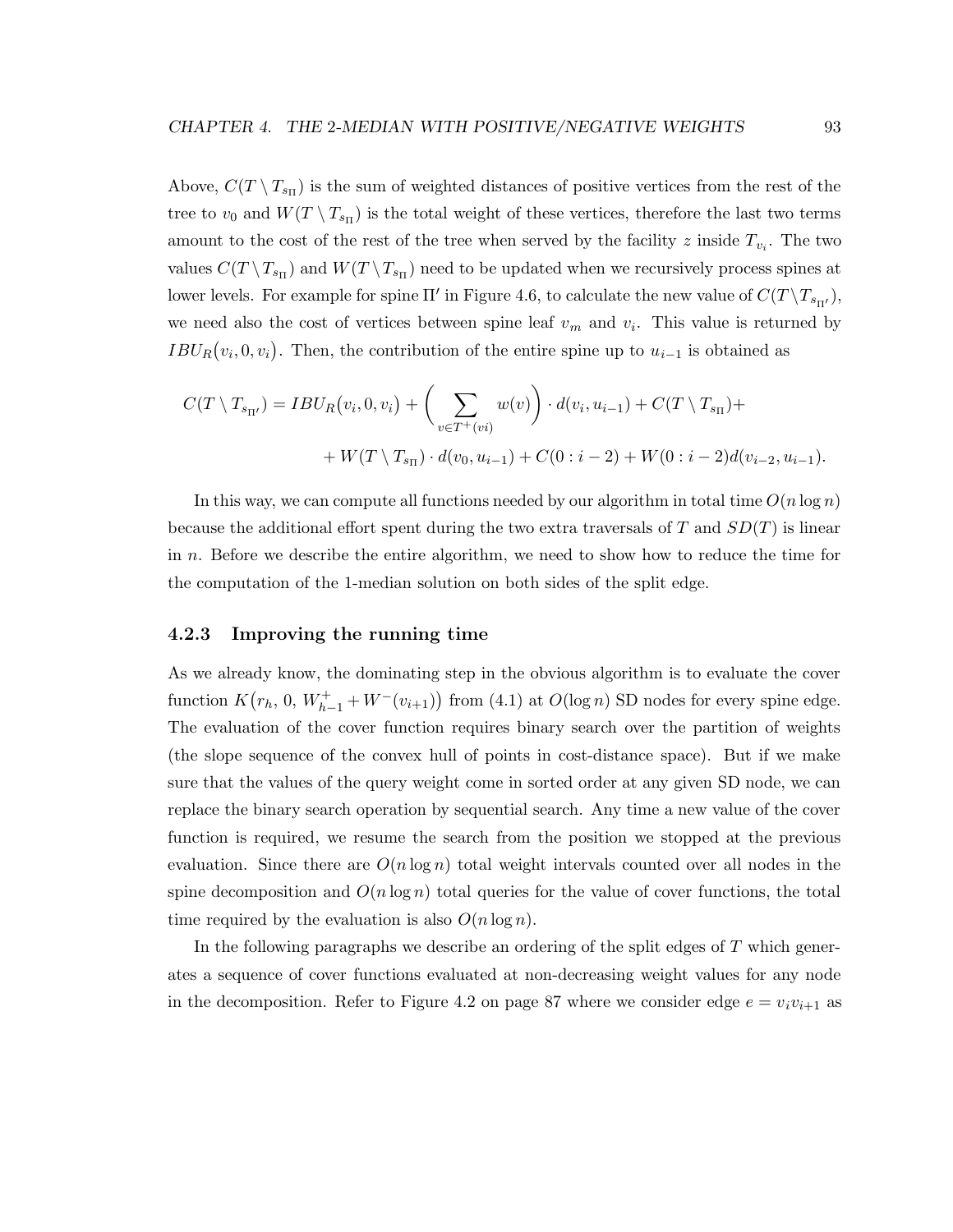Above,  $C(T \setminus T_{s_{\Pi}})$  is the sum of weighted distances of positive vertices from the rest of the tree to  $v_0$  and  $W(T \setminus T_{s_{\Pi}})$  is the total weight of these vertices, therefore the last two terms amount to the cost of the rest of the tree when served by the facility z inside  $T_{v_i}$ . The two values  $C(T \setminus T_{s_{\Pi}})$  and  $W(T \setminus T_{s_{\Pi}})$  need to be updated when we recursively process spines at lower levels. For example for spine  $\Pi'$  in Figure 4.6, to calculate the new value of  $C(T \setminus T_{s_{\Pi'}})$ , we need also the cost of vertices between spine leaf  $v_m$  and  $v_i$ . This value is returned by  $IBU_R(v_i, 0, v_i)$ . Then, the contribution of the entire spine up to  $u_{i-1}$  is obtained as

$$
C(T \setminus T_{s_{\Pi'}}) = IBU_R(v_i, 0, v_i) + \left(\sum_{v \in T^+(vi)} w(v)\right) \cdot d(v_i, u_{i-1}) + C(T \setminus T_{s_{\Pi}}) + W(T \setminus T_{s_{\Pi}}) \cdot d(v_0, u_{i-1}) + C(0 : i - 2) + W(0 : i - 2)d(v_{i-2}, u_{i-1}).
$$

In this way, we can compute all functions needed by our algorithm in total time  $O(n \log n)$ because the additional effort spent during the two extra traversals of T and  $SD(T)$  is linear in n. Before we describe the entire algorithm, we need to show how to reduce the time for the computation of the 1-median solution on both sides of the split edge.

#### 4.2.3 Improving the running time

As we already know, the dominating step in the obvious algorithm is to evaluate the cover function  $K(r_h, 0, W_{h-1}^+ + W^-(v_{i+1}))$  from (4.1) at  $O(\log n)$  SD nodes for every spine edge. The evaluation of the cover function requires binary search over the partition of weights (the slope sequence of the convex hull of points in cost-distance space). But if we make sure that the values of the query weight come in sorted order at any given SD node, we can replace the binary search operation by sequential search. Any time a new value of the cover function is required, we resume the search from the position we stopped at the previous evaluation. Since there are  $O(n \log n)$  total weight intervals counted over all nodes in the spine decomposition and  $O(n \log n)$  total queries for the value of cover functions, the total time required by the evaluation is also  $O(n \log n)$ .

In the following paragraphs we describe an ordering of the split edges of  $T$  which generates a sequence of cover functions evaluated at non-decreasing weight values for any node in the decomposition. Refer to Figure 4.2 on page 87 where we consider edge  $e = v_i v_{i+1}$  as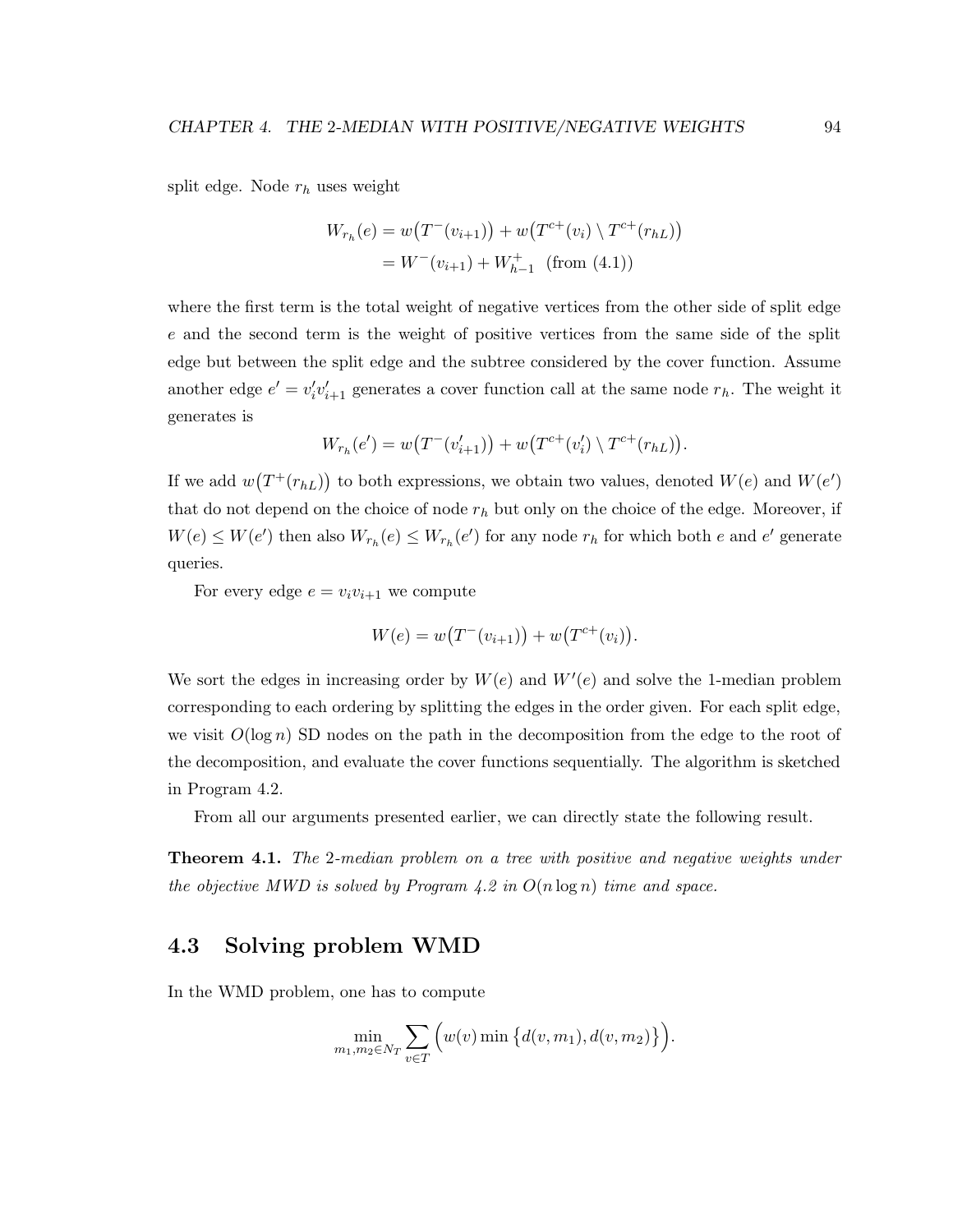split edge. Node  $r_h$  uses weight

$$
W_{r_h}(e) = w(T^-(v_{i+1})) + w(T^{c+}(v_i) \setminus T^{c+}(r_{hL}))
$$
  
=  $W^-(v_{i+1}) + W_{h-1}^+$  (from (4.1))

where the first term is the total weight of negative vertices from the other side of split edge e and the second term is the weight of positive vertices from the same side of the split edge but between the split edge and the subtree considered by the cover function. Assume another edge  $e' = v'_i v'_{i+1}$  generates a cover function call at the same node  $r_h$ . The weight it generates is

$$
W_{r_h}(e') = w(T^-(v'_{i+1})) + w(T^{c+}(v'_i) \setminus T^{c+}(r_{hL})).
$$

If we add  $w(T^+(r_{hL}))$  to both expressions, we obtain two values, denoted  $W(e)$  and  $W(e')$ that do not depend on the choice of node  $r_h$  but only on the choice of the edge. Moreover, if  $W(e) \leq W(e')$  then also  $W_{r_h}(e) \leq W_{r_h}(e')$  for any node  $r_h$  for which both e and e' generate queries.

For every edge  $e = v_i v_{i+1}$  we compute

$$
W(e) = w(T^-(v_{i+1})) + w(T^{c+}(v_i)).
$$

We sort the edges in increasing order by  $W(e)$  and  $W'(e)$  and solve the 1-median problem corresponding to each ordering by splitting the edges in the order given. For each split edge, we visit  $O(\log n)$  SD nodes on the path in the decomposition from the edge to the root of the decomposition, and evaluate the cover functions sequentially. The algorithm is sketched in Program 4.2.

From all our arguments presented earlier, we can directly state the following result.

**Theorem 4.1.** The 2-median problem on a tree with positive and negative weights under the objective MWD is solved by Program  $4.2$  in  $O(n \log n)$  time and space.

# 4.3 Solving problem WMD

In the WMD problem, one has to compute

$$
\min_{m_1, m_2 \in N_T} \sum_{v \in T} \Big( w(v) \min \Big\{ d(v, m_1), d(v, m_2) \Big\} \Big).
$$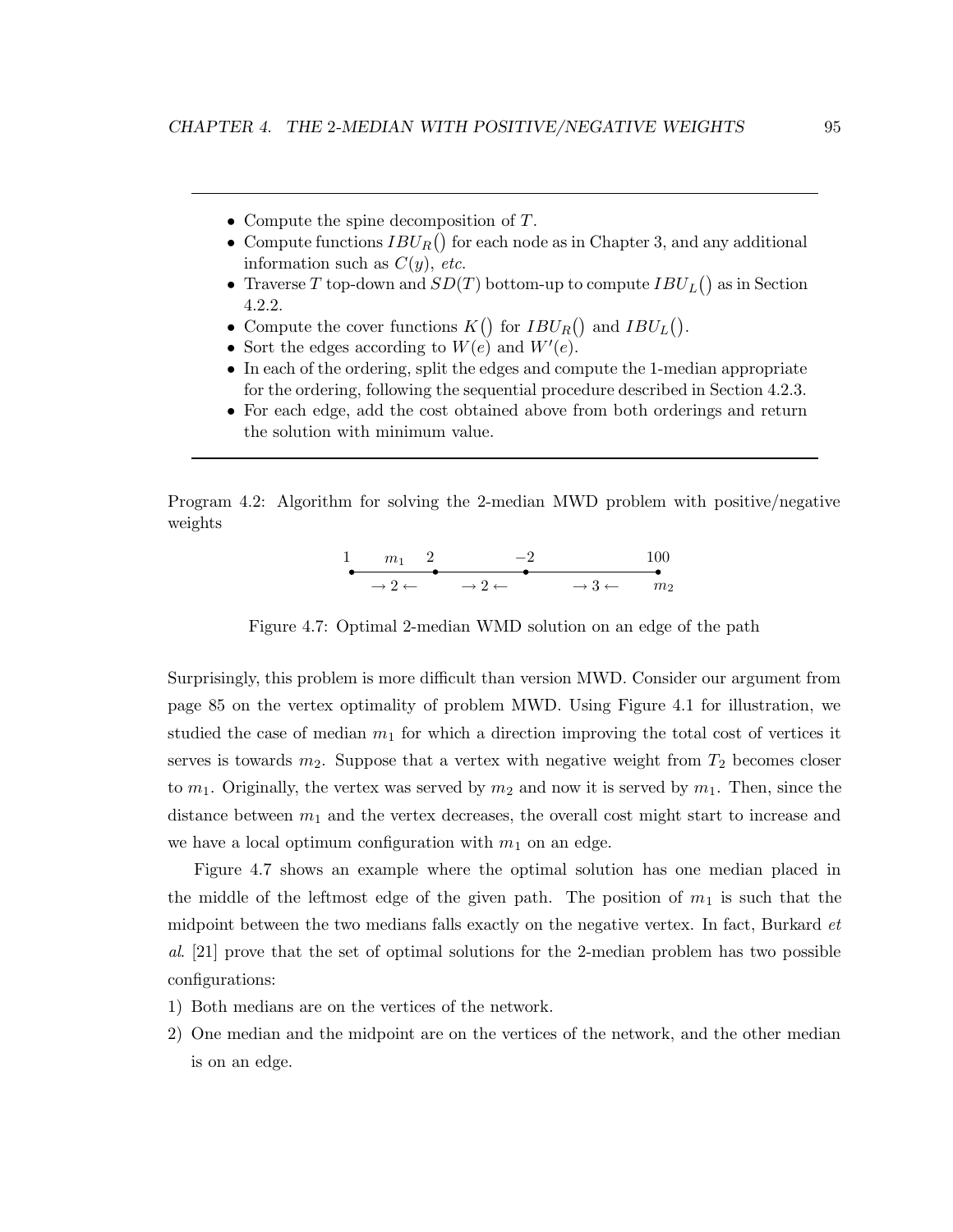- Compute the spine decomposition of T.
- Compute functions  $IBU_R()$  for each node as in Chapter 3, and any additional information such as  $C(y)$ , etc.
- Traverse T top-down and  $SD(T)$  bottom-up to compute  $IBU_L()$  as in Section 4.2.2.
- Compute the cover functions  $K()$  for  $IBU_R()$  and  $IBU_L()$ .
- Sort the edges according to  $W(e)$  and  $W'(e)$ .
- In each of the ordering, split the edges and compute the 1-median appropriate for the ordering, following the sequential procedure described in Section 4.2.3.
- For each edge, add the cost obtained above from both orderings and return the solution with minimum value.

Program 4.2: Algorithm for solving the 2-median MWD problem with positive/negative weights

$$
\begin{array}{cccc}\n1 & m_1 & 2 & -2 & 100 \\
\hline\n\end{array}\n\longrightarrow\n\begin{array}{cccc}\n2 \leftarrow & & & & \\
\hline\n\end{array}\n\longrightarrow\n\begin{array}{cccc}\n3 \leftarrow & m_2\n\end{array}
$$

Figure 4.7: Optimal 2-median WMD solution on an edge of the path

Surprisingly, this problem is more difficult than version MWD. Consider our argument from page 85 on the vertex optimality of problem MWD. Using Figure 4.1 for illustration, we studied the case of median  $m_1$  for which a direction improving the total cost of vertices it serves is towards  $m_2$ . Suppose that a vertex with negative weight from  $T_2$  becomes closer to  $m_1$ . Originally, the vertex was served by  $m_2$  and now it is served by  $m_1$ . Then, since the distance between  $m_1$  and the vertex decreases, the overall cost might start to increase and we have a local optimum configuration with  $m_1$  on an edge.

Figure 4.7 shows an example where the optimal solution has one median placed in the middle of the leftmost edge of the given path. The position of  $m_1$  is such that the midpoint between the two medians falls exactly on the negative vertex. In fact, Burkard et al. [21] prove that the set of optimal solutions for the 2-median problem has two possible configurations:

- 1) Both medians are on the vertices of the network.
- 2) One median and the midpoint are on the vertices of the network, and the other median is on an edge.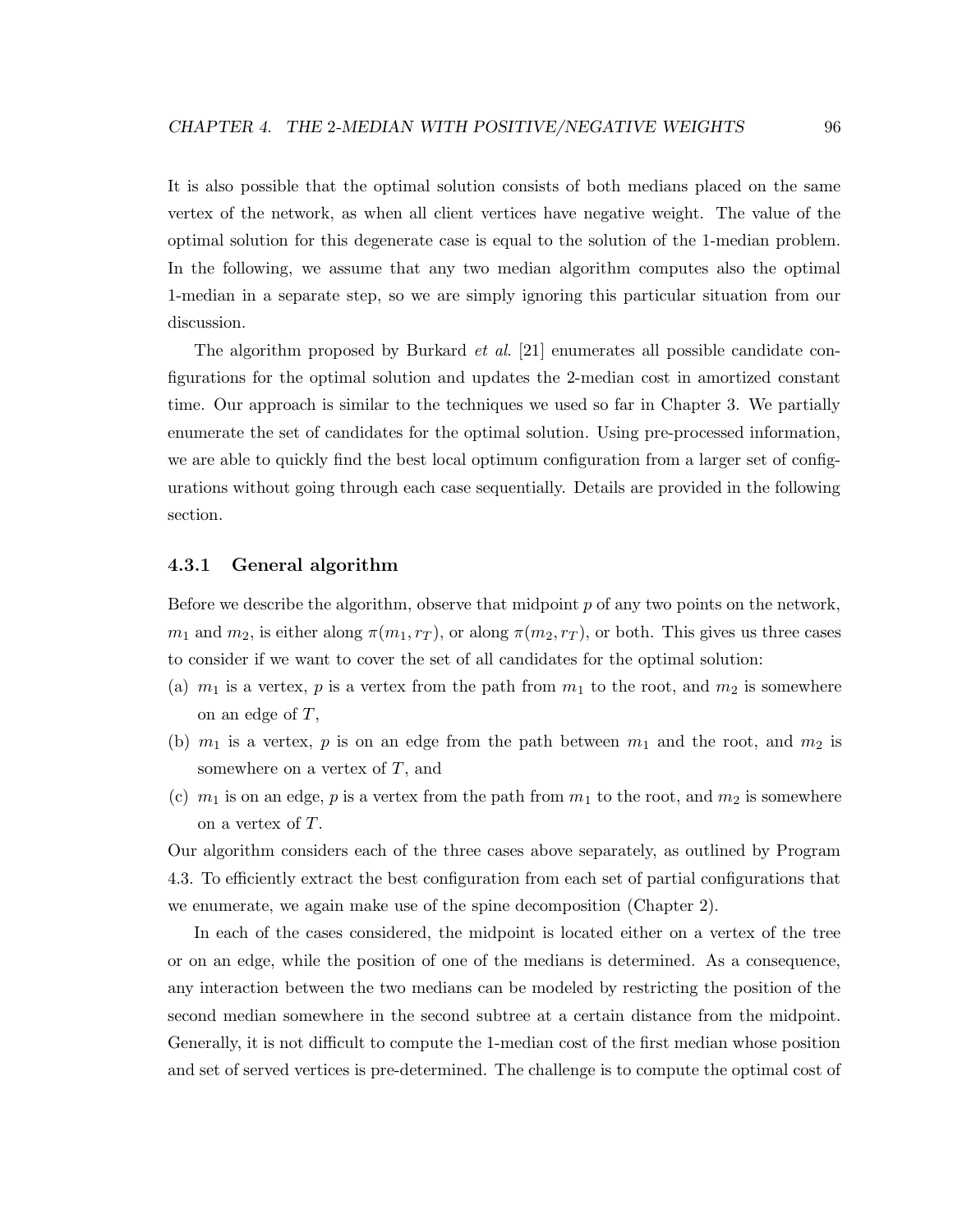It is also possible that the optimal solution consists of both medians placed on the same vertex of the network, as when all client vertices have negative weight. The value of the optimal solution for this degenerate case is equal to the solution of the 1-median problem. In the following, we assume that any two median algorithm computes also the optimal 1-median in a separate step, so we are simply ignoring this particular situation from our discussion.

The algorithm proposed by Burkard et al. [21] enumerates all possible candidate configurations for the optimal solution and updates the 2-median cost in amortized constant time. Our approach is similar to the techniques we used so far in Chapter 3. We partially enumerate the set of candidates for the optimal solution. Using pre-processed information, we are able to quickly find the best local optimum configuration from a larger set of configurations without going through each case sequentially. Details are provided in the following section.

### 4.3.1 General algorithm

Before we describe the algorithm, observe that midpoint  $p$  of any two points on the network,  $m_1$  and  $m_2$ , is either along  $\pi(m_1, r_T)$ , or along  $\pi(m_2, r_T)$ , or both. This gives us three cases to consider if we want to cover the set of all candidates for the optimal solution:

- (a)  $m_1$  is a vertex, p is a vertex from the path from  $m_1$  to the root, and  $m_2$  is somewhere on an edge of  $T$ ,
- (b)  $m_1$  is a vertex, p is on an edge from the path between  $m_1$  and the root, and  $m_2$  is somewhere on a vertex of  $T$ , and
- (c)  $m_1$  is on an edge, p is a vertex from the path from  $m_1$  to the root, and  $m_2$  is somewhere on a vertex of T.

Our algorithm considers each of the three cases above separately, as outlined by Program 4.3. To efficiently extract the best configuration from each set of partial configurations that we enumerate, we again make use of the spine decomposition (Chapter 2).

In each of the cases considered, the midpoint is located either on a vertex of the tree or on an edge, while the position of one of the medians is determined. As a consequence, any interaction between the two medians can be modeled by restricting the position of the second median somewhere in the second subtree at a certain distance from the midpoint. Generally, it is not difficult to compute the 1-median cost of the first median whose position and set of served vertices is pre-determined. The challenge is to compute the optimal cost of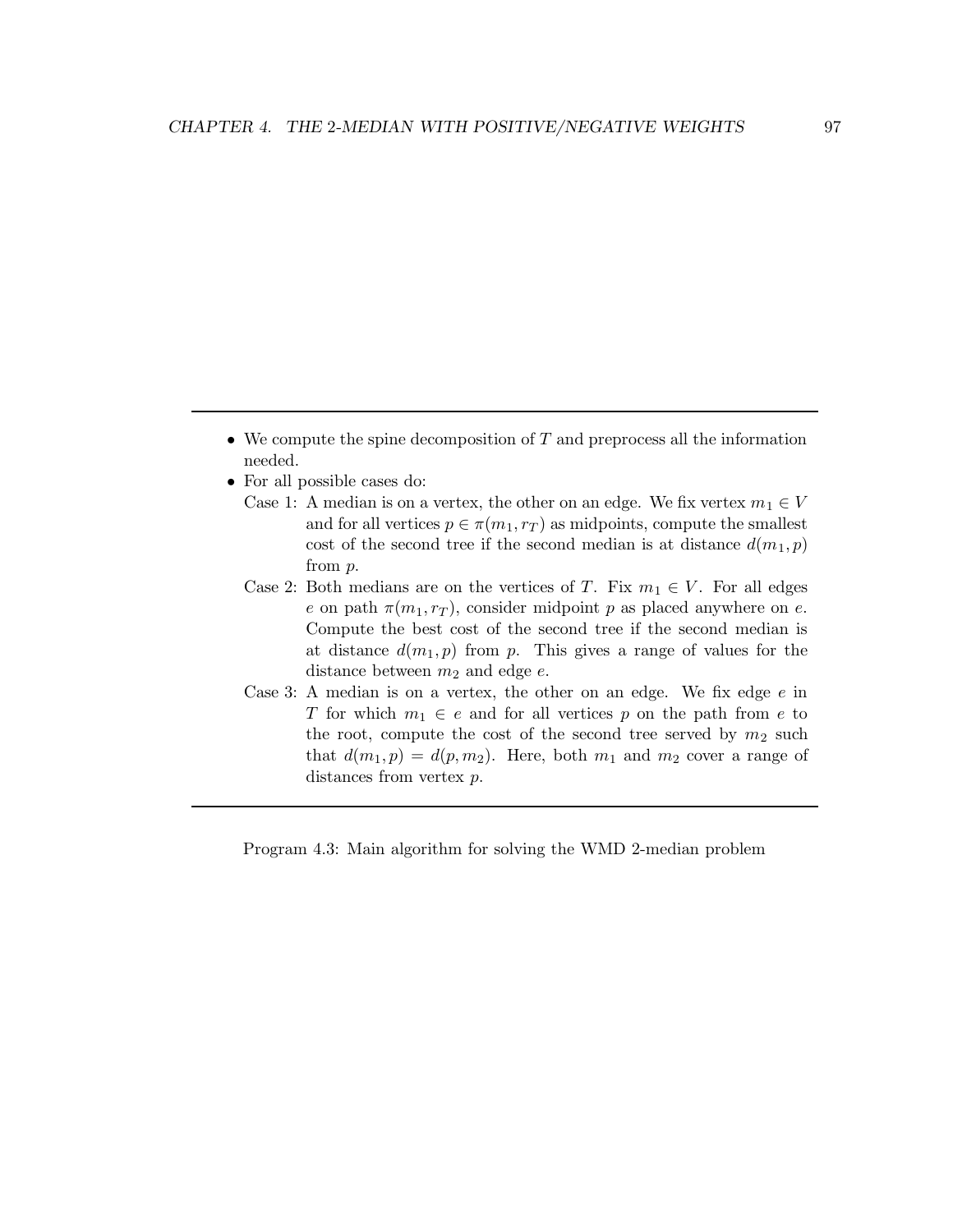- We compute the spine decomposition of  $T$  and preprocess all the information needed.
- For all possible cases do:
	- Case 1: A median is on a vertex, the other on an edge. We fix vertex  $m_1 \in V$ and for all vertices  $p \in \pi(m_1, r_T)$  as midpoints, compute the smallest cost of the second tree if the second median is at distance  $d(m_1, p)$ from p.
	- Case 2: Both medians are on the vertices of T. Fix  $m_1 \in V$ . For all edges e on path  $\pi(m_1, r_T)$ , consider midpoint p as placed anywhere on e. Compute the best cost of the second tree if the second median is at distance  $d(m_1, p)$  from p. This gives a range of values for the distance between  $m_2$  and edge  $e$ .
	- Case 3: A median is on a vertex, the other on an edge. We fix edge  $e$  in T for which  $m_1 \in e$  and for all vertices p on the path from e to the root, compute the cost of the second tree served by  $m_2$  such that  $d(m_1, p) = d(p, m_2)$ . Here, both  $m_1$  and  $m_2$  cover a range of distances from vertex  $p$ .

Program 4.3: Main algorithm for solving the WMD 2-median problem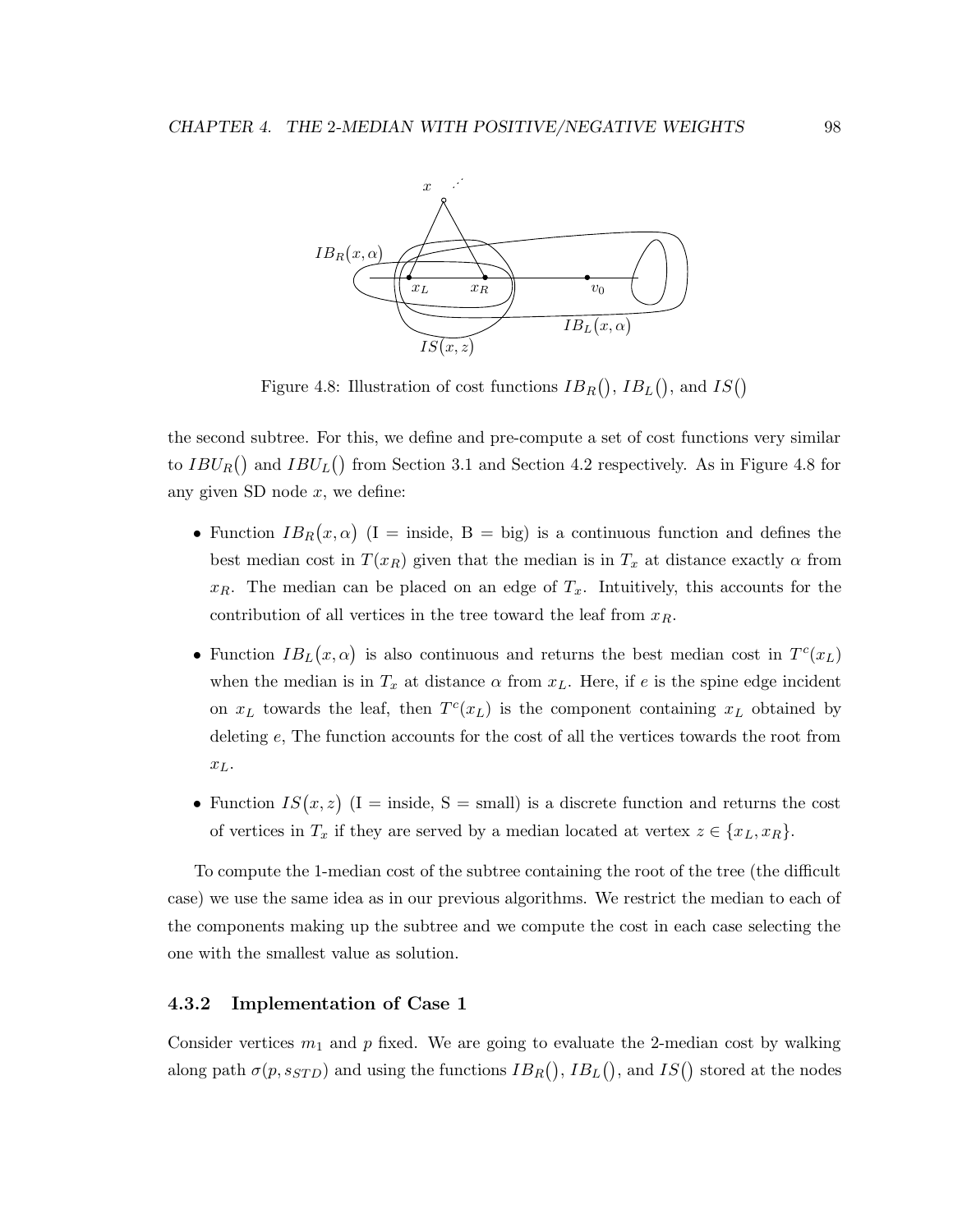

Figure 4.8: Illustration of cost functions  $IB_R()$ ,  $IB_L()$ , and  $IS()$ 

the second subtree. For this, we define and pre-compute a set of cost functions very similar to  $IBU_R()$  and  $IBU_L()$  from Section 3.1 and Section 4.2 respectively. As in Figure 4.8 for any given SD node  $x$ , we define:

- Function  $IB_R(x, \alpha)$  (I = inside, B = big) is a continuous function and defines the best median cost in  $T(x_R)$  given that the median is in  $T_x$  at distance exactly  $\alpha$  from  $x_R$ . The median can be placed on an edge of  $T_x$ . Intuitively, this accounts for the contribution of all vertices in the tree toward the leaf from  $x_R$ .
- Function  $IB_L(x, \alpha)$  is also continuous and returns the best median cost in  $T<sup>c</sup>(x_L)$ when the median is in  $T_x$  at distance  $\alpha$  from  $x_L$ . Here, if e is the spine edge incident on  $x_L$  towards the leaf, then  $T^c(x_L)$  is the component containing  $x_L$  obtained by deleting e, The function accounts for the cost of all the vertices towards the root from  $x_L$ .
- Function  $IS(x, z)$  (I = inside, S = small) is a discrete function and returns the cost of vertices in  $T_x$  if they are served by a median located at vertex  $z \in \{x_L, x_R\}$ .

To compute the 1-median cost of the subtree containing the root of the tree (the difficult case) we use the same idea as in our previous algorithms. We restrict the median to each of the components making up the subtree and we compute the cost in each case selecting the one with the smallest value as solution.

### 4.3.2 Implementation of Case 1

Consider vertices  $m_1$  and p fixed. We are going to evaluate the 2-median cost by walking along path  $\sigma(p, s_{STD})$  and using the functions  $IB_R()$ ,  $IB_L()$ , and  $IS()$  stored at the nodes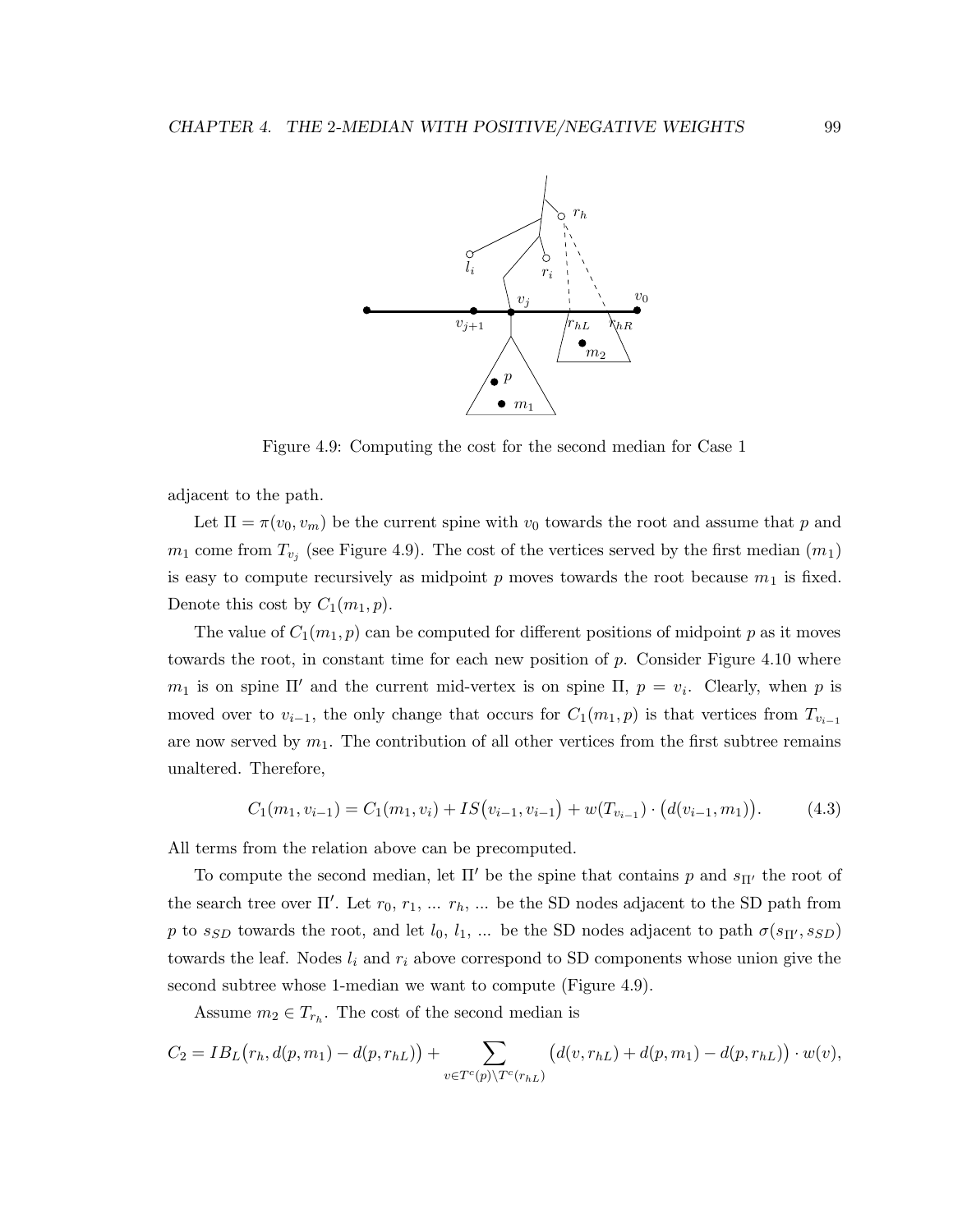

Figure 4.9: Computing the cost for the second median for Case 1

adjacent to the path.

Let  $\Pi = \pi(v_0, v_m)$  be the current spine with  $v_0$  towards the root and assume that p and  $m_1$  come from  $T_{v_j}$  (see Figure 4.9). The cost of the vertices served by the first median  $(m_1)$ is easy to compute recursively as midpoint p moves towards the root because  $m_1$  is fixed. Denote this cost by  $C_1(m_1, p)$ .

The value of  $C_1(m_1, p)$  can be computed for different positions of midpoint p as it moves towards the root, in constant time for each new position of  $p$ . Consider Figure 4.10 where  $m_1$  is on spine  $\Pi'$  and the current mid-vertex is on spine  $\Pi$ ,  $p = v_i$ . Clearly, when p is moved over to  $v_{i-1}$ , the only change that occurs for  $C_1(m_1, p)$  is that vertices from  $T_{v_{i-1}}$ are now served by  $m_1$ . The contribution of all other vertices from the first subtree remains unaltered. Therefore,

$$
C_1(m_1, v_{i-1}) = C_1(m_1, v_i) + IS(v_{i-1}, v_{i-1}) + w(T_{v_{i-1}}) \cdot (d(v_{i-1}, m_1)). \tag{4.3}
$$

All terms from the relation above can be precomputed.

To compute the second median, let  $\Pi'$  be the spine that contains p and  $s_{\Pi'}$  the root of the search tree over  $\Pi'$ . Let  $r_0, r_1, \ldots r_h$ ,  $\ldots$  be the SD nodes adjacent to the SD path from p to s<sub>SD</sub> towards the root, and let  $l_0, l_1, ...$  be the SD nodes adjacent to path  $\sigma(s_{\Pi'}, s_{SD})$ towards the leaf. Nodes  $l_i$  and  $r_i$  above correspond to SD components whose union give the second subtree whose 1-median we want to compute (Figure 4.9).

Assume  $m_2 \in T_{r_h}$ . The cost of the second median is

$$
C_2 = IB_L(r_h, d(p, m_1) - d(p, r_{hL})) + \sum_{v \in T^c(p) \setminus T^c(r_{hL})} (d(v, r_{hL}) + d(p, m_1) - d(p, r_{hL})) \cdot w(v),
$$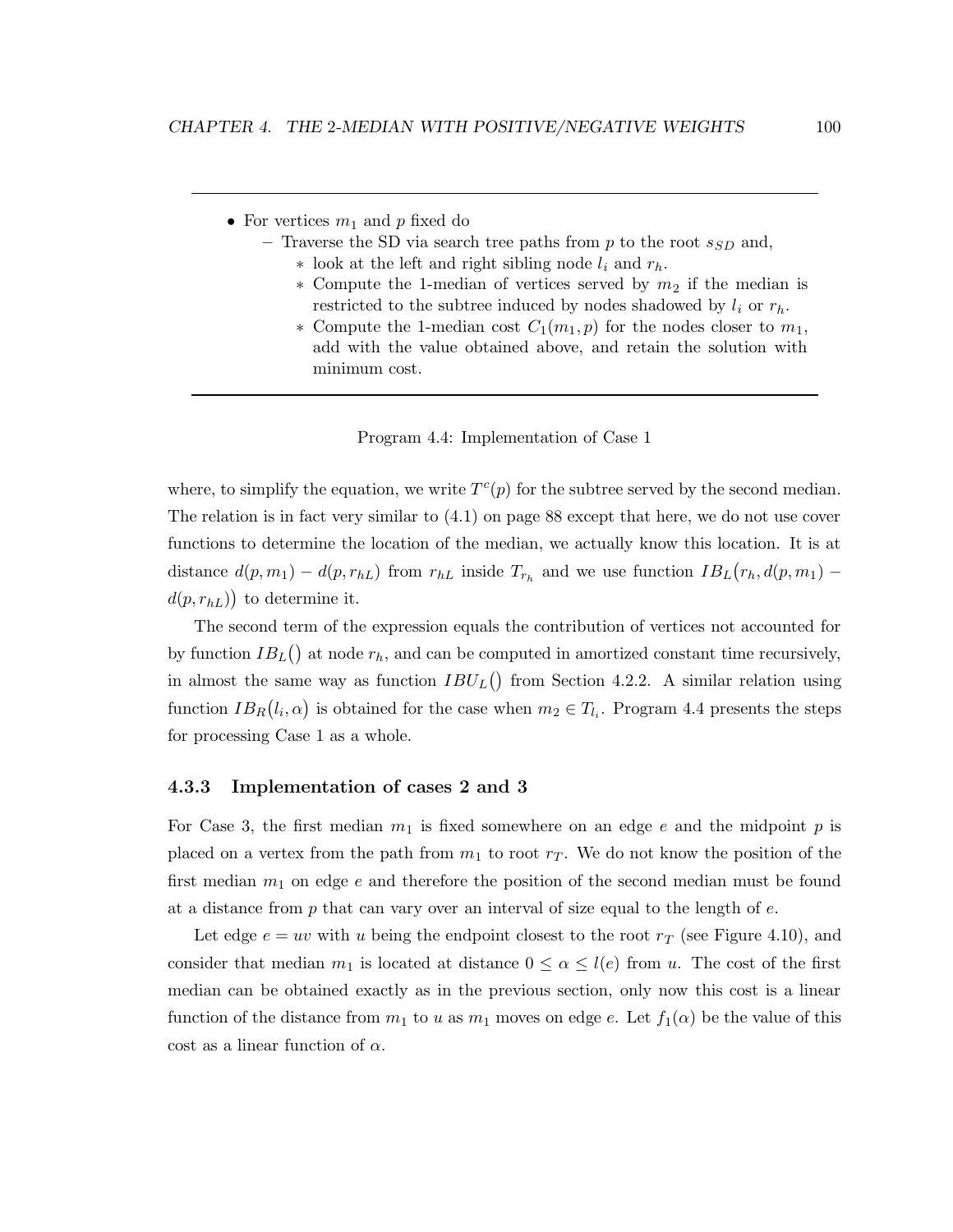- For vertices  $m_1$  and p fixed do
	- Traverse the SD via search tree paths from  $p$  to the root  $s_{SD}$  and,
		- $*$  look at the left and right sibling node  $l_i$  and  $r_h$ .
		- $*$  Compute the 1-median of vertices served by  $m_2$  if the median is restricted to the subtree induced by nodes shadowed by  $l_i$  or  $r_h$ .
		- ∗ Compute the 1-median cost  $C_1(m_1, p)$  for the nodes closer to  $m_1$ , add with the value obtained above, and retain the solution with minimum cost.

Program 4.4: Implementation of Case 1

where, to simplify the equation, we write  $T<sup>c</sup>(p)$  for the subtree served by the second median. The relation is in fact very similar to (4.1) on page 88 except that here, we do not use cover functions to determine the location of the median, we actually know this location. It is at distance  $d(p, m_1) - d(p, r_{hL})$  from  $r_{hL}$  inside  $T_{r_h}$  and we use function  $IB_L(r_h, d(p, m_1)$  $d(p, r_{hL})$  to determine it.

The second term of the expression equals the contribution of vertices not accounted for by function  $IB_L()$  at node  $r_h$ , and can be computed in amortized constant time recursively, in almost the same way as function  $IBU_L()$  from Section 4.2.2. A similar relation using function  $IB_R(l_i, \alpha)$  is obtained for the case when  $m_2 \in T_{l_i}$ . Program 4.4 presents the steps for processing Case 1 as a whole.

### 4.3.3 Implementation of cases 2 and 3

For Case 3, the first median  $m_1$  is fixed somewhere on an edge e and the midpoint p is placed on a vertex from the path from  $m_1$  to root  $r_T$ . We do not know the position of the first median  $m_1$  on edge e and therefore the position of the second median must be found at a distance from  $p$  that can vary over an interval of size equal to the length of  $e$ .

Let edge  $e = uv$  with u being the endpoint closest to the root  $r<sub>T</sub>$  (see Figure 4.10), and consider that median  $m_1$  is located at distance  $0 \leq \alpha \leq l(e)$  from u. The cost of the first median can be obtained exactly as in the previous section, only now this cost is a linear function of the distance from  $m_1$  to u as  $m_1$  moves on edge e. Let  $f_1(\alpha)$  be the value of this cost as a linear function of  $\alpha$ .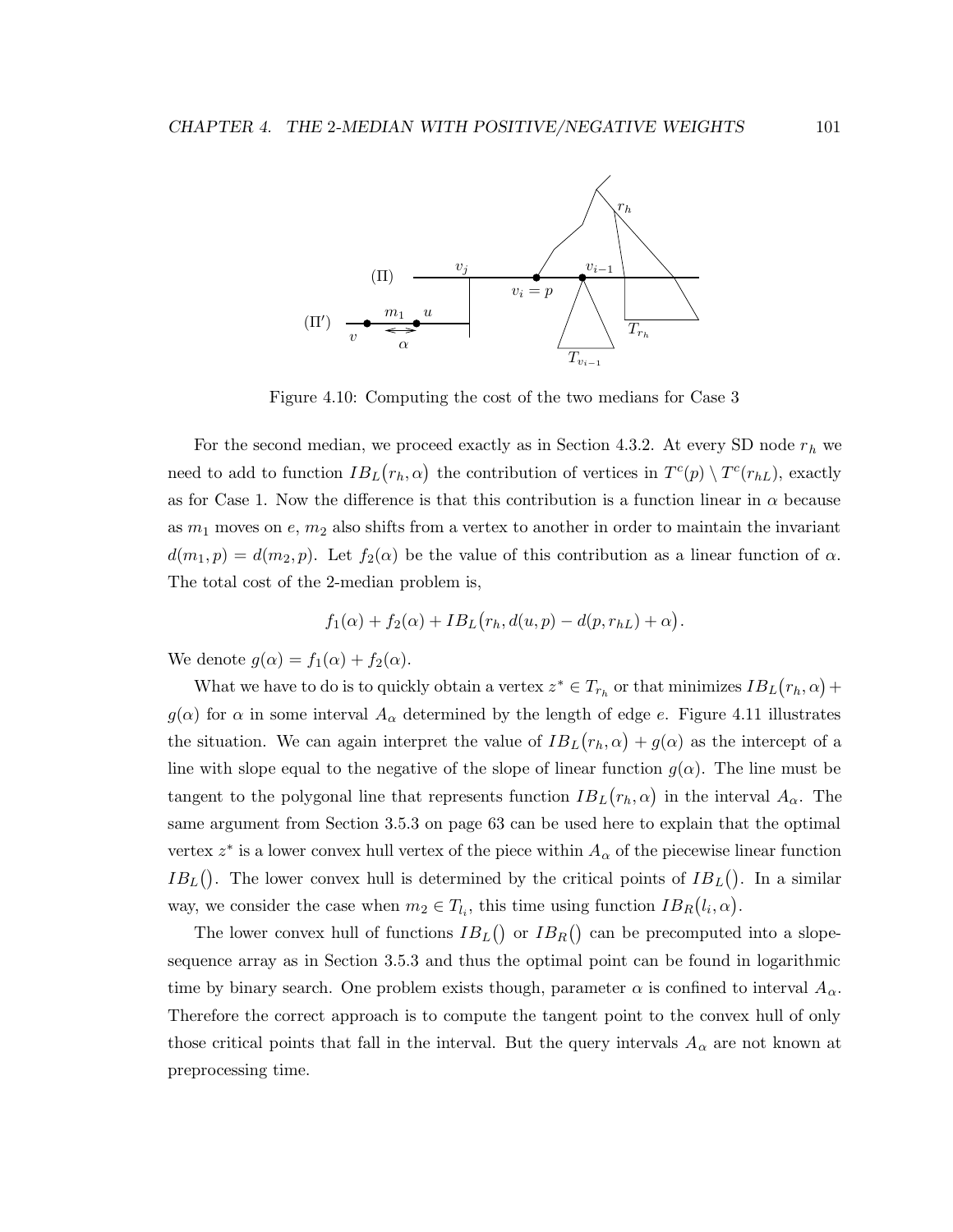

Figure 4.10: Computing the cost of the two medians for Case 3

For the second median, we proceed exactly as in Section 4.3.2. At every SD node  $r_h$  we need to add to function  $IB_L(r_h, \alpha)$  the contribution of vertices in  $T^c(p) \setminus T^c(r_{hL})$ , exactly as for Case 1. Now the difference is that this contribution is a function linear in  $\alpha$  because as  $m_1$  moves on  $e, m_2$  also shifts from a vertex to another in order to maintain the invariant  $d(m_1, p) = d(m_2, p)$ . Let  $f_2(\alpha)$  be the value of this contribution as a linear function of  $\alpha$ . The total cost of the 2-median problem is,

$$
f_1(\alpha) + f_2(\alpha) + IB_L(r_h, d(u, p) - d(p, r_{hL}) + \alpha).
$$

We denote  $g(\alpha) = f_1(\alpha) + f_2(\alpha)$ .

What we have to do is to quickly obtain a vertex  $z^* \in T_{r_h}$  or that minimizes  $IB_L(r_h, \alpha)$  +  $g(\alpha)$  for  $\alpha$  in some interval  $A_{\alpha}$  determined by the length of edge e. Figure 4.11 illustrates the situation. We can again interpret the value of  $IB_L(r_h, \alpha) + g(\alpha)$  as the intercept of a line with slope equal to the negative of the slope of linear function  $g(\alpha)$ . The line must be tangent to the polygonal line that represents function  $IB_L(r_h, \alpha)$  in the interval  $A_{\alpha}$ . The same argument from Section 3.5.3 on page 63 can be used here to explain that the optimal vertex  $z^*$  is a lower convex hull vertex of the piece within  $A_{\alpha}$  of the piecewise linear function  $IB<sub>L</sub>($ ). The lower convex hull is determined by the critical points of  $IB<sub>L</sub>($ ). In a similar way, we consider the case when  $m_2 \in T_{l_i}$ , this time using function  $IB_R(l_i, \alpha)$ .

The lower convex hull of functions  $IB_L()$  or  $IB_R()$  can be precomputed into a slopesequence array as in Section 3.5.3 and thus the optimal point can be found in logarithmic time by binary search. One problem exists though, parameter  $\alpha$  is confined to interval  $A_{\alpha}$ . Therefore the correct approach is to compute the tangent point to the convex hull of only those critical points that fall in the interval. But the query intervals  $A_{\alpha}$  are not known at preprocessing time.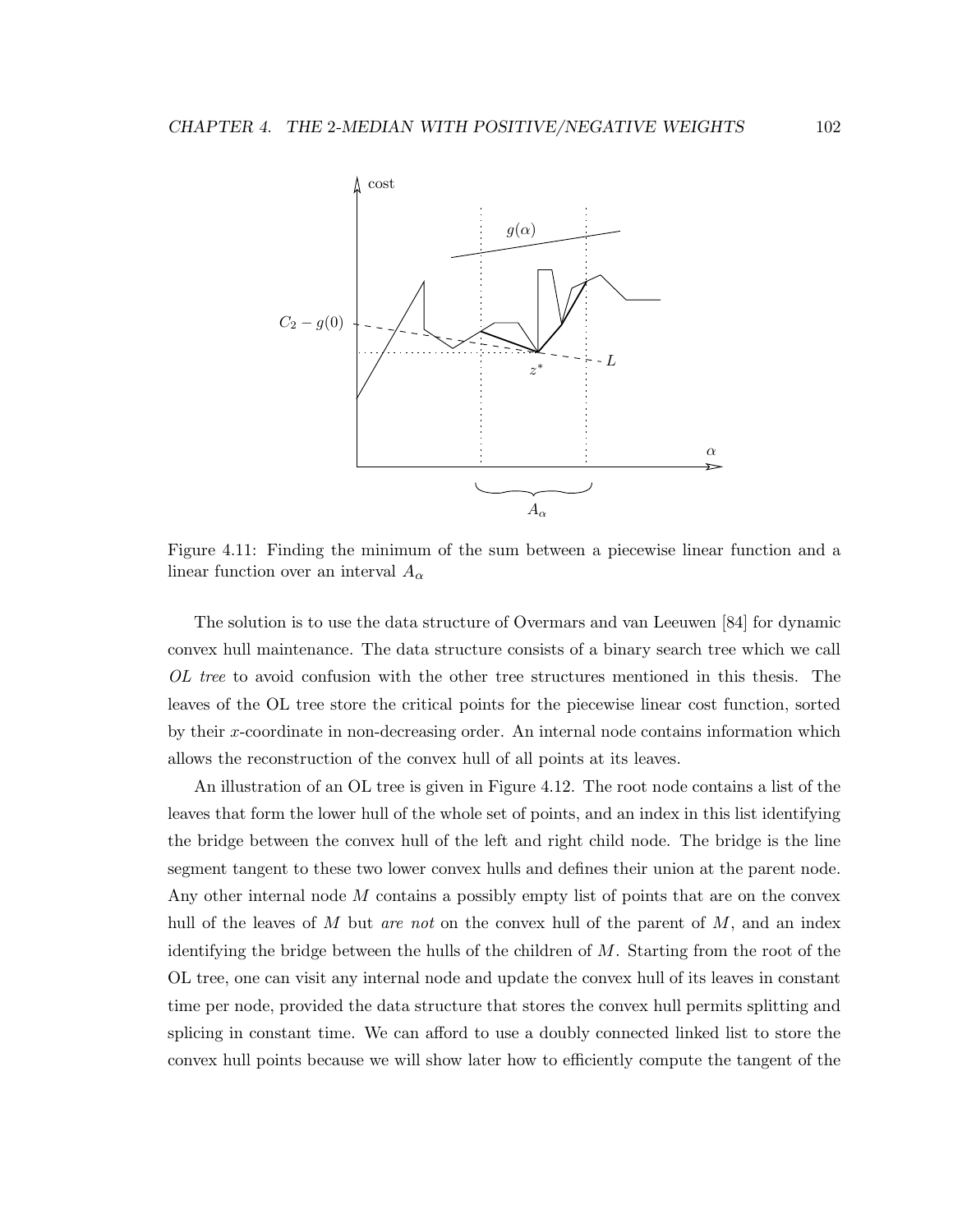

Figure 4.11: Finding the minimum of the sum between a piecewise linear function and a linear function over an interval  $A_{\alpha}$ 

The solution is to use the data structure of Overmars and van Leeuwen [84] for dynamic convex hull maintenance. The data structure consists of a binary search tree which we call OL tree to avoid confusion with the other tree structures mentioned in this thesis. The leaves of the OL tree store the critical points for the piecewise linear cost function, sorted by their x-coordinate in non-decreasing order. An internal node contains information which allows the reconstruction of the convex hull of all points at its leaves.

An illustration of an OL tree is given in Figure 4.12. The root node contains a list of the leaves that form the lower hull of the whole set of points, and an index in this list identifying the bridge between the convex hull of the left and right child node. The bridge is the line segment tangent to these two lower convex hulls and defines their union at the parent node. Any other internal node M contains a possibly empty list of points that are on the convex hull of the leaves of  $M$  but are not on the convex hull of the parent of  $M$ , and an index identifying the bridge between the hulls of the children of  $M$ . Starting from the root of the OL tree, one can visit any internal node and update the convex hull of its leaves in constant time per node, provided the data structure that stores the convex hull permits splitting and splicing in constant time. We can afford to use a doubly connected linked list to store the convex hull points because we will show later how to efficiently compute the tangent of the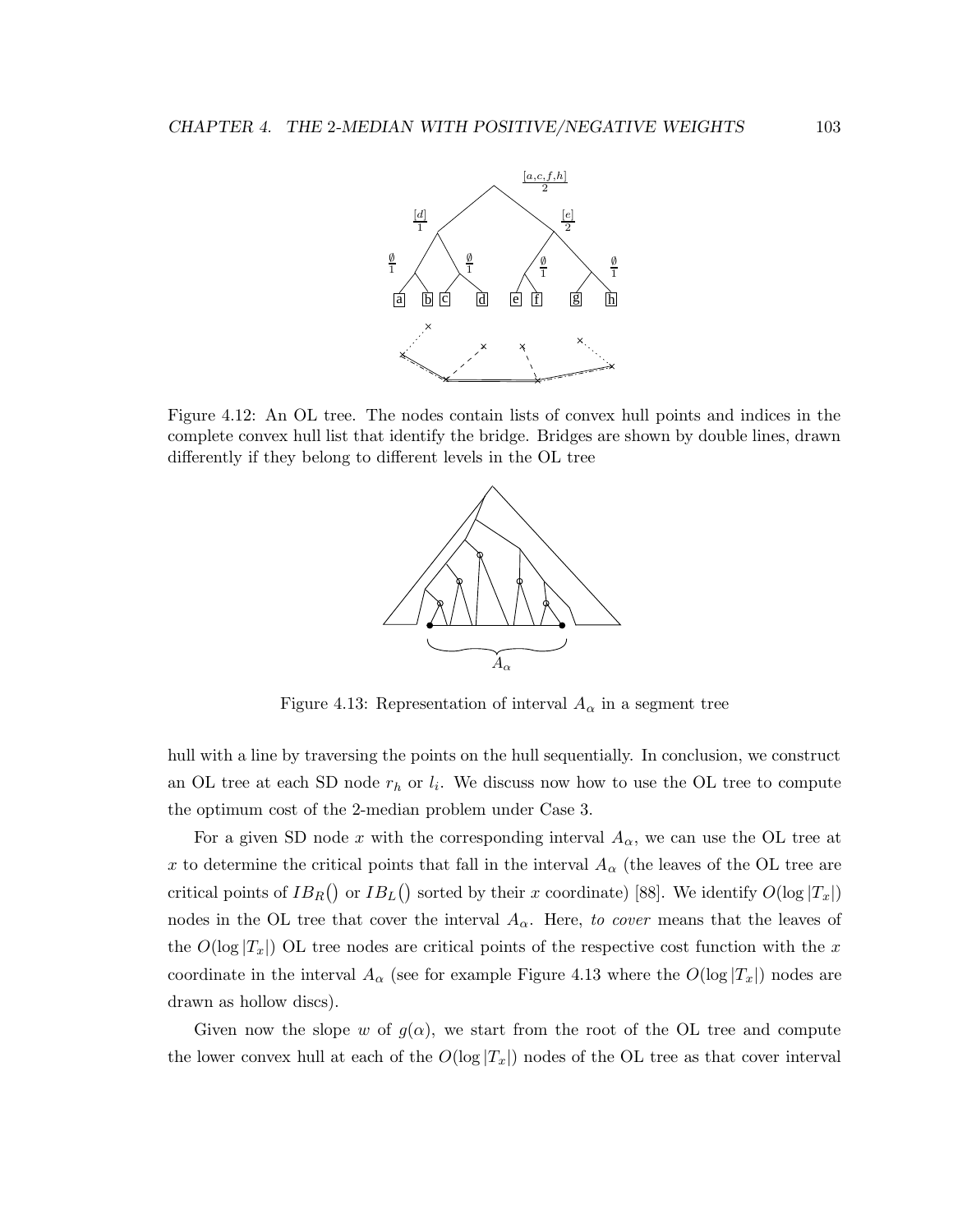

Figure 4.12: An OL tree. The nodes contain lists of convex hull points and indices in the complete convex hull list that identify the bridge. Bridges are shown by double lines, drawn differently if they belong to different levels in the OL tree



Figure 4.13: Representation of interval  $A_{\alpha}$  in a segment tree

hull with a line by traversing the points on the hull sequentially. In conclusion, we construct an OL tree at each SD node  $r_h$  or  $l_i$ . We discuss now how to use the OL tree to compute the optimum cost of the 2-median problem under Case 3.

For a given SD node x with the corresponding interval  $A_{\alpha}$ , we can use the OL tree at x to determine the critical points that fall in the interval  $A_{\alpha}$  (the leaves of the OL tree are critical points of  $IB_R()$  or  $IB_L()$  sorted by their x coordinate) [88]. We identify  $O(\log |T_x|)$ nodes in the OL tree that cover the interval  $A_{\alpha}$ . Here, to cover means that the leaves of the  $O(\log |T_x|)$  OL tree nodes are critical points of the respective cost function with the x coordinate in the interval  $A_{\alpha}$  (see for example Figure 4.13 where the  $O(\log |T_x|)$  nodes are drawn as hollow discs).

Given now the slope w of  $g(\alpha)$ , we start from the root of the OL tree and compute the lower convex hull at each of the  $O(\log |T_x|)$  nodes of the OL tree as that cover interval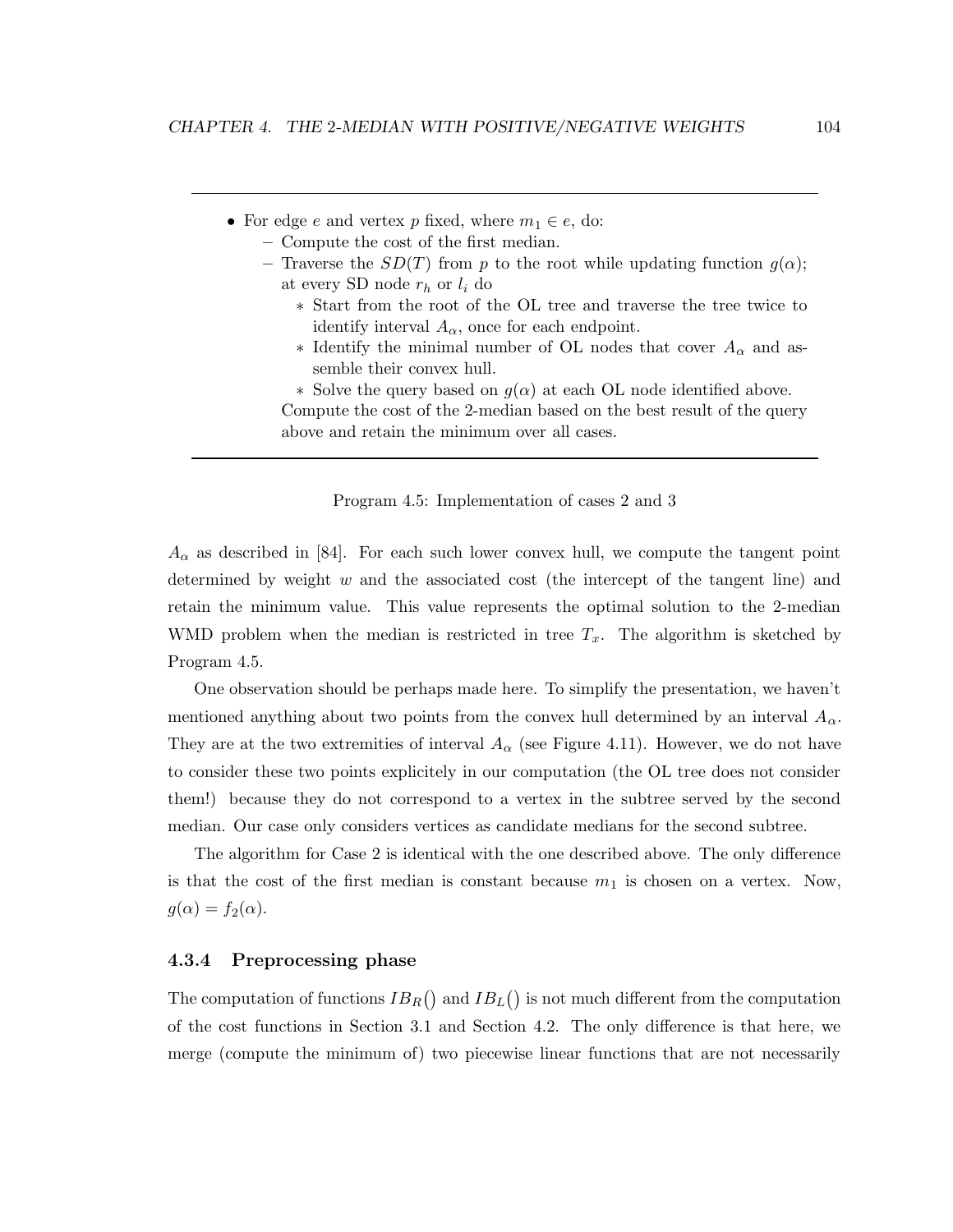- For edge e and vertex p fixed, where  $m_1 \in e$ , do:
	- Compute the cost of the first median.
	- Traverse the  $SD(T)$  from p to the root while updating function  $q(\alpha)$ ; at every SD node  $r_h$  or  $l_i$  do
		- ∗ Start from the root of the OL tree and traverse the tree twice to identify interval  $A_{\alpha}$ , once for each endpoint.
		- ∗ Identify the minimal number of OL nodes that cover A<sup>α</sup> and assemble their convex hull.
		- ∗ Solve the query based on g(α) at each OL node identified above.

Compute the cost of the 2-median based on the best result of the query above and retain the minimum over all cases.

Program 4.5: Implementation of cases 2 and 3

 $A_{\alpha}$  as described in [84]. For each such lower convex hull, we compute the tangent point determined by weight  $w$  and the associated cost (the intercept of the tangent line) and retain the minimum value. This value represents the optimal solution to the 2-median WMD problem when the median is restricted in tree  $T_x$ . The algorithm is sketched by Program 4.5.

One observation should be perhaps made here. To simplify the presentation, we haven't mentioned anything about two points from the convex hull determined by an interval  $A_{\alpha}$ . They are at the two extremities of interval  $A_{\alpha}$  (see Figure 4.11). However, we do not have to consider these two points explicitely in our computation (the OL tree does not consider them!) because they do not correspond to a vertex in the subtree served by the second median. Our case only considers vertices as candidate medians for the second subtree.

The algorithm for Case 2 is identical with the one described above. The only difference is that the cost of the first median is constant because  $m_1$  is chosen on a vertex. Now,  $g(\alpha) = f_2(\alpha)$ .

### 4.3.4 Preprocessing phase

The computation of functions  $IB_R()$  and  $IB_L()$  is not much different from the computation of the cost functions in Section 3.1 and Section 4.2. The only difference is that here, we merge (compute the minimum of) two piecewise linear functions that are not necessarily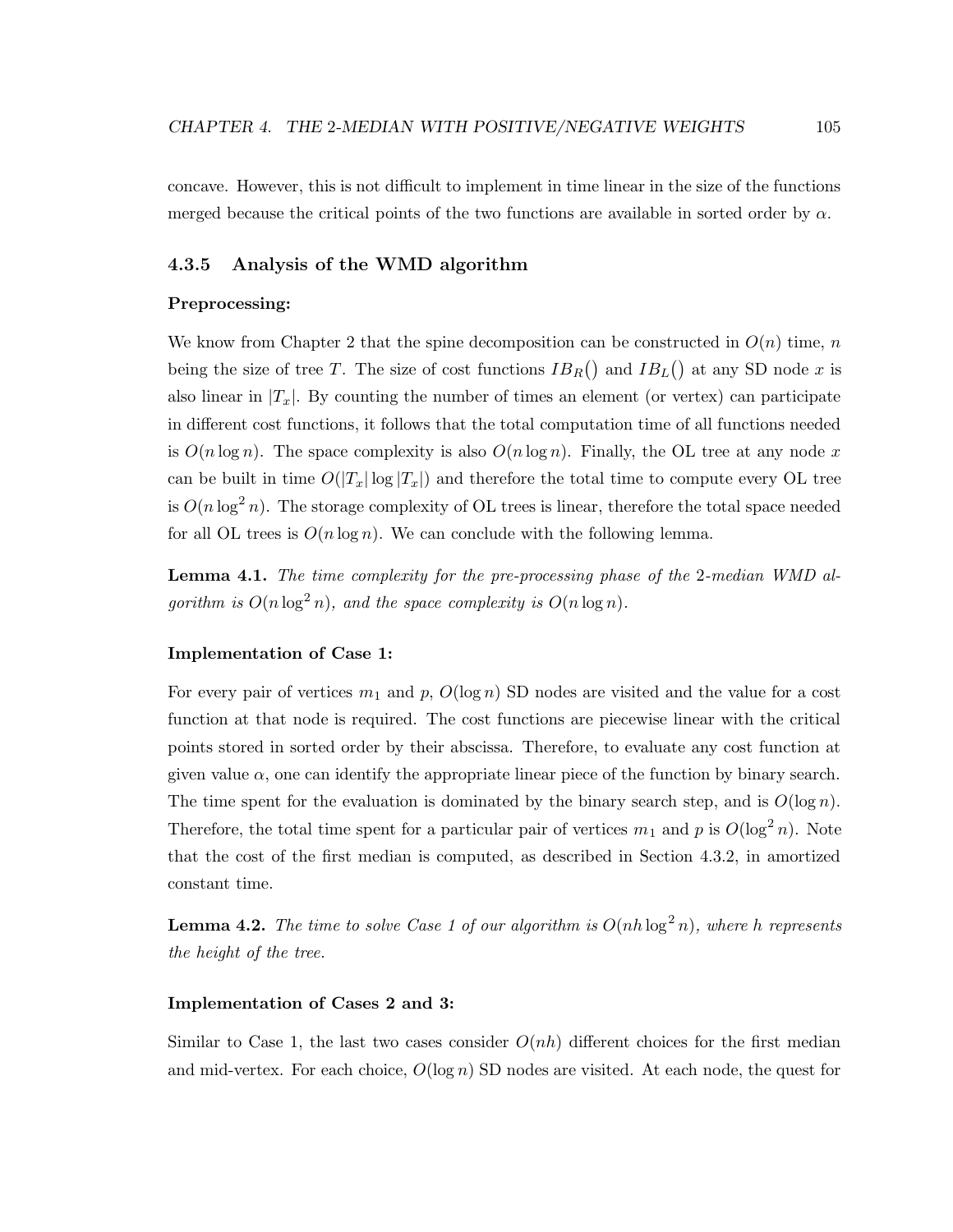concave. However, this is not difficult to implement in time linear in the size of the functions merged because the critical points of the two functions are available in sorted order by  $\alpha$ .

### 4.3.5 Analysis of the WMD algorithm

### Preprocessing:

We know from Chapter 2 that the spine decomposition can be constructed in  $O(n)$  time, n being the size of tree T. The size of cost functions  $IB_R()$  and  $IB_L()$  at any SD node x is also linear in  $|T_x|$ . By counting the number of times an element (or vertex) can participate in different cost functions, it follows that the total computation time of all functions needed is  $O(n \log n)$ . The space complexity is also  $O(n \log n)$ . Finally, the OL tree at any node x can be built in time  $O(|T_x| \log |T_x|)$  and therefore the total time to compute every OL tree is  $O(n \log^2 n)$ . The storage complexity of OL trees is linear, therefore the total space needed for all OL trees is  $O(n \log n)$ . We can conclude with the following lemma.

Lemma 4.1. The time complexity for the pre-processing phase of the 2-median WMD algorithm is  $O(n \log^2 n)$ , and the space complexity is  $O(n \log n)$ .

### Implementation of Case 1:

For every pair of vertices  $m_1$  and p,  $O(\log n)$  SD nodes are visited and the value for a cost function at that node is required. The cost functions are piecewise linear with the critical points stored in sorted order by their abscissa. Therefore, to evaluate any cost function at given value  $\alpha$ , one can identify the appropriate linear piece of the function by binary search. The time spent for the evaluation is dominated by the binary search step, and is  $O(\log n)$ . Therefore, the total time spent for a particular pair of vertices  $m_1$  and p is  $O(\log^2 n)$ . Note that the cost of the first median is computed, as described in Section 4.3.2, in amortized constant time.

**Lemma 4.2.** The time to solve Case 1 of our algorithm is  $O(nh \log^2 n)$ , where h represents the height of the tree.

### Implementation of Cases 2 and 3:

Similar to Case 1, the last two cases consider  $O(nh)$  different choices for the first median and mid-vertex. For each choice,  $O(\log n)$  SD nodes are visited. At each node, the quest for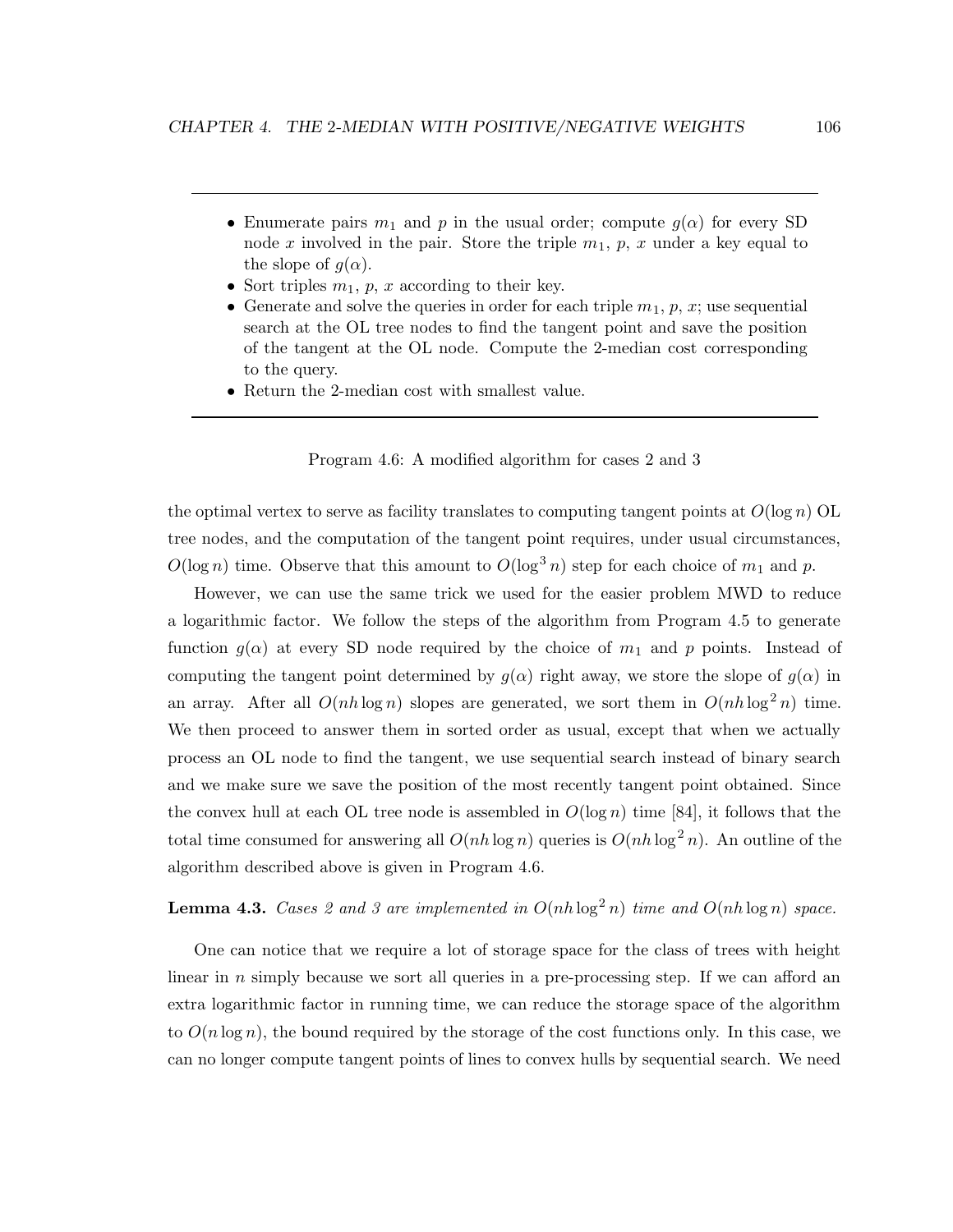- Enumerate pairs  $m_1$  and p in the usual order; compute  $g(\alpha)$  for every SD node x involved in the pair. Store the triple  $m_1, p, x$  under a key equal to the slope of  $g(\alpha)$ .
- Sort triples  $m_1$ , p, x according to their key.
- Generate and solve the queries in order for each triple  $m_1, p, x$ ; use sequential search at the OL tree nodes to find the tangent point and save the position of the tangent at the OL node. Compute the 2-median cost corresponding to the query.
- Return the 2-median cost with smallest value.



the optimal vertex to serve as facility translates to computing tangent points at  $O(\log n)$  OL tree nodes, and the computation of the tangent point requires, under usual circumstances,  $O(\log n)$  time. Observe that this amount to  $O(\log^3 n)$  step for each choice of  $m_1$  and p.

However, we can use the same trick we used for the easier problem MWD to reduce a logarithmic factor. We follow the steps of the algorithm from Program 4.5 to generate function  $g(\alpha)$  at every SD node required by the choice of  $m_1$  and p points. Instead of computing the tangent point determined by  $g(\alpha)$  right away, we store the slope of  $g(\alpha)$  in an array. After all  $O(nh \log n)$  slopes are generated, we sort them in  $O(nh \log^2 n)$  time. We then proceed to answer them in sorted order as usual, except that when we actually process an OL node to find the tangent, we use sequential search instead of binary search and we make sure we save the position of the most recently tangent point obtained. Since the convex hull at each OL tree node is assembled in  $O(\log n)$  time [84], it follows that the total time consumed for answering all  $O(nh \log n)$  queries is  $O(nh \log^2 n)$ . An outline of the algorithm described above is given in Program 4.6.

**Lemma 4.3.** Cases 2 and 3 are implemented in  $O(nh \log^2 n)$  time and  $O(nh \log n)$  space.

One can notice that we require a lot of storage space for the class of trees with height linear in n simply because we sort all queries in a pre-processing step. If we can afford an extra logarithmic factor in running time, we can reduce the storage space of the algorithm to  $O(n \log n)$ , the bound required by the storage of the cost functions only. In this case, we can no longer compute tangent points of lines to convex hulls by sequential search. We need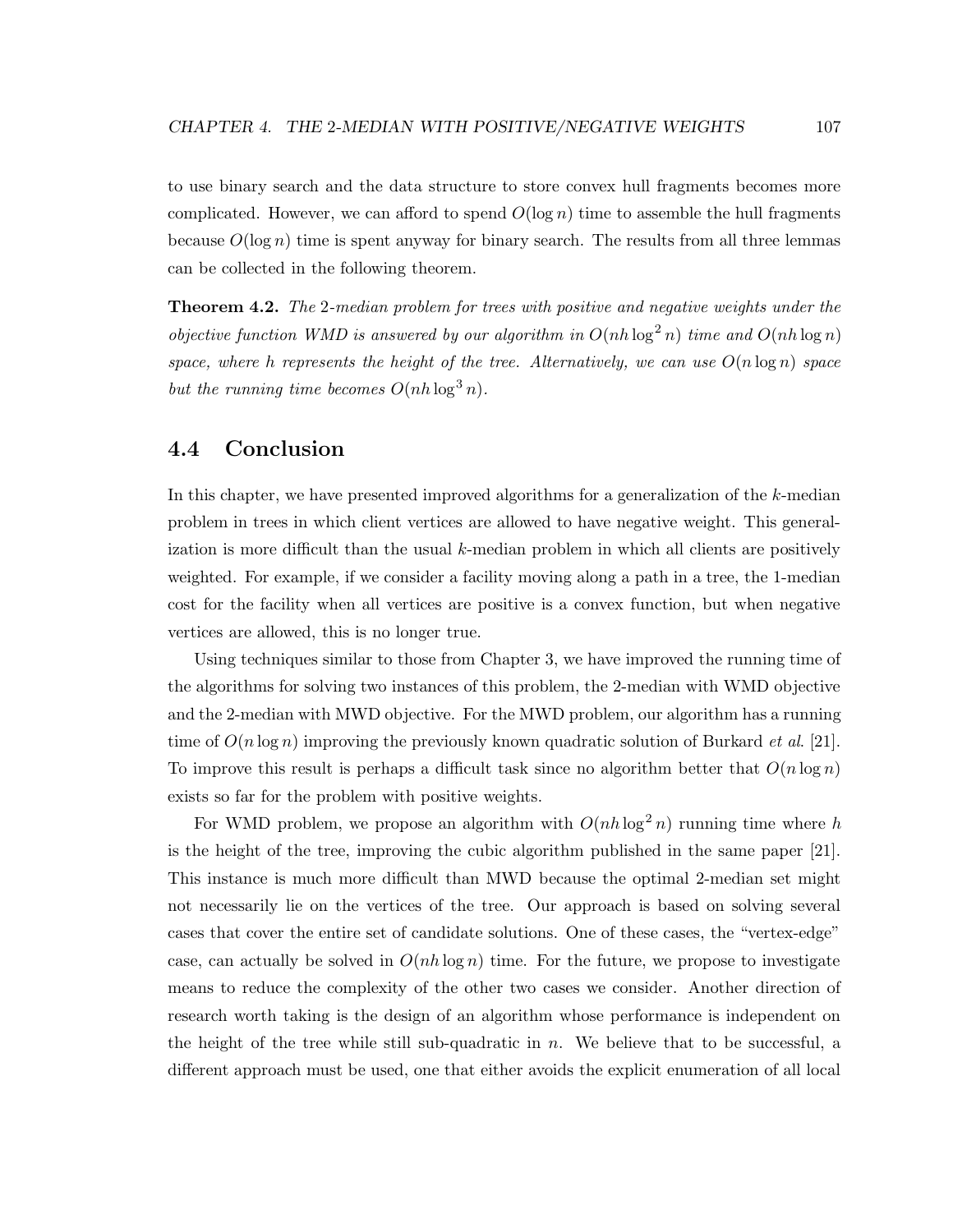to use binary search and the data structure to store convex hull fragments becomes more complicated. However, we can afford to spend  $O(\log n)$  time to assemble the hull fragments because  $O(\log n)$  time is spent anyway for binary search. The results from all three lemmas can be collected in the following theorem.

**Theorem 4.2.** The 2-median problem for trees with positive and negative weights under the objective function WMD is answered by our algorithm in  $O(nh \log^2 n)$  time and  $O(nh \log n)$ space, where h represents the height of the tree. Alternatively, we can use  $O(n \log n)$  space but the running time becomes  $O(nh \log^3 n)$ .

### 4.4 Conclusion

In this chapter, we have presented improved algorithms for a generalization of the k-median problem in trees in which client vertices are allowed to have negative weight. This generalization is more difficult than the usual  $k$ -median problem in which all clients are positively weighted. For example, if we consider a facility moving along a path in a tree, the 1-median cost for the facility when all vertices are positive is a convex function, but when negative vertices are allowed, this is no longer true.

Using techniques similar to those from Chapter 3, we have improved the running time of the algorithms for solving two instances of this problem, the 2-median with WMD objective and the 2-median with MWD objective. For the MWD problem, our algorithm has a running time of  $O(n \log n)$  improving the previously known quadratic solution of Burkard *et al.* [21]. To improve this result is perhaps a difficult task since no algorithm better that  $O(n \log n)$ exists so far for the problem with positive weights.

For WMD problem, we propose an algorithm with  $O(nh \log^2 n)$  running time where h is the height of the tree, improving the cubic algorithm published in the same paper [21]. This instance is much more difficult than MWD because the optimal 2-median set might not necessarily lie on the vertices of the tree. Our approach is based on solving several cases that cover the entire set of candidate solutions. One of these cases, the "vertex-edge" case, can actually be solved in  $O(nh \log n)$  time. For the future, we propose to investigate means to reduce the complexity of the other two cases we consider. Another direction of research worth taking is the design of an algorithm whose performance is independent on the height of the tree while still sub-quadratic in  $n$ . We believe that to be successful, a different approach must be used, one that either avoids the explicit enumeration of all local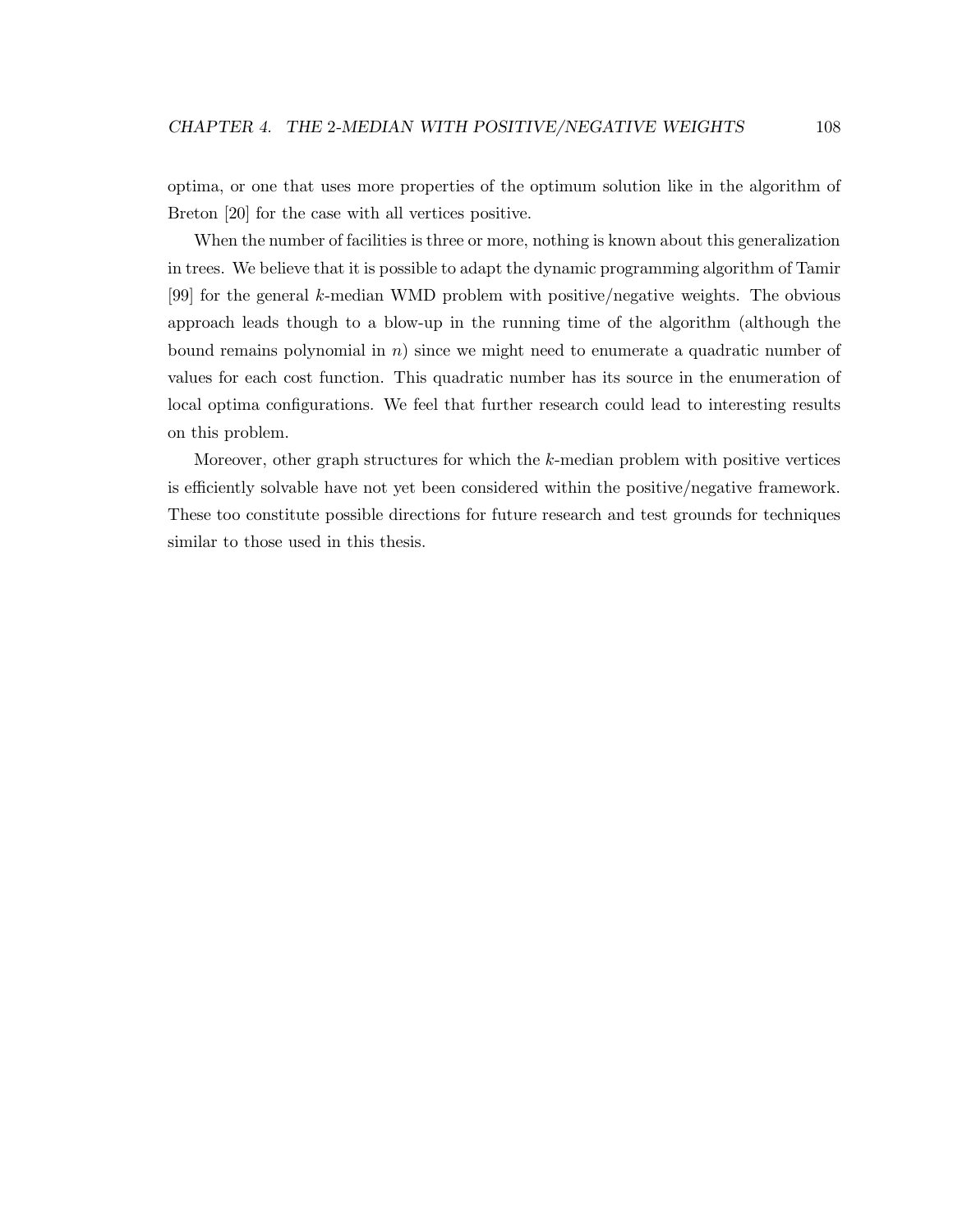optima, or one that uses more properties of the optimum solution like in the algorithm of Breton [20] for the case with all vertices positive.

When the number of facilities is three or more, nothing is known about this generalization in trees. We believe that it is possible to adapt the dynamic programming algorithm of Tamir [99] for the general k-median WMD problem with positive/negative weights. The obvious approach leads though to a blow-up in the running time of the algorithm (although the bound remains polynomial in  $n$ ) since we might need to enumerate a quadratic number of values for each cost function. This quadratic number has its source in the enumeration of local optima configurations. We feel that further research could lead to interesting results on this problem.

Moreover, other graph structures for which the k-median problem with positive vertices is efficiently solvable have not yet been considered within the positive/negative framework. These too constitute possible directions for future research and test grounds for techniques similar to those used in this thesis.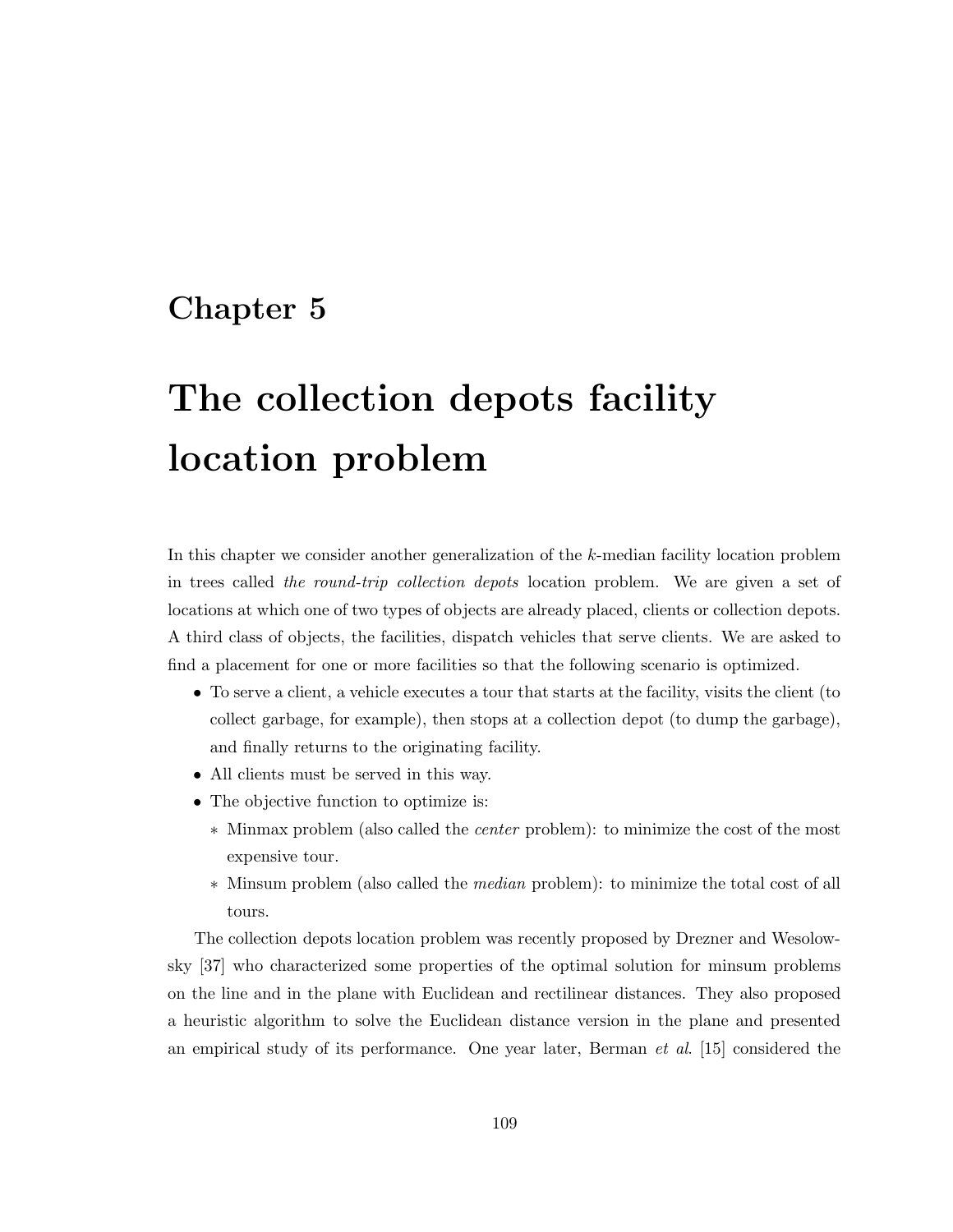## Chapter 5

# The collection depots facility location problem

In this chapter we consider another generalization of the k-median facility location problem in trees called the round-trip collection depots location problem. We are given a set of locations at which one of two types of objects are already placed, clients or collection depots. A third class of objects, the facilities, dispatch vehicles that serve clients. We are asked to find a placement for one or more facilities so that the following scenario is optimized.

- To serve a client, a vehicle executes a tour that starts at the facility, visits the client (to collect garbage, for example), then stops at a collection depot (to dump the garbage), and finally returns to the originating facility.
- All clients must be served in this way.
- The objective function to optimize is:
	- ∗ Minmax problem (also called the center problem): to minimize the cost of the most expensive tour.
	- ∗ Minsum problem (also called the median problem): to minimize the total cost of all tours.

The collection depots location problem was recently proposed by Drezner and Wesolowsky [37] who characterized some properties of the optimal solution for minsum problems on the line and in the plane with Euclidean and rectilinear distances. They also proposed a heuristic algorithm to solve the Euclidean distance version in the plane and presented an empirical study of its performance. One year later, Berman  $et \ al.$  [15] considered the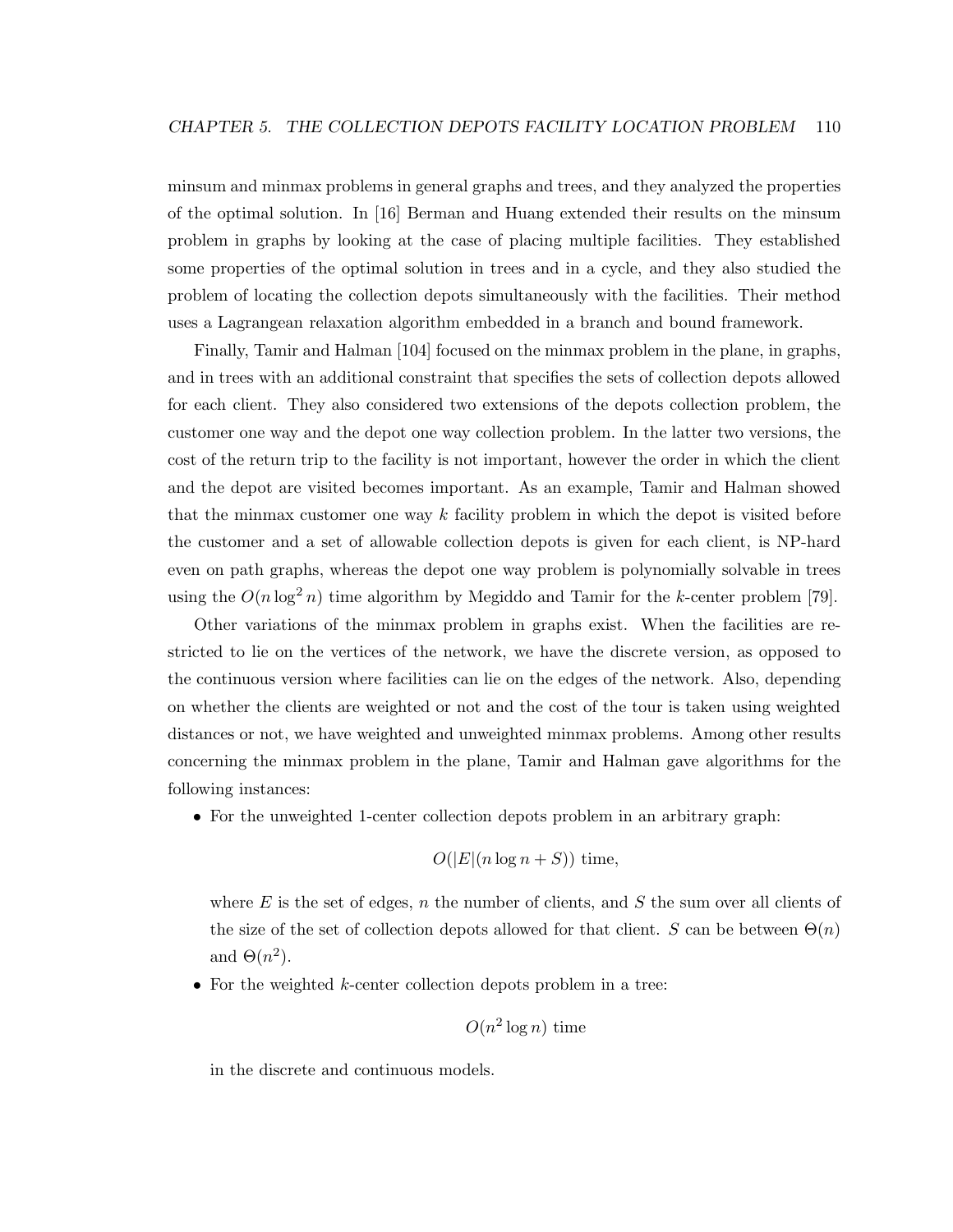minsum and minmax problems in general graphs and trees, and they analyzed the properties of the optimal solution. In [16] Berman and Huang extended their results on the minsum problem in graphs by looking at the case of placing multiple facilities. They established some properties of the optimal solution in trees and in a cycle, and they also studied the problem of locating the collection depots simultaneously with the facilities. Their method uses a Lagrangean relaxation algorithm embedded in a branch and bound framework.

Finally, Tamir and Halman [104] focused on the minmax problem in the plane, in graphs, and in trees with an additional constraint that specifies the sets of collection depots allowed for each client. They also considered two extensions of the depots collection problem, the customer one way and the depot one way collection problem. In the latter two versions, the cost of the return trip to the facility is not important, however the order in which the client and the depot are visited becomes important. As an example, Tamir and Halman showed that the minmax customer one way  $k$  facility problem in which the depot is visited before the customer and a set of allowable collection depots is given for each client, is NP-hard even on path graphs, whereas the depot one way problem is polynomially solvable in trees using the  $O(n \log^2 n)$  time algorithm by Megiddo and Tamir for the k-center problem [79].

Other variations of the minmax problem in graphs exist. When the facilities are restricted to lie on the vertices of the network, we have the discrete version, as opposed to the continuous version where facilities can lie on the edges of the network. Also, depending on whether the clients are weighted or not and the cost of the tour is taken using weighted distances or not, we have weighted and unweighted minmax problems. Among other results concerning the minmax problem in the plane, Tamir and Halman gave algorithms for the following instances:

• For the unweighted 1-center collection depots problem in an arbitrary graph:

$$
O(|E|(n \log n + S))
$$
 time,

where  $E$  is the set of edges, n the number of clients, and  $S$  the sum over all clients of the size of the set of collection depots allowed for that client. S can be between  $\Theta(n)$ and  $\Theta(n^2)$ .

• For the weighted  $k$ -center collection depots problem in a tree:

$$
O(n^2 \log n) \, \text{time}
$$

in the discrete and continuous models.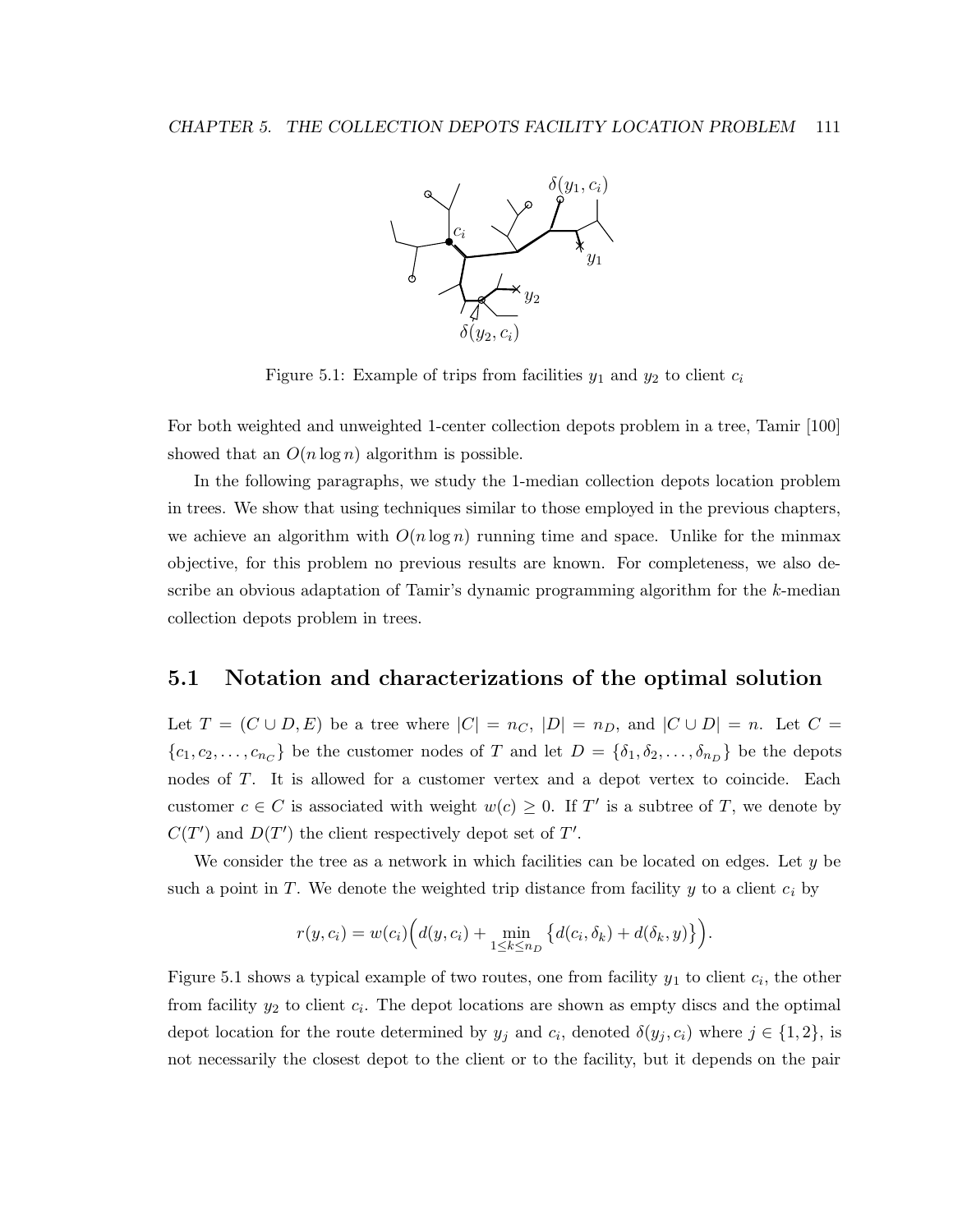

Figure 5.1: Example of trips from facilities  $y_1$  and  $y_2$  to client  $c_i$ 

For both weighted and unweighted 1-center collection depots problem in a tree, Tamir [100] showed that an  $O(n \log n)$  algorithm is possible.

In the following paragraphs, we study the 1-median collection depots location problem in trees. We show that using techniques similar to those employed in the previous chapters, we achieve an algorithm with  $O(n \log n)$  running time and space. Unlike for the minmax objective, for this problem no previous results are known. For completeness, we also describe an obvious adaptation of Tamir's dynamic programming algorithm for the k-median collection depots problem in trees.

### 5.1 Notation and characterizations of the optimal solution

Let  $T = (C \cup D, E)$  be a tree where  $|C| = n_C$ ,  $|D| = n_D$ , and  $|C \cup D| = n$ . Let  $C =$  $\{c_1, c_2, \ldots, c_{n_C}\}\$ be the customer nodes of T and let  $D = \{\delta_1, \delta_2, \ldots, \delta_{n_D}\}\$ be the depots nodes of T. It is allowed for a customer vertex and a depot vertex to coincide. Each customer  $c \in C$  is associated with weight  $w(c) \geq 0$ . If T' is a subtree of T, we denote by  $C(T')$  and  $D(T')$  the client respectively depot set of T'.

We consider the tree as a network in which facilities can be located on edges. Let  $y$  be such a point in  $T$ . We denote the weighted trip distance from facility  $y$  to a client  $c_i$  by

$$
r(y, c_i) = w(c_i) \Big( d(y, c_i) + \min_{1 \le k \le n_D} \{ d(c_i, \delta_k) + d(\delta_k, y) \} \Big).
$$

Figure 5.1 shows a typical example of two routes, one from facility  $y_1$  to client  $c_i$ , the other from facility  $y_2$  to client  $c_i$ . The depot locations are shown as empty discs and the optimal depot location for the route determined by  $y_j$  and  $c_i$ , denoted  $\delta(y_j, c_i)$  where  $j \in \{1, 2\}$ , is not necessarily the closest depot to the client or to the facility, but it depends on the pair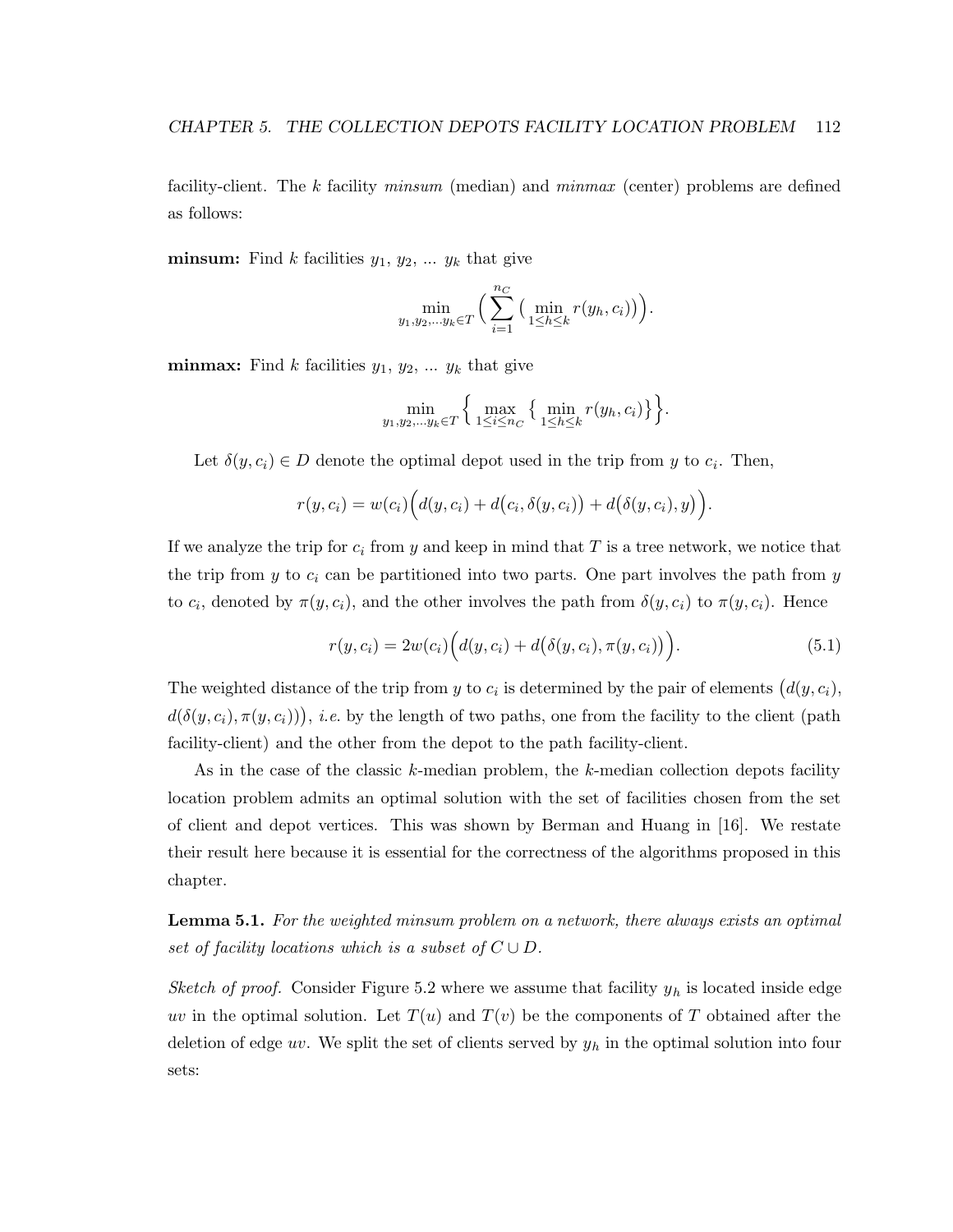facility-client. The k facility minsum (median) and minmax (center) problems are defined as follows:

**minsum:** Find k facilities  $y_1, y_2, \ldots, y_k$  that give

$$
\min_{y_1, y_2, \ldots y_k \in T} \Big( \sum_{i=1}^{n_C} \big( \min_{1 \le h \le k} r(y_h, c_i) \big) \Big).
$$

**minmax:** Find k facilities  $y_1, y_2, \ldots, y_k$  that give

$$
\min_{y_1, y_2, \dots y_k \in T} \left\{ \max_{1 \le i \le n_C} \left\{ \min_{1 \le h \le k} r(y_h, c_i) \right\} \right\}.
$$

Let  $\delta(y, c_i) \in D$  denote the optimal depot used in the trip from y to  $c_i$ . Then,

$$
r(y,c_i) = w(c_i) \Big( d(y,c_i) + d(c_i,\delta(y,c_i)) + d(\delta(y,c_i),y) \Big).
$$

If we analyze the trip for  $c_i$  from y and keep in mind that T is a tree network, we notice that the trip from  $y$  to  $c_i$  can be partitioned into two parts. One part involves the path from  $y$ to  $c_i$ , denoted by  $\pi(y, c_i)$ , and the other involves the path from  $\delta(y, c_i)$  to  $\pi(y, c_i)$ . Hence

$$
r(y, c_i) = 2w(c_i) \Big( d(y, c_i) + d(\delta(y, c_i), \pi(y, c_i)) \Big). \tag{5.1}
$$

The weighted distance of the trip from y to  $c_i$  is determined by the pair of elements  $(d(y, c_i))$ ,  $d(\delta(y, c_i), \pi(y, c_i)))$ , *i.e.* by the length of two paths, one from the facility to the client (path facility-client) and the other from the depot to the path facility-client.

As in the case of the classic  $k$ -median problem, the  $k$ -median collection depots facility location problem admits an optimal solution with the set of facilities chosen from the set of client and depot vertices. This was shown by Berman and Huang in [16]. We restate their result here because it is essential for the correctness of the algorithms proposed in this chapter.

**Lemma 5.1.** For the weighted minsum problem on a network, there always exists an optimal set of facility locations which is a subset of  $C \cup D$ .

Sketch of proof. Consider Figure 5.2 where we assume that facility  $y_h$  is located inside edge uv in the optimal solution. Let  $T(u)$  and  $T(v)$  be the components of T obtained after the deletion of edge uv. We split the set of clients served by  $y_h$  in the optimal solution into four sets: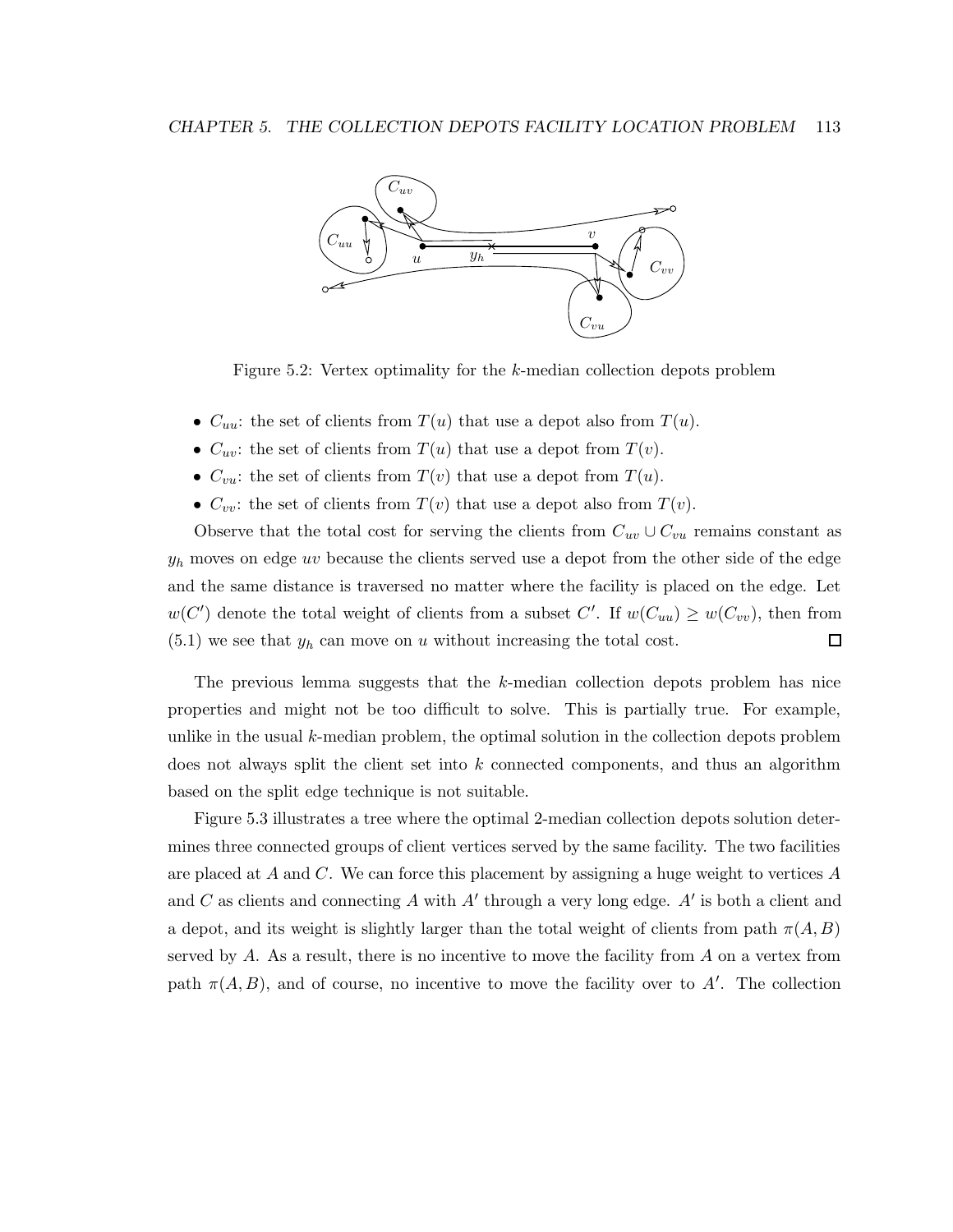

Figure 5.2: Vertex optimality for the k-median collection depots problem

- $C_{uu}$ : the set of clients from  $T(u)$  that use a depot also from  $T(u)$ .
- $C_{uv}$ : the set of clients from  $T(u)$  that use a depot from  $T(v)$ .
- $C_{vu}$ : the set of clients from  $T(v)$  that use a depot from  $T(u)$ .
- $C_{vv}$ : the set of clients from  $T(v)$  that use a depot also from  $T(v)$ .

Observe that the total cost for serving the clients from  $C_{uv} \cup C_{vu}$  remains constant as  $y_h$  moves on edge uv because the clients served use a depot from the other side of the edge and the same distance is traversed no matter where the facility is placed on the edge. Let  $w(C')$  denote the total weight of clients from a subset C'. If  $w(C_{uu}) \geq w(C_{vv})$ , then from  $(5.1)$  we see that  $y_h$  can move on u without increasing the total cost.  $\Box$ 

The previous lemma suggests that the k-median collection depots problem has nice properties and might not be too difficult to solve. This is partially true. For example, unlike in the usual k-median problem, the optimal solution in the collection depots problem does not always split the client set into k connected components, and thus an algorithm based on the split edge technique is not suitable.

Figure 5.3 illustrates a tree where the optimal 2-median collection depots solution determines three connected groups of client vertices served by the same facility. The two facilities are placed at A and C. We can force this placement by assigning a huge weight to vertices  $A$ and C as clients and connecting A with  $A'$  through a very long edge.  $A'$  is both a client and a depot, and its weight is slightly larger than the total weight of clients from path  $\pi(A, B)$ served by  $A$ . As a result, there is no incentive to move the facility from  $A$  on a vertex from path  $\pi(A, B)$ , and of course, no incentive to move the facility over to A'. The collection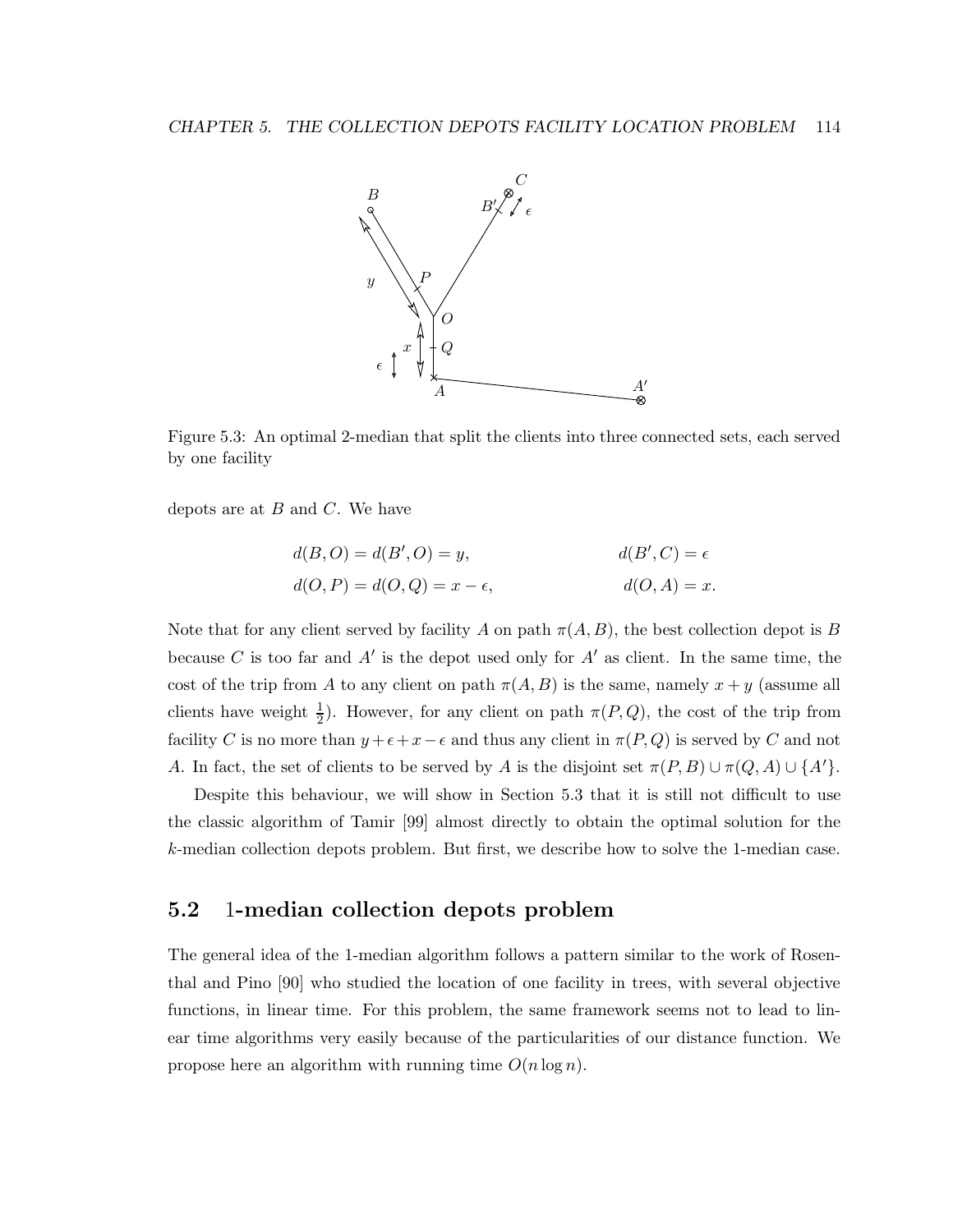

Figure 5.3: An optimal 2-median that split the clients into three connected sets, each served by one facility

depots are at  $B$  and  $C$ . We have

$$
d(B, O) = d(B', O) = y,
$$
  
\n
$$
d(D, P) = d(D, Q) = x - \epsilon,
$$
  
\n
$$
d(D, A) = x.
$$

Note that for any client served by facility A on path  $\pi(A, B)$ , the best collection depot is B because C is too far and  $A'$  is the depot used only for  $A'$  as client. In the same time, the cost of the trip from A to any client on path  $\pi(A, B)$  is the same, namely  $x + y$  (assume all clients have weight  $\frac{1}{2}$  $\frac{1}{2}$ ). However, for any client on path  $\pi(P,Q)$ , the cost of the trip from facility C is no more than  $y + \epsilon + x - \epsilon$  and thus any client in  $\pi(P, Q)$  is served by C and not A. In fact, the set of clients to be served by A is the disjoint set  $\pi(P, B) \cup \pi(Q, A) \cup \{A'\}.$ 

Despite this behaviour, we will show in Section 5.3 that it is still not difficult to use the classic algorithm of Tamir [99] almost directly to obtain the optimal solution for the k-median collection depots problem. But first, we describe how to solve the 1-median case.

### 5.2 1-median collection depots problem

The general idea of the 1-median algorithm follows a pattern similar to the work of Rosenthal and Pino [90] who studied the location of one facility in trees, with several objective functions, in linear time. For this problem, the same framework seems not to lead to linear time algorithms very easily because of the particularities of our distance function. We propose here an algorithm with running time  $O(n \log n)$ .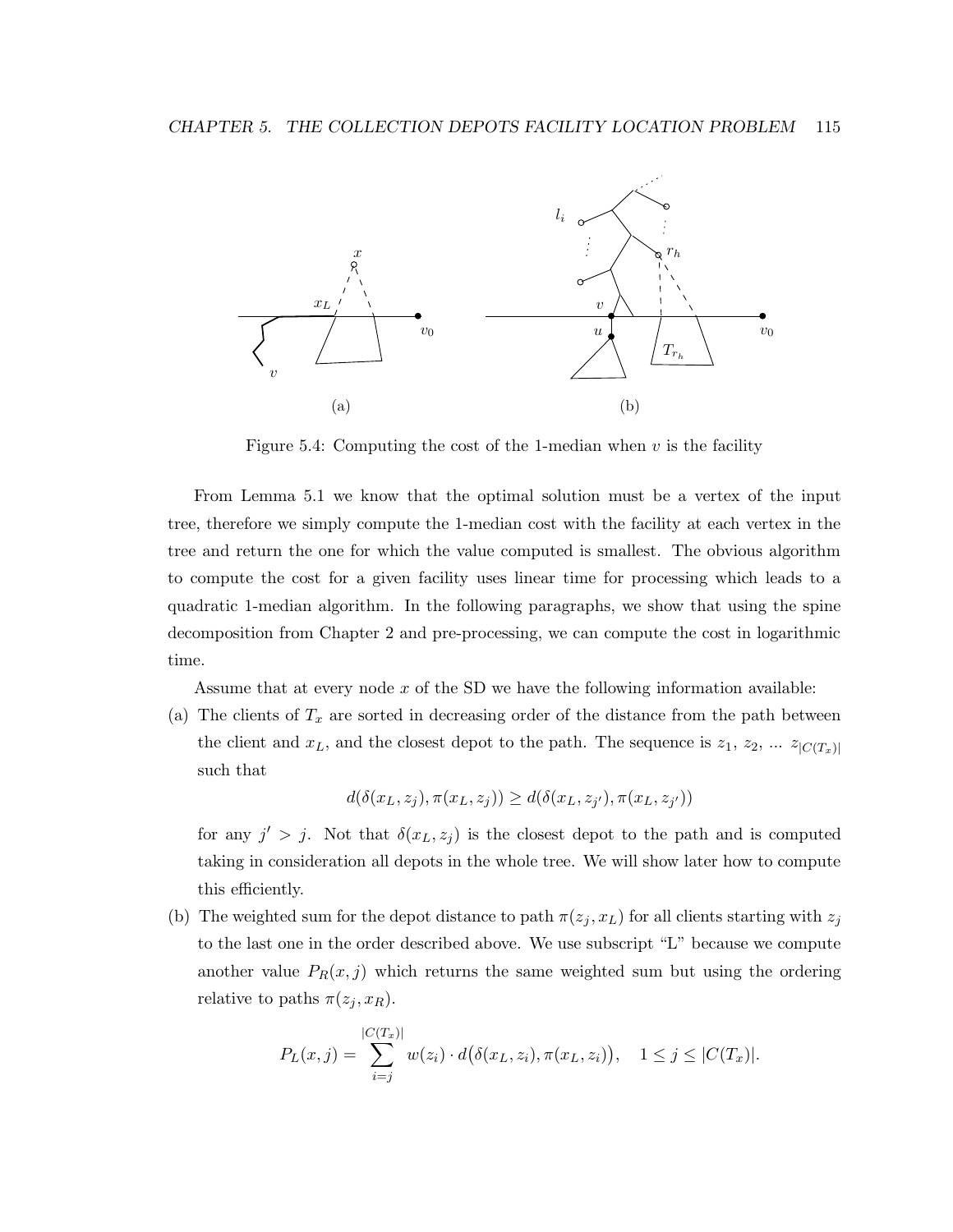

Figure 5.4: Computing the cost of the 1-median when  $v$  is the facility

From Lemma 5.1 we know that the optimal solution must be a vertex of the input tree, therefore we simply compute the 1-median cost with the facility at each vertex in the tree and return the one for which the value computed is smallest. The obvious algorithm to compute the cost for a given facility uses linear time for processing which leads to a quadratic 1-median algorithm. In the following paragraphs, we show that using the spine decomposition from Chapter 2 and pre-processing, we can compute the cost in logarithmic time.

Assume that at every node  $x$  of the SD we have the following information available:

(a) The clients of  $T_x$  are sorted in decreasing order of the distance from the path between the client and  $x_L$ , and the closest depot to the path. The sequence is  $z_1, z_2, \dots z_{|C(T_x)|}$ such that

$$
d(\delta(x_L, z_j), \pi(x_L, z_j)) \geq d(\delta(x_L, z_{j'}), \pi(x_L, z_{j'}))
$$

for any  $j' > j$ . Not that  $\delta(x_L, z_j)$  is the closest depot to the path and is computed taking in consideration all depots in the whole tree. We will show later how to compute this efficiently.

(b) The weighted sum for the depot distance to path  $\pi(z_j, x_L)$  for all clients starting with  $z_j$ to the last one in the order described above. We use subscript "L" because we compute another value  $P_R(x, j)$  which returns the same weighted sum but using the ordering relative to paths  $\pi(z_j, x_R)$ .

$$
P_L(x,j) = \sum_{i=j}^{|C(T_x)|} w(z_i) \cdot d(\delta(x_L, z_i), \pi(x_L, z_i)), \quad 1 \le j \le |C(T_x)|.
$$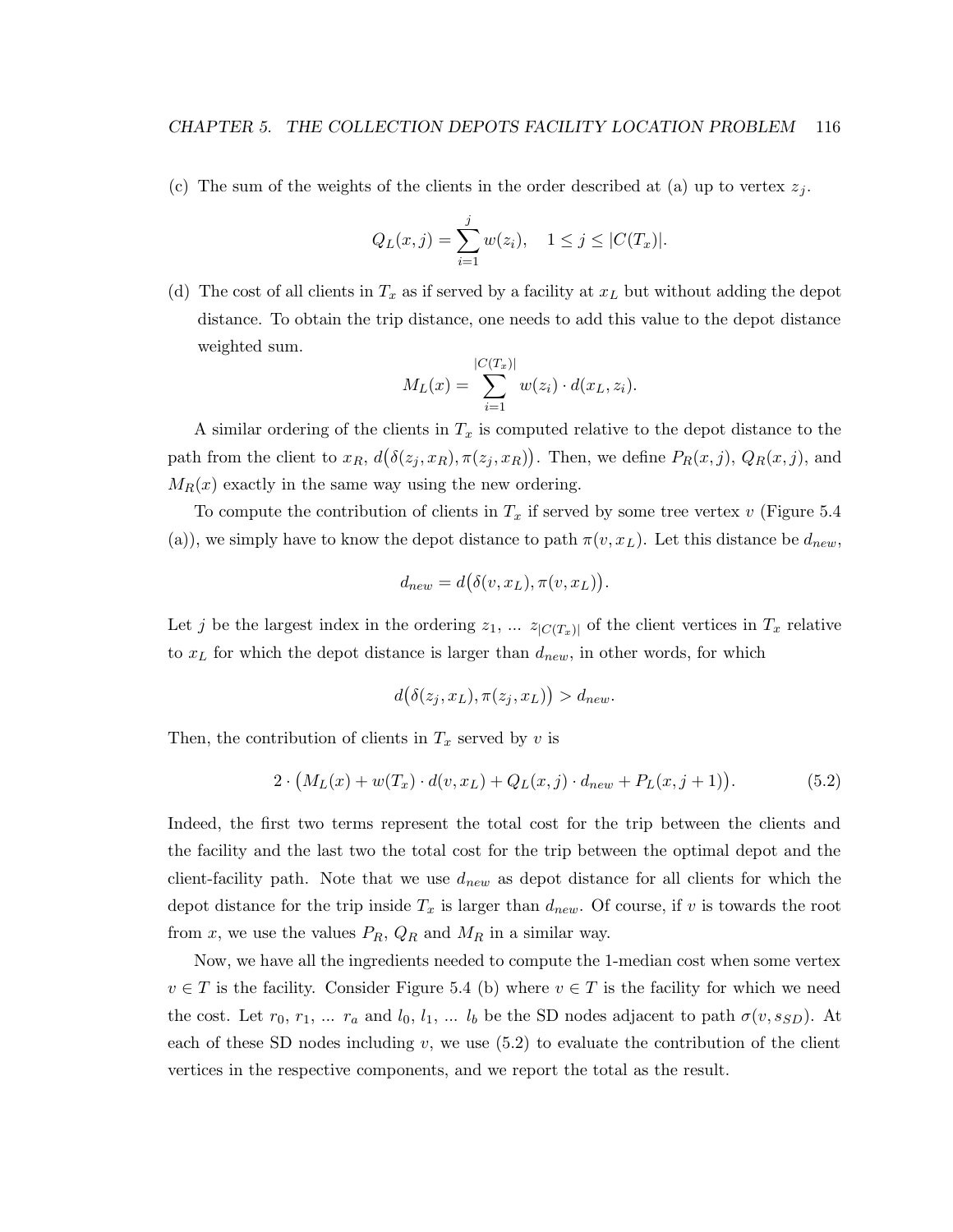(c) The sum of the weights of the clients in the order described at (a) up to vertex  $z_j$ .

$$
Q_L(x,j) = \sum_{i=1}^j w(z_i), \quad 1 \le j \le |C(T_x)|.
$$

(d) The cost of all clients in  $T_x$  as if served by a facility at  $x_L$  but without adding the depot distance. To obtain the trip distance, one needs to add this value to the depot distance weighted sum.

$$
M_L(x) = \sum_{i=1}^{|C(T_x)|} w(z_i) \cdot d(x_L, z_i).
$$

A similar ordering of the clients in  $T_x$  is computed relative to the depot distance to the path from the client to  $x_R$ ,  $d(\delta(z_j, x_R), \pi(z_j, x_R))$ . Then, we define  $P_R(x, j)$ ,  $Q_R(x, j)$ , and  $M_R(x)$  exactly in the same way using the new ordering.

To compute the contribution of clients in  $T_x$  if served by some tree vertex v (Figure 5.4) (a)), we simply have to know the depot distance to path  $\pi(v, x_L)$ . Let this distance be  $d_{new}$ ,

$$
d_{new} = d(\delta(v, x_L), \pi(v, x_L)).
$$

Let j be the largest index in the ordering  $z_1, \ldots z_{|C(T_x)|}$  of the client vertices in  $T_x$  relative to  $x_L$  for which the depot distance is larger than  $d_{new}$ , in other words, for which

$$
d(\delta(z_j, x_L), \pi(z_j, x_L)) > d_{new}.
$$

Then, the contribution of clients in  $T_x$  served by v is

$$
2 \cdot (M_L(x) + w(T_x) \cdot d(v, x_L) + Q_L(x, j) \cdot d_{new} + P_L(x, j+1)). \tag{5.2}
$$

Indeed, the first two terms represent the total cost for the trip between the clients and the facility and the last two the total cost for the trip between the optimal depot and the client-facility path. Note that we use  $d_{new}$  as depot distance for all clients for which the depot distance for the trip inside  $T_x$  is larger than  $d_{new}$ . Of course, if v is towards the root from x, we use the values  $P_R$ ,  $Q_R$  and  $M_R$  in a similar way.

Now, we have all the ingredients needed to compute the 1-median cost when some vertex  $v \in T$  is the facility. Consider Figure 5.4 (b) where  $v \in T$  is the facility for which we need the cost. Let  $r_0, r_1, \ldots r_a$  and  $l_0, l_1, \ldots l_b$  be the SD nodes adjacent to path  $\sigma(v, s_{SD})$ . At each of these SD nodes including  $v$ , we use  $(5.2)$  to evaluate the contribution of the client vertices in the respective components, and we report the total as the result.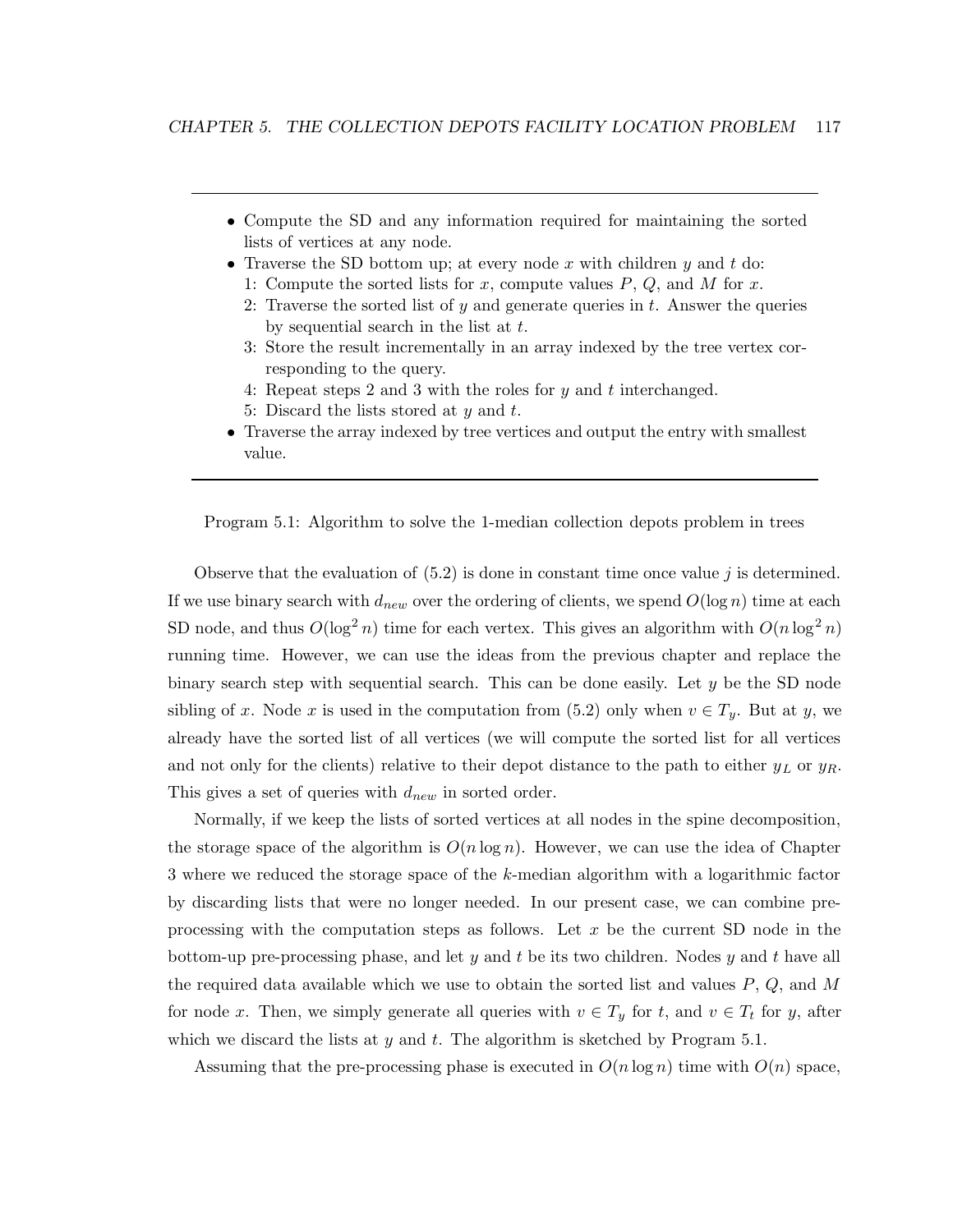- Compute the SD and any information required for maintaining the sorted lists of vertices at any node.
- Traverse the SD bottom up; at every node x with children y and t do:
	- 1: Compute the sorted lists for x, compute values  $P, Q$ , and M for x.
	- 2: Traverse the sorted list of  $y$  and generate queries in  $t$ . Answer the queries by sequential search in the list at  $t$ .
	- 3: Store the result incrementally in an array indexed by the tree vertex corresponding to the query.
	- 4: Repeat steps 2 and 3 with the roles for  $y$  and  $t$  interchanged.
	- 5: Discard the lists stored at  $y$  and  $t$ .
- Traverse the array indexed by tree vertices and output the entry with smallest value.

Program 5.1: Algorithm to solve the 1-median collection depots problem in trees

Observe that the evaluation of  $(5.2)$  is done in constant time once value j is determined. If we use binary search with  $d_{new}$  over the ordering of clients, we spend  $O(\log n)$  time at each SD node, and thus  $O(\log^2 n)$  time for each vertex. This gives an algorithm with  $O(n \log^2 n)$ running time. However, we can use the ideas from the previous chapter and replace the binary search step with sequential search. This can be done easily. Let y be the SD node sibling of x. Node x is used in the computation from (5.2) only when  $v \in T_y$ . But at y, we already have the sorted list of all vertices (we will compute the sorted list for all vertices and not only for the clients) relative to their depot distance to the path to either  $y_L$  or  $y_R$ . This gives a set of queries with  $d_{new}$  in sorted order.

Normally, if we keep the lists of sorted vertices at all nodes in the spine decomposition, the storage space of the algorithm is  $O(n \log n)$ . However, we can use the idea of Chapter 3 where we reduced the storage space of the k-median algorithm with a logarithmic factor by discarding lists that were no longer needed. In our present case, we can combine preprocessing with the computation steps as follows. Let  $x$  be the current SD node in the bottom-up pre-processing phase, and let y and t be its two children. Nodes y and t have all the required data available which we use to obtain the sorted list and values  $P, Q$ , and M for node x. Then, we simply generate all queries with  $v \in T_y$  for t, and  $v \in T_t$  for y, after which we discard the lists at y and t. The algorithm is sketched by Program  $5.1$ .

Assuming that the pre-processing phase is executed in  $O(n \log n)$  time with  $O(n)$  space,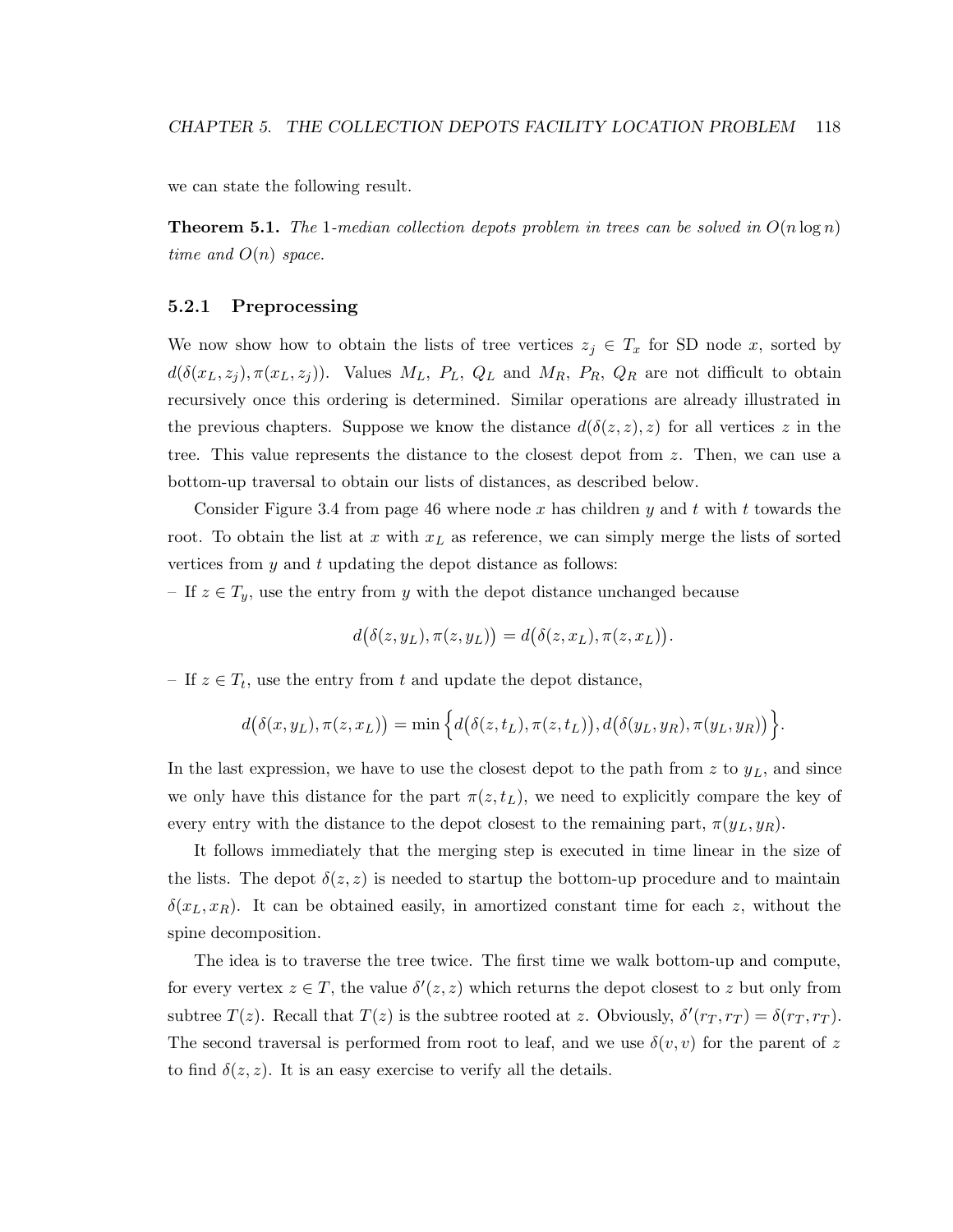we can state the following result.

**Theorem 5.1.** The 1-median collection depots problem in trees can be solved in  $O(n \log n)$ time and  $O(n)$  space.

### 5.2.1 Preprocessing

We now show how to obtain the lists of tree vertices  $z_j \in T_x$  for SD node x, sorted by  $d(\delta(x_L, z_j), \pi(x_L, z_j))$ . Values  $M_L$ ,  $P_L$ ,  $Q_L$  and  $M_R$ ,  $P_R$ ,  $Q_R$  are not difficult to obtain recursively once this ordering is determined. Similar operations are already illustrated in the previous chapters. Suppose we know the distance  $d(\delta(z, z), z)$  for all vertices z in the tree. This value represents the distance to the closest depot from z. Then, we can use a bottom-up traversal to obtain our lists of distances, as described below.

Consider Figure 3.4 from page 46 where node x has children y and t with t towards the root. To obtain the list at x with  $x<sub>L</sub>$  as reference, we can simply merge the lists of sorted vertices from  $y$  and  $t$  updating the depot distance as follows:

– If  $z \in T_y$ , use the entry from y with the depot distance unchanged because

$$
d(\delta(z,y_L),\pi(z,y_L)) = d(\delta(z,x_L),\pi(z,x_L)).
$$

– If  $z \in T_t$ , use the entry from t and update the depot distance,

$$
d(\delta(x,y_L),\pi(z,x_L)) = \min\left\{d(\delta(z,t_L),\pi(z,t_L)),d(\delta(y_L,y_R),\pi(y_L,y_R))\right\}
$$

.

In the last expression, we have to use the closest depot to the path from  $z$  to  $y<sub>L</sub>$ , and since we only have this distance for the part  $\pi(z,t_L)$ , we need to explicitly compare the key of every entry with the distance to the depot closest to the remaining part,  $\pi(y_L, y_R)$ .

It follows immediately that the merging step is executed in time linear in the size of the lists. The depot  $\delta(z, z)$  is needed to startup the bottom-up procedure and to maintain  $\delta(x_L, x_R)$ . It can be obtained easily, in amortized constant time for each z, without the spine decomposition.

The idea is to traverse the tree twice. The first time we walk bottom-up and compute, for every vertex  $z \in T$ , the value  $\delta'(z, z)$  which returns the depot closest to z but only from subtree  $T(z)$ . Recall that  $T(z)$  is the subtree rooted at z. Obviously,  $\delta'(r_T, r_T) = \delta(r_T, r_T)$ . The second traversal is performed from root to leaf, and we use  $\delta(v, v)$  for the parent of z to find  $\delta(z, z)$ . It is an easy exercise to verify all the details.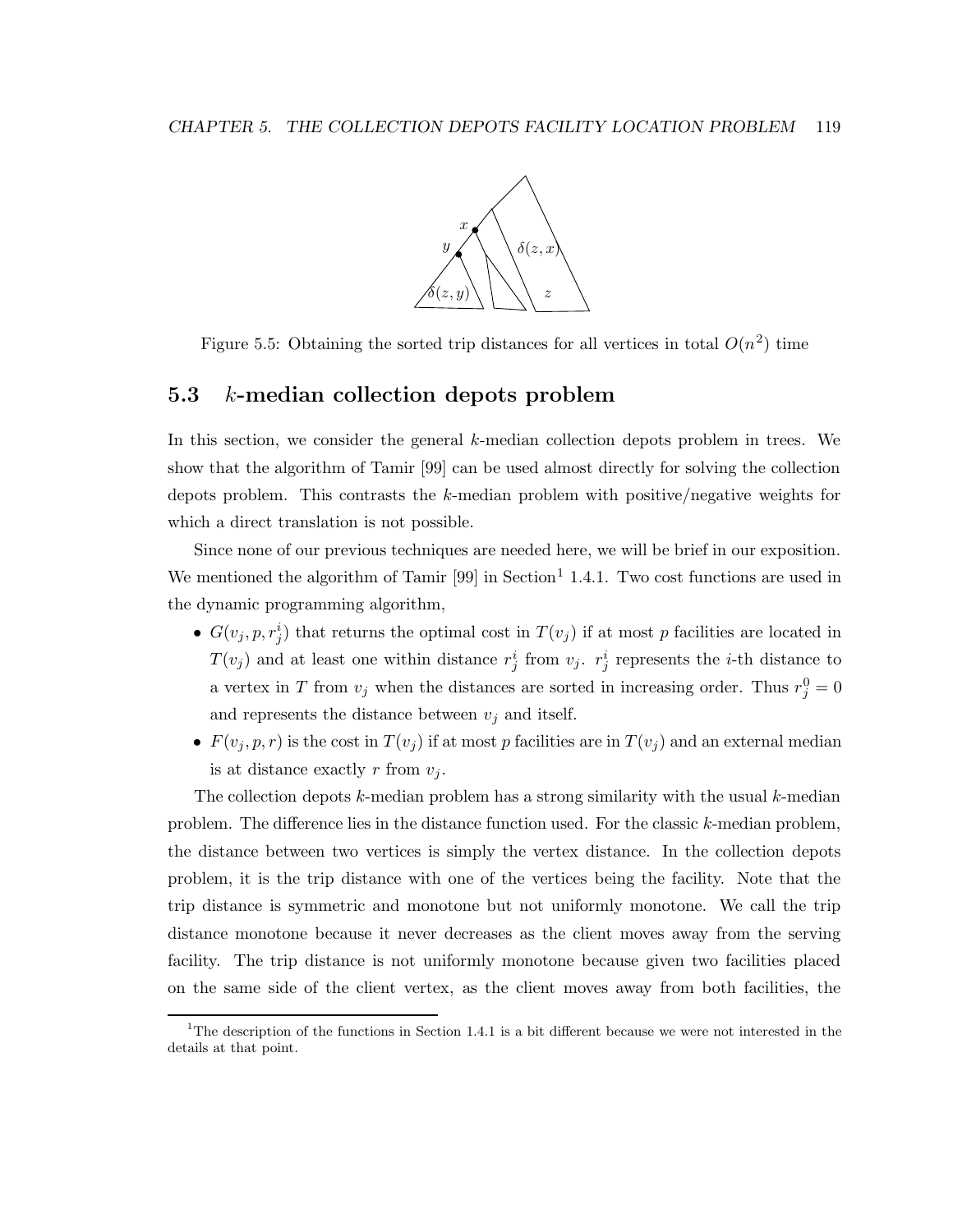

Figure 5.5: Obtaining the sorted trip distances for all vertices in total  $O(n^2)$  time

### 5.3 k-median collection depots problem

In this section, we consider the general k-median collection depots problem in trees. We show that the algorithm of Tamir [99] can be used almost directly for solving the collection depots problem. This contrasts the k-median problem with positive/negative weights for which a direct translation is not possible.

Since none of our previous techniques are needed here, we will be brief in our exposition. We mentioned the algorithm of Tamir [99] in Section<sup>1</sup> 1.4.1. Two cost functions are used in the dynamic programming algorithm,

- $G(v_j, p, r_j^i)$  that returns the optimal cost in  $T(v_j)$  if at most p facilities are located in  $T(v_j)$  and at least one within distance  $r_j^i$  from  $v_j$ .  $r_j^i$  represents the *i*-th distance to a vertex in T from  $v_j$  when the distances are sorted in increasing order. Thus  $r_j^0 = 0$ and represents the distance between  $v_j$  and itself.
- $F(v_j, p, r)$  is the cost in  $T(v_j)$  if at most p facilities are in  $T(v_j)$  and an external median is at distance exactly r from  $v_j$ .

The collection depots  $k$ -median problem has a strong similarity with the usual  $k$ -median problem. The difference lies in the distance function used. For the classic k-median problem, the distance between two vertices is simply the vertex distance. In the collection depots problem, it is the trip distance with one of the vertices being the facility. Note that the trip distance is symmetric and monotone but not uniformly monotone. We call the trip distance monotone because it never decreases as the client moves away from the serving facility. The trip distance is not uniformly monotone because given two facilities placed on the same side of the client vertex, as the client moves away from both facilities, the

<sup>&</sup>lt;sup>1</sup>The description of the functions in Section 1.4.1 is a bit different because we were not interested in the details at that point.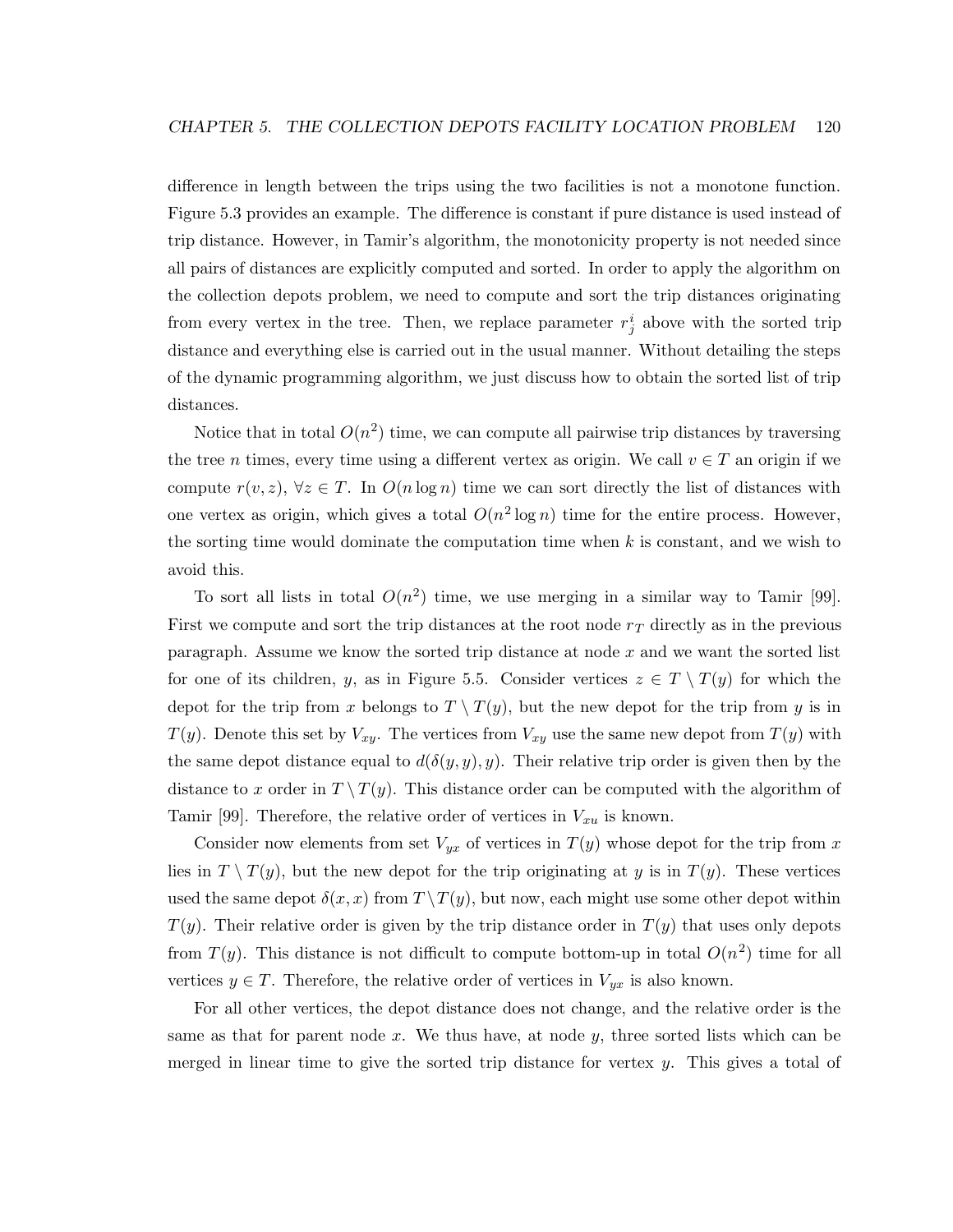difference in length between the trips using the two facilities is not a monotone function. Figure 5.3 provides an example. The difference is constant if pure distance is used instead of trip distance. However, in Tamir's algorithm, the monotonicity property is not needed since all pairs of distances are explicitly computed and sorted. In order to apply the algorithm on the collection depots problem, we need to compute and sort the trip distances originating from every vertex in the tree. Then, we replace parameter  $r_j^i$  above with the sorted trip distance and everything else is carried out in the usual manner. Without detailing the steps of the dynamic programming algorithm, we just discuss how to obtain the sorted list of trip distances.

Notice that in total  $O(n^2)$  time, we can compute all pairwise trip distances by traversing the tree *n* times, every time using a different vertex as origin. We call  $v \in T$  an origin if we compute  $r(v, z)$ ,  $\forall z \in T$ . In  $O(n \log n)$  time we can sort directly the list of distances with one vertex as origin, which gives a total  $O(n^2 \log n)$  time for the entire process. However, the sorting time would dominate the computation time when  $k$  is constant, and we wish to avoid this.

To sort all lists in total  $O(n^2)$  time, we use merging in a similar way to Tamir [99]. First we compute and sort the trip distances at the root node  $r<sub>T</sub>$  directly as in the previous paragraph. Assume we know the sorted trip distance at node x and we want the sorted list for one of its children, y, as in Figure 5.5. Consider vertices  $z \in T \setminus T(y)$  for which the depot for the trip from x belongs to  $T \setminus T(y)$ , but the new depot for the trip from y is in  $T(y)$ . Denote this set by  $V_{xy}$ . The vertices from  $V_{xy}$  use the same new depot from  $T(y)$  with the same depot distance equal to  $d(\delta(y, y), y)$ . Their relative trip order is given then by the distance to x order in  $T \setminus T(y)$ . This distance order can be computed with the algorithm of Tamir [99]. Therefore, the relative order of vertices in  $V_{xu}$  is known.

Consider now elements from set  $V_{yx}$  of vertices in  $T(y)$  whose depot for the trip from x lies in  $T \setminus T(y)$ , but the new depot for the trip originating at y is in  $T(y)$ . These vertices used the same depot  $\delta(x, x)$  from  $T \setminus T(y)$ , but now, each might use some other depot within  $T(y)$ . Their relative order is given by the trip distance order in  $T(y)$  that uses only depots from  $T(y)$ . This distance is not difficult to compute bottom-up in total  $O(n^2)$  time for all vertices  $y \in T$ . Therefore, the relative order of vertices in  $V_{yx}$  is also known.

For all other vertices, the depot distance does not change, and the relative order is the same as that for parent node x. We thus have, at node  $y$ , three sorted lists which can be merged in linear time to give the sorted trip distance for vertex  $y$ . This gives a total of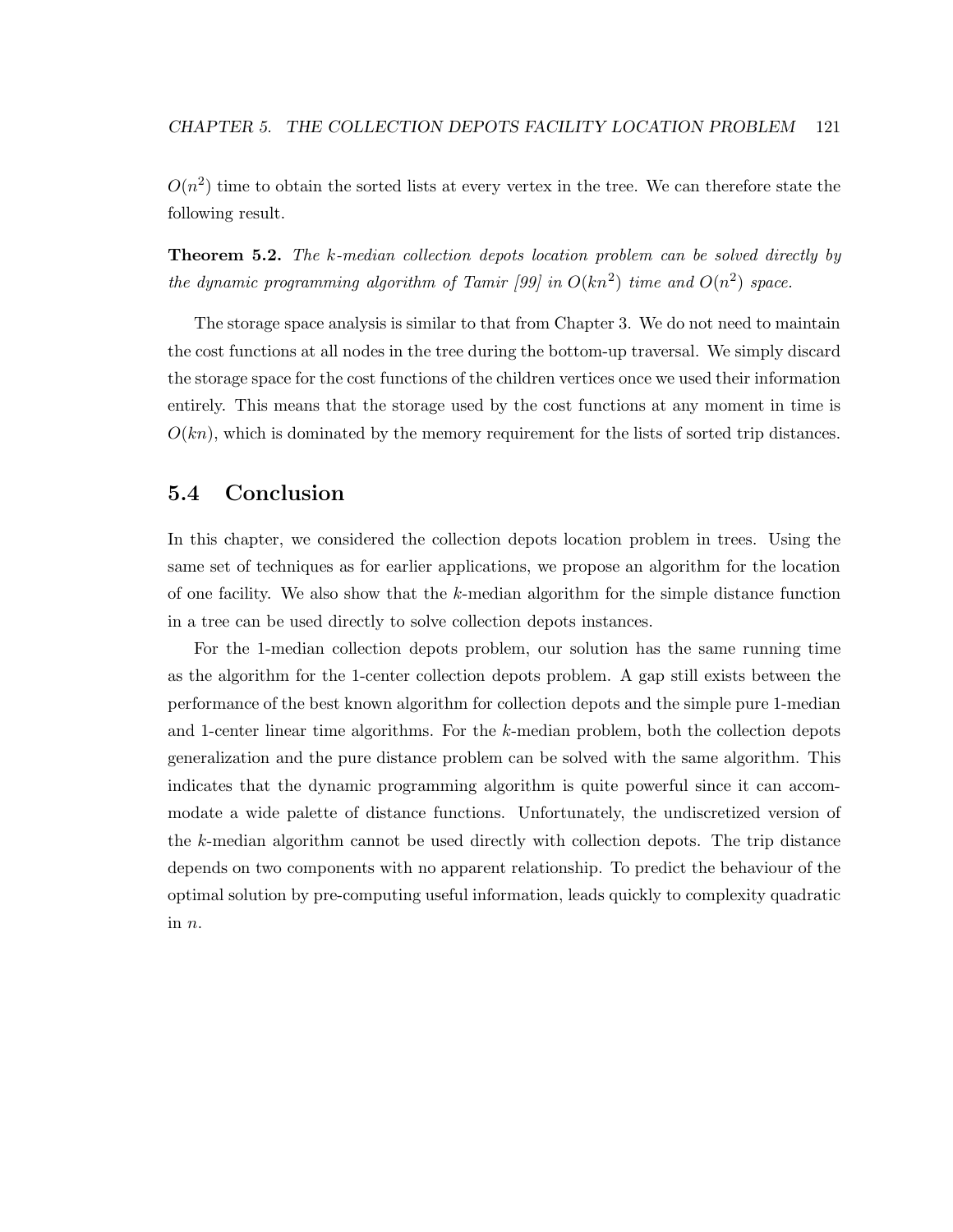$O(n^2)$  time to obtain the sorted lists at every vertex in the tree. We can therefore state the following result.

**Theorem 5.2.** The k-median collection depots location problem can be solved directly by the dynamic programming algorithm of Tamir [99] in  $O(kn^2)$  time and  $O(n^2)$  space.

The storage space analysis is similar to that from Chapter 3. We do not need to maintain the cost functions at all nodes in the tree during the bottom-up traversal. We simply discard the storage space for the cost functions of the children vertices once we used their information entirely. This means that the storage used by the cost functions at any moment in time is  $O(kn)$ , which is dominated by the memory requirement for the lists of sorted trip distances.

### 5.4 Conclusion

In this chapter, we considered the collection depots location problem in trees. Using the same set of techniques as for earlier applications, we propose an algorithm for the location of one facility. We also show that the k-median algorithm for the simple distance function in a tree can be used directly to solve collection depots instances.

For the 1-median collection depots problem, our solution has the same running time as the algorithm for the 1-center collection depots problem. A gap still exists between the performance of the best known algorithm for collection depots and the simple pure 1-median and 1-center linear time algorithms. For the k-median problem, both the collection depots generalization and the pure distance problem can be solved with the same algorithm. This indicates that the dynamic programming algorithm is quite powerful since it can accommodate a wide palette of distance functions. Unfortunately, the undiscretized version of the k-median algorithm cannot be used directly with collection depots. The trip distance depends on two components with no apparent relationship. To predict the behaviour of the optimal solution by pre-computing useful information, leads quickly to complexity quadratic in n.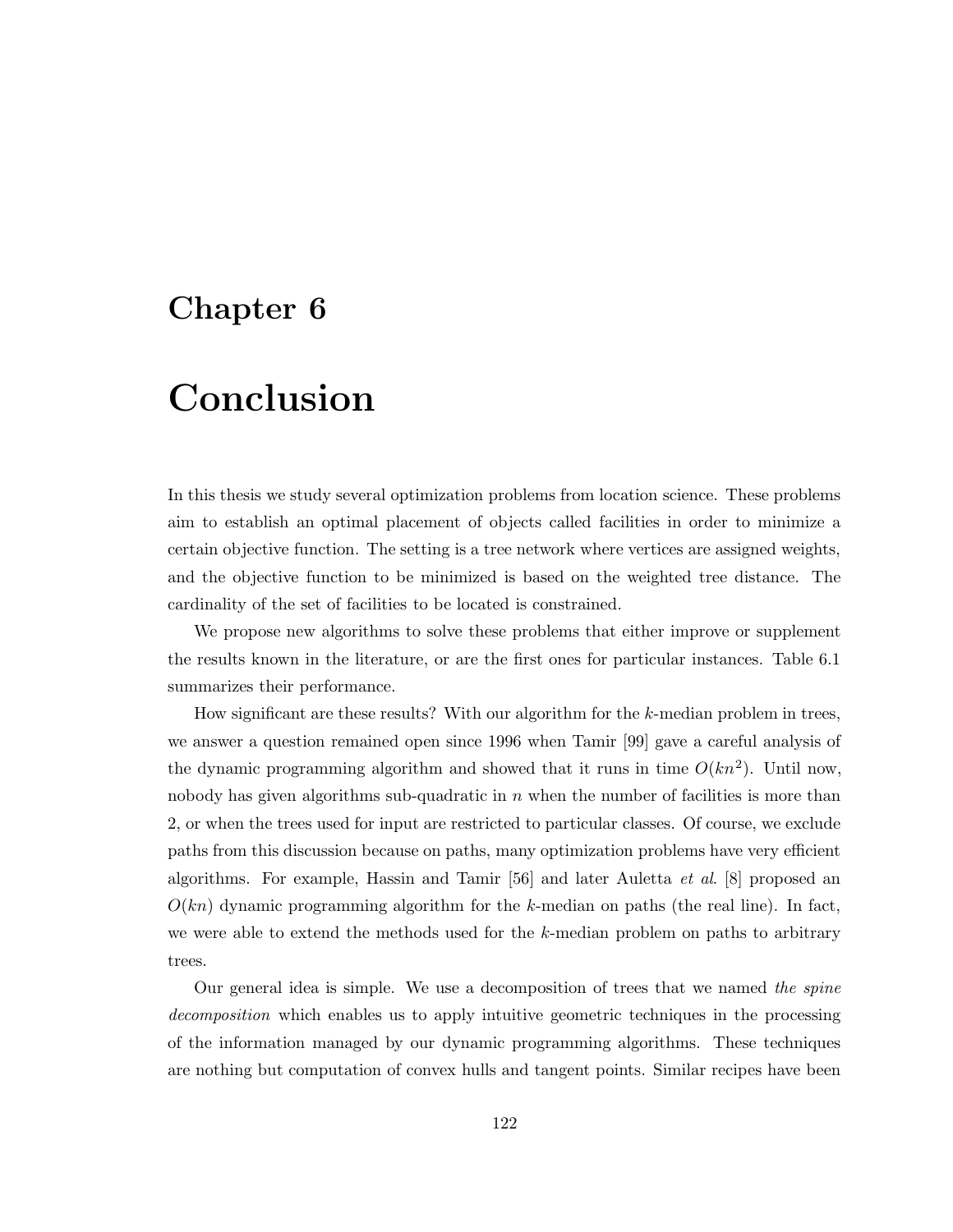## Chapter 6

# Conclusion

In this thesis we study several optimization problems from location science. These problems aim to establish an optimal placement of objects called facilities in order to minimize a certain objective function. The setting is a tree network where vertices are assigned weights, and the objective function to be minimized is based on the weighted tree distance. The cardinality of the set of facilities to be located is constrained.

We propose new algorithms to solve these problems that either improve or supplement the results known in the literature, or are the first ones for particular instances. Table 6.1 summarizes their performance.

How significant are these results? With our algorithm for the k-median problem in trees, we answer a question remained open since 1996 when Tamir [99] gave a careful analysis of the dynamic programming algorithm and showed that it runs in time  $O(kn^2)$ . Until now, nobody has given algorithms sub-quadratic in  $n$  when the number of facilities is more than 2, or when the trees used for input are restricted to particular classes. Of course, we exclude paths from this discussion because on paths, many optimization problems have very efficient algorithms. For example, Hassin and Tamir [56] and later Auletta et al. [8] proposed an  $O(kn)$  dynamic programming algorithm for the k-median on paths (the real line). In fact, we were able to extend the methods used for the  $k$ -median problem on paths to arbitrary trees.

Our general idea is simple. We use a decomposition of trees that we named the spine decomposition which enables us to apply intuitive geometric techniques in the processing of the information managed by our dynamic programming algorithms. These techniques are nothing but computation of convex hulls and tangent points. Similar recipes have been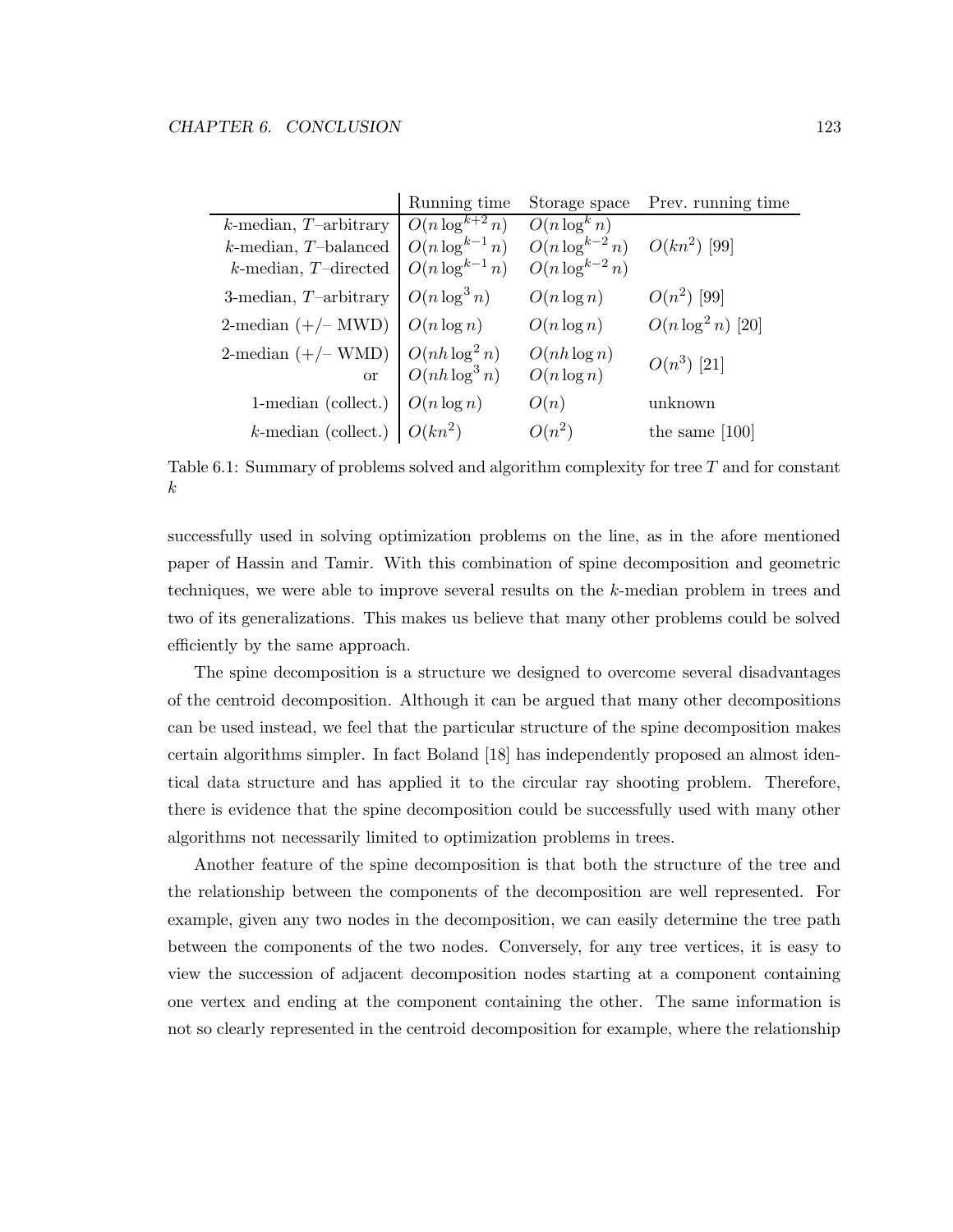|                                                                                     | Running time        | Storage space                                             | Prev. running time   |
|-------------------------------------------------------------------------------------|---------------------|-----------------------------------------------------------|----------------------|
| $k$ -median, T-arbitrary                                                            | $O(n \log^{k+2} n)$ | $O(n \log^k n)$                                           |                      |
| $k$ -median, $T$ -balanced                                                          | $O(n \log^{k-1} n)$ | $O(n \log^{k-2} n)$ $O(kn^2)$ [99]<br>$O(n \log^{k-2} n)$ |                      |
| $k\mbox{-}\mathrm{median},\,T\mbox{-}\mathrm{directed}$                             | $O(n \log^{k-1} n)$ |                                                           |                      |
| 3-median, $T$ -arbitrary                                                            | $O(n \log^3 n)$     | $O(n \log n)$                                             | $O(n^2)$ [99]        |
| 2-median $(+/- MWD)$ $O(n \log n)$                                                  |                     | $O(n \log n)$                                             | $O(n \log^2 n)$ [20] |
| 2-median (+/- WMD) $\begin{bmatrix} O(nh \log^2 n) \\ O(nh \log^3 n) \end{bmatrix}$ |                     | $O(nh \log n)$<br>$O(n \log n)$                           | $O(n^3)$ [21]        |
| 1-median (collect.) $O(n \log n)$                                                   |                     | O(n)                                                      | unknown              |
| k-median (collect.) $O(kn^2)$                                                       |                     | $O(n^2)$                                                  | the same $[100]$     |

Table 6.1: Summary of problems solved and algorithm complexity for tree T and for constant k

successfully used in solving optimization problems on the line, as in the afore mentioned paper of Hassin and Tamir. With this combination of spine decomposition and geometric techniques, we were able to improve several results on the k-median problem in trees and two of its generalizations. This makes us believe that many other problems could be solved efficiently by the same approach.

The spine decomposition is a structure we designed to overcome several disadvantages of the centroid decomposition. Although it can be argued that many other decompositions can be used instead, we feel that the particular structure of the spine decomposition makes certain algorithms simpler. In fact Boland [18] has independently proposed an almost identical data structure and has applied it to the circular ray shooting problem. Therefore, there is evidence that the spine decomposition could be successfully used with many other algorithms not necessarily limited to optimization problems in trees.

Another feature of the spine decomposition is that both the structure of the tree and the relationship between the components of the decomposition are well represented. For example, given any two nodes in the decomposition, we can easily determine the tree path between the components of the two nodes. Conversely, for any tree vertices, it is easy to view the succession of adjacent decomposition nodes starting at a component containing one vertex and ending at the component containing the other. The same information is not so clearly represented in the centroid decomposition for example, where the relationship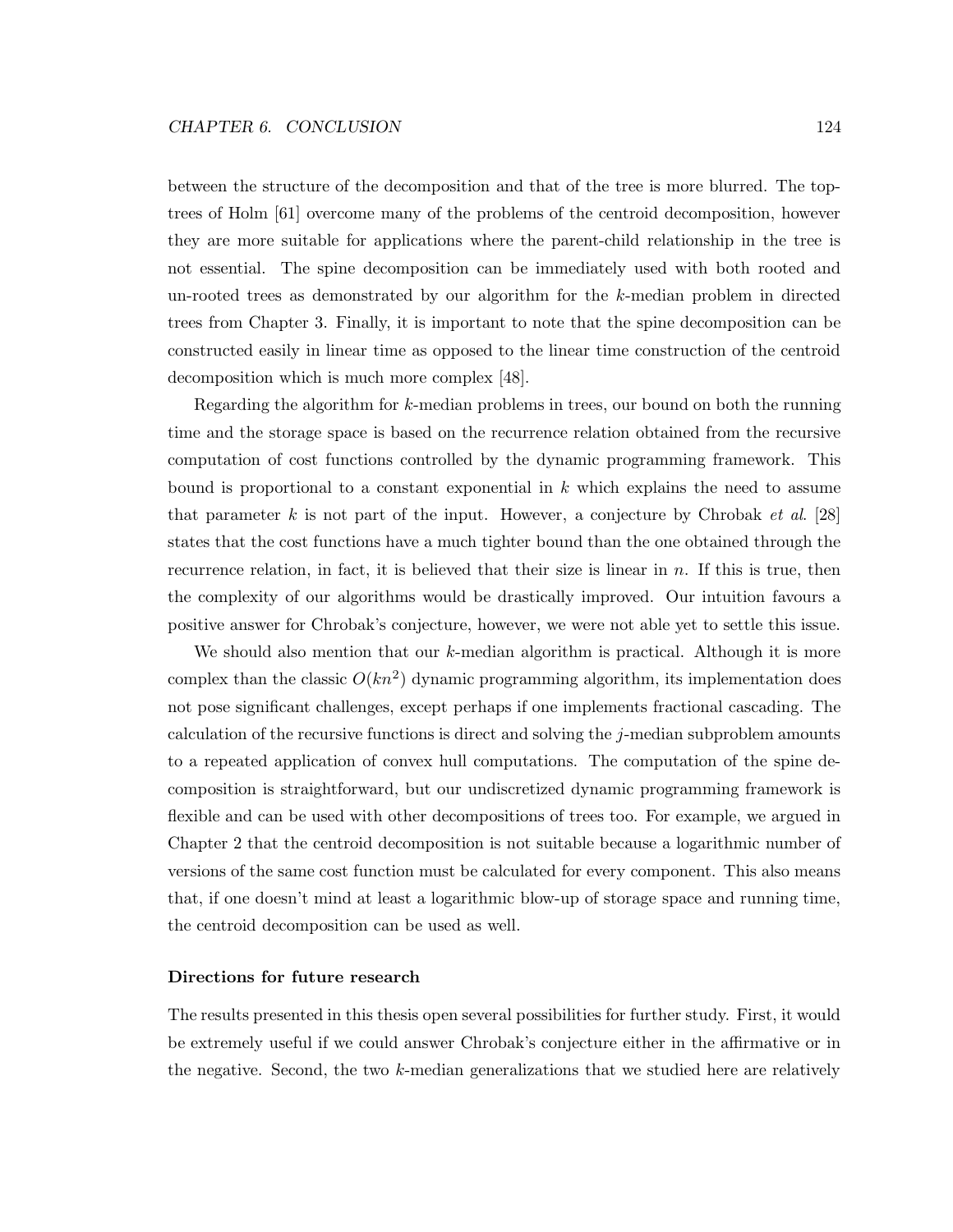between the structure of the decomposition and that of the tree is more blurred. The toptrees of Holm [61] overcome many of the problems of the centroid decomposition, however they are more suitable for applications where the parent-child relationship in the tree is not essential. The spine decomposition can be immediately used with both rooted and un-rooted trees as demonstrated by our algorithm for the k-median problem in directed trees from Chapter 3. Finally, it is important to note that the spine decomposition can be constructed easily in linear time as opposed to the linear time construction of the centroid decomposition which is much more complex [48].

Regarding the algorithm for k-median problems in trees, our bound on both the running time and the storage space is based on the recurrence relation obtained from the recursive computation of cost functions controlled by the dynamic programming framework. This bound is proportional to a constant exponential in  $k$  which explains the need to assume that parameter k is not part of the input. However, a conjecture by Chrobak et al.  $[28]$ states that the cost functions have a much tighter bound than the one obtained through the recurrence relation, in fact, it is believed that their size is linear in  $n$ . If this is true, then the complexity of our algorithms would be drastically improved. Our intuition favours a positive answer for Chrobak's conjecture, however, we were not able yet to settle this issue.

We should also mention that our k-median algorithm is practical. Although it is more complex than the classic  $O(kn^2)$  dynamic programming algorithm, its implementation does not pose significant challenges, except perhaps if one implements fractional cascading. The calculation of the recursive functions is direct and solving the j-median subproblem amounts to a repeated application of convex hull computations. The computation of the spine decomposition is straightforward, but our undiscretized dynamic programming framework is flexible and can be used with other decompositions of trees too. For example, we argued in Chapter 2 that the centroid decomposition is not suitable because a logarithmic number of versions of the same cost function must be calculated for every component. This also means that, if one doesn't mind at least a logarithmic blow-up of storage space and running time, the centroid decomposition can be used as well.

### Directions for future research

The results presented in this thesis open several possibilities for further study. First, it would be extremely useful if we could answer Chrobak's conjecture either in the affirmative or in the negative. Second, the two  $k$ -median generalizations that we studied here are relatively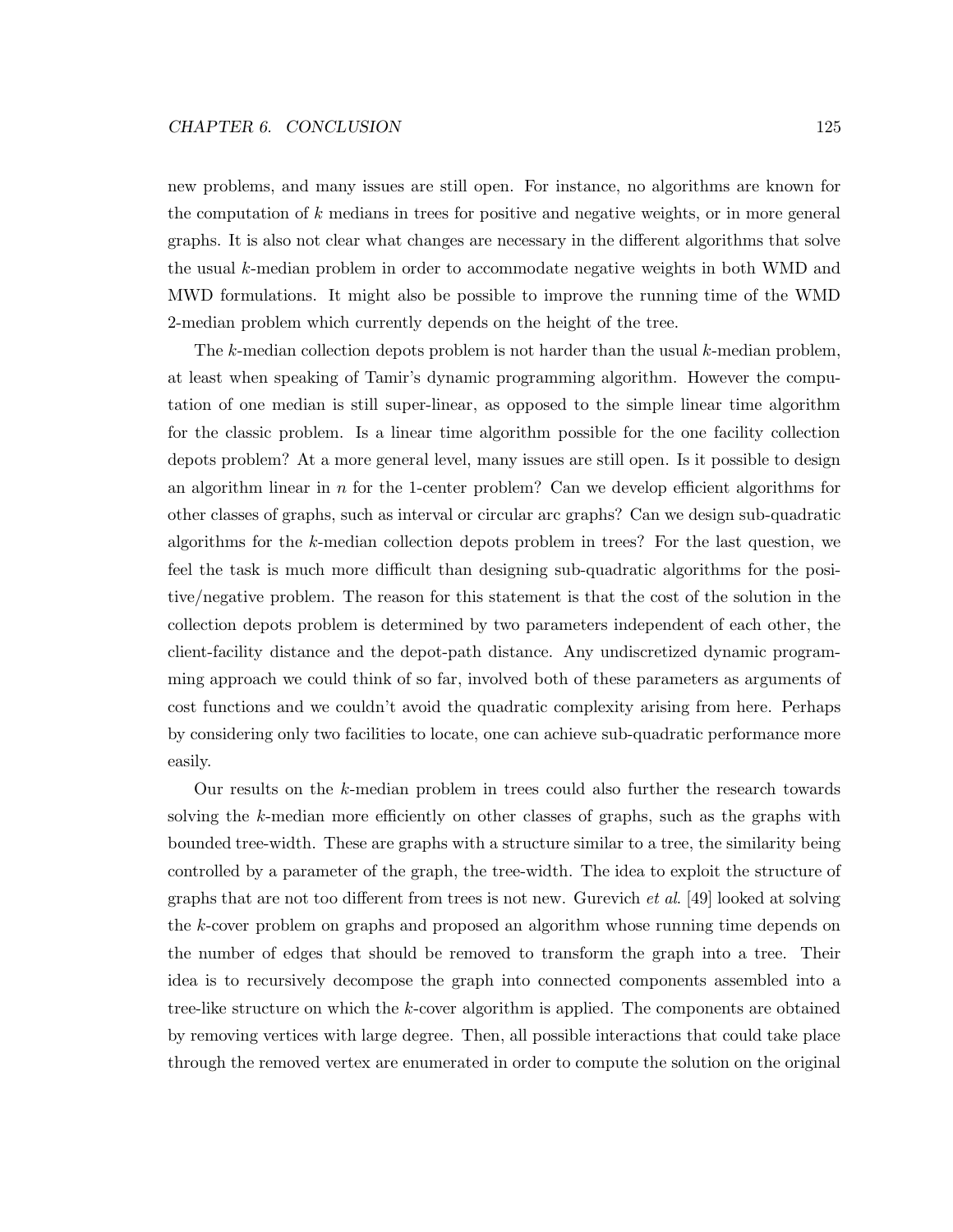new problems, and many issues are still open. For instance, no algorithms are known for the computation of  $k$  medians in trees for positive and negative weights, or in more general graphs. It is also not clear what changes are necessary in the different algorithms that solve the usual k-median problem in order to accommodate negative weights in both WMD and MWD formulations. It might also be possible to improve the running time of the WMD 2-median problem which currently depends on the height of the tree.

The k-median collection depots problem is not harder than the usual k-median problem, at least when speaking of Tamir's dynamic programming algorithm. However the computation of one median is still super-linear, as opposed to the simple linear time algorithm for the classic problem. Is a linear time algorithm possible for the one facility collection depots problem? At a more general level, many issues are still open. Is it possible to design an algorithm linear in  $n$  for the 1-center problem? Can we develop efficient algorithms for other classes of graphs, such as interval or circular arc graphs? Can we design sub-quadratic algorithms for the k-median collection depots problem in trees? For the last question, we feel the task is much more difficult than designing sub-quadratic algorithms for the positive/negative problem. The reason for this statement is that the cost of the solution in the collection depots problem is determined by two parameters independent of each other, the client-facility distance and the depot-path distance. Any undiscretized dynamic programming approach we could think of so far, involved both of these parameters as arguments of cost functions and we couldn't avoid the quadratic complexity arising from here. Perhaps by considering only two facilities to locate, one can achieve sub-quadratic performance more easily.

Our results on the k-median problem in trees could also further the research towards solving the k-median more efficiently on other classes of graphs, such as the graphs with bounded tree-width. These are graphs with a structure similar to a tree, the similarity being controlled by a parameter of the graph, the tree-width. The idea to exploit the structure of graphs that are not too different from trees is not new. Gurevich et al. [49] looked at solving the k-cover problem on graphs and proposed an algorithm whose running time depends on the number of edges that should be removed to transform the graph into a tree. Their idea is to recursively decompose the graph into connected components assembled into a tree-like structure on which the k-cover algorithm is applied. The components are obtained by removing vertices with large degree. Then, all possible interactions that could take place through the removed vertex are enumerated in order to compute the solution on the original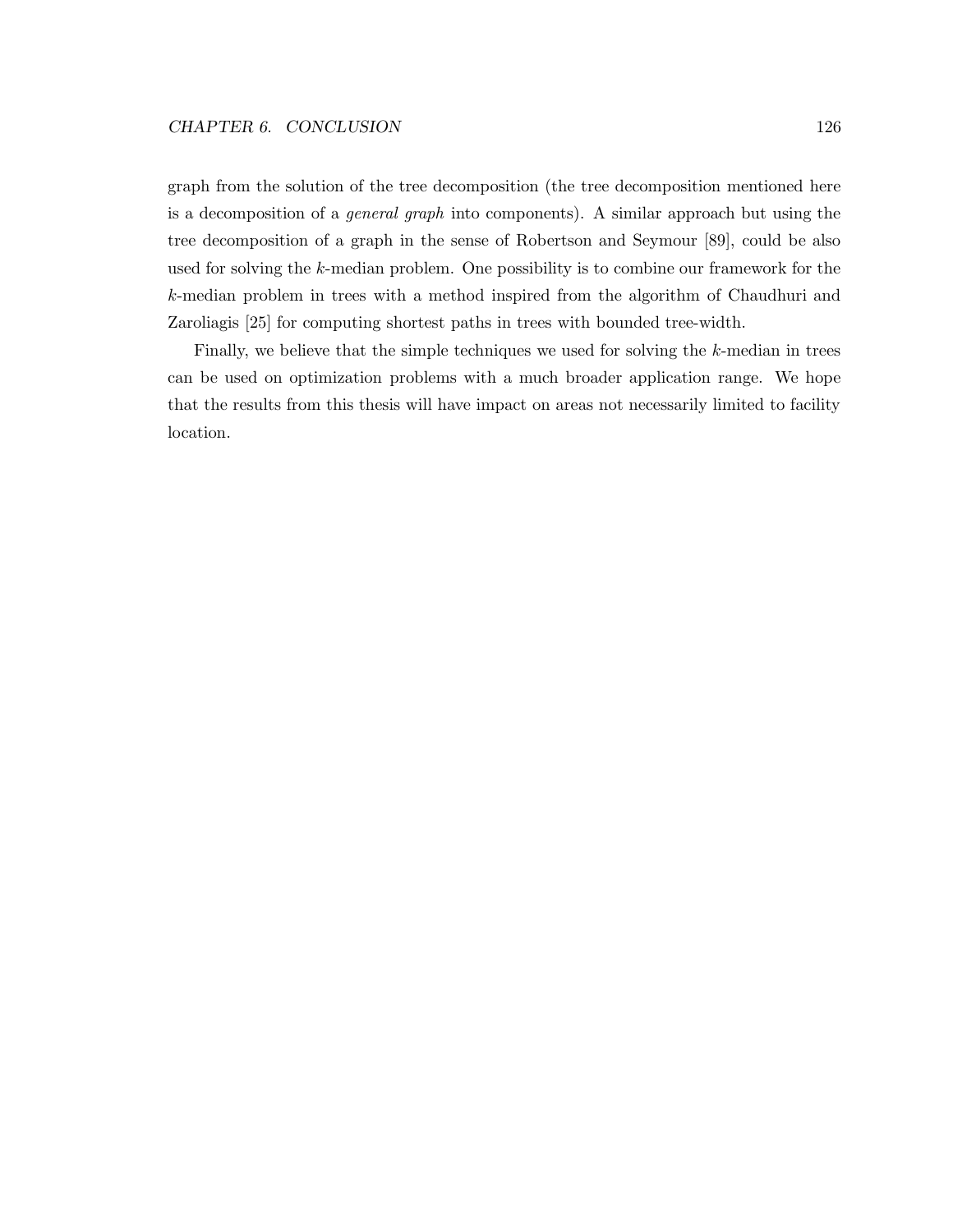graph from the solution of the tree decomposition (the tree decomposition mentioned here is a decomposition of a general graph into components). A similar approach but using the tree decomposition of a graph in the sense of Robertson and Seymour [89], could be also used for solving the k-median problem. One possibility is to combine our framework for the k-median problem in trees with a method inspired from the algorithm of Chaudhuri and Zaroliagis [25] for computing shortest paths in trees with bounded tree-width.

Finally, we believe that the simple techniques we used for solving the k-median in trees can be used on optimization problems with a much broader application range. We hope that the results from this thesis will have impact on areas not necessarily limited to facility location.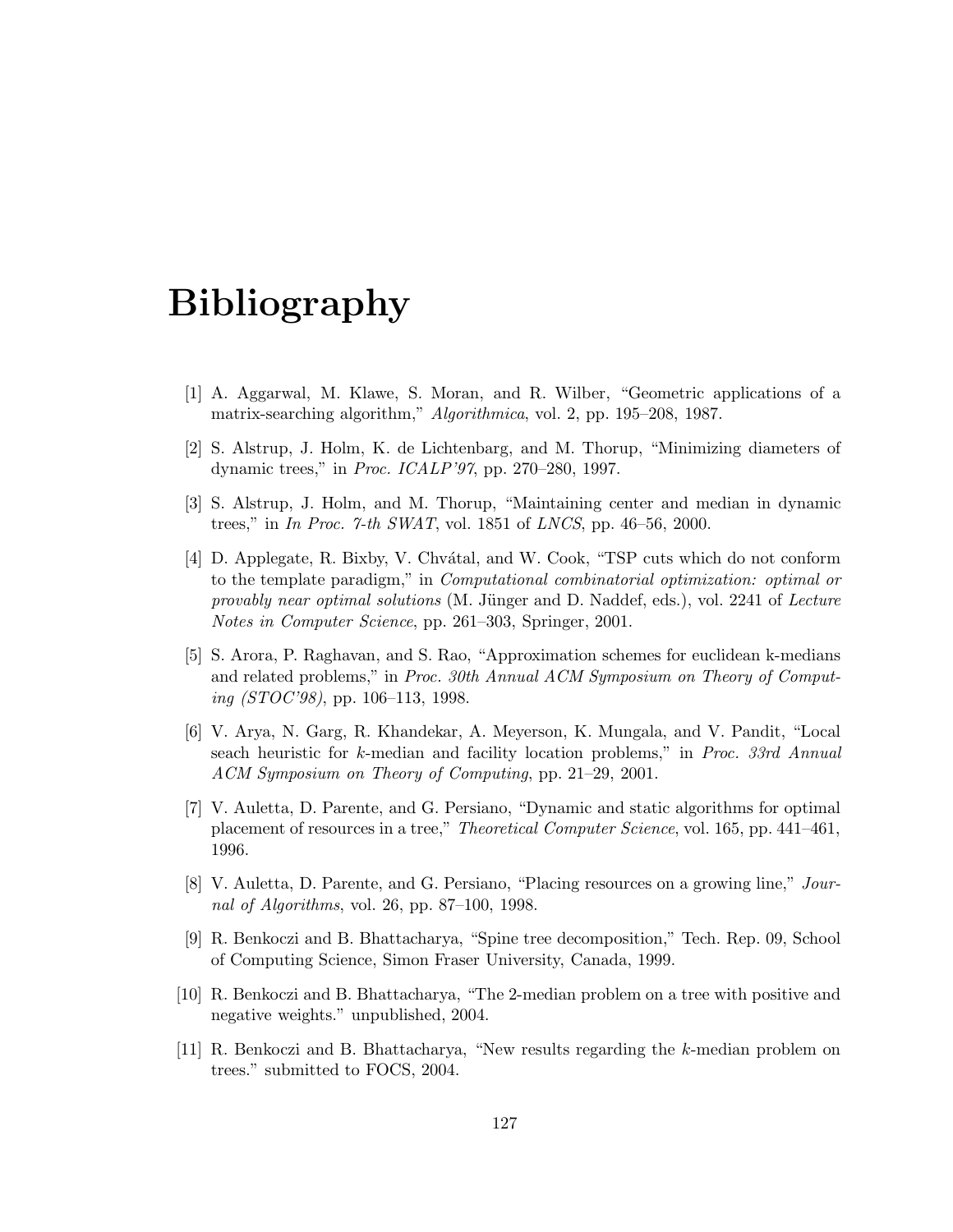## Bibliography

- [1] A. Aggarwal, M. Klawe, S. Moran, and R. Wilber, "Geometric applications of a matrix-searching algorithm," Algorithmica, vol. 2, pp. 195–208, 1987.
- [2] S. Alstrup, J. Holm, K. de Lichtenbarg, and M. Thorup, "Minimizing diameters of dynamic trees," in Proc. ICALP'97, pp. 270–280, 1997.
- [3] S. Alstrup, J. Holm, and M. Thorup, "Maintaining center and median in dynamic trees," in In Proc. 7-th SWAT, vol. 1851 of LNCS, pp. 46–56, 2000.
- [4] D. Applegate, R. Bixby, V. Chvatal, and W. Cook, "TSP cuts which do not conform to the template paradigm," in Computational combinatorial optimization: optimal or provably near optimal solutions  $(M.$  Jünger and D. Naddef, eds.), vol. 2241 of Lecture Notes in Computer Science, pp. 261–303, Springer, 2001.
- [5] S. Arora, P. Raghavan, and S. Rao, "Approximation schemes for euclidean k-medians and related problems," in Proc. 30th Annual ACM Symposium on Theory of Computing (STOC'98), pp. 106–113, 1998.
- [6] V. Arya, N. Garg, R. Khandekar, A. Meyerson, K. Mungala, and V. Pandit, "Local seach heuristic for k-median and facility location problems," in Proc. 33rd Annual ACM Symposium on Theory of Computing, pp. 21–29, 2001.
- [7] V. Auletta, D. Parente, and G. Persiano, "Dynamic and static algorithms for optimal placement of resources in a tree," Theoretical Computer Science, vol. 165, pp. 441–461, 1996.
- [8] V. Auletta, D. Parente, and G. Persiano, "Placing resources on a growing line," Journal of Algorithms, vol. 26, pp. 87–100, 1998.
- [9] R. Benkoczi and B. Bhattacharya, "Spine tree decomposition," Tech. Rep. 09, School of Computing Science, Simon Fraser University, Canada, 1999.
- [10] R. Benkoczi and B. Bhattacharya, "The 2-median problem on a tree with positive and negative weights." unpublished, 2004.
- [11] R. Benkoczi and B. Bhattacharya, "New results regarding the k-median problem on trees." submitted to FOCS, 2004.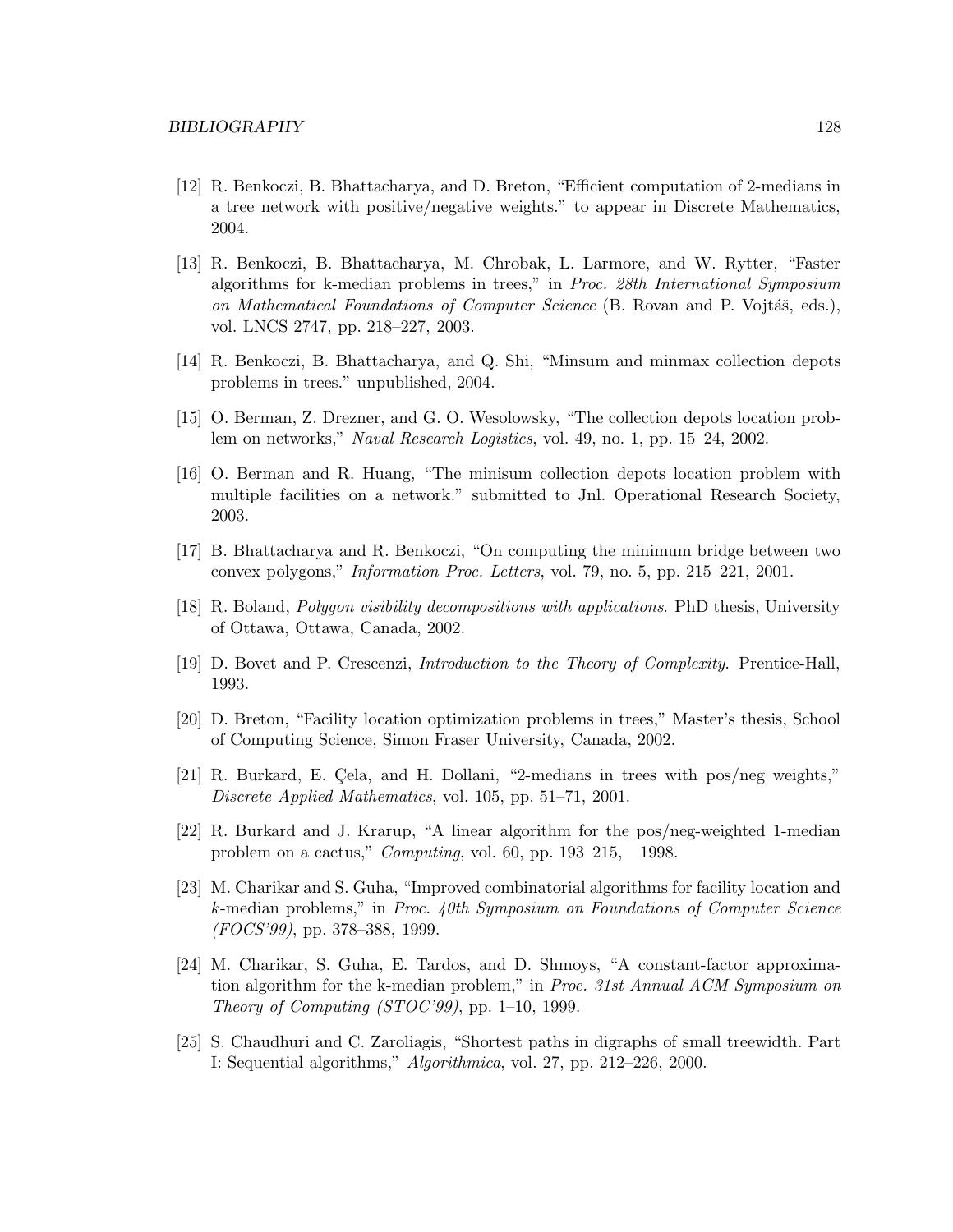- [12] R. Benkoczi, B. Bhattacharya, and D. Breton, "Efficient computation of 2-medians in a tree network with positive/negative weights." to appear in Discrete Mathematics, 2004.
- [13] R. Benkoczi, B. Bhattacharya, M. Chrobak, L. Larmore, and W. Rytter, "Faster algorithms for k-median problems in trees," in Proc. 28th International Symposium on Mathematical Foundations of Computer Science (B. Rovan and P. Vojtáš, eds.), vol. LNCS 2747, pp. 218–227, 2003.
- [14] R. Benkoczi, B. Bhattacharya, and Q. Shi, "Minsum and minmax collection depots problems in trees." unpublished, 2004.
- [15] O. Berman, Z. Drezner, and G. O. Wesolowsky, "The collection depots location problem on networks," Naval Research Logistics, vol. 49, no. 1, pp. 15–24, 2002.
- [16] O. Berman and R. Huang, "The minisum collection depots location problem with multiple facilities on a network." submitted to Jnl. Operational Research Society, 2003.
- [17] B. Bhattacharya and R. Benkoczi, "On computing the minimum bridge between two convex polygons," Information Proc. Letters, vol. 79, no. 5, pp. 215–221, 2001.
- [18] R. Boland, Polygon visibility decompositions with applications. PhD thesis, University of Ottawa, Ottawa, Canada, 2002.
- [19] D. Bovet and P. Crescenzi, Introduction to the Theory of Complexity. Prentice-Hall, 1993.
- [20] D. Breton, "Facility location optimization problems in trees," Master's thesis, School of Computing Science, Simon Fraser University, Canada, 2002.
- [21] R. Burkard, E. Cela, and H. Dollani, "2-medians in trees with pos/neg weights," Discrete Applied Mathematics, vol. 105, pp. 51–71, 2001.
- [22] R. Burkard and J. Krarup, "A linear algorithm for the pos/neg-weighted 1-median problem on a cactus," Computing, vol. 60, pp. 193–215, 1998.
- [23] M. Charikar and S. Guha, "Improved combinatorial algorithms for facility location and k-median problems," in Proc. 40th Symposium on Foundations of Computer Science (FOCS'99), pp. 378–388, 1999.
- [24] M. Charikar, S. Guha, E. Tardos, and D. Shmoys, "A constant-factor approximation algorithm for the k-median problem," in *Proc. 31st Annual ACM Symposium on* Theory of Computing  $(TOC'99)$ , pp. 1–10, 1999.
- [25] S. Chaudhuri and C. Zaroliagis, "Shortest paths in digraphs of small treewidth. Part I: Sequential algorithms," Algorithmica, vol. 27, pp. 212–226, 2000.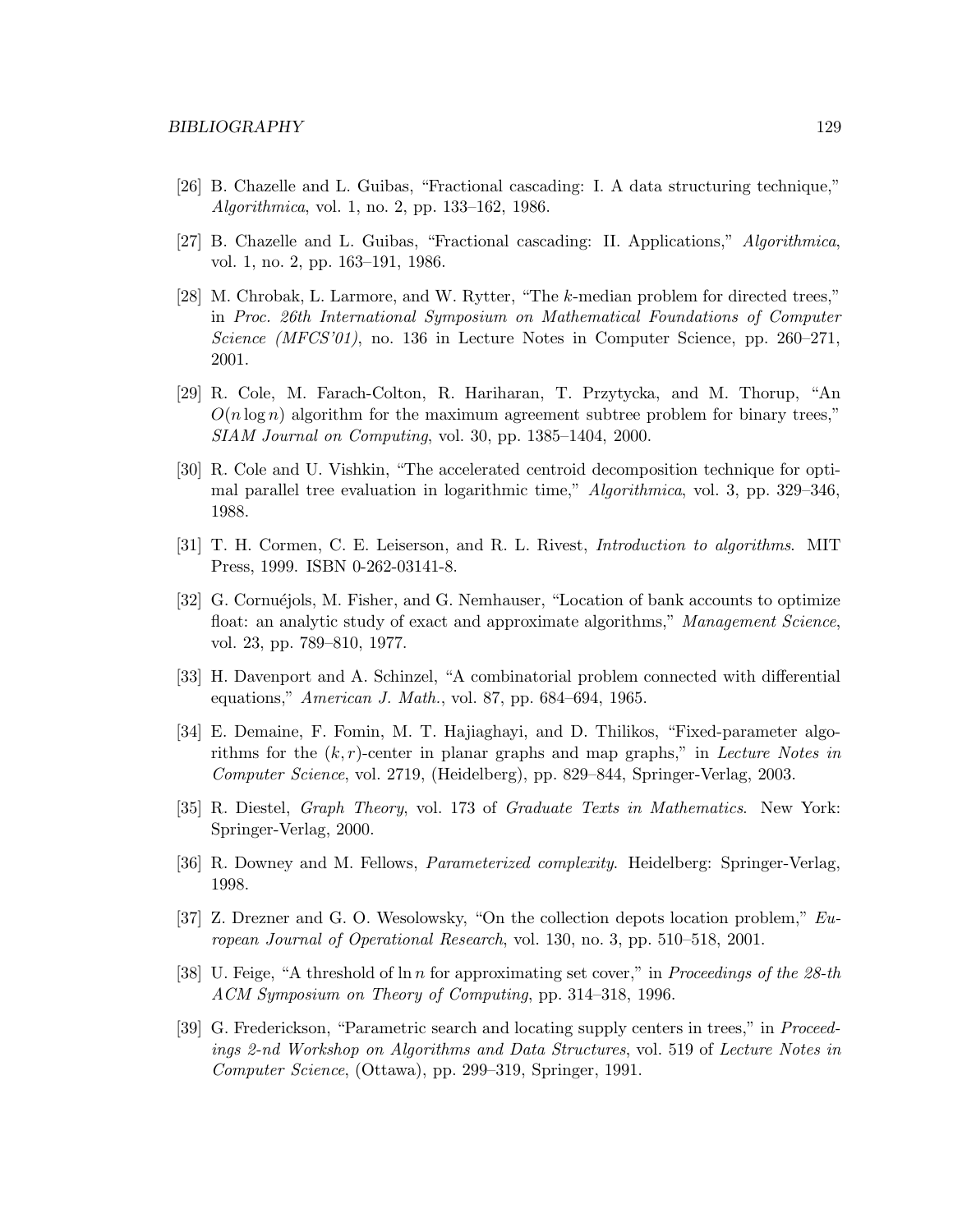- [26] B. Chazelle and L. Guibas, "Fractional cascading: I. A data structuring technique," Algorithmica, vol. 1, no. 2, pp. 133–162, 1986.
- [27] B. Chazelle and L. Guibas, "Fractional cascading: II. Applications," Algorithmica, vol. 1, no. 2, pp. 163–191, 1986.
- [28] M. Chrobak, L. Larmore, and W. Rytter, "The k-median problem for directed trees," in Proc. 26th International Symposium on Mathematical Foundations of Computer Science ( $MFCS'01$ ), no. 136 in Lecture Notes in Computer Science, pp. 260–271, 2001.
- [29] R. Cole, M. Farach-Colton, R. Hariharan, T. Przytycka, and M. Thorup, "An  $O(n \log n)$  algorithm for the maximum agreement subtree problem for binary trees," SIAM Journal on Computing, vol. 30, pp. 1385–1404, 2000.
- [30] R. Cole and U. Vishkin, "The accelerated centroid decomposition technique for optimal parallel tree evaluation in logarithmic time," Algorithmica, vol. 3, pp. 329–346, 1988.
- [31] T. H. Cormen, C. E. Leiserson, and R. L. Rivest, Introduction to algorithms. MIT Press, 1999. ISBN 0-262-03141-8.
- [32] G. Cornuéjols, M. Fisher, and G. Nemhauser, "Location of bank accounts to optimize float: an analytic study of exact and approximate algorithms," Management Science, vol. 23, pp. 789–810, 1977.
- [33] H. Davenport and A. Schinzel, "A combinatorial problem connected with differential equations," American J. Math., vol. 87, pp. 684–694, 1965.
- [34] E. Demaine, F. Fomin, M. T. Hajiaghayi, and D. Thilikos, "Fixed-parameter algorithms for the  $(k, r)$ -center in planar graphs and map graphs," in Lecture Notes in Computer Science, vol. 2719, (Heidelberg), pp. 829–844, Springer-Verlag, 2003.
- [35] R. Diestel, Graph Theory, vol. 173 of Graduate Texts in Mathematics. New York: Springer-Verlag, 2000.
- [36] R. Downey and M. Fellows, Parameterized complexity. Heidelberg: Springer-Verlag, 1998.
- [37] Z. Drezner and G. O. Wesolowsky, "On the collection depots location problem," European Journal of Operational Research, vol. 130, no. 3, pp. 510–518, 2001.
- [38] U. Feige, "A threshold of  $\ln n$  for approximating set cover," in *Proceedings of the 28-th* ACM Symposium on Theory of Computing, pp. 314–318, 1996.
- [39] G. Frederickson, "Parametric search and locating supply centers in trees," in Proceedings 2-nd Workshop on Algorithms and Data Structures, vol. 519 of Lecture Notes in Computer Science, (Ottawa), pp. 299–319, Springer, 1991.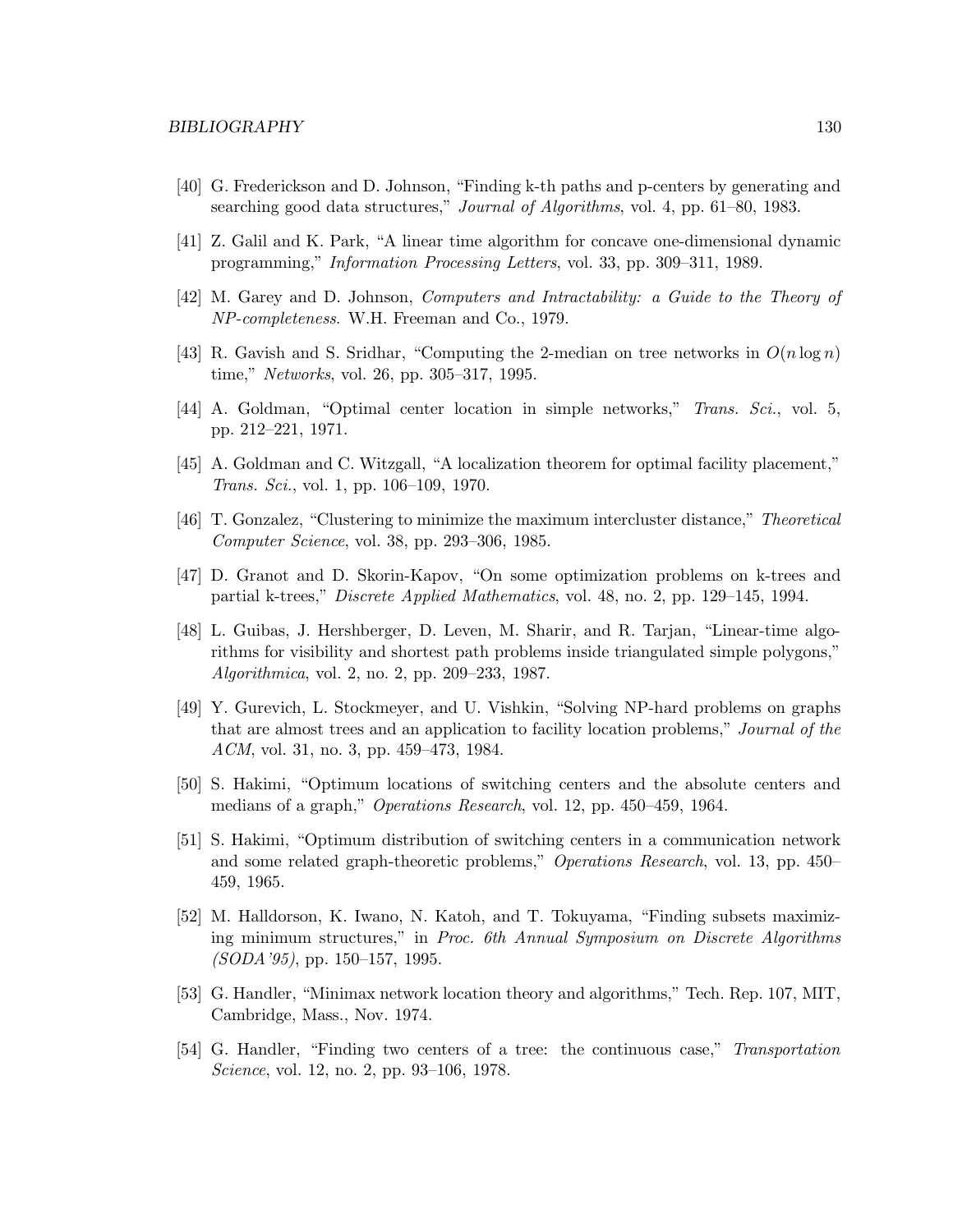- [40] G. Frederickson and D. Johnson, "Finding k-th paths and p-centers by generating and searching good data structures," Journal of Algorithms, vol. 4, pp. 61–80, 1983.
- [41] Z. Galil and K. Park, "A linear time algorithm for concave one-dimensional dynamic programming," Information Processing Letters, vol. 33, pp. 309–311, 1989.
- [42] M. Garey and D. Johnson, Computers and Intractability: a Guide to the Theory of NP-completeness. W.H. Freeman and Co., 1979.
- [43] R. Gavish and S. Sridhar, "Computing the 2-median on tree networks in  $O(n \log n)$ time," Networks, vol. 26, pp. 305–317, 1995.
- [44] A. Goldman, "Optimal center location in simple networks," Trans. Sci., vol. 5, pp. 212–221, 1971.
- [45] A. Goldman and C. Witzgall, "A localization theorem for optimal facility placement," Trans. Sci., vol. 1, pp. 106–109, 1970.
- [46] T. Gonzalez, "Clustering to minimize the maximum intercluster distance," Theoretical Computer Science, vol. 38, pp. 293–306, 1985.
- [47] D. Granot and D. Skorin-Kapov, "On some optimization problems on k-trees and partial k-trees," Discrete Applied Mathematics, vol. 48, no. 2, pp. 129–145, 1994.
- [48] L. Guibas, J. Hershberger, D. Leven, M. Sharir, and R. Tarjan, "Linear-time algorithms for visibility and shortest path problems inside triangulated simple polygons," Algorithmica, vol. 2, no. 2, pp. 209–233, 1987.
- [49] Y. Gurevich, L. Stockmeyer, and U. Vishkin, "Solving NP-hard problems on graphs that are almost trees and an application to facility location problems," Journal of the ACM, vol. 31, no. 3, pp. 459–473, 1984.
- [50] S. Hakimi, "Optimum locations of switching centers and the absolute centers and medians of a graph," Operations Research, vol. 12, pp. 450–459, 1964.
- [51] S. Hakimi, "Optimum distribution of switching centers in a communication network and some related graph-theoretic problems," Operations Research, vol. 13, pp. 450– 459, 1965.
- [52] M. Halldorson, K. Iwano, N. Katoh, and T. Tokuyama, "Finding subsets maximizing minimum structures," in Proc. 6th Annual Symposium on Discrete Algorithms (SODA'95), pp. 150–157, 1995.
- [53] G. Handler, "Minimax network location theory and algorithms," Tech. Rep. 107, MIT, Cambridge, Mass., Nov. 1974.
- [54] G. Handler, "Finding two centers of a tree: the continuous case," Transportation Science, vol. 12, no. 2, pp. 93–106, 1978.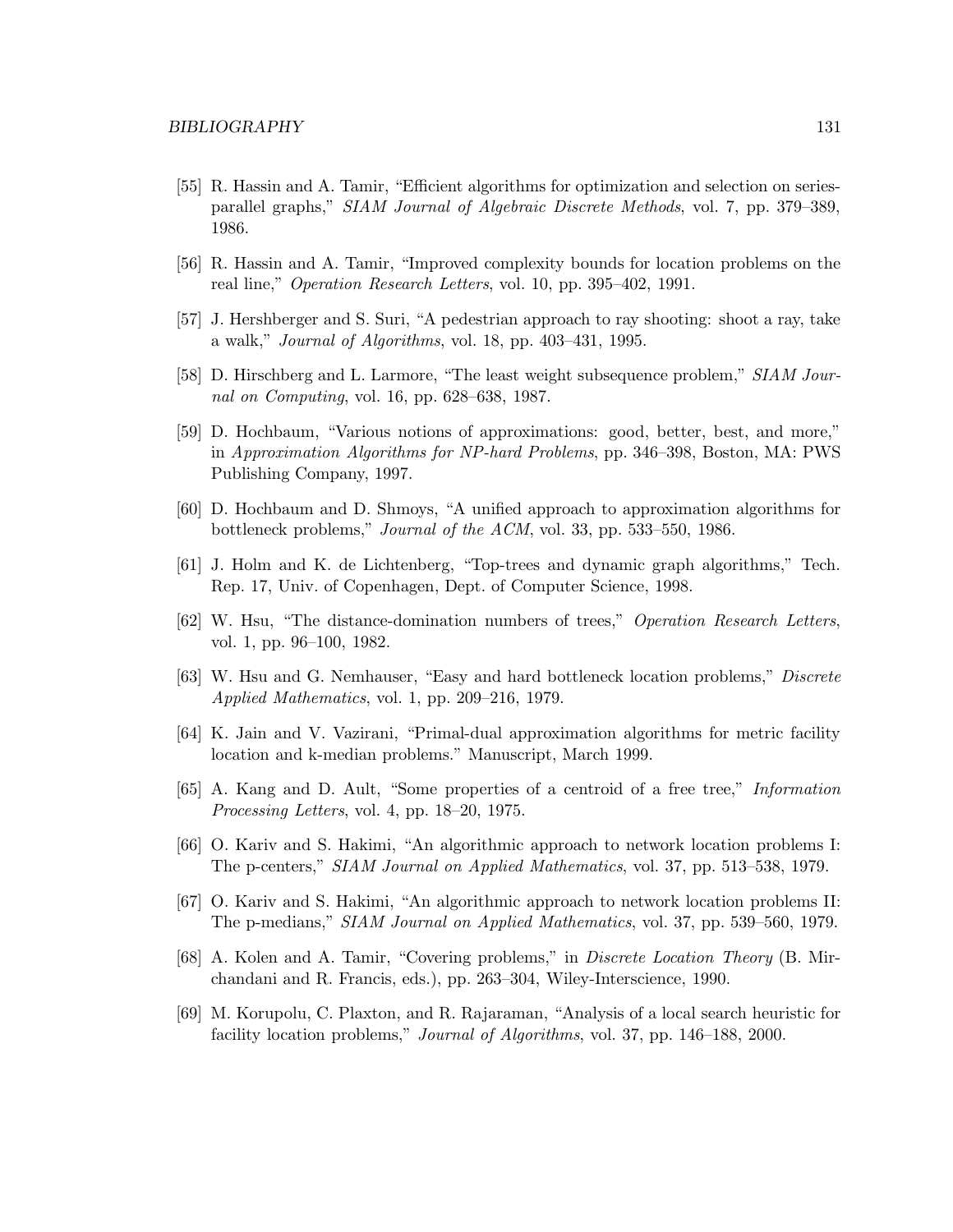- [55] R. Hassin and A. Tamir, "Efficient algorithms for optimization and selection on seriesparallel graphs," SIAM Journal of Algebraic Discrete Methods, vol. 7, pp. 379–389, 1986.
- [56] R. Hassin and A. Tamir, "Improved complexity bounds for location problems on the real line," Operation Research Letters, vol. 10, pp. 395–402, 1991.
- [57] J. Hershberger and S. Suri, "A pedestrian approach to ray shooting: shoot a ray, take a walk," Journal of Algorithms, vol. 18, pp. 403–431, 1995.
- [58] D. Hirschberg and L. Larmore, "The least weight subsequence problem," SIAM Journal on Computing, vol. 16, pp. 628–638, 1987.
- [59] D. Hochbaum, "Various notions of approximations: good, better, best, and more," in Approximation Algorithms for NP-hard Problems, pp. 346–398, Boston, MA: PWS Publishing Company, 1997.
- [60] D. Hochbaum and D. Shmoys, "A unified approach to approximation algorithms for bottleneck problems," Journal of the ACM, vol. 33, pp. 533–550, 1986.
- [61] J. Holm and K. de Lichtenberg, "Top-trees and dynamic graph algorithms," Tech. Rep. 17, Univ. of Copenhagen, Dept. of Computer Science, 1998.
- [62] W. Hsu, "The distance-domination numbers of trees," Operation Research Letters, vol. 1, pp. 96–100, 1982.
- [63] W. Hsu and G. Nemhauser, "Easy and hard bottleneck location problems," Discrete Applied Mathematics, vol. 1, pp. 209–216, 1979.
- [64] K. Jain and V. Vazirani, "Primal-dual approximation algorithms for metric facility location and k-median problems." Manuscript, March 1999.
- [65] A. Kang and D. Ault, "Some properties of a centroid of a free tree," Information Processing Letters, vol. 4, pp. 18–20, 1975.
- [66] O. Kariv and S. Hakimi, "An algorithmic approach to network location problems I: The p-centers," SIAM Journal on Applied Mathematics, vol. 37, pp. 513–538, 1979.
- [67] O. Kariv and S. Hakimi, "An algorithmic approach to network location problems II: The p-medians," SIAM Journal on Applied Mathematics, vol. 37, pp. 539–560, 1979.
- [68] A. Kolen and A. Tamir, "Covering problems," in Discrete Location Theory (B. Mirchandani and R. Francis, eds.), pp. 263–304, Wiley-Interscience, 1990.
- [69] M. Korupolu, C. Plaxton, and R. Rajaraman, "Analysis of a local search heuristic for facility location problems," Journal of Algorithms, vol. 37, pp. 146–188, 2000.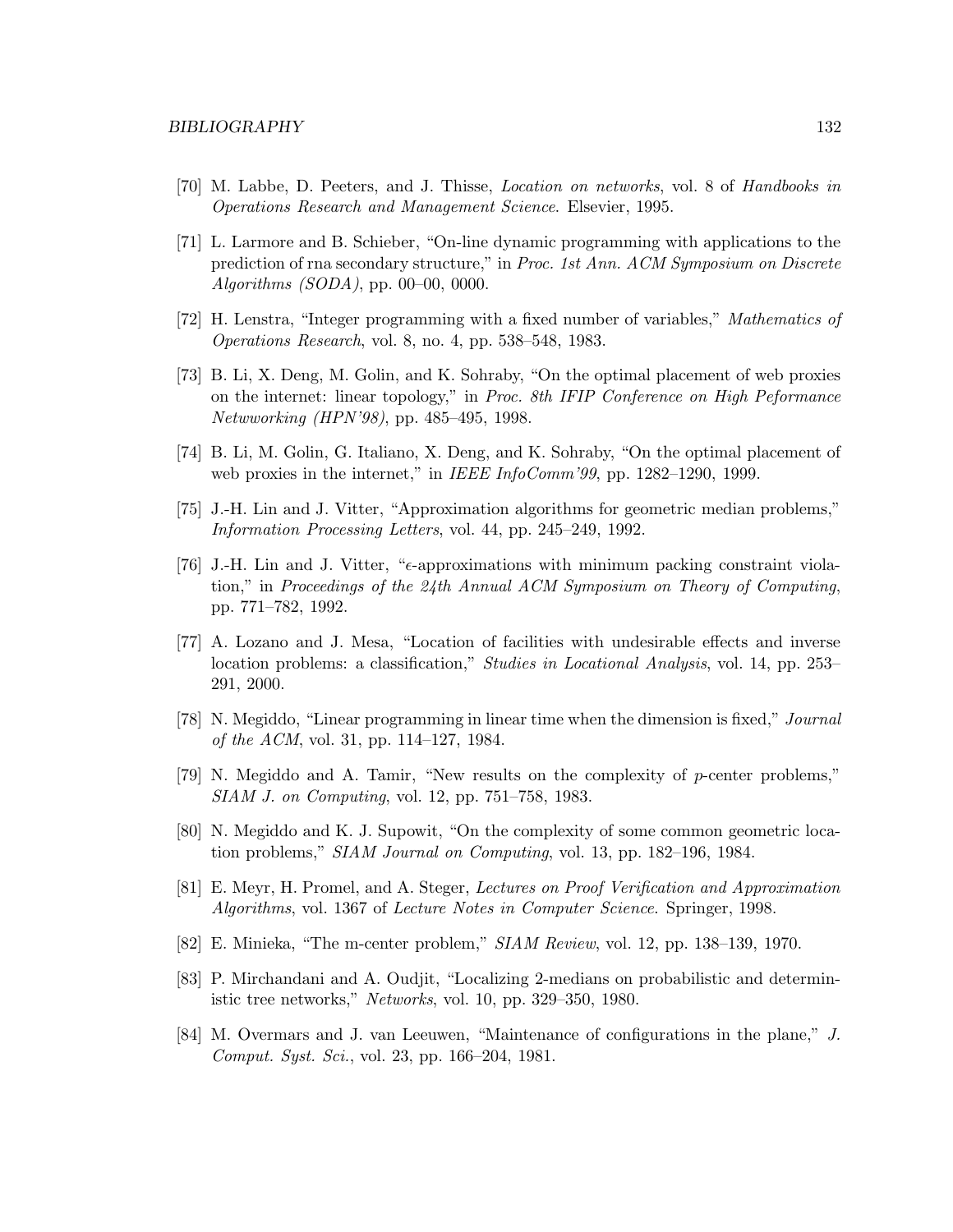- [70] M. Labbe, D. Peeters, and J. Thisse, Location on networks, vol. 8 of Handbooks in Operations Research and Management Science. Elsevier, 1995.
- [71] L. Larmore and B. Schieber, "On-line dynamic programming with applications to the prediction of rna secondary structure," in Proc. 1st Ann. ACM Symposium on Discrete Algorithms (SODA), pp. 00–00, 0000.
- [72] H. Lenstra, "Integer programming with a fixed number of variables," Mathematics of Operations Research, vol. 8, no. 4, pp. 538–548, 1983.
- [73] B. Li, X. Deng, M. Golin, and K. Sohraby, "On the optimal placement of web proxies on the internet: linear topology," in Proc. 8th IFIP Conference on High Peformance Netwworking (HPN'98), pp. 485–495, 1998.
- [74] B. Li, M. Golin, G. Italiano, X. Deng, and K. Sohraby, "On the optimal placement of web proxies in the internet," in IEEE InfoComm'99, pp. 1282-1290, 1999.
- [75] J.-H. Lin and J. Vitter, "Approximation algorithms for geometric median problems," Information Processing Letters, vol. 44, pp. 245–249, 1992.
- [76] J.-H. Lin and J. Vitter, " $\epsilon$ -approximations with minimum packing constraint violation," in Proceedings of the 24th Annual ACM Symposium on Theory of Computing, pp. 771–782, 1992.
- [77] A. Lozano and J. Mesa, "Location of facilities with undesirable effects and inverse location problems: a classification," Studies in Locational Analysis, vol. 14, pp. 253– 291, 2000.
- [78] N. Megiddo, "Linear programming in linear time when the dimension is fixed," Journal of the ACM, vol. 31, pp. 114–127, 1984.
- [79] N. Megiddo and A. Tamir, "New results on the complexity of p-center problems," SIAM J. on Computing, vol. 12, pp. 751–758, 1983.
- [80] N. Megiddo and K. J. Supowit, "On the complexity of some common geometric location problems," SIAM Journal on Computing, vol. 13, pp. 182–196, 1984.
- [81] E. Meyr, H. Promel, and A. Steger, Lectures on Proof Verification and Approximation Algorithms, vol. 1367 of Lecture Notes in Computer Science. Springer, 1998.
- [82] E. Minieka, "The m-center problem," SIAM Review, vol. 12, pp. 138–139, 1970.
- [83] P. Mirchandani and A. Oudjit, "Localizing 2-medians on probabilistic and deterministic tree networks," Networks, vol. 10, pp. 329–350, 1980.
- [84] M. Overmars and J. van Leeuwen, "Maintenance of configurations in the plane," J. Comput. Syst. Sci., vol. 23, pp. 166–204, 1981.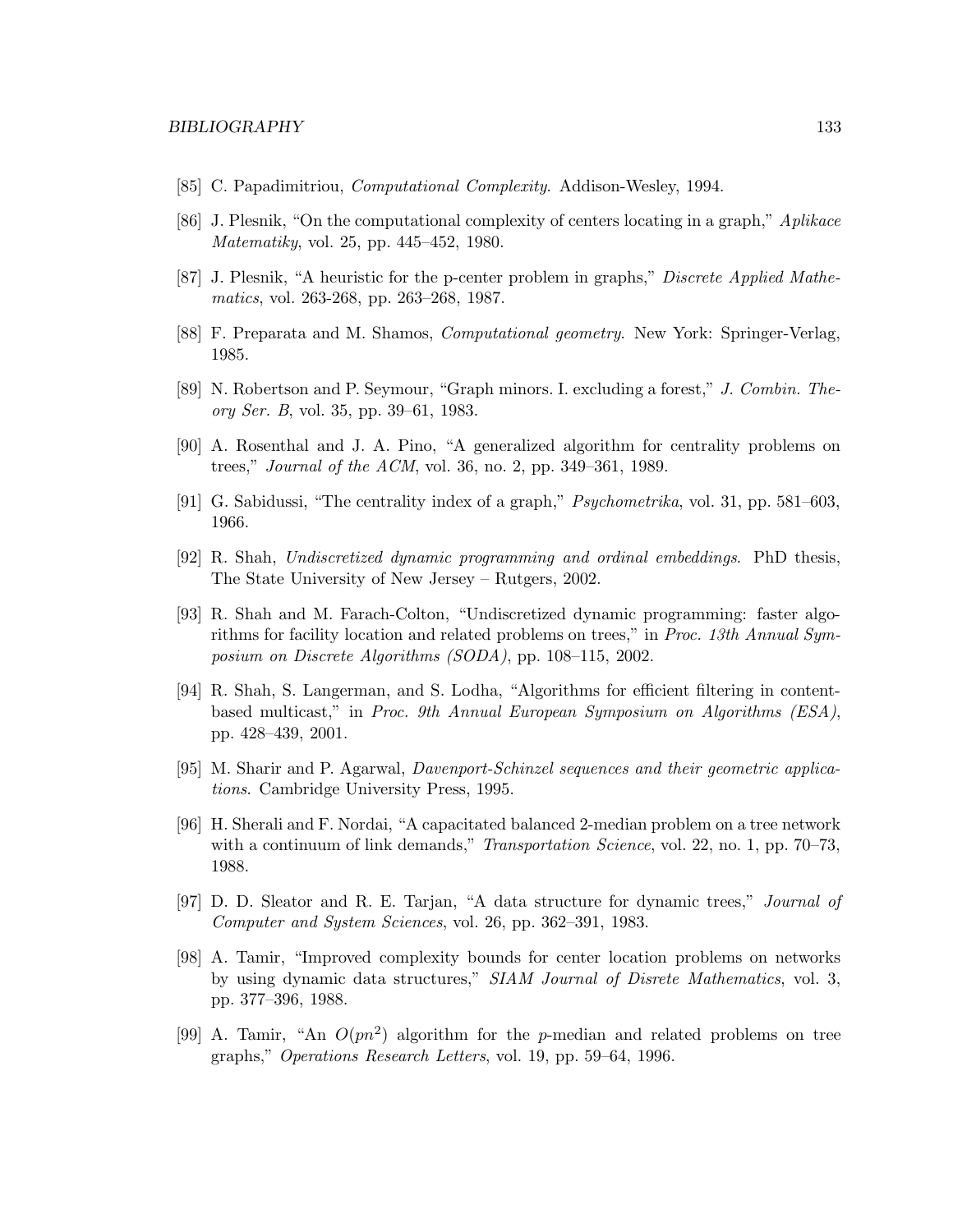- [85] C. Papadimitriou, *Computational Complexity*. Addison-Wesley, 1994.
- [86] J. Plesnik, "On the computational complexity of centers locating in a graph," Aplikace Matematiky, vol. 25, pp. 445–452, 1980.
- [87] J. Plesnik, "A heuristic for the p-center problem in graphs," Discrete Applied Mathematics, vol. 263-268, pp. 263–268, 1987.
- [88] F. Preparata and M. Shamos, Computational geometry. New York: Springer-Verlag, 1985.
- [89] N. Robertson and P. Seymour, "Graph minors. I. excluding a forest," J. Combin. Theory Ser. B, vol. 35, pp. 39–61, 1983.
- [90] A. Rosenthal and J. A. Pino, "A generalized algorithm for centrality problems on trees," Journal of the ACM, vol. 36, no. 2, pp. 349–361, 1989.
- [91] G. Sabidussi, "The centrality index of a graph," Psychometrika, vol. 31, pp. 581–603, 1966.
- [92] R. Shah, Undiscretized dynamic programming and ordinal embeddings. PhD thesis, The State University of New Jersey – Rutgers, 2002.
- [93] R. Shah and M. Farach-Colton, "Undiscretized dynamic programming: faster algorithms for facility location and related problems on trees," in Proc. 13th Annual Symposium on Discrete Algorithms (SODA), pp. 108–115, 2002.
- [94] R. Shah, S. Langerman, and S. Lodha, "Algorithms for efficient filtering in contentbased multicast," in Proc. 9th Annual European Symposium on Algorithms (ESA), pp. 428–439, 2001.
- [95] M. Sharir and P. Agarwal, Davenport-Schinzel sequences and their geometric applications. Cambridge University Press, 1995.
- [96] H. Sherali and F. Nordai, "A capacitated balanced 2-median problem on a tree network with a continuum of link demands," *Transportation Science*, vol. 22, no. 1, pp. 70–73, 1988.
- [97] D. D. Sleator and R. E. Tarjan, "A data structure for dynamic trees," Journal of Computer and System Sciences, vol. 26, pp. 362–391, 1983.
- [98] A. Tamir, "Improved complexity bounds for center location problems on networks by using dynamic data structures," SIAM Journal of Disrete Mathematics, vol. 3, pp. 377–396, 1988.
- [99] A. Tamir, "An  $O(pn^2)$  algorithm for the p-median and related problems on tree graphs," Operations Research Letters, vol. 19, pp. 59–64, 1996.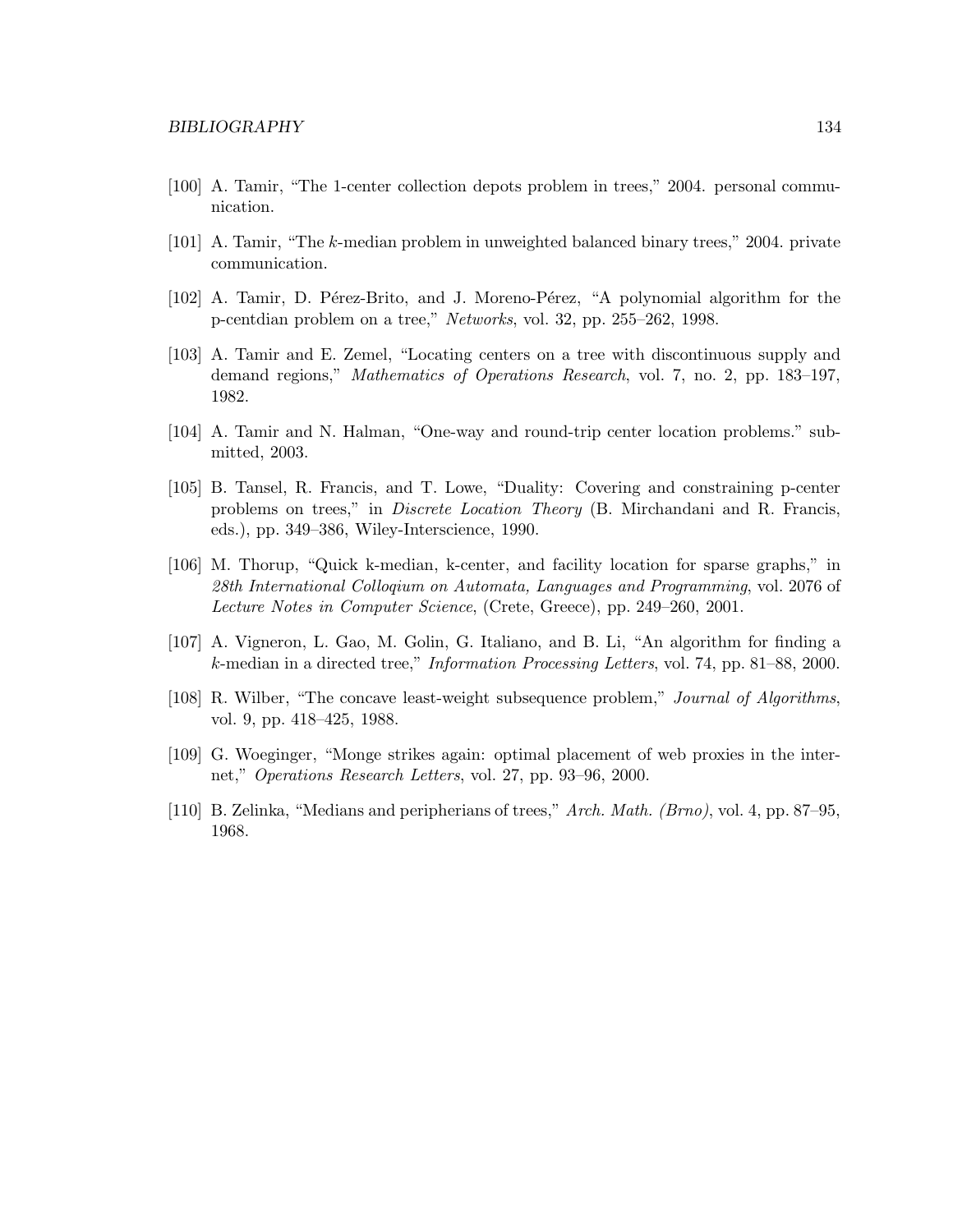- [100] A. Tamir, "The 1-center collection depots problem in trees," 2004. personal communication.
- [101] A. Tamir, "The k-median problem in unweighted balanced binary trees," 2004. private communication.
- [102] A. Tamir, D. Pérez-Brito, and J. Moreno-Pérez, "A polynomial algorithm for the p-centdian problem on a tree," Networks, vol. 32, pp. 255–262, 1998.
- [103] A. Tamir and E. Zemel, "Locating centers on a tree with discontinuous supply and demand regions," Mathematics of Operations Research, vol. 7, no. 2, pp. 183–197, 1982.
- [104] A. Tamir and N. Halman, "One-way and round-trip center location problems." submitted, 2003.
- [105] B. Tansel, R. Francis, and T. Lowe, "Duality: Covering and constraining p-center problems on trees," in Discrete Location Theory (B. Mirchandani and R. Francis, eds.), pp. 349–386, Wiley-Interscience, 1990.
- [106] M. Thorup, "Quick k-median, k-center, and facility location for sparse graphs," in 28th International Colloqium on Automata, Languages and Programming, vol. 2076 of Lecture Notes in Computer Science, (Crete, Greece), pp. 249–260, 2001.
- [107] A. Vigneron, L. Gao, M. Golin, G. Italiano, and B. Li, "An algorithm for finding a k-median in a directed tree," Information Processing Letters, vol. 74, pp. 81–88, 2000.
- [108] R. Wilber, "The concave least-weight subsequence problem," Journal of Algorithms, vol. 9, pp. 418–425, 1988.
- [109] G. Woeginger, "Monge strikes again: optimal placement of web proxies in the internet," Operations Research Letters, vol. 27, pp. 93–96, 2000.
- [110] B. Zelinka, "Medians and peripherians of trees," Arch. Math. (Brno), vol. 4, pp. 87–95, 1968.